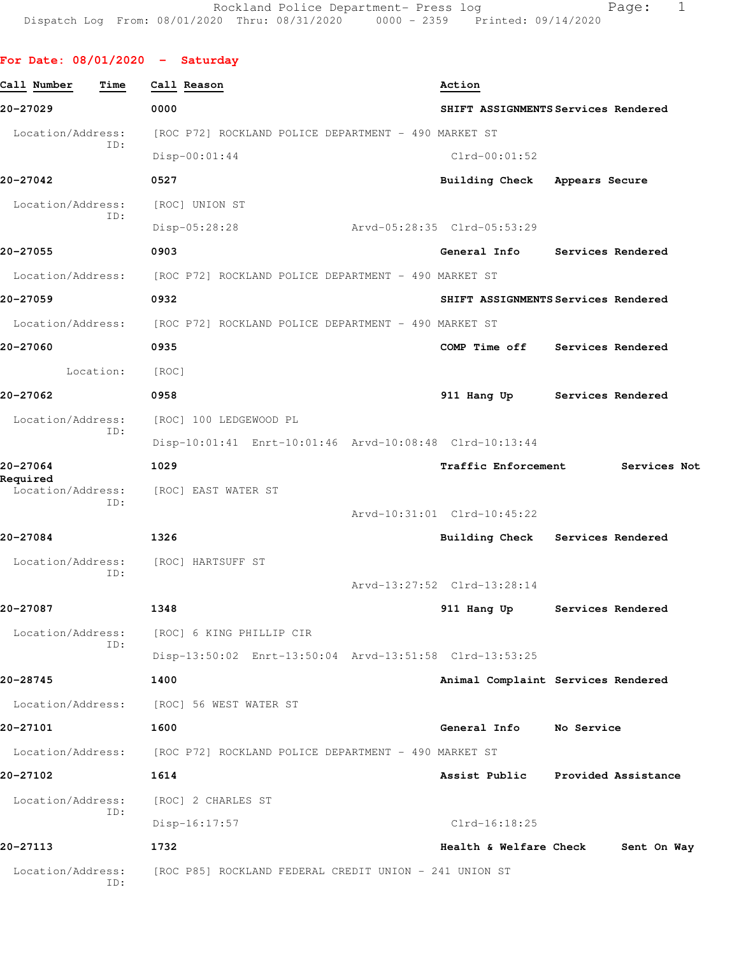## **For Date: 08/01/2020 - Saturday**

| Call Number<br>Time           | Call Reason                                             | Action                              |                     |
|-------------------------------|---------------------------------------------------------|-------------------------------------|---------------------|
| 20-27029                      | 0000                                                    | SHIFT ASSIGNMENTS Services Rendered |                     |
| Location/Address:<br>ID:      | [ROC P72] ROCKLAND POLICE DEPARTMENT - 490 MARKET ST    |                                     |                     |
|                               | $Disp-00:01:44$                                         | $Clrd-00:01:52$                     |                     |
| 20-27042                      | 0527                                                    | Building Check Appears Secure       |                     |
| Location/Address:             | [ROC] UNION ST                                          |                                     |                     |
| ID:                           | Disp-05:28:28                                           | Arvd-05:28:35 Clrd-05:53:29         |                     |
| 20-27055                      | 0903                                                    | General Info                        | Services Rendered   |
| Location/Address:             | [ROC P72] ROCKLAND POLICE DEPARTMENT - 490 MARKET ST    |                                     |                     |
| 20-27059                      | 0932                                                    | SHIFT ASSIGNMENTS Services Rendered |                     |
| Location/Address:             | [ROC P72] ROCKLAND POLICE DEPARTMENT - 490 MARKET ST    |                                     |                     |
| 20-27060                      | 0935                                                    | COMP Time off                       | Services Rendered   |
| Location:                     | [ROC]                                                   |                                     |                     |
| 20-27062                      | 0958                                                    | 911 Hang Up                         | Services Rendered   |
| Location/Address:             | [ROC] 100 LEDGEWOOD PL                                  |                                     |                     |
| ID:                           | Disp-10:01:41 Enrt-10:01:46 Arvd-10:08:48 Clrd-10:13:44 |                                     |                     |
| 20-27064                      | 1029                                                    | <b>Traffic Enforcement</b>          | Services Not        |
| Required<br>Location/Address: | [ROC] EAST WATER ST                                     |                                     |                     |
| ID:                           |                                                         | Arvd-10:31:01 Clrd-10:45:22         |                     |
| 20-27084                      | 1326                                                    | <b>Building Check</b>               | Services Rendered   |
| Location/Address:             | [ROC] HARTSUFF ST                                       |                                     |                     |
| ID:                           |                                                         | Arvd-13:27:52 Clrd-13:28:14         |                     |
| 20-27087                      | 1348                                                    | 911 Hang Up                         | Services Rendered   |
| Location/Address:             | [ROC] 6 KING PHILLIP CIR                                |                                     |                     |
| ID:                           | Disp-13:50:02 Enrt-13:50:04 Arvd-13:51:58 Clrd-13:53:25 |                                     |                     |
| 20-28745                      | 1400                                                    | Animal Complaint Services Rendered  |                     |
| Location/Address:             | [ROC] 56 WEST WATER ST                                  |                                     |                     |
| 20-27101                      | 1600                                                    | General Info No Service             |                     |
| Location/Address:             | [ROC P72] ROCKLAND POLICE DEPARTMENT - 490 MARKET ST    |                                     |                     |
| 20-27102                      | 1614                                                    | Assist Public                       | Provided Assistance |
| Location/Address:             | [ROC] 2 CHARLES ST                                      |                                     |                     |
| ID:                           | $Disp-16:17:57$                                         | $Clrd-16:18:25$                     |                     |
| 20-27113                      | 1732                                                    | Health & Welfare Check              | Sent On Way         |
| Location/Address:<br>ID:      | [ROC P85] ROCKLAND FEDERAL CREDIT UNION - 241 UNION ST  |                                     |                     |
|                               |                                                         |                                     |                     |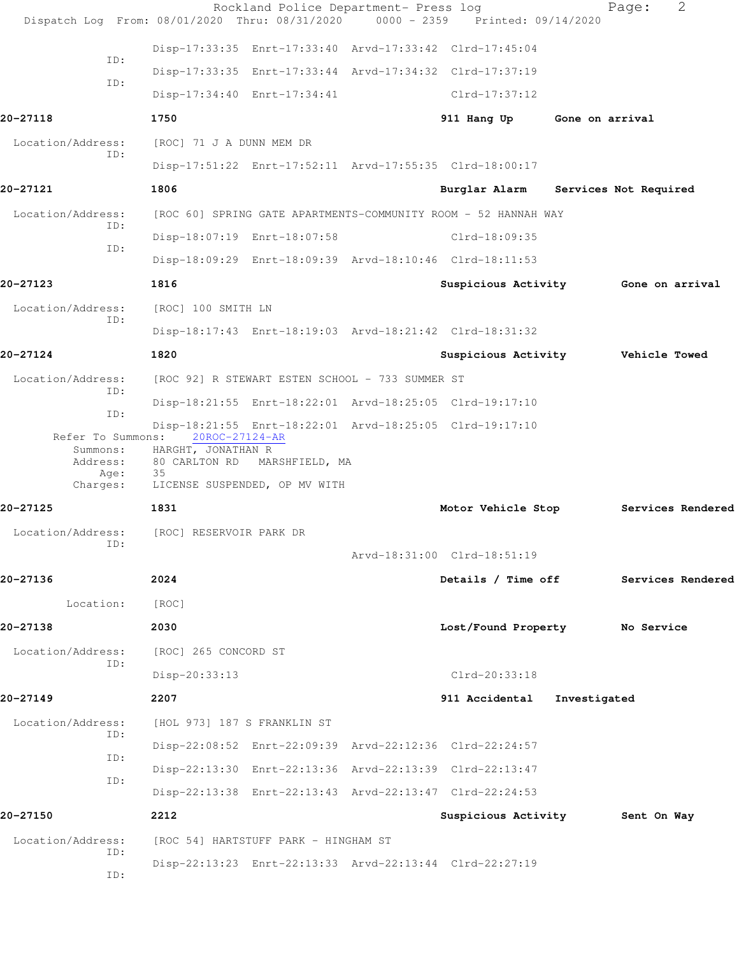|                                                   | Rockland Police Department- Press log<br>Dispatch Log From: 08/01/2020 Thru: 08/31/2020 0000 - 2359 Printed: 09/14/2020                                                         |                                               |                 | 2<br>Page:            |  |
|---------------------------------------------------|---------------------------------------------------------------------------------------------------------------------------------------------------------------------------------|-----------------------------------------------|-----------------|-----------------------|--|
|                                                   | Disp-17:33:35 Enrt-17:33:40 Arvd-17:33:42 Clrd-17:45:04                                                                                                                         |                                               |                 |                       |  |
| ID:                                               | Disp-17:33:35 Enrt-17:33:44 Arvd-17:34:32 Clrd-17:37:19                                                                                                                         |                                               |                 |                       |  |
| ID:                                               | Disp-17:34:40 Enrt-17:34:41                                                                                                                                                     | $Clrd-17:37:12$                               |                 |                       |  |
| 20-27118                                          | 1750                                                                                                                                                                            | 911 Hang Up                                   | Gone on arrival |                       |  |
| Location/Address:                                 | [ROC] 71 J A DUNN MEM DR                                                                                                                                                        |                                               |                 |                       |  |
| ID:                                               | Disp-17:51:22 Enrt-17:52:11 Arvd-17:55:35 Clrd-18:00:17                                                                                                                         |                                               |                 |                       |  |
| 20-27121                                          | 1806                                                                                                                                                                            | Burglar Alarm                                 |                 | Services Not Required |  |
| Location/Address:                                 | [ROC 60] SPRING GATE APARTMENTS-COMMUNITY ROOM - 52 HANNAH WAY                                                                                                                  |                                               |                 |                       |  |
| ID:                                               | Disp-18:07:19 Enrt-18:07:58                                                                                                                                                     | Clrd-18:09:35                                 |                 |                       |  |
| ID:                                               | Disp-18:09:29 Enrt-18:09:39 Arvd-18:10:46 Clrd-18:11:53                                                                                                                         |                                               |                 |                       |  |
| 20-27123                                          | 1816                                                                                                                                                                            | Suspicious Activity 6one on arrival           |                 |                       |  |
| Location/Address:                                 | [ROC] 100 SMITH LN                                                                                                                                                              |                                               |                 |                       |  |
| ID:                                               | Disp-18:17:43 Enrt-18:19:03 Arvd-18:21:42 Clrd-18:31:32                                                                                                                         |                                               |                 |                       |  |
| 20-27124                                          | 1820                                                                                                                                                                            | Suspicious Activity <b>Well</b> Vehicle Towed |                 |                       |  |
| Location/Address:<br>ID:                          | [ROC 92] R STEWART ESTEN SCHOOL - 733 SUMMER ST                                                                                                                                 |                                               |                 |                       |  |
| ID:                                               | Disp-18:21:55 Enrt-18:22:01 Arvd-18:25:05 Clrd-19:17:10                                                                                                                         |                                               |                 |                       |  |
| Refer To Summons:<br>Address:<br>Age:<br>Charges: | Disp-18:21:55 Enrt-18:22:01 Arvd-18:25:05 Clrd-19:17:10<br>20ROC-27124-AR<br>Summons: HARGHT, JONATHAN R<br>80 CARLTON RD MARSHFIELD, MA<br>35<br>LICENSE SUSPENDED, OP MV WITH |                                               |                 |                       |  |
| 20-27125                                          | 1831                                                                                                                                                                            | Motor Vehicle Stop                            |                 | Services Rendered     |  |
| Location/Address:                                 | [ROC] RESERVOIR PARK DR                                                                                                                                                         |                                               |                 |                       |  |
| ID:                                               |                                                                                                                                                                                 | Arvd-18:31:00 Clrd-18:51:19                   |                 |                       |  |
| 20-27136                                          | 2024                                                                                                                                                                            | Details / Time off                            |                 | Services Rendered     |  |
| Location:                                         | [ROC]                                                                                                                                                                           |                                               |                 |                       |  |
| 20-27138                                          | 2030                                                                                                                                                                            | Lost/Found Property                           |                 | No Service            |  |
| Location/Address:                                 | [ROC] 265 CONCORD ST                                                                                                                                                            |                                               |                 |                       |  |
| ID:                                               | Disp-20:33:13                                                                                                                                                                   | Clrd-20:33:18                                 |                 |                       |  |
| 20-27149                                          | 2207                                                                                                                                                                            | 911 Accidental                                | Investigated    |                       |  |
| Location/Address:                                 | [HOL 973] 187 S FRANKLIN ST                                                                                                                                                     |                                               |                 |                       |  |
| ID:                                               | Disp-22:08:52 Enrt-22:09:39 Arvd-22:12:36 Clrd-22:24:57                                                                                                                         |                                               |                 |                       |  |
| ID:                                               | Disp-22:13:30 Enrt-22:13:36 Arvd-22:13:39 Clrd-22:13:47                                                                                                                         |                                               |                 |                       |  |
| ID:                                               | Disp-22:13:38 Enrt-22:13:43 Arvd-22:13:47 Clrd-22:24:53                                                                                                                         |                                               |                 |                       |  |
| 20-27150                                          | 2212                                                                                                                                                                            | Suspicious Activity 5ent On Way               |                 |                       |  |
| Location/Address:                                 | [ROC 54] HARTSTUFF PARK - HINGHAM ST                                                                                                                                            |                                               |                 |                       |  |
| ID:<br>ID:                                        | Disp-22:13:23 Enrt-22:13:33 Arvd-22:13:44 Clrd-22:27:19                                                                                                                         |                                               |                 |                       |  |
|                                                   |                                                                                                                                                                                 |                                               |                 |                       |  |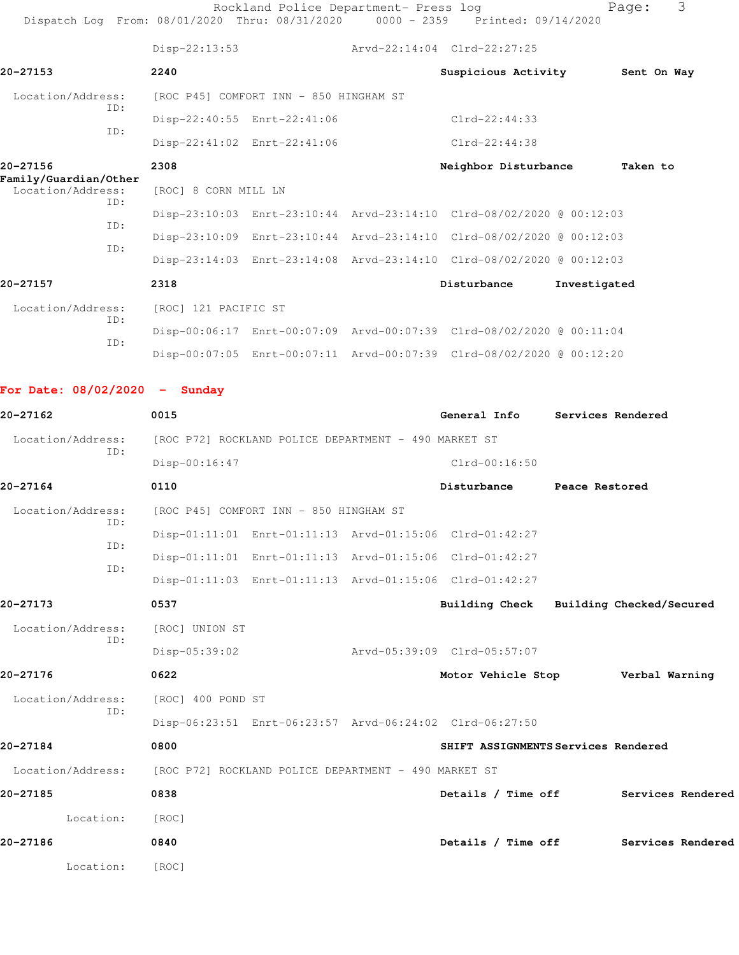| Dispatch Log From: 08/01/2020 Thru: 08/31/2020 |                                                      | Rockland Police Department- Press log                | 0000 - 2359 Printed: 09/14/2020                                      |                | 3<br>Page:                           |
|------------------------------------------------|------------------------------------------------------|------------------------------------------------------|----------------------------------------------------------------------|----------------|--------------------------------------|
|                                                | $Disp-22:13:53$                                      |                                                      | Arvd-22:14:04 Clrd-22:27:25                                          |                |                                      |
| 20-27153                                       | 2240                                                 |                                                      | Suspicious Activity                                                  |                | Sent On Way                          |
| Location/Address:                              |                                                      | [ROC P45] COMFORT INN - 850 HINGHAM ST               |                                                                      |                |                                      |
| ID:                                            |                                                      | Disp-22:40:55 Enrt-22:41:06                          | $Clrd-22:44:33$                                                      |                |                                      |
| ID:                                            |                                                      | Disp-22:41:02 Enrt-22:41:06                          | $Clrd-22:44:38$                                                      |                |                                      |
| 20-27156                                       | 2308                                                 |                                                      | Neighbor Disturbance                                                 |                | Taken to                             |
| Family/Guardian/Other<br>Location/Address:     | [ROC] 8 CORN MILL LN                                 |                                                      |                                                                      |                |                                      |
| ID:                                            |                                                      |                                                      | Disp-23:10:03 Enrt-23:10:44 Arvd-23:14:10 Clrd-08/02/2020 @ 00:12:03 |                |                                      |
| ID:                                            |                                                      |                                                      | Disp-23:10:09 Enrt-23:10:44 Arvd-23:14:10 Clrd-08/02/2020 @ 00:12:03 |                |                                      |
| ID:                                            |                                                      |                                                      | Disp-23:14:03 Enrt-23:14:08 Arvd-23:14:10 Clrd-08/02/2020 @ 00:12:03 |                |                                      |
| 20-27157                                       | 2318                                                 |                                                      | Disturbance                                                          | Investigated   |                                      |
| Location/Address:                              | [ROC] 121 PACIFIC ST                                 |                                                      |                                                                      |                |                                      |
| ID:                                            |                                                      |                                                      | Disp-00:06:17 Enrt-00:07:09 Arvd-00:07:39 Clrd-08/02/2020 @ 00:11:04 |                |                                      |
| ID:                                            |                                                      |                                                      | Disp-00:07:05 Enrt-00:07:11 Arvd-00:07:39 Clrd-08/02/2020 @ 00:12:20 |                |                                      |
| For Date: $08/02/2020 -$ Sunday                |                                                      |                                                      |                                                                      |                |                                      |
| 20-27162                                       | 0015                                                 |                                                      | General Info                                                         |                | Services Rendered                    |
| Location/Address:                              |                                                      | [ROC P72] ROCKLAND POLICE DEPARTMENT - 490 MARKET ST |                                                                      |                |                                      |
| ID:                                            | Disp-00:16:47                                        |                                                      | $Clrd-00:16:50$                                                      |                |                                      |
| 20-27164                                       | 0110                                                 |                                                      | Disturbance                                                          | Peace Restored |                                      |
| Location/Address:                              |                                                      | [ROC P45] COMFORT INN - 850 HINGHAM ST               |                                                                      |                |                                      |
| ID:                                            |                                                      |                                                      | Disp-01:11:01 Enrt-01:11:13 Arvd-01:15:06 Clrd-01:42:27              |                |                                      |
| ID:                                            |                                                      |                                                      | Disp-01:11:01 Enrt-01:11:13 Arvd-01:15:06 Clrd-01:42:27              |                |                                      |
| ID:                                            |                                                      |                                                      | Disp-01:11:03 Enrt-01:11:13 Arvd-01:15:06 Clrd-01:42:27              |                |                                      |
| 20-27173                                       | 0537                                                 |                                                      | Building Check Building Checked/Secured                              |                |                                      |
| Location/Address:                              | [ROC] UNION ST                                       |                                                      |                                                                      |                |                                      |
| ID:                                            | $Disp-05:39:02$                                      |                                                      | Arvd-05:39:09 Clrd-05:57:07                                          |                |                                      |
| 20-27176                                       | 0622                                                 |                                                      | Motor Vehicle Stop <b>Werbal Warning</b>                             |                |                                      |
| Location/Address:                              | [ROC] 400 POND ST                                    |                                                      |                                                                      |                |                                      |
| ID:                                            |                                                      |                                                      | Disp-06:23:51 Enrt-06:23:57 Arvd-06:24:02 Clrd-06:27:50              |                |                                      |
| 20-27184                                       | 0800                                                 |                                                      | SHIFT ASSIGNMENTS Services Rendered                                  |                |                                      |
| Location/Address:                              | [ROC P72] ROCKLAND POLICE DEPARTMENT - 490 MARKET ST |                                                      |                                                                      |                |                                      |
| 20-27185                                       | 0838                                                 |                                                      | Details / Time off                                                   |                | Services Rendered                    |
| Location:                                      | [ROC]                                                |                                                      |                                                                      |                |                                      |
| 20-27186                                       | 0840                                                 |                                                      |                                                                      |                | Details / Time off Services Rendered |
| Location:                                      | [ROC]                                                |                                                      |                                                                      |                |                                      |
|                                                |                                                      |                                                      |                                                                      |                |                                      |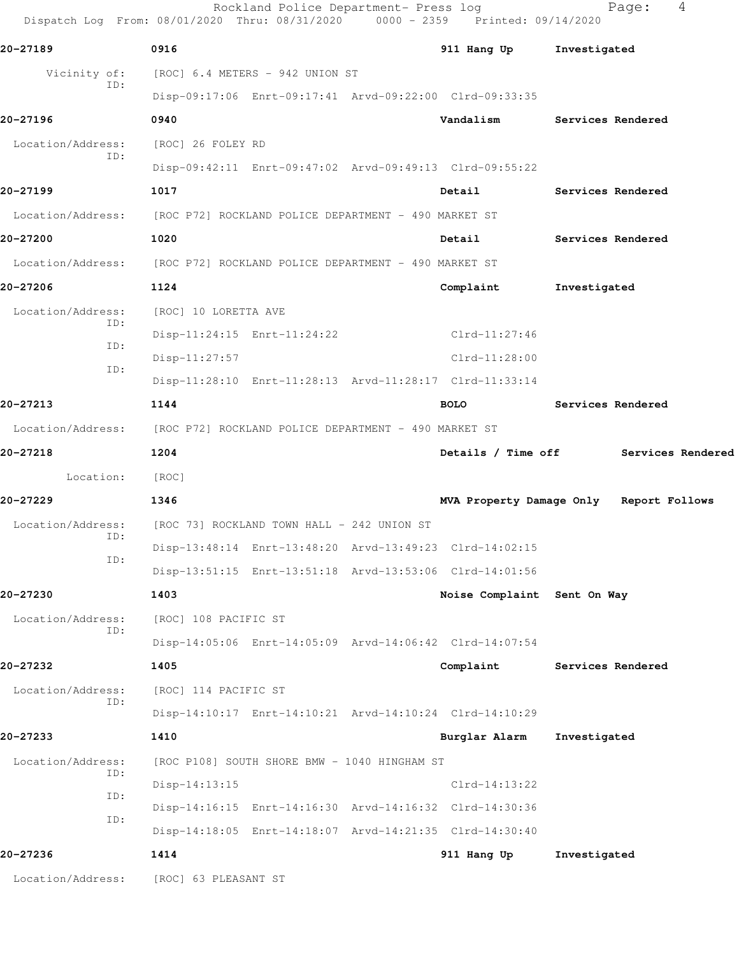|                          | Rockland Police Department- Press log<br>Dispatch Log From: 08/01/2020 Thru: 08/31/2020 0000 - 2359 Printed: 09/14/2020 |                             | 4<br>Page:                              |
|--------------------------|-------------------------------------------------------------------------------------------------------------------------|-----------------------------|-----------------------------------------|
| 20-27189                 | 0916                                                                                                                    | 911 Hang Up                 | Investigated                            |
| Vicinity of:             | [ROC] 6.4 METERS - 942 UNION ST                                                                                         |                             |                                         |
| ID:                      | Disp-09:17:06 Enrt-09:17:41 Arvd-09:22:00 Clrd-09:33:35                                                                 |                             |                                         |
| 20-27196                 | 0940                                                                                                                    | Vandalism                   | Services Rendered                       |
| Location/Address:        | [ROC] 26 FOLEY RD                                                                                                       |                             |                                         |
| ID:                      | Disp-09:42:11 Enrt-09:47:02 Arvd-09:49:13 Clrd-09:55:22                                                                 |                             |                                         |
| 20-27199                 | 1017                                                                                                                    | Detail                      | Services Rendered                       |
|                          | Location/Address: [ROC P72] ROCKLAND POLICE DEPARTMENT - 490 MARKET ST                                                  |                             |                                         |
| 20-27200                 | 1020                                                                                                                    | Detail                      | Services Rendered                       |
| Location/Address:        | [ROC P72] ROCKLAND POLICE DEPARTMENT - 490 MARKET ST                                                                    |                             |                                         |
| 20-27206                 | 1124                                                                                                                    | Complaint                   | Investigated                            |
| Location/Address:        | [ROC] 10 LORETTA AVE                                                                                                    |                             |                                         |
| ID:                      | Disp-11:24:15 Enrt-11:24:22                                                                                             | $Clrd-11:27:46$             |                                         |
| ID:<br>ID:               | $Disp-11:27:57$                                                                                                         | $Clrd-11:28:00$             |                                         |
|                          | Disp-11:28:10 Enrt-11:28:13 Arvd-11:28:17 Clrd-11:33:14                                                                 |                             |                                         |
| 20-27213                 | 1144                                                                                                                    | <b>BOLO</b>                 | Services Rendered                       |
| Location/Address:        | [ROC P72] ROCKLAND POLICE DEPARTMENT - 490 MARKET ST                                                                    |                             |                                         |
| 20-27218                 | 1204                                                                                                                    | Details / Time off          | Services Rendered                       |
| Location:                | [ROC]                                                                                                                   |                             |                                         |
| 20-27229                 | 1346                                                                                                                    |                             | MVA Property Damage Only Report Follows |
| Location/Address:<br>ID: | [ROC 73] ROCKLAND TOWN HALL - 242 UNION ST                                                                              |                             |                                         |
| ID:                      | Disp-13:48:14 Enrt-13:48:20 Arvd-13:49:23 Clrd-14:02:15                                                                 |                             |                                         |
|                          | Disp-13:51:15 Enrt-13:51:18 Arvd-13:53:06 Clrd-14:01:56                                                                 |                             |                                         |
| 20-27230                 | 1403                                                                                                                    | Noise Complaint Sent On Way |                                         |
| Location/Address:<br>ID: | [ROC] 108 PACIFIC ST                                                                                                    |                             |                                         |
|                          | Disp-14:05:06 Enrt-14:05:09 Arvd-14:06:42 Clrd-14:07:54                                                                 |                             |                                         |
| 20-27232                 | 1405                                                                                                                    | Complaint                   | Services Rendered                       |
| Location/Address:<br>ID: | [ROC] 114 PACIFIC ST                                                                                                    |                             |                                         |
|                          | Disp-14:10:17 Enrt-14:10:21 Arvd-14:10:24 Clrd-14:10:29                                                                 |                             |                                         |
| 20-27233                 | 1410                                                                                                                    | Burglar Alarm               | Investigated                            |
| Location/Address:<br>ID: | [ROC P108] SOUTH SHORE BMW - 1040 HINGHAM ST                                                                            |                             |                                         |
| ID:                      | $Disp-14:13:15$                                                                                                         | $Clrd-14:13:22$             |                                         |
| ID:                      | Disp-14:16:15 Enrt-14:16:30 Arvd-14:16:32 Clrd-14:30:36                                                                 |                             |                                         |
|                          | Disp-14:18:05 Enrt-14:18:07 Arvd-14:21:35 Clrd-14:30:40                                                                 |                             |                                         |
| 20-27236                 | 1414                                                                                                                    | 911 Hang Up                 | Investigated                            |
| Location/Address:        | [ROC] 63 PLEASANT ST                                                                                                    |                             |                                         |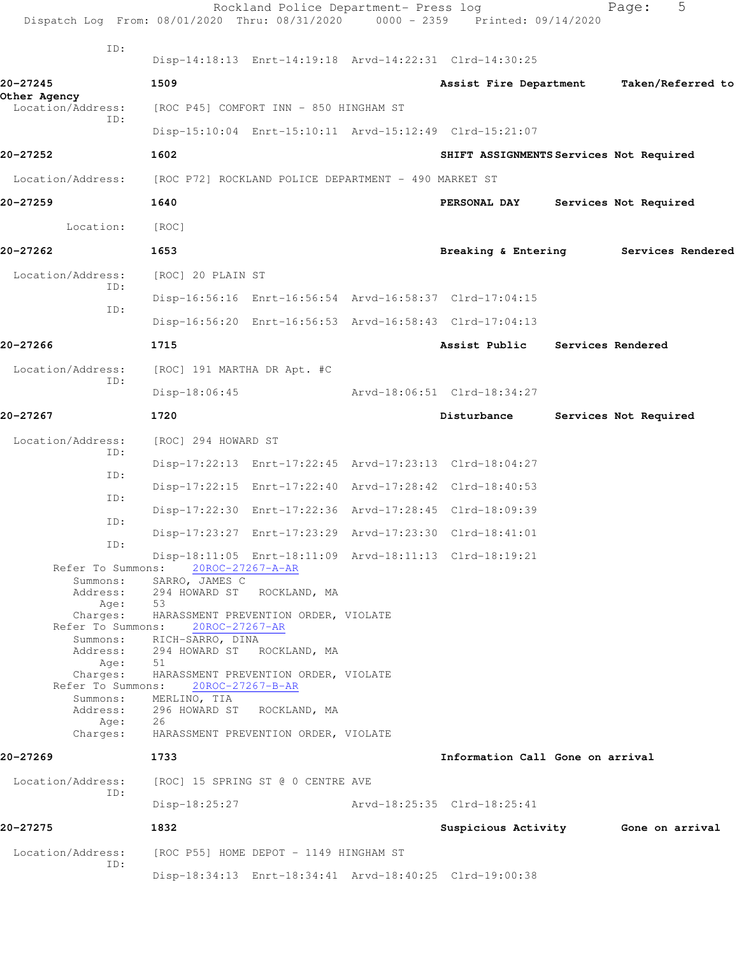| Dispatch Log From: 08/01/2020 Thru: 08/31/2020 |                                                        | Rockland Police Department- Press log  | 0000 - 2359 Printed: 09/14/2020                         | 5<br>Page:                          |
|------------------------------------------------|--------------------------------------------------------|----------------------------------------|---------------------------------------------------------|-------------------------------------|
| ID:                                            |                                                        |                                        | Disp-14:18:13 Enrt-14:19:18 Arvd-14:22:31 Clrd-14:30:25 |                                     |
| 20-27245                                       | 1509                                                   |                                        | Assist Fire Department                                  | Taken/Referred to                   |
| Other Agency<br>Location/Address:              |                                                        | [ROC P45] COMFORT INN - 850 HINGHAM ST |                                                         |                                     |
| ID:                                            |                                                        |                                        | Disp-15:10:04 Enrt-15:10:11 Arvd-15:12:49 Clrd-15:21:07 |                                     |
| 20-27252                                       | 1602                                                   |                                        | SHIFT ASSIGNMENTS Services Not Required                 |                                     |
| Location/Address:                              | [ROC P72] ROCKLAND POLICE DEPARTMENT - 490 MARKET ST   |                                        |                                                         |                                     |
| 20-27259                                       | 1640                                                   |                                        | PERSONAL DAY                                            | Services Not Required               |
| Location:                                      | [ROC]                                                  |                                        |                                                         |                                     |
| 20-27262                                       | 1653                                                   |                                        | Breaking & Entering                                     | Services Rendered                   |
| Location/Address:                              |                                                        |                                        |                                                         |                                     |
| ID:                                            | [ROC] 20 PLAIN ST                                      |                                        |                                                         |                                     |
| ID:                                            |                                                        |                                        | Disp-16:56:16 Enrt-16:56:54 Arvd-16:58:37 Clrd-17:04:15 |                                     |
|                                                |                                                        |                                        | Disp-16:56:20 Enrt-16:56:53 Arvd-16:58:43 Clrd-17:04:13 |                                     |
| 20-27266                                       | 1715                                                   |                                        | Assist Public                                           | Services Rendered                   |
| Location/Address:<br>ID:                       | [ROC] 191 MARTHA DR Apt. #C                            |                                        |                                                         |                                     |
|                                                | $Disp-18:06:45$                                        |                                        | Arvd-18:06:51 Clrd-18:34:27                             |                                     |
| 20-27267                                       | 1720                                                   |                                        | Disturbance                                             | Services Not Required               |
| Location/Address:<br>ID:                       | [ROC] 294 HOWARD ST                                    |                                        |                                                         |                                     |
| ID:                                            |                                                        |                                        | Disp-17:22:13 Enrt-17:22:45 Arvd-17:23:13 Clrd-18:04:27 |                                     |
|                                                |                                                        |                                        | Disp-17:22:15 Enrt-17:22:40 Arvd-17:28:42 Clrd-18:40:53 |                                     |
| ID:                                            |                                                        |                                        | Disp-17:22:30 Enrt-17:22:36 Arvd-17:28:45 Clrd-18:09:39 |                                     |
| ID:                                            |                                                        |                                        | Disp-17:23:27 Enrt-17:23:29 Arvd-17:23:30 Clrd-18:41:01 |                                     |
| ID:                                            |                                                        |                                        | Disp-18:11:05 Enrt-18:11:09 Arvd-18:11:13 Clrd-18:19:21 |                                     |
| Refer To Summons:<br>Summons:                  | SARRO, JAMES C                                         | 20ROC-27267-A-AR                       |                                                         |                                     |
| Address:<br>Age:                               | 294 HOWARD ST<br>53                                    | ROCKLAND, MA                           |                                                         |                                     |
| Charges:<br>Refer To Summons:                  | HARASSMENT PREVENTION ORDER, VIOLATE<br>20ROC-27267-AR |                                        |                                                         |                                     |
| Summons:<br>Address:                           | RICH-SARRO, DINA<br>294 HOWARD ST ROCKLAND, MA         |                                        |                                                         |                                     |
| Age:<br>Charges:                               | 51                                                     | HARASSMENT PREVENTION ORDER, VIOLATE   |                                                         |                                     |
| Refer To Summons:                              |                                                        | 20ROC-27267-B-AR                       |                                                         |                                     |
| Summons:<br>Address:                           | MERLINO, TIA<br>296 HOWARD ST                          | ROCKLAND, MA                           |                                                         |                                     |
| Age:<br>Charges:                               | 26<br>HARASSMENT PREVENTION ORDER, VIOLATE             |                                        |                                                         |                                     |
| 20-27269                                       | 1733                                                   |                                        | Information Call Gone on arrival                        |                                     |
| Location/Address:                              |                                                        | [ROC] 15 SPRING ST @ 0 CENTRE AVE      |                                                         |                                     |
| ID:                                            | $Disp-18:25:27$                                        |                                        | Arvd-18:25:35 Clrd-18:25:41                             |                                     |
| 20-27275                                       | 1832                                                   |                                        |                                                         | Suspicious Activity 6one on arrival |
| Location/Address:                              |                                                        | [ROC P55] HOME DEPOT - 1149 HINGHAM ST |                                                         |                                     |
| ID:                                            |                                                        |                                        | Disp-18:34:13 Enrt-18:34:41 Arvd-18:40:25 Clrd-19:00:38 |                                     |
|                                                |                                                        |                                        |                                                         |                                     |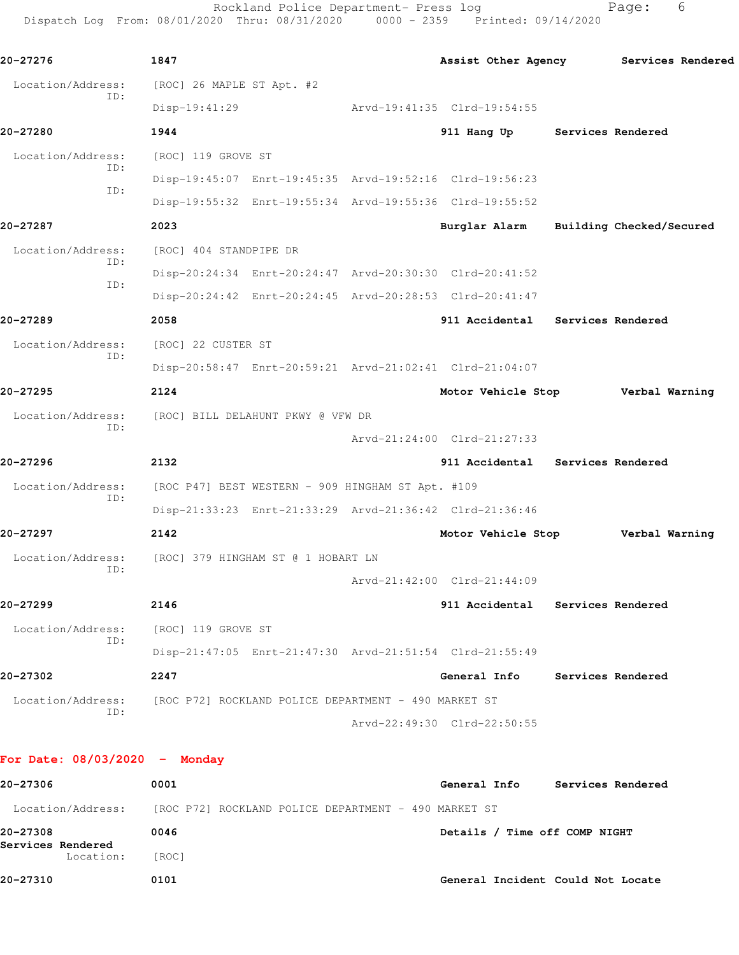Rockland Police Department- Press log entitled and Page: 6 Dispatch Log From: 08/01/2020 Thru: 08/31/2020 0000 - 2359 Printed: 09/14/2020

| 20-27276          | 1847                                                 |  |                                                         | Assist Other Agency Services Rendered |
|-------------------|------------------------------------------------------|--|---------------------------------------------------------|---------------------------------------|
| Location/Address: | [ROC] 26 MAPLE ST Apt. #2                            |  |                                                         |                                       |
| ID:               | $Disp-19:41:29$                                      |  | Arvd-19:41:35 Clrd-19:54:55                             |                                       |
| 20-27280          | 1944                                                 |  | 911 Hang Up Services Rendered                           |                                       |
| Location/Address: | [ROC] 119 GROVE ST                                   |  |                                                         |                                       |
| ID:               |                                                      |  | Disp-19:45:07 Enrt-19:45:35 Arvd-19:52:16 Clrd-19:56:23 |                                       |
| ID:               |                                                      |  | Disp-19:55:32 Enrt-19:55:34 Arvd-19:55:36 Clrd-19:55:52 |                                       |
| 20-27287          | 2023                                                 |  | Burglar Alarm Building Checked/Secured                  |                                       |
| Location/Address: | [ROC] 404 STANDPIPE DR                               |  |                                                         |                                       |
| ID:               |                                                      |  | Disp-20:24:34 Enrt-20:24:47 Arvd-20:30:30 Clrd-20:41:52 |                                       |
| ID:               |                                                      |  | Disp-20:24:42 Enrt-20:24:45 Arvd-20:28:53 Clrd-20:41:47 |                                       |
| 20-27289          | 2058                                                 |  | 911 Accidental Services Rendered                        |                                       |
| Location/Address: | [ROC] 22 CUSTER ST                                   |  |                                                         |                                       |
| ID:               |                                                      |  | Disp-20:58:47 Enrt-20:59:21 Arvd-21:02:41 Clrd-21:04:07 |                                       |
| 20-27295          | 2124                                                 |  | Motor Vehicle Stop Verbal Warning                       |                                       |
| Location/Address: | [ROC] BILL DELAHUNT PKWY @ VFW DR                    |  |                                                         |                                       |
| ID:               |                                                      |  | Arvd-21:24:00 Clrd-21:27:33                             |                                       |
| 20-27296          | 2132                                                 |  | 911 Accidental Services Rendered                        |                                       |
| Location/Address: | [ROC P47] BEST WESTERN - 909 HINGHAM ST Apt. #109    |  |                                                         |                                       |
| ID:               |                                                      |  | Disp-21:33:23 Enrt-21:33:29 Arvd-21:36:42 Clrd-21:36:46 |                                       |
| 20-27297          | 2142                                                 |  | Motor Vehicle Stop Verbal Warning                       |                                       |
| Location/Address: | [ROC] 379 HINGHAM ST @ 1 HOBART LN                   |  |                                                         |                                       |
| ID:               |                                                      |  | Arvd-21:42:00 Clrd-21:44:09                             |                                       |
| 20-27299          | 2146                                                 |  | 911 Accidental Services Rendered                        |                                       |
| Location/Address: | [ROC] 119 GROVE ST                                   |  |                                                         |                                       |
| ID:               |                                                      |  | Disp-21:47:05 Enrt-21:47:30 Arvd-21:51:54 Clrd-21:55:49 |                                       |
| 20-27302          | 2247                                                 |  | General Info                                            | Services Rendered                     |
| Location/Address: | [ROC P72] ROCKLAND POLICE DEPARTMENT - 490 MARKET ST |  |                                                         |                                       |
|                   |                                                      |  |                                                         |                                       |

| 20-27306                      | 0001                                                 | General Info<br>Services Rendered |
|-------------------------------|------------------------------------------------------|-----------------------------------|
| Location/Address:             | [ROC P72] ROCKLAND POLICE DEPARTMENT - 490 MARKET ST |                                   |
| 20-27308<br>Services Rendered | 0046                                                 | Details / Time off COMP NIGHT     |
| Location:                     | [ROC]                                                |                                   |
| 20-27310                      | 0101                                                 | General Incident Could Not Locate |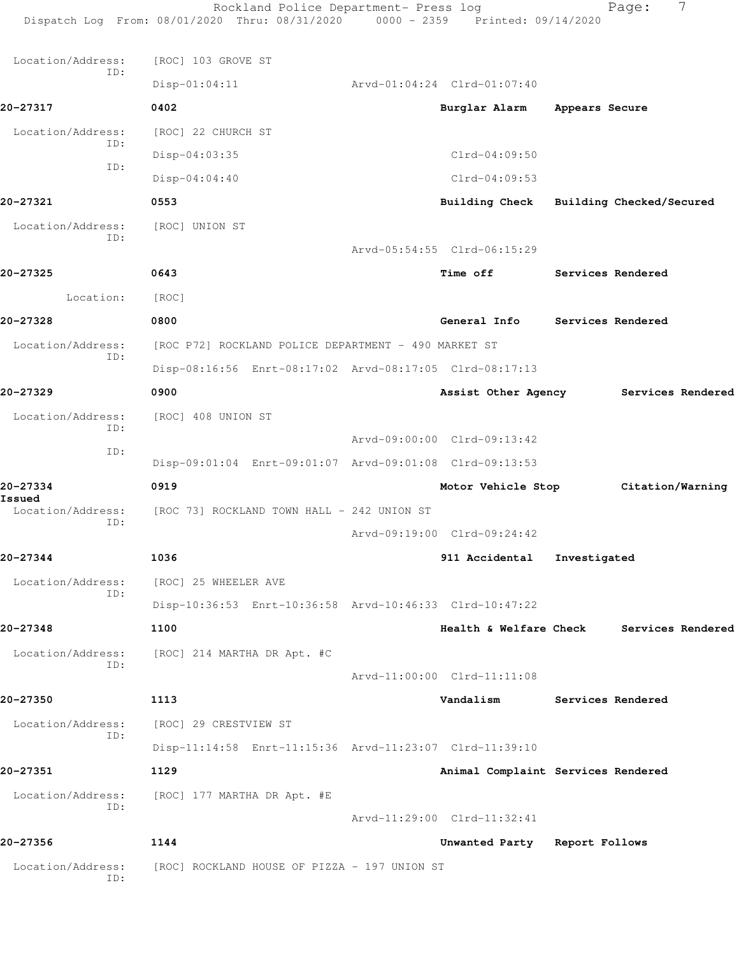Rockland Police Department- Press log Fage: 7 Dispatch Log From: 08/01/2020 Thru: 08/31/2020 0000 - 2359 Printed: 09/14/2020 Location/Address: [ROC] 103 GROVE ST ID: Disp-01:04:11 Arvd-01:04:24 Clrd-01:07:40 **20-27317 0402 Burglar Alarm Appears Secure** Location/Address: [ROC] 22 CHURCH ST ID: Disp-04:03:35 Clrd-04:09:50 ID: Disp-04:04:40 Clrd-04:09:53 **20-27321 0553 Building Check Building Checked/Secured** Location/Address: [ROC] UNION ST ID: Arvd-05:54:55 Clrd-06:15:29 **20-27325 0643 Time off Services Rendered** Location: [ROC] **20-27328 0800 General Info Services Rendered** Location/Address: [ROC P72] ROCKLAND POLICE DEPARTMENT - 490 MARKET ST ID: Disp-08:16:56 Enrt-08:17:02 Arvd-08:17:05 Clrd-08:17:13 **20-27329 0900 Assist Other Agency Services Rendered** Location/Address: [ROC] 408 UNION ST ID: Arvd-09:00:00 Clrd-09:13:42 ID: Disp-09:01:04 Enrt-09:01:07 Arvd-09:01:08 Clrd-09:13:53 **20-27334 0919 Motor Vehicle Stop Citation/Warning Issued**  [ROC 73] ROCKLAND TOWN HALL - 242 UNION ST ID: Arvd-09:19:00 Clrd-09:24:42 **20-27344 1036 911 Accidental Investigated** Location/Address: [ROC] 25 WHEELER AVE ID: Disp-10:36:53 Enrt-10:36:58 Arvd-10:46:33 Clrd-10:47:22 **20-27348 1100 Health & Welfare Check Services Rendered** Location/Address: [ROC] 214 MARTHA DR Apt. #C ID: Arvd-11:00:00 Clrd-11:11:08 **20-27350 1113 Vandalism Services Rendered** Location/Address: [ROC] 29 CRESTVIEW ST ID: Disp-11:14:58 Enrt-11:15:36 Arvd-11:23:07 Clrd-11:39:10 **20-27351 1129 Animal Complaint Services Rendered** Location/Address: [ROC] 177 MARTHA DR Apt. #E ID: Arvd-11:29:00 Clrd-11:32:41 **20-27356 1144 Unwanted Party Report Follows** Location/Address: [ROC] ROCKLAND HOUSE OF PIZZA - 197 UNION ST ID: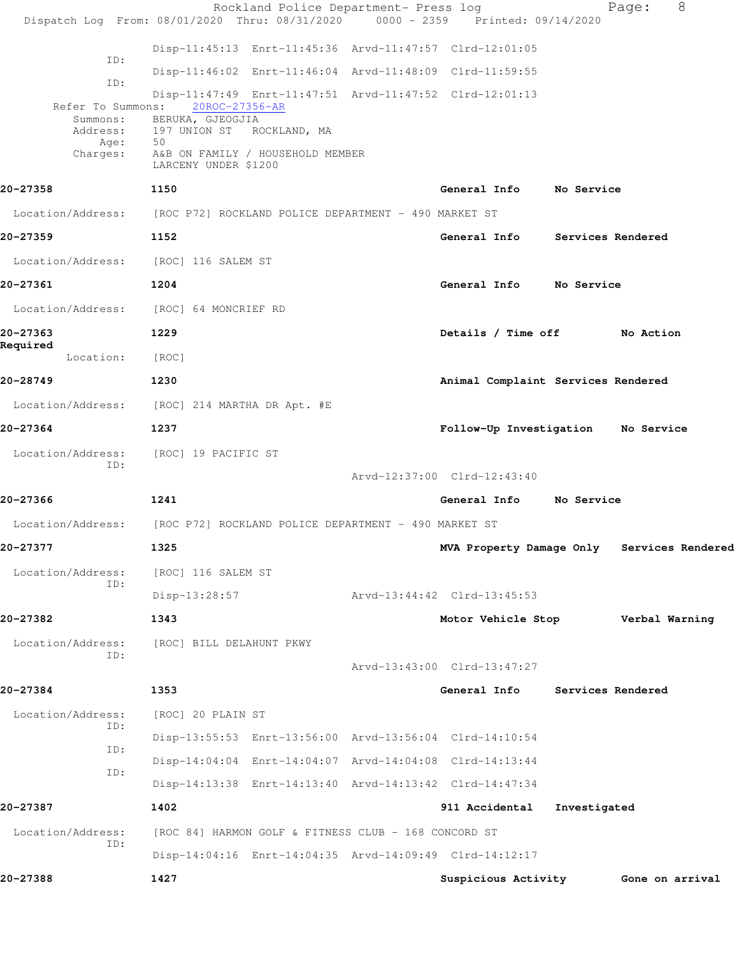|                                      | Rockland Police Department- Press log                                          |                                            |                          | 8<br>Page:      |  |
|--------------------------------------|--------------------------------------------------------------------------------|--------------------------------------------|--------------------------|-----------------|--|
|                                      | Dispatch Log From: 08/01/2020 Thru: 08/31/2020 0000 - 2359 Printed: 09/14/2020 |                                            |                          |                 |  |
| ID:                                  | Disp-11:45:13 Enrt-11:45:36 Arvd-11:47:57 Clrd-12:01:05                        |                                            |                          |                 |  |
|                                      | Disp-11:46:02 Enrt-11:46:04 Arvd-11:48:09 Clrd-11:59:55                        |                                            |                          |                 |  |
| ID:                                  | Disp-11:47:49 Enrt-11:47:51 Arvd-11:47:52 Clrd-12:01:13                        |                                            |                          |                 |  |
|                                      | Refer To Summons: 20ROC-27356-AR<br>Summons: BERUKA, GJEOGJIA                  |                                            |                          |                 |  |
| Address:<br>Age:                     | 197 UNION ST ROCKLAND, MA<br>50                                                |                                            |                          |                 |  |
| Charges:                             | A&B ON FAMILY / HOUSEHOLD MEMBER<br>LARCENY UNDER \$1200                       |                                            |                          |                 |  |
| 20-27358                             | 1150                                                                           | General Info                               | No Service               |                 |  |
|                                      | Location/Address: [ROC P72] ROCKLAND POLICE DEPARTMENT - 490 MARKET ST         |                                            |                          |                 |  |
| 20-27359                             | 1152                                                                           | General Info Services Rendered             |                          |                 |  |
| Location/Address: [ROC] 116 SALEM ST |                                                                                |                                            |                          |                 |  |
| 20-27361                             | 1204                                                                           | General Info No Service                    |                          |                 |  |
|                                      | Location/Address: [ROC] 64 MONCRIEF RD                                         |                                            |                          |                 |  |
| 20-27363                             | 1229                                                                           | Details / Time off No Action               |                          |                 |  |
| Required<br>Location:                | [ROC]                                                                          |                                            |                          |                 |  |
| 20-28749                             | 1230                                                                           | Animal Complaint Services Rendered         |                          |                 |  |
|                                      | Location/Address: [ROC] 214 MARTHA DR Apt. #E                                  |                                            |                          |                 |  |
| 20-27364                             | 1237                                                                           | Follow-Up Investigation No Service         |                          |                 |  |
| Location/Address:<br>ID:             | [ROC] 19 PACIFIC ST                                                            |                                            |                          |                 |  |
|                                      |                                                                                | Arvd-12:37:00 Clrd-12:43:40                |                          |                 |  |
| 20-27366                             | 1241                                                                           | General Info No Service                    |                          |                 |  |
|                                      | Location/Address: [ROC P72] ROCKLAND POLICE DEPARTMENT - 490 MARKET ST         |                                            |                          |                 |  |
| 20-27377                             | 1325                                                                           | MVA Property Damage Only Services Rendered |                          |                 |  |
| Location/Address:<br>ID:             | [ROC] 116 SALEM ST                                                             |                                            |                          |                 |  |
|                                      | $Disp-13:28:57$                                                                | Arvd-13:44:42 Clrd-13:45:53                |                          |                 |  |
| 20-27382                             | 1343                                                                           | Motor Vehicle Stop                         |                          | Verbal Warning  |  |
| Location/Address:<br>ID:             | [ROC] BILL DELAHUNT PKWY                                                       |                                            |                          |                 |  |
|                                      |                                                                                | Arvd-13:43:00 Clrd-13:47:27                |                          |                 |  |
| 20-27384                             | 1353                                                                           | General Info                               | <b>Services Rendered</b> |                 |  |
| Location/Address:<br>ID:             | [ROC] 20 PLAIN ST                                                              |                                            |                          |                 |  |
| ID:                                  | Disp-13:55:53 Enrt-13:56:00 Arvd-13:56:04 Clrd-14:10:54                        |                                            |                          |                 |  |
| ID:                                  | Disp-14:04:04 Enrt-14:04:07 Arvd-14:04:08 Clrd-14:13:44                        |                                            |                          |                 |  |
|                                      | Disp-14:13:38 Enrt-14:13:40 Arvd-14:13:42 Clrd-14:47:34                        |                                            |                          |                 |  |
| 20-27387                             | 1402                                                                           | 911 Accidental                             | Investigated             |                 |  |
| Location/Address:<br>ID:             | [ROC 84] HARMON GOLF & FITNESS CLUB - 168 CONCORD ST                           |                                            |                          |                 |  |
|                                      | Disp-14:04:16 Enrt-14:04:35 Arvd-14:09:49 Clrd-14:12:17                        |                                            |                          |                 |  |
| 20-27388                             | 1427                                                                           | Suspicious Activity                        |                          | Gone on arrival |  |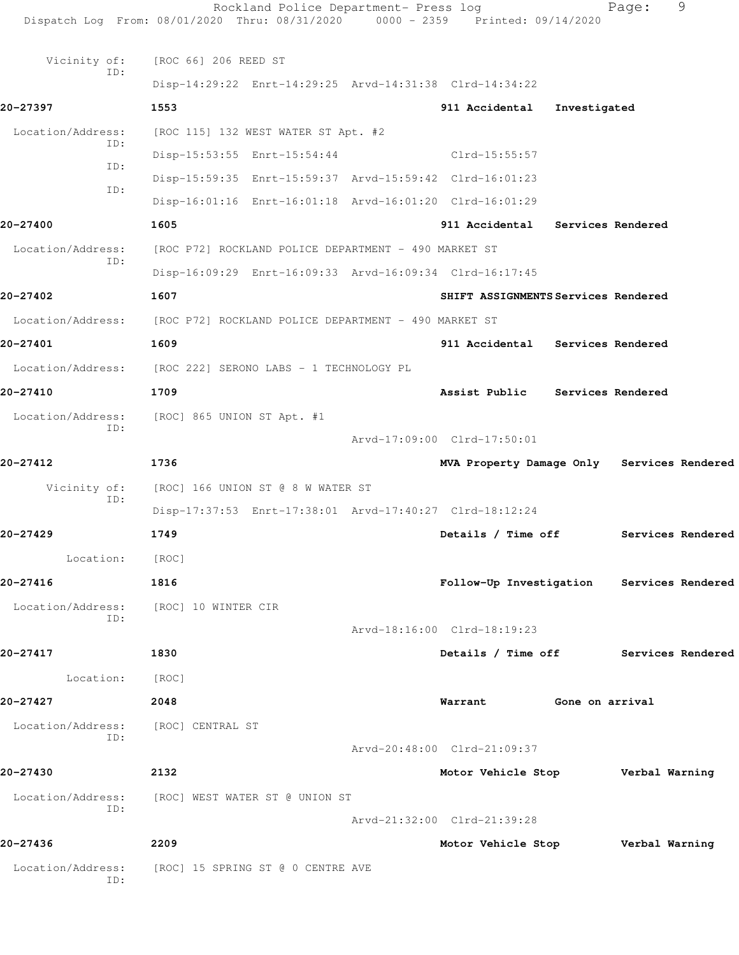|                     | Rockland Police Department- Press log<br>Dispatch Log From: 08/01/2020 Thru: 08/31/2020 0000 - 2359 Printed: 09/14/2020 |                                            |                 | Page: | 9                 |
|---------------------|-------------------------------------------------------------------------------------------------------------------------|--------------------------------------------|-----------------|-------|-------------------|
| Vicinity of:<br>ID: | [ROC 66] 206 REED ST                                                                                                    |                                            |                 |       |                   |
|                     | Disp-14:29:22 Enrt-14:29:25 Arvd-14:31:38 Clrd-14:34:22                                                                 |                                            |                 |       |                   |
| 20-27397            | 1553                                                                                                                    | 911 Accidental                             | Investigated    |       |                   |
| Location/Address:   | [ROC 115] 132 WEST WATER ST Apt. #2                                                                                     |                                            |                 |       |                   |
| ID:                 | Disp-15:53:55 Enrt-15:54:44                                                                                             | Clrd-15:55:57                              |                 |       |                   |
| ID:                 | Disp-15:59:35 Enrt-15:59:37 Arvd-15:59:42 Clrd-16:01:23                                                                 |                                            |                 |       |                   |
| TD:                 | Disp-16:01:16 Enrt-16:01:18 Arvd-16:01:20 Clrd-16:01:29                                                                 |                                            |                 |       |                   |
| 20-27400            | 1605                                                                                                                    | 911 Accidental Services Rendered           |                 |       |                   |
| Location/Address:   | [ROC P72] ROCKLAND POLICE DEPARTMENT - 490 MARKET ST                                                                    |                                            |                 |       |                   |
| ID:                 | Disp-16:09:29 Enrt-16:09:33 Arvd-16:09:34 Clrd-16:17:45                                                                 |                                            |                 |       |                   |
| 20-27402            | 1607                                                                                                                    | SHIFT ASSIGNMENTS Services Rendered        |                 |       |                   |
|                     | Location/Address: [ROC P72] ROCKLAND POLICE DEPARTMENT - 490 MARKET ST                                                  |                                            |                 |       |                   |
| 20-27401            | 1609                                                                                                                    | 911 Accidental Services Rendered           |                 |       |                   |
|                     | Location/Address: [ROC 222] SERONO LABS - 1 TECHNOLOGY PL                                                               |                                            |                 |       |                   |
| 20-27410            | 1709                                                                                                                    | Assist Public Services Rendered            |                 |       |                   |
| Location/Address:   | [ROC] 865 UNION ST Apt. #1                                                                                              |                                            |                 |       |                   |
| ID:                 |                                                                                                                         | Arvd-17:09:00 Clrd-17:50:01                |                 |       |                   |
| 20-27412            | 1736                                                                                                                    | MVA Property Damage Only Services Rendered |                 |       |                   |
| Vicinity of:        | [ROC] 166 UNION ST @ 8 W WATER ST                                                                                       |                                            |                 |       |                   |
| ID:                 | Disp-17:37:53 Enrt-17:38:01 Arvd-17:40:27 Clrd-18:12:24                                                                 |                                            |                 |       |                   |
| 20-27429            | 1749                                                                                                                    | Details / Time off                         |                 |       | Services Rendered |
| Location:           | [ROC]                                                                                                                   |                                            |                 |       |                   |
| 20-27416            | 1816                                                                                                                    | Follow-Up Investigation Services Rendered  |                 |       |                   |
|                     | Location/Address: [ROC] 10 WINTER CIR                                                                                   |                                            |                 |       |                   |
| ID:                 |                                                                                                                         | Arvd-18:16:00 Clrd-18:19:23                |                 |       |                   |
| 20-27417            | 1830                                                                                                                    | Details / Time off Services Rendered       |                 |       |                   |
| Location: [ROC]     |                                                                                                                         |                                            |                 |       |                   |
| 20-27427            | 2048                                                                                                                    | Warrant                                    | Gone on arrival |       |                   |
| Location/Address:   | [ROC] CENTRAL ST                                                                                                        |                                            |                 |       |                   |
| ID:                 |                                                                                                                         | Arvd-20:48:00 Clrd-21:09:37                |                 |       |                   |
| 20-27430            | 2132                                                                                                                    | Motor Vehicle Stop <b>Werbal Warning</b>   |                 |       |                   |
| Location/Address:   | [ROC] WEST WATER ST @ UNION ST                                                                                          |                                            |                 |       |                   |
| ID:                 |                                                                                                                         | Arvd-21:32:00 Clrd-21:39:28                |                 |       |                   |
| 20-27436            | 2209                                                                                                                    | Motor Vehicle Stop <b>Werbal Warning</b>   |                 |       |                   |
| Location/Address:   | [ROC] 15 SPRING ST @ 0 CENTRE AVE                                                                                       |                                            |                 |       |                   |
| ID:                 |                                                                                                                         |                                            |                 |       |                   |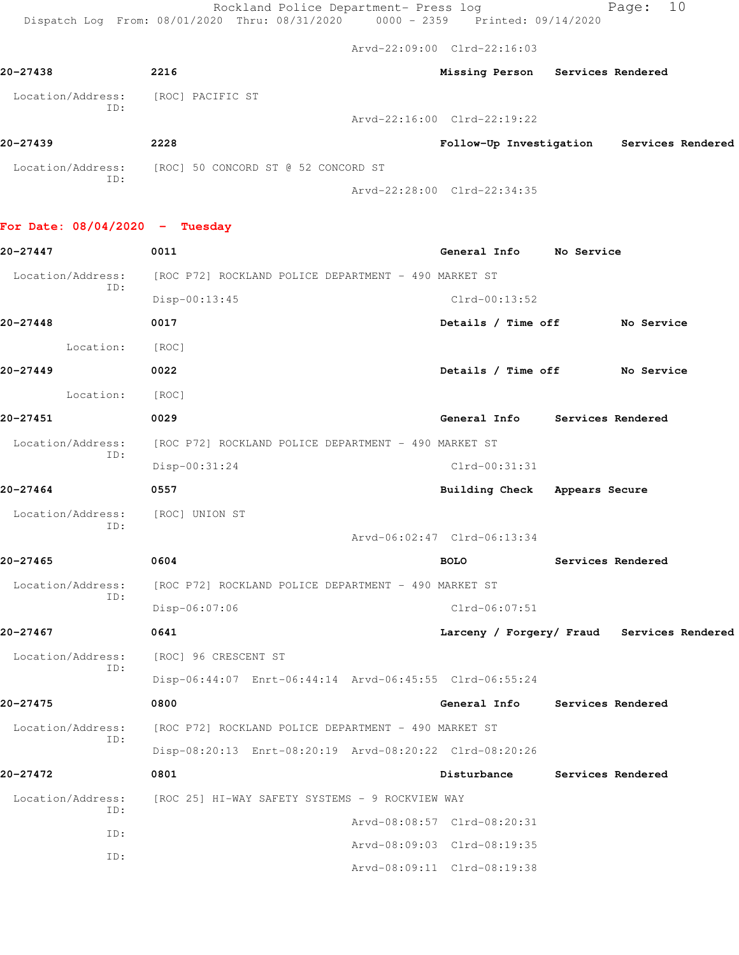|                                  | Rockland Police Department- Press log<br>Dispatch Log From: 08/01/2020 Thru: 08/31/2020 0000 - 2359 Printed: 09/14/2020 |                                           |                   | 10<br>Page:                                |  |
|----------------------------------|-------------------------------------------------------------------------------------------------------------------------|-------------------------------------------|-------------------|--------------------------------------------|--|
|                                  |                                                                                                                         | Arvd-22:09:00 Clrd-22:16:03               |                   |                                            |  |
| 20-27438                         | 2216                                                                                                                    | Missing Person Services Rendered          |                   |                                            |  |
| Location/Address:<br>ID:         | [ROC] PACIFIC ST                                                                                                        |                                           |                   |                                            |  |
|                                  |                                                                                                                         | Arvd-22:16:00 Clrd-22:19:22               |                   |                                            |  |
| 20-27439                         | 2228                                                                                                                    | Follow-Up Investigation Services Rendered |                   |                                            |  |
| Location/Address:<br>ID:         | [ROC] 50 CONCORD ST @ 52 CONCORD ST                                                                                     |                                           |                   |                                            |  |
|                                  |                                                                                                                         | Arvd-22:28:00 Clrd-22:34:35               |                   |                                            |  |
| For Date: $08/04/2020$ - Tuesday |                                                                                                                         |                                           |                   |                                            |  |
| 20-27447                         | 0011                                                                                                                    | General Info No Service                   |                   |                                            |  |
| Location/Address:<br>ID:         | [ROC P72] ROCKLAND POLICE DEPARTMENT - 490 MARKET ST                                                                    |                                           |                   |                                            |  |
|                                  | Disp-00:13:45                                                                                                           | $Clrd-00:13:52$                           |                   |                                            |  |
| 20-27448                         | 0017                                                                                                                    | Details / Time off No Service             |                   |                                            |  |
| Location:                        | [ROC]                                                                                                                   |                                           |                   |                                            |  |
| 20-27449                         | 0022                                                                                                                    | Details / Time off No Service             |                   |                                            |  |
| Location:                        | [ROC]                                                                                                                   |                                           |                   |                                            |  |
| 20-27451                         | 0029                                                                                                                    | General Info Services Rendered            |                   |                                            |  |
| Location/Address:                | [ROC P72] ROCKLAND POLICE DEPARTMENT - 490 MARKET ST                                                                    |                                           |                   |                                            |  |
| ID:                              | $Disp-00:31:24$                                                                                                         | Clrd-00:31:31                             |                   |                                            |  |
| 20-27464                         | 0557                                                                                                                    | Building Check Appears Secure             |                   |                                            |  |
| Location/Address:                | [ROC] UNION ST                                                                                                          |                                           |                   |                                            |  |
| ID:                              |                                                                                                                         | Arvd-06:02:47 Clrd-06:13:34               |                   |                                            |  |
| 20-27465                         | 0604                                                                                                                    | <b>BOLO</b>                               | Services Rendered |                                            |  |
| Location/Address:                | [ROC P72] ROCKLAND POLICE DEPARTMENT - 490 MARKET ST                                                                    |                                           |                   |                                            |  |
| ID:                              | Disp-06:07:06                                                                                                           | Clrd-06:07:51                             |                   |                                            |  |
| 20-27467                         | 0641                                                                                                                    |                                           |                   | Larceny / Forgery/ Fraud Services Rendered |  |
| Location/Address:                | [ROC] 96 CRESCENT ST                                                                                                    |                                           |                   |                                            |  |
| ID:                              | Disp-06:44:07 Enrt-06:44:14 Arvd-06:45:55 Clrd-06:55:24                                                                 |                                           |                   |                                            |  |

**20-27475 0800 General Info Services Rendered** Location/Address: [ROC P72] ROCKLAND POLICE DEPARTMENT - 490 MARKET ST ID: Disp-08:20:13 Enrt-08:20:19 Arvd-08:20:22 Clrd-08:20:26 **20-27472 0801 Disturbance Services Rendered** Location/Address: [ROC 25] HI-WAY SAFETY SYSTEMS - 9 ROCKVIEW WAY

| LOCALION/AQUIESS;<br>TD: | IRUU ZOI HITWAI SAPEII SISIEMS T-9 RUUNVIEW WAI |  |
|--------------------------|-------------------------------------------------|--|
|                          | Arvd-08:08:57 Clrd-08:20:31                     |  |
| TD:                      | Arvd-08:09:03 Clrd-08:19:35                     |  |
| TD:                      |                                                 |  |
|                          | Arvd-08:09:11 Clrd-08:19:38                     |  |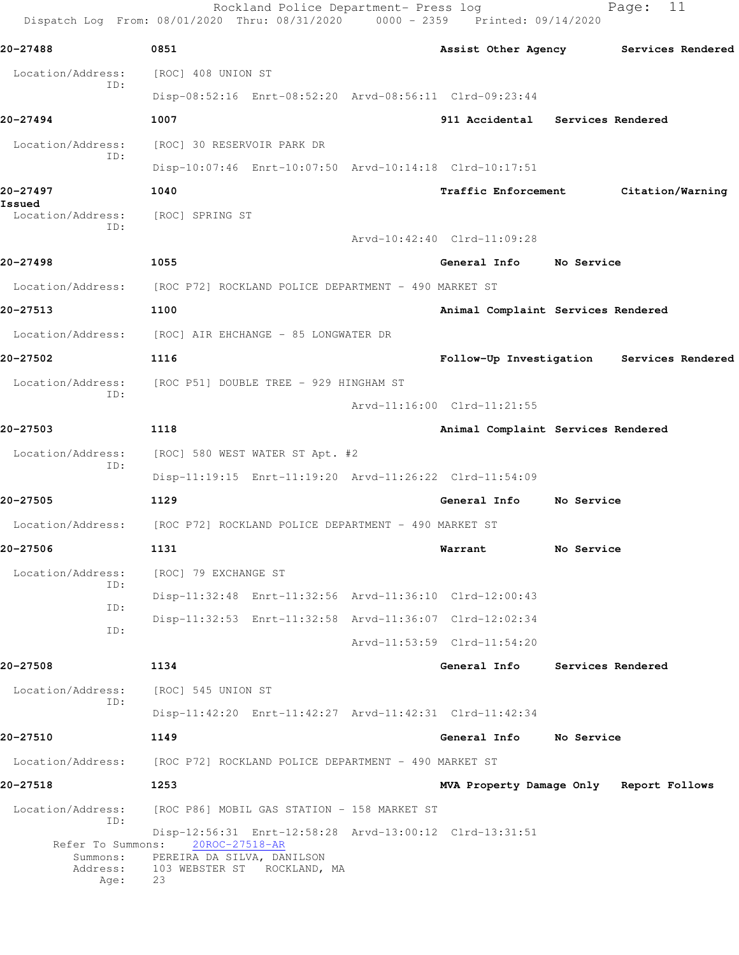|                                                   | Rockland Police Department- Press log<br>Dispatch Log From: 08/01/2020 Thru: 08/31/2020 0000 - 2359 Printed: 09/14/2020                      |                                           |                   | 11<br>Page:      |  |
|---------------------------------------------------|----------------------------------------------------------------------------------------------------------------------------------------------|-------------------------------------------|-------------------|------------------|--|
| 20-27488                                          | 0851                                                                                                                                         | Assist Other Agency Services Rendered     |                   |                  |  |
| Location/Address:                                 | [ROC] 408 UNION ST                                                                                                                           |                                           |                   |                  |  |
| ID:                                               | Disp-08:52:16 Enrt-08:52:20 Arvd-08:56:11 Clrd-09:23:44                                                                                      |                                           |                   |                  |  |
| 20-27494                                          | 1007                                                                                                                                         | 911 Accidental Services Rendered          |                   |                  |  |
| Location/Address:                                 | [ROC] 30 RESERVOIR PARK DR                                                                                                                   |                                           |                   |                  |  |
| ID:                                               | Disp-10:07:46 Enrt-10:07:50 Arvd-10:14:18 Clrd-10:17:51                                                                                      |                                           |                   |                  |  |
| 20-27497                                          | 1040                                                                                                                                         | <b>Traffic Enforcement</b>                |                   | Citation/Warning |  |
| Issued<br>Location/Address:                       | [ROC] SPRING ST                                                                                                                              |                                           |                   |                  |  |
| ID:                                               |                                                                                                                                              | Arvd-10:42:40 Clrd-11:09:28               |                   |                  |  |
| 20-27498                                          | 1055                                                                                                                                         | General Info                              | <b>No Service</b> |                  |  |
|                                                   | Location/Address: [ROC P72] ROCKLAND POLICE DEPARTMENT - 490 MARKET ST                                                                       |                                           |                   |                  |  |
| 20-27513                                          | 1100                                                                                                                                         | Animal Complaint Services Rendered        |                   |                  |  |
| Location/Address:                                 | [ROC] AIR EHCHANGE - 85 LONGWATER DR                                                                                                         |                                           |                   |                  |  |
| 20-27502                                          | 1116                                                                                                                                         | Follow-Up Investigation Services Rendered |                   |                  |  |
| Location/Address:                                 | [ROC P51] DOUBLE TREE - 929 HINGHAM ST                                                                                                       |                                           |                   |                  |  |
| ID:                                               |                                                                                                                                              | Arvd-11:16:00 Clrd-11:21:55               |                   |                  |  |
| 20-27503                                          | 1118                                                                                                                                         | Animal Complaint Services Rendered        |                   |                  |  |
| Location/Address:                                 | [ROC] 580 WEST WATER ST Apt. #2                                                                                                              |                                           |                   |                  |  |
| ID:                                               | Disp-11:19:15 Enrt-11:19:20 Arvd-11:26:22 Clrd-11:54:09                                                                                      |                                           |                   |                  |  |
| 20-27505                                          | 1129                                                                                                                                         | General Info                              | No Service        |                  |  |
| Location/Address:                                 | [ROC P72] ROCKLAND POLICE DEPARTMENT - 490 MARKET ST                                                                                         |                                           |                   |                  |  |
| 20-27506                                          | 1131                                                                                                                                         | Warrant                                   | No Service        |                  |  |
| Location/Address:                                 | [ROC] 79 EXCHANGE ST                                                                                                                         |                                           |                   |                  |  |
| ID:<br>ID:                                        | Disp-11:32:48 Enrt-11:32:56 Arvd-11:36:10 Clrd-12:00:43                                                                                      |                                           |                   |                  |  |
| ID:                                               | Disp-11:32:53 Enrt-11:32:58 Arvd-11:36:07 Clrd-12:02:34                                                                                      |                                           |                   |                  |  |
|                                                   |                                                                                                                                              | Arvd-11:53:59 Clrd-11:54:20               |                   |                  |  |
| 20-27508                                          | 1134                                                                                                                                         | General Info                              | Services Rendered |                  |  |
| Location/Address:<br>ID:                          | [ROC] 545 UNION ST                                                                                                                           |                                           |                   |                  |  |
|                                                   | Disp-11:42:20 Enrt-11:42:27 Arvd-11:42:31 Clrd-11:42:34                                                                                      |                                           |                   |                  |  |
| 20-27510                                          | 1149                                                                                                                                         | General Info                              | No Service        |                  |  |
| Location/Address:                                 | [ROC P72] ROCKLAND POLICE DEPARTMENT - 490 MARKET ST                                                                                         |                                           |                   |                  |  |
| 20-27518                                          | 1253                                                                                                                                         | MVA Property Damage Only Report Follows   |                   |                  |  |
| Location/Address:<br>ID:                          | [ROC P86] MOBIL GAS STATION - 158 MARKET ST                                                                                                  |                                           |                   |                  |  |
| Refer To Summons:<br>Summons:<br>Address:<br>Age: | Disp-12:56:31 Enrt-12:58:28 Arvd-13:00:12 Clrd-13:31:51<br>20ROC-27518-AR<br>PEREIRA DA SILVA, DANILSON<br>103 WEBSTER ST ROCKLAND, MA<br>23 |                                           |                   |                  |  |
|                                                   |                                                                                                                                              |                                           |                   |                  |  |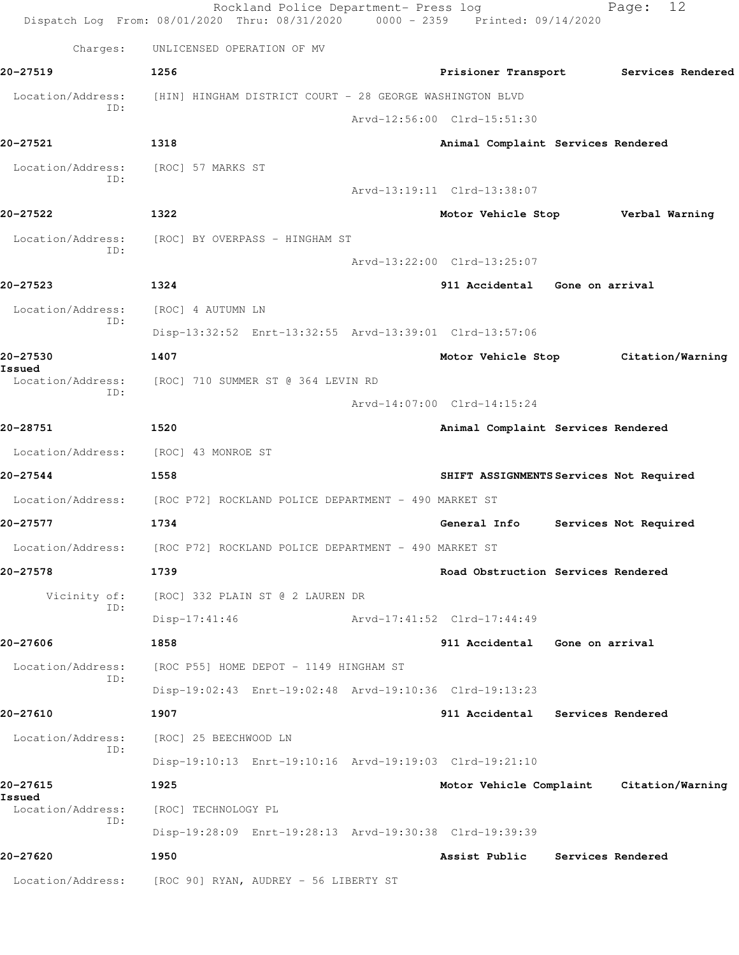Rockland Police Department- Press log Fage: 12 Dispatch Log From: 08/01/2020 Thru: 08/31/2020 0000 - 2359 Printed: 09/14/2020 Charges: UNLICENSED OPERATION OF MV **20-27519 1256 Prisioner Transport Services Rendered** Location/Address: [HIN] HINGHAM DISTRICT COURT - 28 GEORGE WASHINGTON BLVD ID: Arvd-12:56:00 Clrd-15:51:30 **20-27521 1318 Animal Complaint Services Rendered** Location/Address: [ROC] 57 MARKS ST ID: Arvd-13:19:11 Clrd-13:38:07 **20-27522 1322 Motor Vehicle Stop Verbal Warning** Location/Address: [ROC] BY OVERPASS - HINGHAM ST ID: Arvd-13:22:00 Clrd-13:25:07 **20-27523 1324 911 Accidental Gone on arrival** Location/Address: [ROC] 4 AUTUMN LN ID: Disp-13:32:52 Enrt-13:32:55 Arvd-13:39:01 Clrd-13:57:06 **20-27530 1407 Motor Vehicle Stop Citation/Warning Issued**  Location/Address: [ROC] 710 SUMMER ST @ 364 LEVIN RD ID: Arvd-14:07:00 Clrd-14:15:24 **20-28751 1520 Animal Complaint Services Rendered** Location/Address: [ROC] 43 MONROE ST **20-27544 1558 SHIFT ASSIGNMENTS Services Not Required** Location/Address: [ROC P72] ROCKLAND POLICE DEPARTMENT - 490 MARKET ST **20-27577 1734 General Info Services Not Required** Location/Address: [ROC P72] ROCKLAND POLICE DEPARTMENT - 490 MARKET ST **20-27578 1739 Road Obstruction Services Rendered** Vicinity of: [ROC] 332 PLAIN ST @ 2 LAUREN DR ID: Disp-17:41:46 Arvd-17:41:52 Clrd-17:44:49 **20-27606 1858 911 Accidental Gone on arrival** Location/Address: [ROC P55] HOME DEPOT - 1149 HINGHAM ST ID: Disp-19:02:43 Enrt-19:02:48 Arvd-19:10:36 Clrd-19:13:23 **20-27610 1907 911 Accidental Services Rendered** Location/Address: [ROC] 25 BEECHWOOD LN ID: Disp-19:10:13 Enrt-19:10:16 Arvd-19:19:03 Clrd-19:21:10 **20-27615 1925 Motor Vehicle Complaint Citation/Warning Issued**  Location/Address: [ROC] TECHNOLOGY PL ID: Disp-19:28:09 Enrt-19:28:13 Arvd-19:30:38 Clrd-19:39:39 **20-27620 1950 Assist Public Services Rendered** Location/Address: [ROC 90] RYAN, AUDREY - 56 LIBERTY ST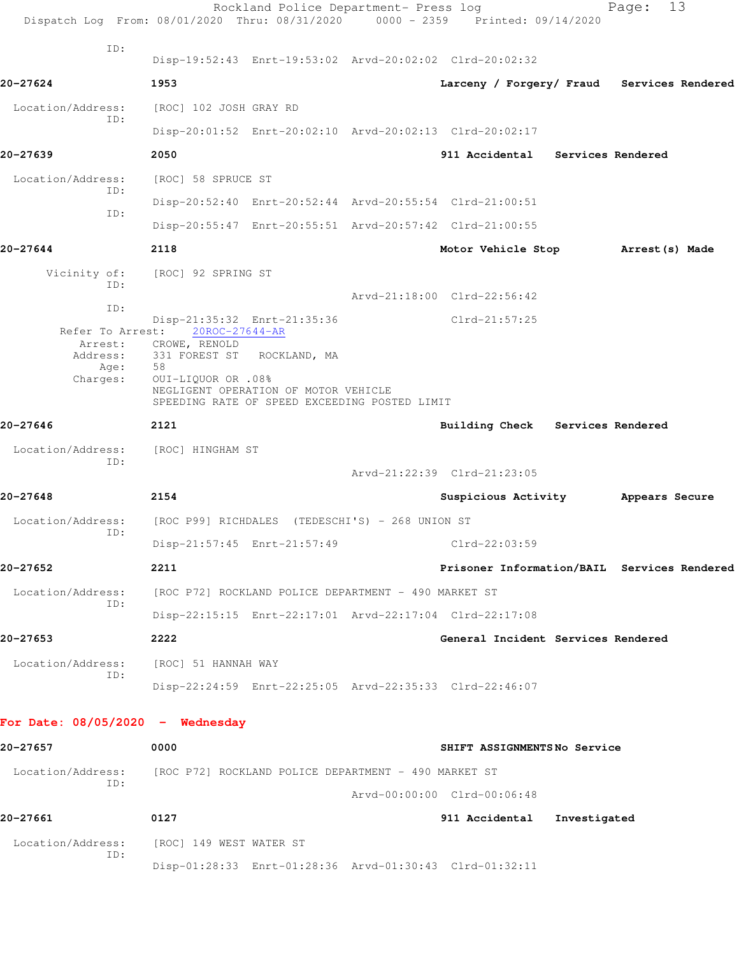|                                    | Rockland Police Department- Press log<br>Dispatch Log From: 08/01/2020 Thru: 08/31/2020 0000 - 2359 Printed: 09/14/2020 |                                             | Page:          | 13 |
|------------------------------------|-------------------------------------------------------------------------------------------------------------------------|---------------------------------------------|----------------|----|
| ID:                                | Disp-19:52:43 Enrt-19:53:02 Arvd-20:02:02 Clrd-20:02:32                                                                 |                                             |                |    |
| 20-27624                           | 1953                                                                                                                    | Larceny / Forgery/ Fraud Services Rendered  |                |    |
| Location/Address:                  | [ROC] 102 JOSH GRAY RD                                                                                                  |                                             |                |    |
| ID:                                | Disp-20:01:52 Enrt-20:02:10 Arvd-20:02:13 Clrd-20:02:17                                                                 |                                             |                |    |
| 20-27639                           | 2050                                                                                                                    | 911 Accidental Services Rendered            |                |    |
| Location/Address:                  | [ROC] 58 SPRUCE ST                                                                                                      |                                             |                |    |
| ID:<br>ID:                         | Disp-20:52:40 Enrt-20:52:44 Arvd-20:55:54 Clrd-21:00:51                                                                 |                                             |                |    |
|                                    | Disp-20:55:47 Enrt-20:55:51 Arvd-20:57:42 Clrd-21:00:55                                                                 |                                             |                |    |
| 20-27644                           | 2118                                                                                                                    | Motor Vehicle Stop Arrest (s) Made          |                |    |
| Vicinity of:<br>ID:                | [ROC] 92 SPRING ST                                                                                                      |                                             |                |    |
| ID:                                |                                                                                                                         | Arvd-21:18:00 Clrd-22:56:42                 |                |    |
| Refer To Arrest:                   | Disp-21:35:32 Enrt-21:35:36<br>20ROC-27644-AR                                                                           | $Clrd-21:57:25$                             |                |    |
| Arrest:<br>Address:<br>Age:        | CROWE, RENOLD<br>331 FOREST ST ROCKLAND, MA<br>58                                                                       |                                             |                |    |
| Charges:                           | 0UI-LIQUOR OR .08%<br>NEGLIGENT OPERATION OF MOTOR VEHICLE<br>SPEEDING RATE OF SPEED EXCEEDING POSTED LIMIT             |                                             |                |    |
| 20-27646                           | 2121                                                                                                                    | Building Check Services Rendered            |                |    |
| Location/Address:<br>ID:           | [ROC] HINGHAM ST                                                                                                        |                                             |                |    |
|                                    |                                                                                                                         | Arvd-21:22:39 Clrd-21:23:05                 |                |    |
| 20-27648                           | 2154                                                                                                                    | Suspicious Activity                         | Appears Secure |    |
| Location/Address:<br>ID:           | [ROC P99] RICHDALES (TEDESCHI'S) - 268 UNION ST                                                                         |                                             |                |    |
|                                    | Disp-21:57:45 Enrt-21:57:49                                                                                             | Clrd-22:03:59                               |                |    |
| 20-27652                           | 2211                                                                                                                    | Prisoner Information/BAIL Services Rendered |                |    |
| Location/Address:<br>ID:           | [ROC P72] ROCKLAND POLICE DEPARTMENT - 490 MARKET ST                                                                    |                                             |                |    |
|                                    | Disp-22:15:15 Enrt-22:17:01 Arvd-22:17:04 Clrd-22:17:08                                                                 |                                             |                |    |
| 20-27653                           | 2222                                                                                                                    | General Incident Services Rendered          |                |    |
| Location/Address:<br>ID:           | [ROC] 51 HANNAH WAY                                                                                                     |                                             |                |    |
|                                    | Disp-22:24:59 Enrt-22:25:05 Arvd-22:35:33 Clrd-22:46:07                                                                 |                                             |                |    |
| For Date: $08/05/2020 -$ Wednesday |                                                                                                                         |                                             |                |    |
| 20-27657                           | 0000                                                                                                                    | SHIFT ASSIGNMENTSNo Service                 |                |    |
| Location/Address:<br>ID:           | [ROC P72] ROCKLAND POLICE DEPARTMENT - 490 MARKET ST                                                                    |                                             |                |    |
|                                    |                                                                                                                         | Arvd-00:00:00 Clrd-00:06:48                 |                |    |
| 20-27661                           | 0127                                                                                                                    | 911 Accidental Investigated                 |                |    |
| Location/Address:<br>ID:           | [ROC] 149 WEST WATER ST                                                                                                 |                                             |                |    |
|                                    | Disp-01:28:33 Enrt-01:28:36 Arvd-01:30:43 Clrd-01:32:11                                                                 |                                             |                |    |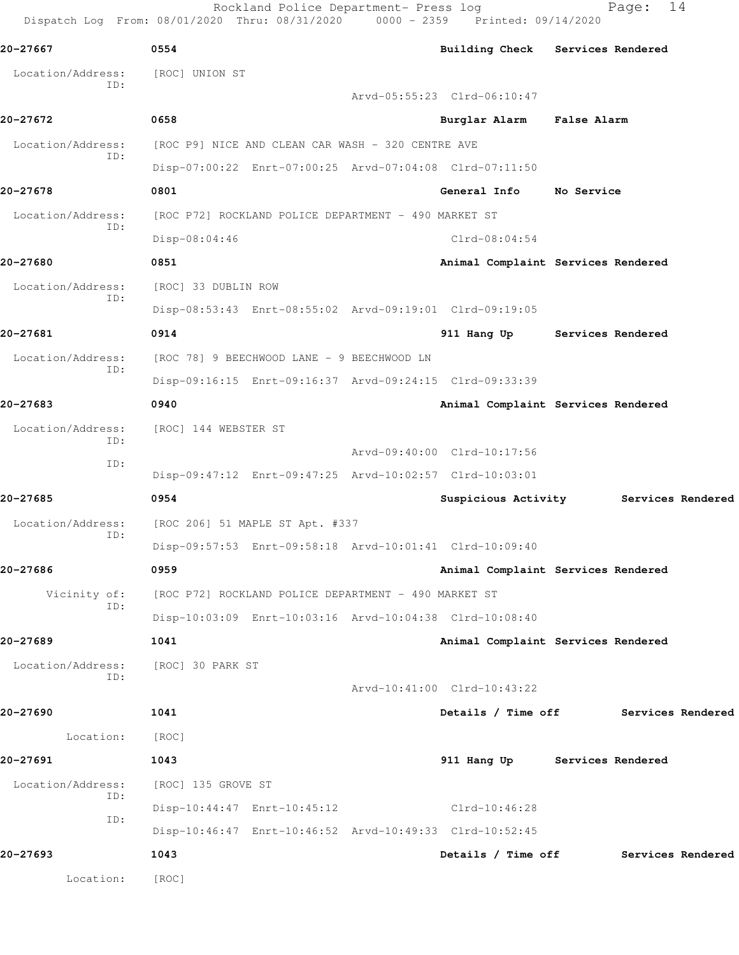Rockland Police Department- Press log Fage: 14 Dispatch Log From: 08/01/2020 Thru: 08/31/2020 0000 - 2359 Printed: 09/14/2020 **20-27667 0554 Building Check Services Rendered** Location/Address: [ROC] UNION ST ID: Arvd-05:55:23 Clrd-06:10:47 **20-27672 0658 Burglar Alarm False Alarm** Location/Address: [ROC P9] NICE AND CLEAN CAR WASH - 320 CENTRE AVE ID: Disp-07:00:22 Enrt-07:00:25 Arvd-07:04:08 Clrd-07:11:50 **20-27678 0801 General Info No Service** Location/Address: [ROC P72] ROCKLAND POLICE DEPARTMENT - 490 MARKET ST ID: Disp-08:04:46 Clrd-08:04:54 **20-27680 0851 Animal Complaint Services Rendered** Location/Address: [ROC] 33 DUBLIN ROW ID: Disp-08:53:43 Enrt-08:55:02 Arvd-09:19:01 Clrd-09:19:05 **20-27681 0914 911 Hang Up Services Rendered** Location/Address: [ROC 78] 9 BEECHWOOD LANE - 9 BEECHWOOD LN ID: Disp-09:16:15 Enrt-09:16:37 Arvd-09:24:15 Clrd-09:33:39 **20-27683 0940 Animal Complaint Services Rendered** Location/Address: [ROC] 144 WEBSTER ST ID: Arvd-09:40:00 Clrd-10:17:56 ID: Disp-09:47:12 Enrt-09:47:25 Arvd-10:02:57 Clrd-10:03:01 **20-27685 0954 Suspicious Activity Services Rendered** Location/Address: [ROC 206] 51 MAPLE ST Apt. #337 ID: Disp-09:57:53 Enrt-09:58:18 Arvd-10:01:41 Clrd-10:09:40 **20-27686 0959 Animal Complaint Services Rendered** Vicinity of: [ROC P72] ROCKLAND POLICE DEPARTMENT - 490 MARKET ST ID: Disp-10:03:09 Enrt-10:03:16 Arvd-10:04:38 Clrd-10:08:40 **20-27689 1041 Animal Complaint Services Rendered** Location/Address: [ROC] 30 PARK ST ID: Arvd-10:41:00 Clrd-10:43:22 **20-27690 1041 Details / Time off Services Rendered** Location: [ROC] **20-27691 1043 911 Hang Up Services Rendered** Location/Address: [ROC] 135 GROVE ST ID: Disp-10:44:47 Enrt-10:45:12 Clrd-10:46:28 ID: Disp-10:46:47 Enrt-10:46:52 Arvd-10:49:33 Clrd-10:52:45 **20-27693 1043 Details / Time off Services Rendered** Location: [ROC]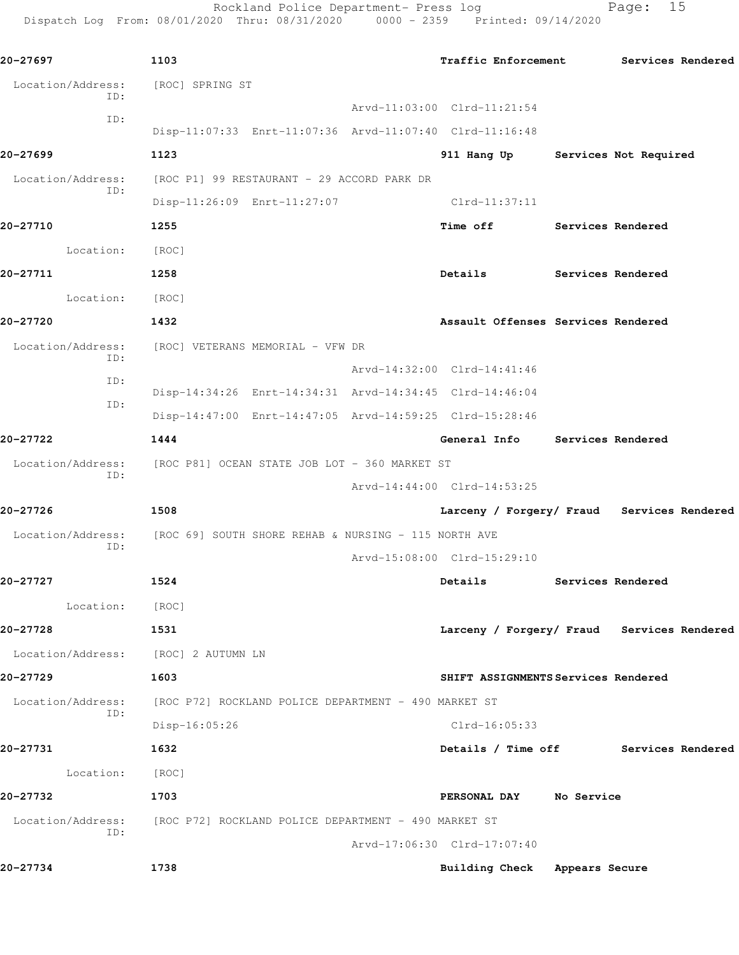Rockland Police Department- Press log Fage: 15 Dispatch Log From: 08/01/2020 Thru: 08/31/2020 0000 - 2359 Printed: 09/14/2020

**20-27697 1103 Traffic Enforcement Services Rendered** Location/Address: [ROC] SPRING ST ID: Arvd-11:03:00 Clrd-11:21:54 ID: Disp-11:07:33 Enrt-11:07:36 Arvd-11:07:40 Clrd-11:16:48 **20-27699 1123 911 Hang Up Services Not Required** Location/Address: [ROC P1] 99 RESTAURANT - 29 ACCORD PARK DR ID: Disp-11:26:09 Enrt-11:27:07 Clrd-11:37:11 **20-27710 1255 Time off Services Rendered** Location: [ROC] **20-27711 1258 Details Services Rendered** Location: [ROC] **20-27720 1432 Assault Offenses Services Rendered** Location/Address: [ROC] VETERANS MEMORIAL - VFW DR ID: Arvd-14:32:00 Clrd-14:41:46 ID: Disp-14:34:26 Enrt-14:34:31 Arvd-14:34:45 Clrd-14:46:04 ID: Disp-14:47:00 Enrt-14:47:05 Arvd-14:59:25 Clrd-15:28:46 **20-27722 1444 General Info Services Rendered** Location/Address: [ROC P81] OCEAN STATE JOB LOT - 360 MARKET ST ID: Arvd-14:44:00 Clrd-14:53:25 **20-27726 1508 Larceny / Forgery/ Fraud Services Rendered** Location/Address: [ROC 69] SOUTH SHORE REHAB & NURSING - 115 NORTH AVE ID: Arvd-15:08:00 Clrd-15:29:10 **20-27727 1524 Details Services Rendered** Location: [ROC] **20-27728 1531 Larceny / Forgery/ Fraud Services Rendered** Location/Address: [ROC] 2 AUTUMN LN **20-27729 1603 SHIFT ASSIGNMENTS Services Rendered** Location/Address: [ROC P72] ROCKLAND POLICE DEPARTMENT - 490 MARKET ST ID: Disp-16:05:26 Clrd-16:05:33 **20-27731 1632 Details / Time off Services Rendered** Location: [ROC] **20-27732 1703 PERSONAL DAY No Service** Location/Address: [ROC P72] ROCKLAND POLICE DEPARTMENT - 490 MARKET ST ID: Arvd-17:06:30 Clrd-17:07:40 **20-27734 1738 Building Check Appears Secure**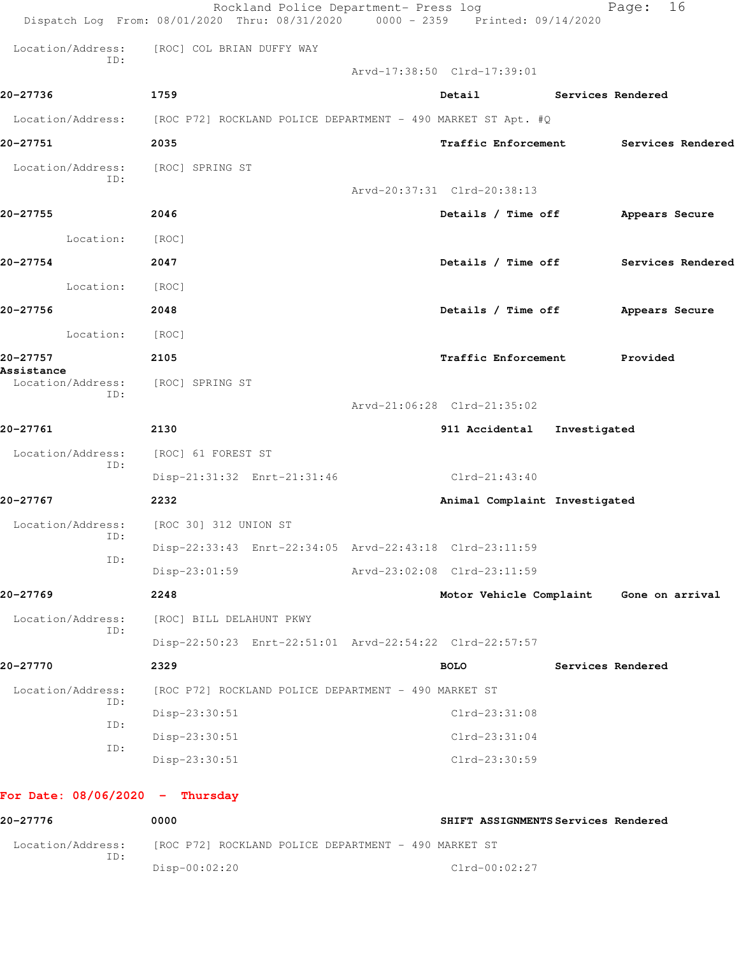|                                   | Rockland Police Department- Press log<br>Dispatch Log From: 08/01/2020 Thru: 08/31/2020 0000 - 2359 Printed: 09/14/2020 |                                   | 16<br>Page:                             |
|-----------------------------------|-------------------------------------------------------------------------------------------------------------------------|-----------------------------------|-----------------------------------------|
|                                   | Location/Address: [ROC] COL BRIAN DUFFY WAY                                                                             |                                   |                                         |
| ID:                               |                                                                                                                         | Arvd-17:38:50 Clrd-17:39:01       |                                         |
| 20-27736                          | 1759                                                                                                                    | Detail Services Rendered          |                                         |
|                                   | Location/Address: [ROC P72] ROCKLAND POLICE DEPARTMENT - 490 MARKET ST Apt. #Q                                          |                                   |                                         |
| 20-27751                          | 2035                                                                                                                    |                                   | Traffic Enforcement Services Rendered   |
| Location/Address:<br>ID:          | [ROC] SPRING ST                                                                                                         |                                   |                                         |
| 20-27755                          | 2046                                                                                                                    | Arvd-20:37:31 Clrd-20:38:13       |                                         |
|                                   |                                                                                                                         | Details / Time off Appears Secure |                                         |
| Location:                         | [ROC]                                                                                                                   |                                   |                                         |
| 20-27754                          | 2047                                                                                                                    |                                   | Details / Time off Services Rendered    |
| Location: [ROC]                   |                                                                                                                         |                                   |                                         |
| 20-27756                          | 2048                                                                                                                    | Details / Time off Appears Secure |                                         |
| Location: [ROC]                   |                                                                                                                         |                                   |                                         |
| 20-27757<br>Assistance            | 2105                                                                                                                    | Traffic Enforcement Provided      |                                         |
| Location/Address:<br>ID:          | [ROC] SPRING ST                                                                                                         |                                   |                                         |
|                                   |                                                                                                                         | Arvd-21:06:28 Clrd-21:35:02       |                                         |
| 20-27761                          | 2130                                                                                                                    | 911 Accidental Investigated       |                                         |
| Location/Address:<br>ID:          | [ROC] 61 FOREST ST                                                                                                      |                                   |                                         |
|                                   | Disp-21:31:32 Enrt-21:31:46                                                                                             | $Clrd-21:43:40$                   |                                         |
| 20-27767                          | 2232                                                                                                                    | Animal Complaint Investigated     |                                         |
| ID:                               | Location/Address: [ROC 30] 312 UNION ST                                                                                 |                                   |                                         |
| ID:                               | Disp-22:33:43 Enrt-22:34:05 Arvd-22:43:18 Clrd-23:11:59                                                                 |                                   |                                         |
|                                   | $Disp-23:01:59$                                                                                                         | Arvd-23:02:08 Clrd-23:11:59       |                                         |
| 20-27769                          | 2248                                                                                                                    |                                   | Motor Vehicle Complaint Gone on arrival |
| Location/Address:<br>ID:          | [ROC] BILL DELAHUNT PKWY                                                                                                |                                   |                                         |
|                                   | Disp-22:50:23 Enrt-22:51:01 Arvd-22:54:22 Clrd-22:57:57                                                                 |                                   |                                         |
| 20-27770                          | 2329                                                                                                                    | <b>BOLO</b>                       | Services Rendered                       |
| Location/Address:<br>ID:          | [ROC P72] ROCKLAND POLICE DEPARTMENT - 490 MARKET ST                                                                    |                                   |                                         |
| ID:                               | Disp-23:30:51                                                                                                           | $Clrd-23:31:08$                   |                                         |
| ID:                               | Disp-23:30:51                                                                                                           | $Clrd-23:31:04$                   |                                         |
|                                   | Disp-23:30:51                                                                                                           | Clrd-23:30:59                     |                                         |
| For Date: $08/06/2020 -$ Thursday |                                                                                                                         |                                   |                                         |
| 00, 0777                          | 0.000                                                                                                                   |                                   |                                         |

**20-27776 0000 SHIFT ASSIGNMENTS Services Rendered** Location/Address: [ROC P72] ROCKLAND POLICE DEPARTMENT - 490 MARKET ST ID: Disp-00:02:20 Clrd-00:02:27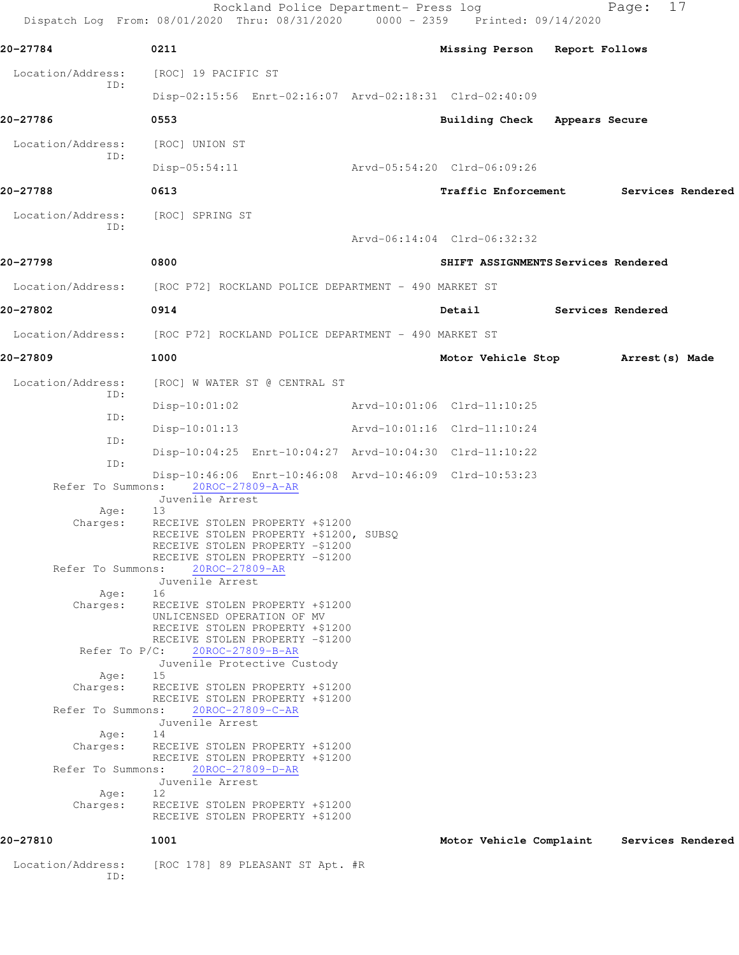Rockland Police Department- Press log Fage: 17 Dispatch Log From: 08/01/2020 Thru: 08/31/2020 0000 - 2359 Printed: 09/14/2020 **20-27784 0211 Missing Person Report Follows** Location/Address: [ROC] 19 PACIFIC ST ID: Disp-02:15:56 Enrt-02:16:07 Arvd-02:18:31 Clrd-02:40:09 **20-27786 0553 Building Check Appears Secure** Location/Address: [ROC] UNION ST ID: Disp-05:54:11 Arvd-05:54:20 Clrd-06:09:26 **20-27788 0613 Traffic Enforcement Services Rendered** Location/Address: [ROC] SPRING ST ID: Arvd-06:14:04 Clrd-06:32:32 **20-27798 0800 SHIFT ASSIGNMENTS Services Rendered** Location/Address: [ROC P72] ROCKLAND POLICE DEPARTMENT - 490 MARKET ST **20-27802 0914 Detail Services Rendered** Location/Address: [ROC P72] ROCKLAND POLICE DEPARTMENT - 490 MARKET ST **20-27809 1000 Motor Vehicle Stop Arrest(s) Made** Location/Address: [ROC] W WATER ST @ CENTRAL ST ID: Disp-10:01:02 Arvd-10:01:06 Clrd-11:10:25 ID: Disp-10:01:13 Arvd-10:01:16 Clrd-11:10:24 ID: Disp-10:04:25 Enrt-10:04:27 Arvd-10:04:30 Clrd-11:10:22 ID: Disp-10:46:06 Enrt-10:46:08 Arvd-10:46:09 Clrd-10:53:23 Refer To Summons: 20ROC-27809-A-AR Juvenile Arrest Age: 13 Charges: RECEIVE STOLEN PROPERTY +\$1200 RECEIVE STOLEN PROPERTY +\$1200, SUBSQ RECEIVE STOLEN PROPERTY -\$1200 RECEIVE STOLEN PROPERTY -\$1200 Refer To Summons: 20ROC-27809-AR Juvenile Arrest Age: 16 Charges: RECEIVE STOLEN PROPERTY +\$1200 UNLICENSED OPERATION OF MV RECEIVE STOLEN PROPERTY +\$1200 RECEIVE STOLEN PROPERTY -\$1200 Refer To P/C: 20ROC-27809-B-AR Juvenile Protective Custody Age: 15 Charges: RECEIVE STOLEN PROPERTY +\$1200 RECEIVE STOLEN PROPERTY +\$1200 Refer To Summons: 20ROC-27809-C-AR Juvenile Arrest Age: 14 Charges: RECEIVE STOLEN PROPERTY +\$1200 RECEIVE STOLEN PROPERTY +\$1200 Refer To Summons: 20ROC-27809-D-AR Juvenile Arrest Age: 12 Charges: RECEIVE STOLEN PROPERTY +\$1200 RECEIVE STOLEN PROPERTY +\$1200 **20-27810 1001 Motor Vehicle Complaint Services Rendered** Location/Address: [ROC 178] 89 PLEASANT ST Apt. #R ID: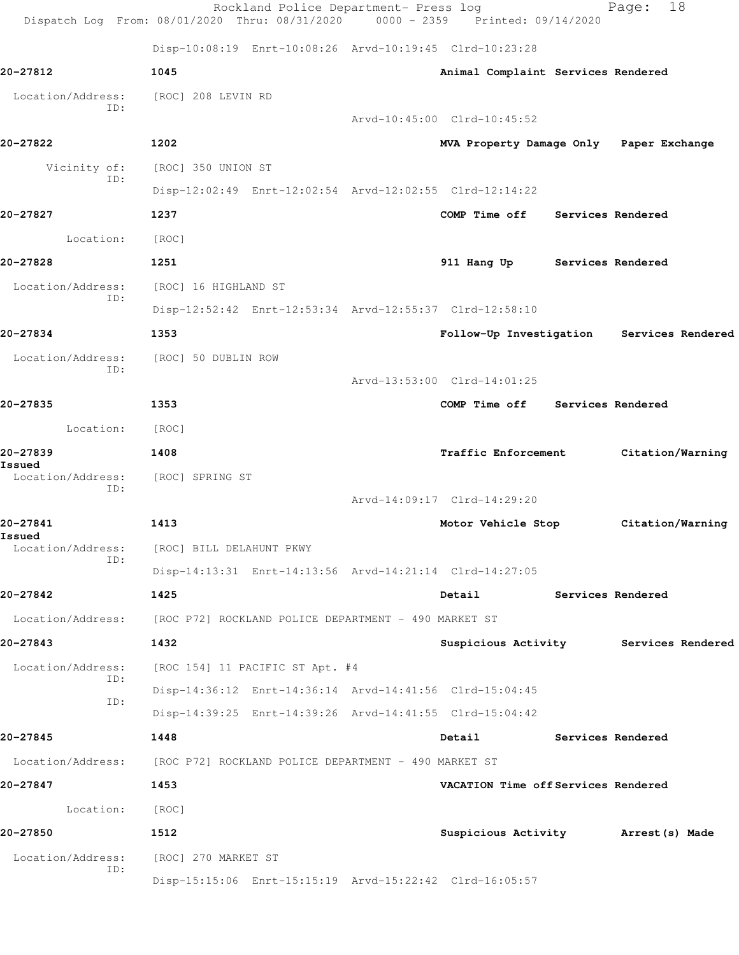|                                    | Rockland Police Department- Press log<br>Dispatch Log From: 08/01/2020 Thru: 08/31/2020 0000 - 2359 Printed: 09/14/2020 |                                         | 18<br>Page:                               |
|------------------------------------|-------------------------------------------------------------------------------------------------------------------------|-----------------------------------------|-------------------------------------------|
|                                    | Disp-10:08:19 Enrt-10:08:26 Arvd-10:19:45 Clrd-10:23:28                                                                 |                                         |                                           |
| 20-27812                           | 1045                                                                                                                    | Animal Complaint Services Rendered      |                                           |
| Location/Address:                  | [ROC] 208 LEVIN RD                                                                                                      |                                         |                                           |
| ID:                                |                                                                                                                         | Arvd-10:45:00 Clrd-10:45:52             |                                           |
| 20-27822                           | 1202                                                                                                                    | MVA Property Damage Only Paper Exchange |                                           |
| Vicinity of:                       | [ROC] 350 UNION ST                                                                                                      |                                         |                                           |
| ID:                                | Disp-12:02:49 Enrt-12:02:54 Arvd-12:02:55 Clrd-12:14:22                                                                 |                                         |                                           |
| 20-27827                           | 1237                                                                                                                    | COMP Time off Services Rendered         |                                           |
| Location:                          | [ROC]                                                                                                                   |                                         |                                           |
| 20-27828                           | 1251                                                                                                                    | 911 Hang Up Services Rendered           |                                           |
| Location/Address:                  | [ROC] 16 HIGHLAND ST                                                                                                    |                                         |                                           |
| ID:                                | Disp-12:52:42 Enrt-12:53:34 Arvd-12:55:37 Clrd-12:58:10                                                                 |                                         |                                           |
| 20-27834                           | 1353                                                                                                                    |                                         | Follow-Up Investigation Services Rendered |
| Location/Address:<br>ID:           | [ROC] 50 DUBLIN ROW                                                                                                     |                                         |                                           |
|                                    |                                                                                                                         | Arvd-13:53:00 Clrd-14:01:25             |                                           |
| 20-27835                           | 1353                                                                                                                    | COMP Time off Services Rendered         |                                           |
| Location:                          | [ROC]                                                                                                                   |                                         |                                           |
| 20-27839                           | 1408                                                                                                                    | <b>Traffic Enforcement</b>              | Citation/Warning                          |
| Issued<br>Location/Address:<br>ID: | [ROC] SPRING ST                                                                                                         |                                         |                                           |
|                                    |                                                                                                                         | Arvd-14:09:17 Clrd-14:29:20             |                                           |
| 20-27841<br>Issued                 | 1413                                                                                                                    | Motor Vehicle Stop                      | Citation/Warning                          |
| Location/Address:<br>ID:           | [ROC] BILL DELAHUNT PKWY                                                                                                |                                         |                                           |
|                                    | Disp-14:13:31 Enrt-14:13:56 Arvd-14:21:14 Clrd-14:27:05                                                                 |                                         |                                           |
| 20-27842                           | 1425                                                                                                                    | Detail Services Rendered                |                                           |
|                                    | Location/Address: [ROC P72] ROCKLAND POLICE DEPARTMENT - 490 MARKET ST                                                  |                                         |                                           |
| 20-27843                           | 1432                                                                                                                    |                                         | Suspicious Activity Services Rendered     |
| Location/Address:<br>ID:           | [ROC 154] 11 PACIFIC ST Apt. #4                                                                                         |                                         |                                           |
| ID:                                | Disp-14:36:12 Enrt-14:36:14 Arvd-14:41:56 Clrd-15:04:45                                                                 |                                         |                                           |
|                                    | Disp-14:39:25 Enrt-14:39:26 Arvd-14:41:55 Clrd-15:04:42                                                                 |                                         |                                           |
| 20-27845                           | 1448                                                                                                                    | Detail                                  | <b>Services Rendered</b>                  |
|                                    | Location/Address: [ROC P72] ROCKLAND POLICE DEPARTMENT - 490 MARKET ST                                                  |                                         |                                           |
| 20-27847                           | 1453                                                                                                                    | VACATION Time off Services Rendered     |                                           |
| Location: [ROC]                    |                                                                                                                         |                                         |                                           |
| 20-27850                           | 1512                                                                                                                    | Suspicious Activity Marrest (s) Made    |                                           |
| Location/Address:<br>ID:           | [ROC] 270 MARKET ST                                                                                                     |                                         |                                           |
|                                    | Disp-15:15:06 Enrt-15:15:19 Arvd-15:22:42 Clrd-16:05:57                                                                 |                                         |                                           |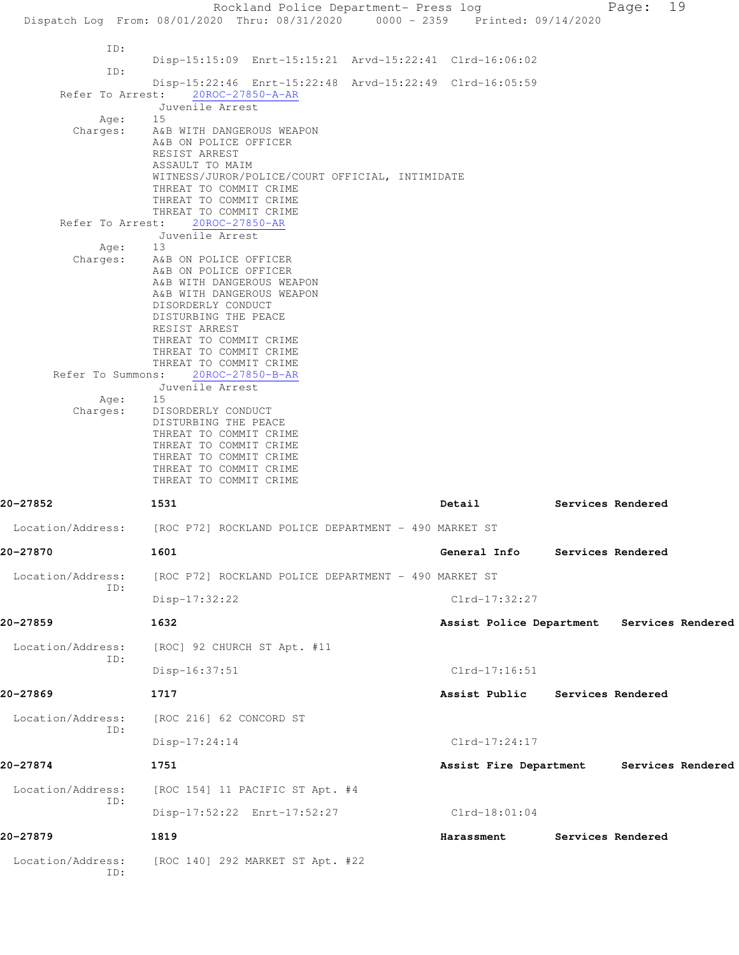Rockland Police Department- Press log Fage: 19 Dispatch Log From: 08/01/2020 Thru: 08/31/2020 0000 - 2359 Printed: 09/14/2020 ID: Disp-15:15:09 Enrt-15:15:21 Arvd-15:22:41 Clrd-16:06:02 ID: Disp-15:22:46 Enrt-15:22:48 Arvd-15:22:49 Clrd-16:05:59 Refer To Arrest: 20ROC-27850-A-AR Juvenile Arrest Age: Charges: A&B WITH DANGEROUS WEAPON A&B ON POLICE OFFICER RESIST ARREST ASSAULT TO MAIM WITNESS/JUROR/POLICE/COURT OFFICIAL, INTIMIDATE THREAT TO COMMIT CRIME THREAT TO COMMIT CRIME THREAT TO COMMIT CRIME Refer To Arrest: 20ROC-27850-AR Juvenile Arrest Age: 13 Charges: A&B ON POLICE OFFICER A&B ON POLICE OFFICER A&B WITH DANGEROUS WEAPON A&B WITH DANGEROUS WEAPON DISORDERLY CONDUCT DISTURBING THE PEACE RESIST ARREST THREAT TO COMMIT CRIME THREAT TO COMMIT CRIME THREAT TO COMMIT CRIME Refer To Summons: 20ROC-27850-B-AR Juvenile Arrest Age: 15 Charges: DISORDERLY CONDUCT DISTURBING THE PEACE THREAT TO COMMIT CRIME THREAT TO COMMIT CRIME THREAT TO COMMIT CRIME THREAT TO COMMIT CRIME THREAT TO COMMIT CRIME **20-27852 1531 Detail Services Rendered** Location/Address: [ROC P72] ROCKLAND POLICE DEPARTMENT - 490 MARKET ST **20-27870 1601 General Info Services Rendered** Location/Address: [ROC P72] ROCKLAND POLICE DEPARTMENT - 490 MARKET ST ID: Disp-17:32:22 Clrd-17:32:27 **20-27859 1632 Assist Police Department Services Rendered** Location/Address: [ROC] 92 CHURCH ST Apt. #11 ID: Disp-16:37:51 Clrd-17:16:51 **20-27869 1717 Assist Public Services Rendered** Location/Address: [ROC 216] 62 CONCORD ST ID: Disp-17:24:14 Clrd-17:24:17 **20-27874 1751 Assist Fire Department Services Rendered** Location/Address: [ROC 154] 11 PACIFIC ST Apt. #4 ID: Disp-17:52:22 Enrt-17:52:27 Clrd-18:01:04 **20-27879 1819 Harassment Services Rendered** Location/Address: [ROC 140] 292 MARKET ST Apt. #22 ID: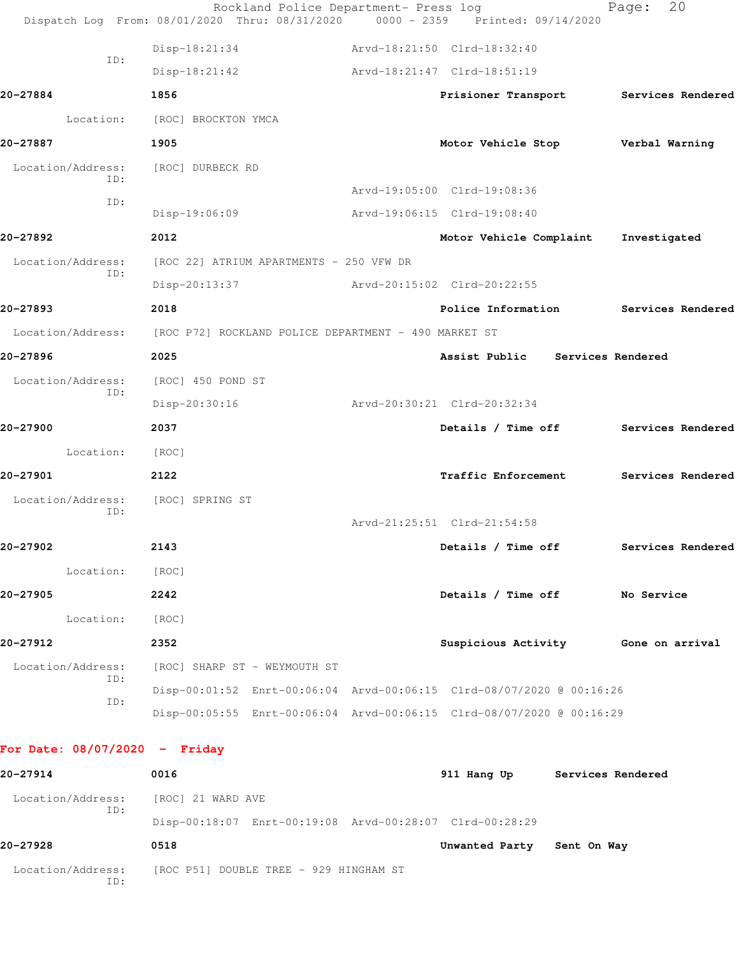| 20-27914                        |     | 0016                                                                   | 911 Hang Up Services Rendered         |                   |  |
|---------------------------------|-----|------------------------------------------------------------------------|---------------------------------------|-------------------|--|
| For Date: $08/07/2020 -$ Friday |     |                                                                        |                                       |                   |  |
|                                 |     | Disp-00:05:55 Enrt-00:06:04 Arvd-00:06:15 Clrd-08/07/2020 @ 00:16:29   |                                       |                   |  |
|                                 | ID: | Disp-00:01:52 Enrt-00:06:04 Arvd-00:06:15 Clrd-08/07/2020 @ 00:16:26   |                                       |                   |  |
| Location/Address:               | ID: | [ROC] SHARP ST - WEYMOUTH ST                                           |                                       |                   |  |
| 20-27912                        |     | 2352                                                                   | Suspicious Activity Gone on arrival   |                   |  |
| Location:                       |     | [ROC]                                                                  |                                       |                   |  |
| 20-27905                        |     | 2242                                                                   | Details / Time off No Service         |                   |  |
| Location:                       |     | [ROC]                                                                  |                                       |                   |  |
| 20-27902                        |     | 2143                                                                   | Details / Time off                    | Services Rendered |  |
|                                 |     |                                                                        | Arvd-21:25:51 Clrd-21:54:58           |                   |  |
| Location/Address:               | ID: | [ROC] SPRING ST                                                        |                                       |                   |  |
| 20-27901                        |     | 2122                                                                   | <b>Traffic Enforcement</b>            | Services Rendered |  |
| Location:                       |     | [ROC]                                                                  |                                       |                   |  |
| 20-27900                        |     | 2037                                                                   | Details / Time off Services Rendered  |                   |  |
|                                 |     | Disp-20:30:16                                                          | Arvd-20:30:21 Clrd-20:32:34           |                   |  |
| Location/Address:               | ID: | [ROC] 450 POND ST                                                      |                                       |                   |  |
| 20-27896                        |     | 2025                                                                   | Assist Public Services Rendered       |                   |  |
|                                 |     | Location/Address: [ROC P72] ROCKLAND POLICE DEPARTMENT - 490 MARKET ST |                                       |                   |  |
| 20-27893                        |     | 2018                                                                   | Police Information                    | Services Rendered |  |
|                                 |     | Disp-20:13:37                                                          | Arvd-20:15:02 Clrd-20:22:55           |                   |  |
| Location/Address:               | ID: | [ROC 22] ATRIUM APARTMENTS - 250 VFW DR                                |                                       |                   |  |
| 20-27892                        |     | 2012                                                                   | Motor Vehicle Complaint               | Investigated      |  |
|                                 |     | Disp-19:06:09                                                          | Arvd-19:06:15 Clrd-19:08:40           |                   |  |
|                                 | ID: |                                                                        | Arvd-19:05:00 Clrd-19:08:36           |                   |  |
| Location/Address:               | ID: | [ROC] DURBECK RD                                                       |                                       |                   |  |
| 20-27887                        |     | 1905                                                                   | Motor Vehicle Stop Verbal Warning     |                   |  |
| Location:                       |     | [ROC] BROCKTON YMCA                                                    |                                       |                   |  |
| 20-27884                        |     | 1856                                                                   | Prisioner Transport Services Rendered |                   |  |
|                                 |     | $Disp-18:21:42$                                                        | Arvd-18:21:47 Clrd-18:51:19           |                   |  |
|                                 | ID: | Disp-18:21:34                                                          | Arvd-18:21:50 Clrd-18:32:40           |                   |  |

 Location/Address: [ROC] 21 WARD AVE ID: Disp-00:18:07 Enrt-00:19:08 Arvd-00:28:07 Clrd-00:28:29 **20-27928 0518 Unwanted Party Sent On Way** Location/Address: [ROC P51] DOUBLE TREE - 929 HINGHAM ST ID: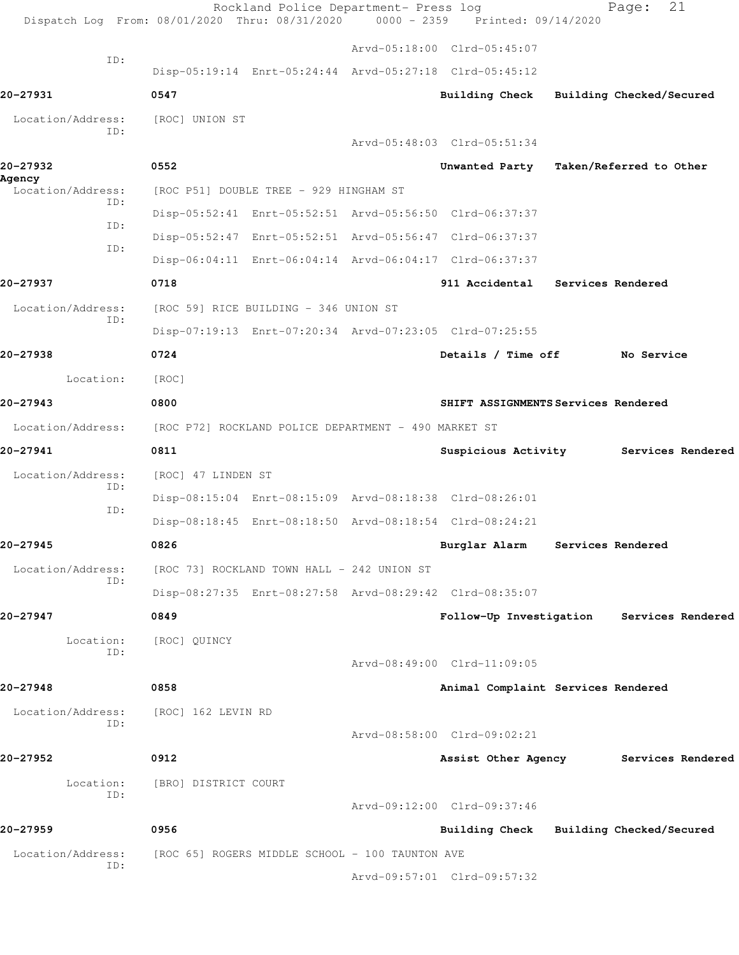|                             | Dispatch Log From: 08/01/2020 Thru: 08/31/2020 0000 - 2359 Printed: 09/14/2020 | Rockland Police Department- Press log |                                         |                   | 21<br>Page:              |  |
|-----------------------------|--------------------------------------------------------------------------------|---------------------------------------|-----------------------------------------|-------------------|--------------------------|--|
|                             |                                                                                |                                       | Arvd-05:18:00 Clrd-05:45:07             |                   |                          |  |
| ID:                         | Disp-05:19:14 Enrt-05:24:44 Arvd-05:27:18 Clrd-05:45:12                        |                                       |                                         |                   |                          |  |
| 20-27931                    | 0547                                                                           |                                       | Building Check                          |                   | Building Checked/Secured |  |
| Location/Address:<br>ID:    | [ROC] UNION ST                                                                 |                                       |                                         |                   |                          |  |
|                             |                                                                                |                                       | Arvd-05:48:03 Clrd-05:51:34             |                   |                          |  |
| 20-27932                    | 0552                                                                           |                                       | Unwanted Party Taken/Referred to Other  |                   |                          |  |
| Agency<br>Location/Address: | [ROC P51] DOUBLE TREE - 929 HINGHAM ST                                         |                                       |                                         |                   |                          |  |
| ID:                         | Disp-05:52:41 Enrt-05:52:51 Arvd-05:56:50 Clrd-06:37:37                        |                                       |                                         |                   |                          |  |
| ID:                         | Disp-05:52:47 Enrt-05:52:51 Arvd-05:56:47 Clrd-06:37:37                        |                                       |                                         |                   |                          |  |
| ID:                         | Disp-06:04:11 Enrt-06:04:14 Arvd-06:04:17 Clrd-06:37:37                        |                                       |                                         |                   |                          |  |
| 20-27937                    | 0718                                                                           |                                       | 911 Accidental Services Rendered        |                   |                          |  |
| Location/Address:           | [ROC 59] RICE BUILDING - 346 UNION ST                                          |                                       |                                         |                   |                          |  |
| ID:                         | Disp-07:19:13 Enrt-07:20:34 Arvd-07:23:05 Clrd-07:25:55                        |                                       |                                         |                   |                          |  |
| 20-27938                    | 0724                                                                           |                                       | Details / Time off                      |                   | No Service               |  |
| Location:                   | [ROC]                                                                          |                                       |                                         |                   |                          |  |
| 20-27943                    | 0800                                                                           |                                       | SHIFT ASSIGNMENTS Services Rendered     |                   |                          |  |
| Location/Address:           | [ROC P72] ROCKLAND POLICE DEPARTMENT - 490 MARKET ST                           |                                       |                                         |                   |                          |  |
| 20-27941                    | 0811                                                                           |                                       | Suspicious Activity                     |                   | Services Rendered        |  |
| Location/Address:           | [ROC] 47 LINDEN ST                                                             |                                       |                                         |                   |                          |  |
| ID:                         | Disp-08:15:04 Enrt-08:15:09 Arvd-08:18:38 Clrd-08:26:01                        |                                       |                                         |                   |                          |  |
| ID:                         | Disp-08:18:45 Enrt-08:18:50 Arvd-08:18:54 Clrd-08:24:21                        |                                       |                                         |                   |                          |  |
| 20-27945                    | 0826                                                                           |                                       | Burglar Alarm                           | Services Rendered |                          |  |
| Location/Address:           | [ROC 73] ROCKLAND TOWN HALL - 242 UNION ST                                     |                                       |                                         |                   |                          |  |
| ID:                         | Disp-08:27:35 Enrt-08:27:58 Arvd-08:29:42 Clrd-08:35:07                        |                                       |                                         |                   |                          |  |
| 20-27947                    | 0849                                                                           |                                       | Follow-Up Investigation                 |                   | Services Rendered        |  |
| Location:                   | [ROC] QUINCY                                                                   |                                       |                                         |                   |                          |  |
| ID:                         |                                                                                |                                       | Arvd-08:49:00 Clrd-11:09:05             |                   |                          |  |
| 20-27948                    | 0858                                                                           |                                       | Animal Complaint Services Rendered      |                   |                          |  |
| Location/Address:           | [ROC] 162 LEVIN RD                                                             |                                       |                                         |                   |                          |  |
| ID:                         |                                                                                |                                       | Arvd-08:58:00 Clrd-09:02:21             |                   |                          |  |
| 20–27952                    | 0912                                                                           |                                       | Assist Other Agency                     |                   | Services Rendered        |  |
| Location:                   | [BRO] DISTRICT COURT                                                           |                                       |                                         |                   |                          |  |
| TD:                         |                                                                                |                                       | Arvd-09:12:00 Clrd-09:37:46             |                   |                          |  |
| 20-27959                    | 0956                                                                           |                                       | Building Check Building Checked/Secured |                   |                          |  |
| Location/Address:           | [ROC 65] ROGERS MIDDLE SCHOOL - 100 TAUNTON AVE                                |                                       |                                         |                   |                          |  |
| ID:                         |                                                                                |                                       | Arvd-09:57:01 Clrd-09:57:32             |                   |                          |  |
|                             |                                                                                |                                       |                                         |                   |                          |  |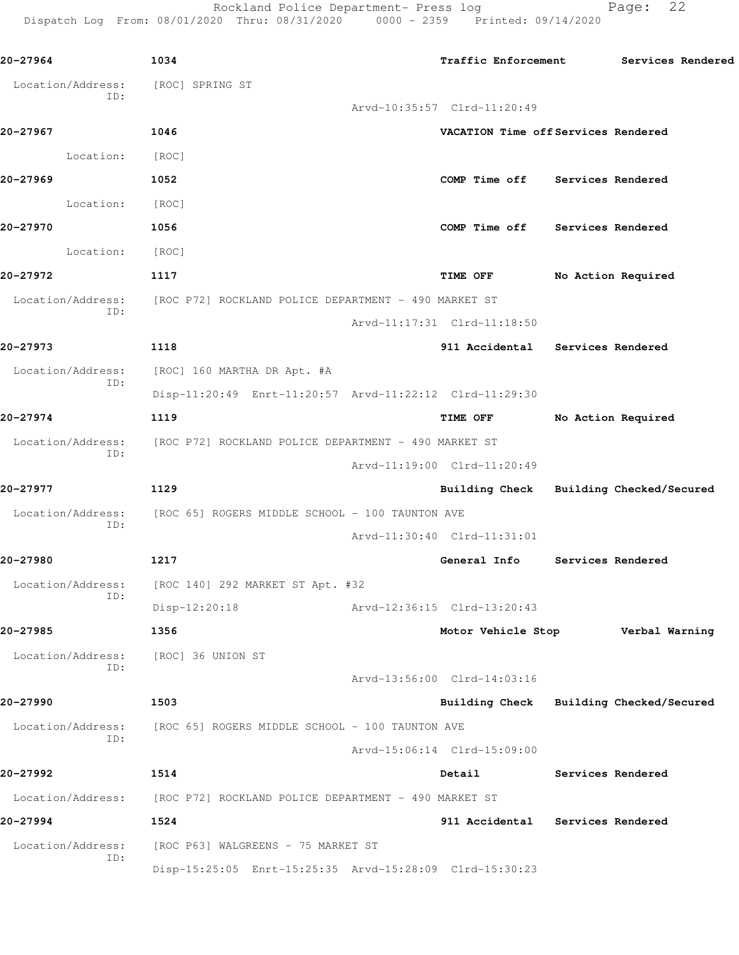Rockland Police Department- Press log entitled Page: 22

Dispatch Log From: 08/01/2020 Thru: 08/31/2020 0000 - 2359 Printed: 09/14/2020

| 20-27964                 | 1034                                                                   | Traffic Enforcement Services Rendered   |                   |                    |  |
|--------------------------|------------------------------------------------------------------------|-----------------------------------------|-------------------|--------------------|--|
| Location/Address:        | [ROC] SPRING ST                                                        |                                         |                   |                    |  |
| ID:                      |                                                                        | Arvd-10:35:57 Clrd-11:20:49             |                   |                    |  |
| 20-27967                 | 1046                                                                   | VACATION Time off Services Rendered     |                   |                    |  |
| Location:                | [ROC]                                                                  |                                         |                   |                    |  |
| 20-27969                 | 1052                                                                   | COMP Time off Services Rendered         |                   |                    |  |
| Location:                | [ROC]                                                                  |                                         |                   |                    |  |
| 20-27970                 | 1056                                                                   | COMP Time off Services Rendered         |                   |                    |  |
| Location:                | [ROC]                                                                  |                                         |                   |                    |  |
| 20-27972                 | 1117                                                                   | TIME OFF                                |                   | No Action Required |  |
|                          | Location/Address: [ROC P72] ROCKLAND POLICE DEPARTMENT - 490 MARKET ST |                                         |                   |                    |  |
| ID:                      |                                                                        | Arvd-11:17:31 Clrd-11:18:50             |                   |                    |  |
| 20-27973                 | 1118                                                                   | 911 Accidental Services Rendered        |                   |                    |  |
| Location/Address:        | [ROC] 160 MARTHA DR Apt. #A                                            |                                         |                   |                    |  |
| ID:                      | Disp-11:20:49 Enrt-11:20:57 Arvd-11:22:12 Clrd-11:29:30                |                                         |                   |                    |  |
| 20-27974                 | 1119                                                                   | TIME OFF                                |                   | No Action Required |  |
| Location/Address:        | [ROC P72] ROCKLAND POLICE DEPARTMENT - 490 MARKET ST                   |                                         |                   |                    |  |
| ID:                      |                                                                        | Arvd-11:19:00 Clrd-11:20:49             |                   |                    |  |
| 20-27977                 | 1129                                                                   | Building Check Building Checked/Secured |                   |                    |  |
|                          | Location/Address: [ROC 65] ROGERS MIDDLE SCHOOL - 100 TAUNTON AVE      |                                         |                   |                    |  |
| ID:                      |                                                                        | Arvd-11:30:40 Clrd-11:31:01             |                   |                    |  |
| 20-27980                 | 1217                                                                   | General Info Services Rendered          |                   |                    |  |
| Location/Address:        | [ROC 140] 292 MARKET ST Apt. #32                                       |                                         |                   |                    |  |
| ID:                      | $Disp-12:20:18$                                                        | Arvd-12:36:15 Clrd-13:20:43             |                   |                    |  |
| 20-27985                 | 1356                                                                   | Motor Vehicle Stop                      |                   | Verbal Warning     |  |
| Location/Address:<br>ID: | [ROC] 36 UNION ST                                                      |                                         |                   |                    |  |
|                          |                                                                        | Arvd-13:56:00 Clrd-14:03:16             |                   |                    |  |
| 20-27990                 | 1503                                                                   | Building Check Building Checked/Secured |                   |                    |  |
| Location/Address:<br>ID: | [ROC 65] ROGERS MIDDLE SCHOOL - 100 TAUNTON AVE                        |                                         |                   |                    |  |
|                          |                                                                        | Arvd-15:06:14 Clrd-15:09:00             |                   |                    |  |
| 20-27992                 | 1514                                                                   | Detail                                  | Services Rendered |                    |  |
| Location/Address:        | [ROC P72] ROCKLAND POLICE DEPARTMENT - 490 MARKET ST                   |                                         |                   |                    |  |
| 20-27994                 | 1524                                                                   | 911 Accidental                          | Services Rendered |                    |  |
| Location/Address:<br>ID: | [ROC P63] WALGREENS - 75 MARKET ST                                     |                                         |                   |                    |  |
|                          | Disp-15:25:05 Enrt-15:25:35 Arvd-15:28:09 Clrd-15:30:23                |                                         |                   |                    |  |
|                          |                                                                        |                                         |                   |                    |  |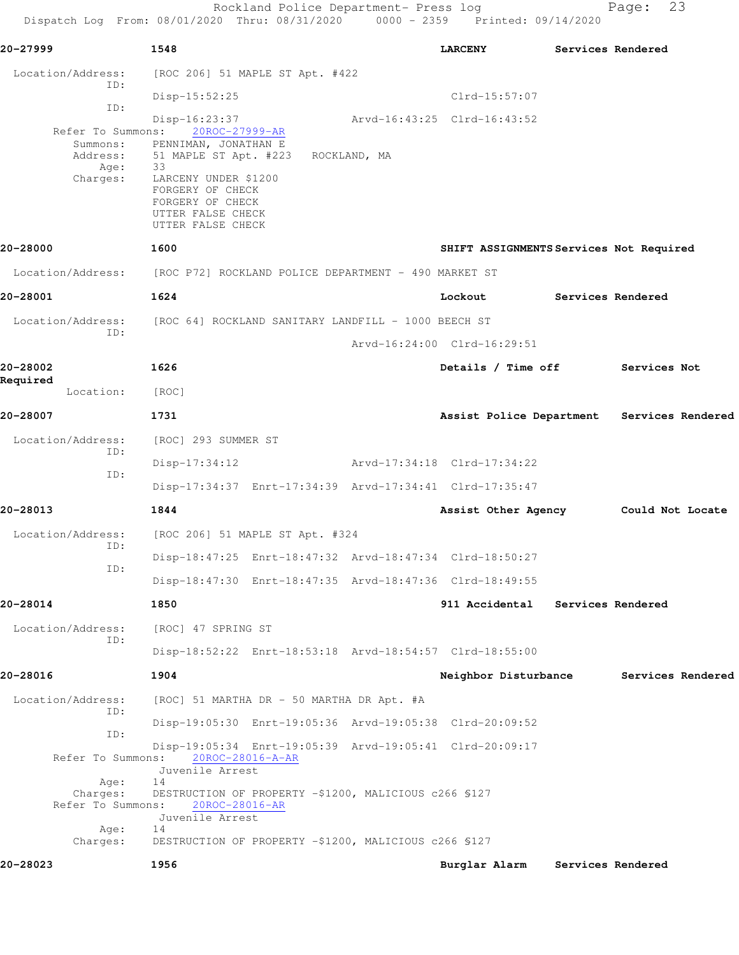Rockland Police Department- Press log Fage: 23 Dispatch Log From: 08/01/2020 Thru: 08/31/2020 0000 - 2359 Printed: 09/14/2020

**20-27999 1548 LARCENY Services Rendered** Location/Address: [ROC 206] 51 MAPLE ST Apt. #422 ID: Disp-15:52:25 Clrd-15:57:07 ID: Disp-16:23:37 Arvd-16:43:25 Clrd-16:43:52 Refer To Summons: Summons: PENNIMAN, JONATHAN E Address: 51 MAPLE ST Apt. #223 ROCKLAND, MA Age: 33<br>Charges: LA LARCENY UNDER \$1200 FORGERY OF CHECK FORGERY OF CHECK UTTER FALSE CHECK UTTER FALSE CHECK **20-28000 1600 SHIFT ASSIGNMENTS Services Not Required** Location/Address: [ROC P72] ROCKLAND POLICE DEPARTMENT - 490 MARKET ST **20-28001 1624 Lockout Services Rendered** Location/Address: [ROC 64] ROCKLAND SANITARY LANDFILL - 1000 BEECH ST ID: Arvd-16:24:00 Clrd-16:29:51 **20-28002 1626 Details / Time off Services Not Required**  Location: [ROC] **20-28007 1731 Assist Police Department Services Rendered** Location/Address: [ROC] 293 SUMMER ST ID: Disp-17:34:12 Arvd-17:34:18 Clrd-17:34:22 ID: Disp-17:34:37 Enrt-17:34:39 Arvd-17:34:41 Clrd-17:35:47 **20-28013 1844 Assist Other Agency Could Not Locate** Location/Address: [ROC 206] 51 MAPLE ST Apt. #324 ID: Disp-18:47:25 Enrt-18:47:32 Arvd-18:47:34 Clrd-18:50:27 ID: Disp-18:47:30 Enrt-18:47:35 Arvd-18:47:36 Clrd-18:49:55 **20-28014 1850 911 Accidental Services Rendered** Location/Address: [ROC] 47 SPRING ST ID: Disp-18:52:22 Enrt-18:53:18 Arvd-18:54:57 Clrd-18:55:00 **20-28016 1904 Neighbor Disturbance Services Rendered** Location/Address: [ROC] 51 MARTHA DR - 50 MARTHA DR Apt. #A ID: Disp-19:05:30 Enrt-19:05:36 Arvd-19:05:38 Clrd-20:09:52 ID: Disp-19:05:34 Enrt-19:05:39 Arvd-19:05:41 Clrd-20:09:17 Refer To Summons: Juvenile Arrest Age: 14 Charges: DESTRUCTION OF PROPERTY -\$1200, MALICIOUS c266 §127 Refer To Summons: 20ROC-28016-AR Juvenile Arrest Age: 14 Charges: DESTRUCTION OF PROPERTY -\$1200, MALICIOUS c266 §127 **20-28023 1956 Burglar Alarm Services Rendered**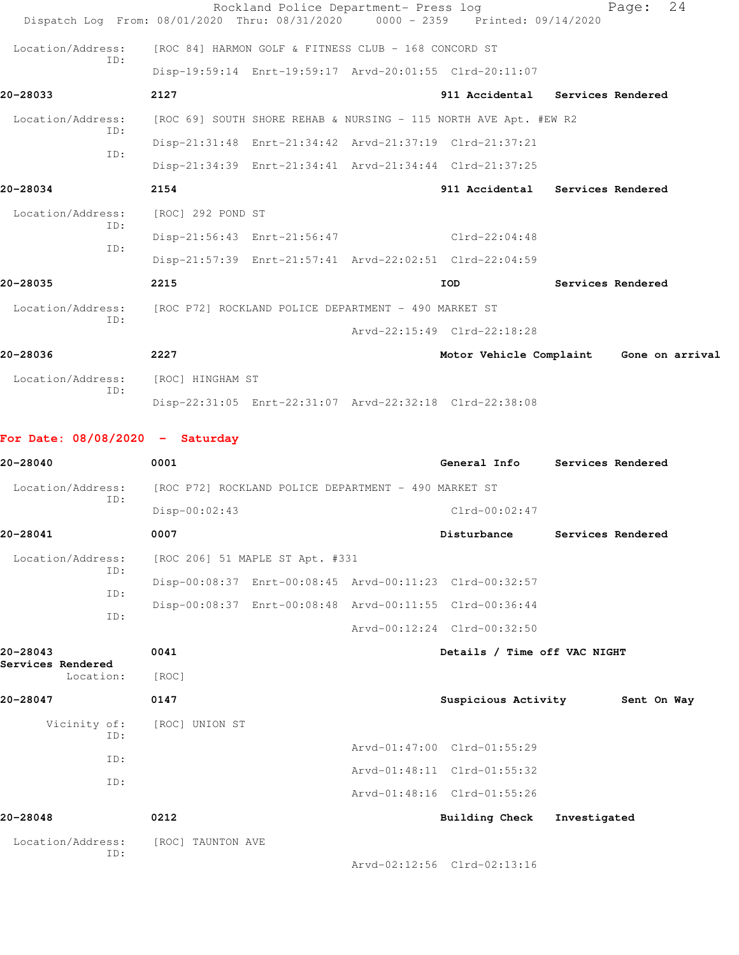| Dispatch Log From: 08/01/2020 Thru: 08/31/2020 0000 - 2359 Printed: 09/14/2020 |                                                      | Rockland Police Department- Press log                |                                                                  |              | Page:             | 24 |
|--------------------------------------------------------------------------------|------------------------------------------------------|------------------------------------------------------|------------------------------------------------------------------|--------------|-------------------|----|
| Location/Address:                                                              |                                                      | [ROC 84] HARMON GOLF & FITNESS CLUB - 168 CONCORD ST |                                                                  |              |                   |    |
| TD:                                                                            |                                                      |                                                      | Disp-19:59:14 Enrt-19:59:17 Arvd-20:01:55 Clrd-20:11:07          |              |                   |    |
| 20-28033                                                                       | 2127                                                 |                                                      | 911 Accidental Services Rendered                                 |              |                   |    |
| Location/Address:                                                              |                                                      |                                                      | [ROC 69] SOUTH SHORE REHAB & NURSING - 115 NORTH AVE Apt. #EW R2 |              |                   |    |
| ID:                                                                            |                                                      |                                                      | Disp-21:31:48 Enrt-21:34:42 Arvd-21:37:19 Clrd-21:37:21          |              |                   |    |
| TD:                                                                            |                                                      |                                                      | Disp-21:34:39 Enrt-21:34:41 Arvd-21:34:44 Clrd-21:37:25          |              |                   |    |
| 20-28034                                                                       | 2154                                                 |                                                      | 911 Accidental Services Rendered                                 |              |                   |    |
| Location/Address:                                                              | [ROC] 292 POND ST                                    |                                                      |                                                                  |              |                   |    |
| ID:                                                                            |                                                      | Disp-21:56:43 Enrt-21:56:47                          | $Clrd-22:04:48$                                                  |              |                   |    |
| ID:                                                                            |                                                      |                                                      | Disp-21:57:39 Enrt-21:57:41 Arvd-22:02:51 Clrd-22:04:59          |              |                   |    |
| 20-28035                                                                       | 2215                                                 |                                                      | IOD                                                              |              | Services Rendered |    |
| Location/Address:                                                              |                                                      | [ROC P72] ROCKLAND POLICE DEPARTMENT - 490 MARKET ST |                                                                  |              |                   |    |
| TD:                                                                            |                                                      |                                                      | Arvd-22:15:49 Clrd-22:18:28                                      |              |                   |    |
| 20-28036                                                                       | 2227                                                 |                                                      | Motor Vehicle Complaint Gone on arrival                          |              |                   |    |
| Location/Address:                                                              | [ROC] HINGHAM ST                                     |                                                      |                                                                  |              |                   |    |
| ID:                                                                            |                                                      |                                                      | Disp-22:31:05 Enrt-22:31:07 Arvd-22:32:18 Clrd-22:38:08          |              |                   |    |
|                                                                                |                                                      |                                                      |                                                                  |              |                   |    |
| For Date: $08/08/2020 -$ Saturday                                              |                                                      |                                                      |                                                                  |              |                   |    |
| 20-28040                                                                       | 0001                                                 |                                                      | General Info                                                     |              | Services Rendered |    |
| Location/Address:<br>ID:                                                       | [ROC P72] ROCKLAND POLICE DEPARTMENT - 490 MARKET ST |                                                      |                                                                  |              |                   |    |
|                                                                                | $Disp-00:02:43$                                      |                                                      | $Clrd-00:02:47$                                                  |              |                   |    |
| 20-28041                                                                       | 0007                                                 |                                                      | Disturbance Services Rendered                                    |              |                   |    |
| Location/Address:<br>ID:                                                       | [ROC 206] 51 MAPLE ST Apt. #331                      |                                                      |                                                                  |              |                   |    |
| ID:                                                                            |                                                      |                                                      | Disp-00:08:37 Enrt-00:08:45 Arvd-00:11:23 Clrd-00:32:57          |              |                   |    |
| ID:                                                                            |                                                      |                                                      | Disp-00:08:37 Enrt-00:08:48 Arvd-00:11:55 Clrd-00:36:44          |              |                   |    |
|                                                                                |                                                      |                                                      | Arvd-00:12:24 Clrd-00:32:50                                      |              |                   |    |
| 20-28043<br>Services Rendered                                                  | 0041                                                 |                                                      | Details / Time off VAC NIGHT                                     |              |                   |    |
| Location:                                                                      | [ROC]                                                |                                                      |                                                                  |              |                   |    |
| 20-28047                                                                       | 0147                                                 |                                                      | Suspicious Activity 5ent On Way                                  |              |                   |    |
| Vicinity of:<br>ID:                                                            | [ROC] UNION ST                                       |                                                      |                                                                  |              |                   |    |
| ID:                                                                            |                                                      |                                                      | Arvd-01:47:00 Clrd-01:55:29                                      |              |                   |    |
| ID:                                                                            |                                                      |                                                      | Arvd-01:48:11 Clrd-01:55:32                                      |              |                   |    |
|                                                                                |                                                      |                                                      | Arvd-01:48:16 Clrd-01:55:26                                      |              |                   |    |
| 20-28048                                                                       | 0212                                                 |                                                      | <b>Building Check</b>                                            | Investigated |                   |    |
| Location/Address:<br>ID:                                                       | [ROC] TAUNTON AVE                                    |                                                      |                                                                  |              |                   |    |
|                                                                                |                                                      |                                                      | Arvd-02:12:56 Clrd-02:13:16                                      |              |                   |    |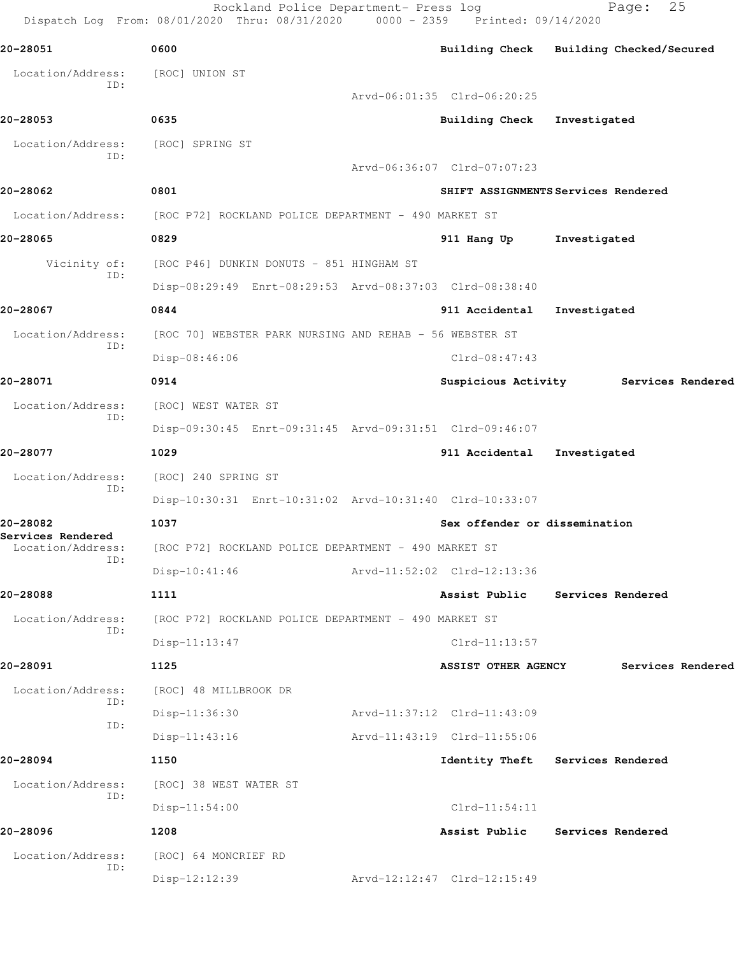Rockland Police Department- Press log Fage: 25 Dispatch Log From: 08/01/2020 Thru: 08/31/2020 0000 - 2359 Printed: 09/14/2020 **20-28051 0600 Building Check Building Checked/Secured** Location/Address: [ROC] UNION ST ID: Arvd-06:01:35 Clrd-06:20:25 **20-28053 0635 Building Check Investigated** Location/Address: [ROC] SPRING ST ID: Arvd-06:36:07 Clrd-07:07:23 **20-28062 0801 SHIFT ASSIGNMENTS Services Rendered** Location/Address: [ROC P72] ROCKLAND POLICE DEPARTMENT - 490 MARKET ST **20-28065 0829 911 Hang Up Investigated** Vicinity of: [ROC P46] DUNKIN DONUTS - 851 HINGHAM ST ID: Disp-08:29:49 Enrt-08:29:53 Arvd-08:37:03 Clrd-08:38:40 **20-28067 0844 911 Accidental Investigated** Location/Address: [ROC 70] WEBSTER PARK NURSING AND REHAB - 56 WEBSTER ST ID: Disp-08:46:06 Clrd-08:47:43 **20-28071 0914 Suspicious Activity Services Rendered** Location/Address: [ROC] WEST WATER ST ID: Disp-09:30:45 Enrt-09:31:45 Arvd-09:31:51 Clrd-09:46:07 **20-28077 1029 911 Accidental Investigated** Location/Address: [ROC] 240 SPRING ST ID: Disp-10:30:31 Enrt-10:31:02 Arvd-10:31:40 Clrd-10:33:07 **20-28082 1037 Sex offender or dissemination Services Rendered**  [ROC P72] ROCKLAND POLICE DEPARTMENT - 490 MARKET ST ID: Disp-10:41:46 Arvd-11:52:02 Clrd-12:13:36 **20-28088 1111 Assist Public Services Rendered** Location/Address: [ROC P72] ROCKLAND POLICE DEPARTMENT - 490 MARKET ST ID: Disp-11:13:47 Clrd-11:13:57 **20-28091 1125 ASSIST OTHER AGENCY Services Rendered** Location/Address: [ROC] 48 MILLBROOK DR ID: Disp-11:36:30 Arvd-11:37:12 Clrd-11:43:09 ID: Disp-11:43:16 Arvd-11:43:19 Clrd-11:55:06 **20-28094 1150 Identity Theft Services Rendered** Location/Address: [ROC] 38 WEST WATER ST ID: Disp-11:54:00 Clrd-11:54:11 **20-28096 1208 Assist Public Services Rendered** Location/Address: [ROC] 64 MONCRIEF RD ID: Disp-12:12:39 Arvd-12:12:47 Clrd-12:15:49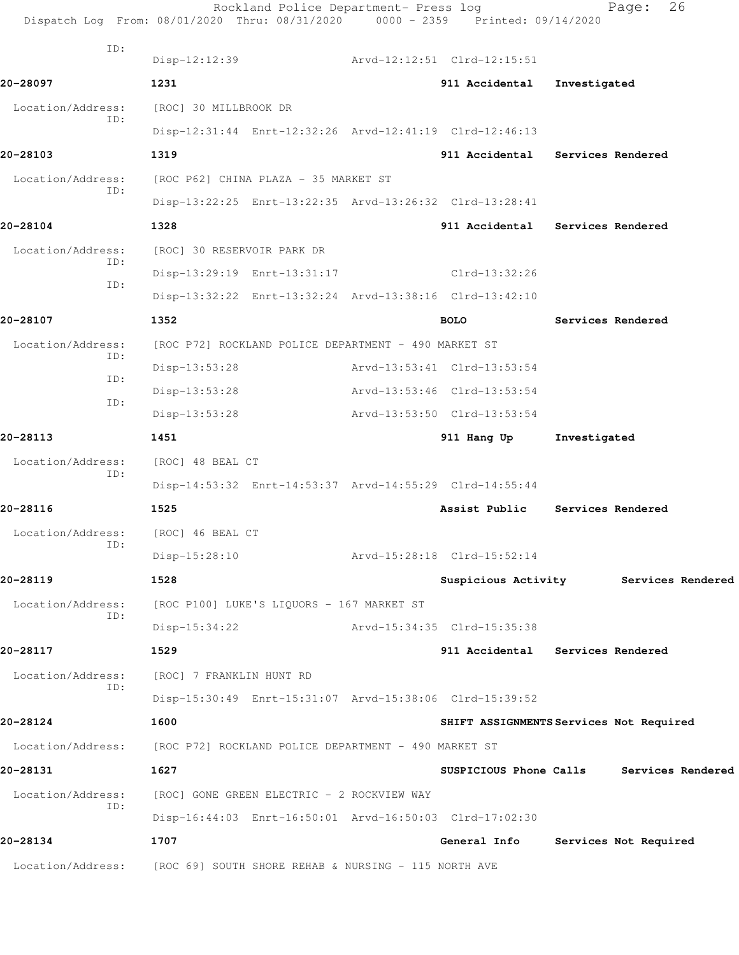|                                    | Rockland Police Department- Press log<br>Dispatch Log From: 08/01/2020 Thru: 08/31/2020 0000 - 2359 Printed: 09/14/2020 |                             | 26<br>Page:                             |
|------------------------------------|-------------------------------------------------------------------------------------------------------------------------|-----------------------------|-----------------------------------------|
| ID:                                |                                                                                                                         |                             |                                         |
|                                    | Disp-12:12:39                                                                                                           | Arvd-12:12:51 Clrd-12:15:51 |                                         |
| 20-28097                           | 1231                                                                                                                    | 911 Accidental              | Investigated                            |
| Location/Address:<br>ID:           | [ROC] 30 MILLBROOK DR                                                                                                   |                             |                                         |
| 20-28103                           | Disp-12:31:44 Enrt-12:32:26 Arvd-12:41:19 Clrd-12:46:13<br>1319                                                         |                             | 911 Accidental Services Rendered        |
|                                    |                                                                                                                         |                             |                                         |
| Location/Address:<br>ID:           | [ROC P62] CHINA PLAZA - 35 MARKET ST                                                                                    |                             |                                         |
| 20-28104                           | Disp-13:22:25 Enrt-13:22:35 Arvd-13:26:32 Clrd-13:28:41<br>1328                                                         |                             | 911 Accidental Services Rendered        |
|                                    |                                                                                                                         |                             |                                         |
| Location/Address:<br>ID:           | [ROC] 30 RESERVOIR PARK DR                                                                                              |                             |                                         |
| ID:                                | Disp-13:29:19 Enrt-13:31:17                                                                                             | Clrd-13:32:26               |                                         |
|                                    | Disp-13:32:22 Enrt-13:32:24 Arvd-13:38:16 Clrd-13:42:10                                                                 |                             |                                         |
| 20-28107                           | 1352                                                                                                                    | <b>BOLO</b>                 | Services Rendered                       |
| Location/Address:<br>ID:           | [ROC P72] ROCKLAND POLICE DEPARTMENT - 490 MARKET ST                                                                    |                             |                                         |
| ID:                                | Disp-13:53:28                                                                                                           | Arvd-13:53:41 Clrd-13:53:54 |                                         |
| ID:                                | $Disp-13:53:28$                                                                                                         | Arvd-13:53:46 Clrd-13:53:54 |                                         |
|                                    | $Disp-13:53:28$                                                                                                         | Arvd-13:53:50 Clrd-13:53:54 |                                         |
| 20-28113                           | 1451                                                                                                                    | 911 Hang Up                 | Investigated                            |
| Location/Address:<br>ID:           | [ROC] 48 BEAL CT                                                                                                        |                             |                                         |
|                                    | Disp-14:53:32 Enrt-14:53:37 Arvd-14:55:29 Clrd-14:55:44                                                                 |                             |                                         |
| 20-28116                           | 1525                                                                                                                    | Assist Public               | Services Rendered                       |
| Location/Address: [ROC] 46 BEAL CT |                                                                                                                         |                             |                                         |
| ID:                                | $Disp-15:28:10$                                                                                                         | Arvd-15:28:18 Clrd-15:52:14 |                                         |
| 20-28119                           | 1528                                                                                                                    |                             | Suspicious Activity Services Rendered   |
| Location/Address:                  | [ROC P100] LUKE'S LIQUORS - 167 MARKET ST                                                                               |                             |                                         |
| ID:                                | $Disp-15:34:22$                                                                                                         | Arvd-15:34:35 Clrd-15:35:38 |                                         |
| 20-28117                           | 1529                                                                                                                    |                             | 911 Accidental Services Rendered        |
| Location/Address:                  | [ROC] 7 FRANKLIN HUNT RD                                                                                                |                             |                                         |
| ID:                                | Disp-15:30:49 Enrt-15:31:07 Arvd-15:38:06 Clrd-15:39:52                                                                 |                             |                                         |
| 20-28124                           | 1600                                                                                                                    |                             | SHIFT ASSIGNMENTS Services Not Required |
| Location/Address:                  | [ROC P72] ROCKLAND POLICE DEPARTMENT - 490 MARKET ST                                                                    |                             |                                         |
| 20-28131                           | 1627                                                                                                                    | SUSPICIOUS Phone Calls      | Services Rendered                       |
| Location/Address:                  | [ROC] GONE GREEN ELECTRIC - 2 ROCKVIEW WAY                                                                              |                             |                                         |
| ID:                                | Disp-16:44:03 Enrt-16:50:01 Arvd-16:50:03 Clrd-17:02:30                                                                 |                             |                                         |
| 20-28134                           | 1707                                                                                                                    | General Info                | Services Not Required                   |
| Location/Address:                  | [ROC 69] SOUTH SHORE REHAB & NURSING - 115 NORTH AVE                                                                    |                             |                                         |
|                                    |                                                                                                                         |                             |                                         |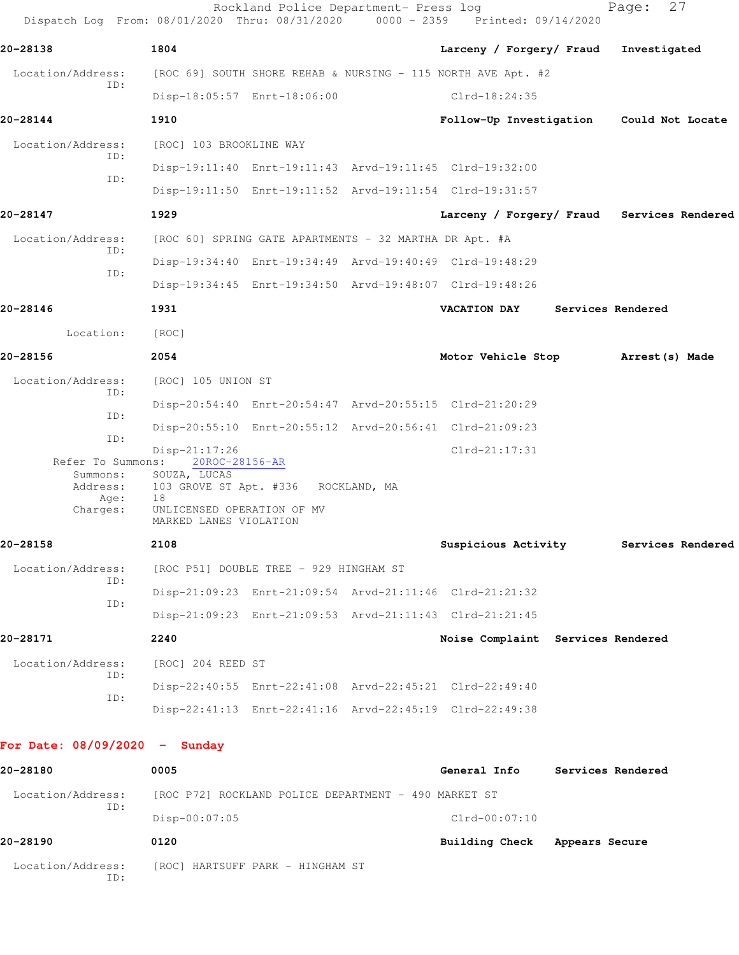| Dispatch Log From: 08/01/2020 Thru: 08/31/2020 0000 - 2359 Printed: 09/14/2020 |                                                        | Rockland Police Department- Press log  |                                                              |                | 27<br>Page:       |  |
|--------------------------------------------------------------------------------|--------------------------------------------------------|----------------------------------------|--------------------------------------------------------------|----------------|-------------------|--|
| 20-28138                                                                       | 1804                                                   |                                        | Larceny / Forgery/ Fraud                                     |                | Investigated      |  |
| Location/Address:                                                              |                                                        |                                        | [ROC 69] SOUTH SHORE REHAB & NURSING - 115 NORTH AVE Apt. #2 |                |                   |  |
| ID:                                                                            | Disp-18:05:57 Enrt-18:06:00                            |                                        | $Clrd-18:24:35$                                              |                |                   |  |
| 20-28144                                                                       | 1910                                                   |                                        | Follow-Up Investigation Could Not Locate                     |                |                   |  |
| Location/Address:<br>ID:                                                       | [ROC] 103 BROOKLINE WAY                                |                                        |                                                              |                |                   |  |
|                                                                                |                                                        |                                        | Disp-19:11:40 Enrt-19:11:43 Arvd-19:11:45 Clrd-19:32:00      |                |                   |  |
| ID:                                                                            |                                                        |                                        | Disp-19:11:50 Enrt-19:11:52 Arvd-19:11:54 Clrd-19:31:57      |                |                   |  |
| 20-28147                                                                       | 1929                                                   |                                        | Larceny / Forgery/ Fraud Services Rendered                   |                |                   |  |
| Location/Address:                                                              | [ROC 60] SPRING GATE APARTMENTS - 32 MARTHA DR Apt. #A |                                        |                                                              |                |                   |  |
| ID:                                                                            |                                                        |                                        | Disp-19:34:40 Enrt-19:34:49 Arvd-19:40:49 Clrd-19:48:29      |                |                   |  |
| ID:                                                                            |                                                        |                                        | Disp-19:34:45 Enrt-19:34:50 Arvd-19:48:07 Clrd-19:48:26      |                |                   |  |
| 20-28146                                                                       | 1931                                                   |                                        | <b>VACATION DAY</b>                                          |                | Services Rendered |  |
| Location:                                                                      | [ROC]                                                  |                                        |                                                              |                |                   |  |
| 20-28156                                                                       | 2054                                                   |                                        | Motor Vehicle Stop                                           |                | Arrest (s) Made   |  |
| Location/Address:                                                              | [ROC] 105 UNION ST                                     |                                        |                                                              |                |                   |  |
| ID:                                                                            |                                                        |                                        | Disp-20:54:40 Enrt-20:54:47 Arvd-20:55:15 Clrd-21:20:29      |                |                   |  |
| ID:                                                                            |                                                        |                                        | Disp-20:55:10 Enrt-20:55:12 Arvd-20:56:41 Clrd-21:09:23      |                |                   |  |
| ID:                                                                            | $Disp-21:17:26$                                        |                                        | $Clrd-21:17:31$                                              |                |                   |  |
| Refer To Summons:<br>Summons:                                                  | 20ROC-28156-AR<br>SOUZA, LUCAS                         |                                        |                                                              |                |                   |  |
| Address:<br>Age:                                                               | 103 GROVE ST Apt. #336 ROCKLAND, MA<br>18              |                                        |                                                              |                |                   |  |
| Charges:                                                                       | UNLICENSED OPERATION OF MV<br>MARKED LANES VIOLATION   |                                        |                                                              |                |                   |  |
| 20-28158                                                                       | 2108                                                   |                                        | Suspicious Activity                                          |                | Services Rendered |  |
| Location/Address:<br>ID:                                                       |                                                        | [ROC P51] DOUBLE TREE - 929 HINGHAM ST |                                                              |                |                   |  |
| ID:                                                                            |                                                        |                                        | Disp-21:09:23 Enrt-21:09:54 Arvd-21:11:46 Clrd-21:21:32      |                |                   |  |
|                                                                                |                                                        |                                        | Disp-21:09:23 Enrt-21:09:53 Arvd-21:11:43 Clrd-21:21:45      |                |                   |  |
| 20-28171                                                                       | 2240                                                   |                                        | Noise Complaint Services Rendered                            |                |                   |  |
| Location/Address:                                                              | [ROC] 204 REED ST                                      |                                        |                                                              |                |                   |  |
| ID:<br>ID:                                                                     |                                                        |                                        | Disp-22:40:55 Enrt-22:41:08 Arvd-22:45:21 Clrd-22:49:40      |                |                   |  |
|                                                                                |                                                        |                                        | Disp-22:41:13 Enrt-22:41:16 Arvd-22:45:19 Clrd-22:49:38      |                |                   |  |
| For Date: $08/09/2020 -$ Sunday                                                |                                                        |                                        |                                                              |                |                   |  |
| 20-28180                                                                       | 0005                                                   |                                        | General Info                                                 |                | Services Rendered |  |
| Location/Address:                                                              | [ROC P72] ROCKLAND POLICE DEPARTMENT - 490 MARKET ST   |                                        |                                                              |                |                   |  |
| ID:                                                                            | Disp-00:07:05                                          |                                        | $Clrd-00:07:10$                                              |                |                   |  |
| 20-28190                                                                       | 0120                                                   |                                        | Building Check                                               | Appears Secure |                   |  |

Location/Address: [ROC] HARTSUFF PARK - HINGHAM ST ID: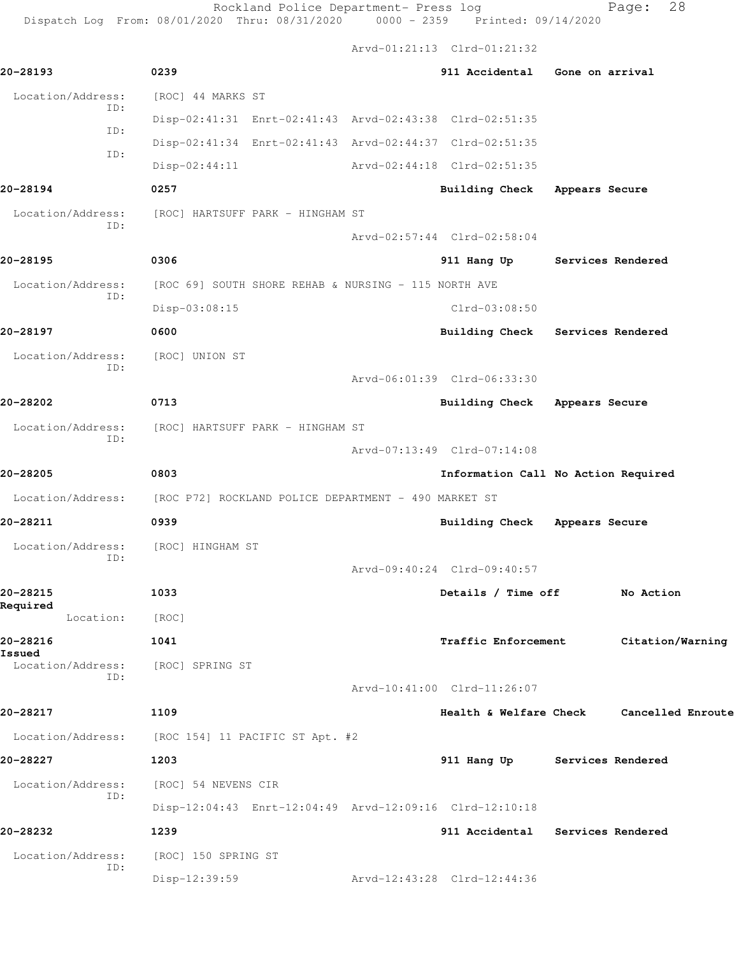Rockland Police Department- Press log entitled Page: 28

Dispatch Log From: 08/01/2020 Thru: 08/31/2020 0000 - 2359 Printed: 09/14/2020

Arvd-01:21:13 Clrd-01:21:32

| 20-28193             |            | 0239                                                 |                             | 911 Accidental Gone on arrival                          |                   |
|----------------------|------------|------------------------------------------------------|-----------------------------|---------------------------------------------------------|-------------------|
| Location/Address:    |            | [ROC] 44 MARKS ST                                    |                             |                                                         |                   |
|                      | ID:<br>ID: |                                                      |                             | Disp-02:41:31 Enrt-02:41:43 Arvd-02:43:38 Clrd-02:51:35 |                   |
|                      | ID:        |                                                      |                             | Disp-02:41:34 Enrt-02:41:43 Arvd-02:44:37 Clrd-02:51:35 |                   |
|                      |            | $Disp-02:44:11$                                      |                             | Arvd-02:44:18 Clrd-02:51:35                             |                   |
| 20-28194             |            | 0257                                                 |                             | Building Check Appears Secure                           |                   |
| Location/Address:    | ID:        | [ROC] HARTSUFF PARK - HINGHAM ST                     |                             |                                                         |                   |
|                      |            |                                                      |                             | Arvd-02:57:44 Clrd-02:58:04                             |                   |
| 20-28195             |            | 0306                                                 |                             | 911 Hang Up Services Rendered                           |                   |
| Location/Address:    | ID:        | [ROC 69] SOUTH SHORE REHAB & NURSING - 115 NORTH AVE |                             |                                                         |                   |
|                      |            | Disp-03:08:15                                        |                             | $Clrd-03:08:50$                                         |                   |
| 20-28197             |            | 0600                                                 |                             | Building Check Services Rendered                        |                   |
| Location/Address:    | ID:        | [ROC] UNION ST                                       |                             |                                                         |                   |
|                      |            |                                                      |                             | Arvd-06:01:39 Clrd-06:33:30                             |                   |
| 20-28202             |            | 0713                                                 |                             | Building Check Appears Secure                           |                   |
| Location/Address:    | ID:        | [ROC] HARTSUFF PARK - HINGHAM ST                     |                             |                                                         |                   |
|                      |            |                                                      | Arvd-07:13:49 Clrd-07:14:08 |                                                         |                   |
| 20-28205             |            | 0803                                                 |                             | Information Call No Action Required                     |                   |
| Location/Address:    |            | [ROC P72] ROCKLAND POLICE DEPARTMENT - 490 MARKET ST |                             |                                                         |                   |
| 20-28211             |            | 0939                                                 |                             | Building Check Appears Secure                           |                   |
| Location/Address:    | ID:        | [ROC] HINGHAM ST                                     |                             |                                                         |                   |
|                      |            |                                                      |                             | Arvd-09:40:24 Clrd-09:40:57                             |                   |
| 20-28215<br>Required |            | 1033                                                 |                             | Details / Time off                                      | No Action         |
| Location:            |            | [ROC]                                                |                             |                                                         |                   |
| 20-28216<br>Issued   |            | 1041                                                 |                             | <b>Traffic Enforcement</b>                              | Citation/Warning  |
| Location/Address:    | ID:        | [ROC] SPRING ST                                      |                             |                                                         |                   |
|                      |            |                                                      |                             | Arvd-10:41:00 Clrd-11:26:07                             |                   |
| 20-28217             |            | 1109                                                 |                             | Health & Welfare Check                                  | Cancelled Enroute |
| Location/Address:    |            | [ROC 154] 11 PACIFIC ST Apt. #2                      |                             |                                                         |                   |
| 20-28227             |            | 1203                                                 |                             | 911 Hang Up Services Rendered                           |                   |
| Location/Address:    | ID:        | [ROC] 54 NEVENS CIR                                  |                             |                                                         |                   |
|                      |            |                                                      |                             | Disp-12:04:43 Enrt-12:04:49 Arvd-12:09:16 Clrd-12:10:18 |                   |
| 20-28232             |            | 1239                                                 |                             | 911 Accidental Services Rendered                        |                   |
| Location/Address:    | ID:        | [ROC] 150 SPRING ST                                  |                             |                                                         |                   |
|                      |            | Disp-12:39:59                                        |                             | Arvd-12:43:28 Clrd-12:44:36                             |                   |
|                      |            |                                                      |                             |                                                         |                   |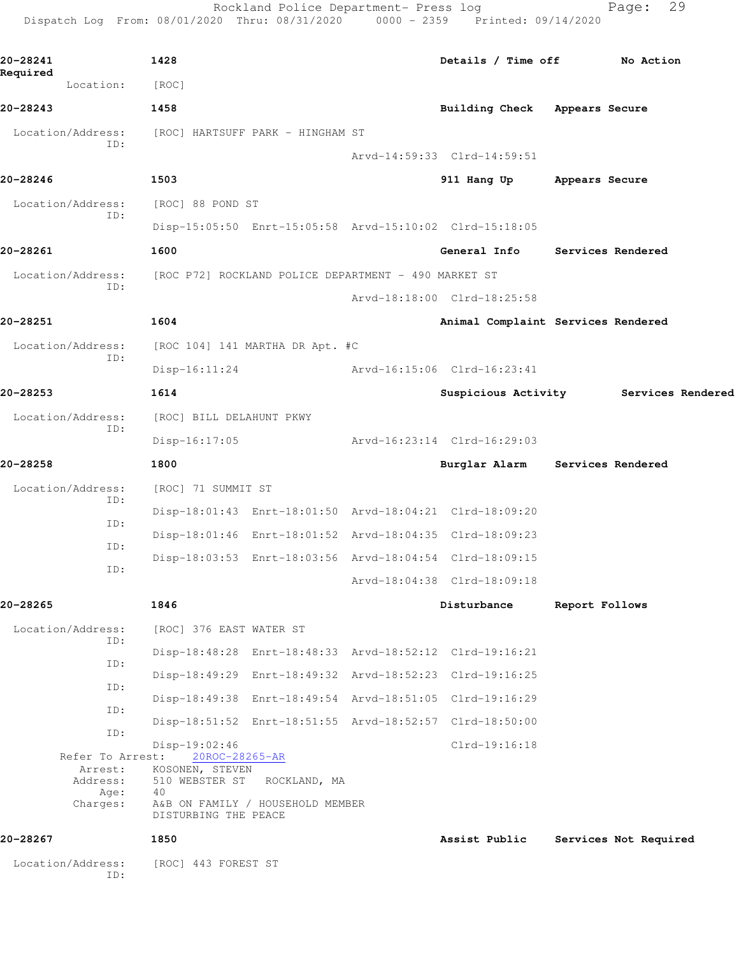Rockland Police Department- Press log Fage: 29 Dispatch Log From: 08/01/2020 Thru: 08/31/2020 0000 - 2359 Printed: 09/14/2020

**20-28241 1428 Details / Time off No Action Required**  Location: [ROC] **20-28243 1458 Building Check Appears Secure** Location/Address: [ROC] HARTSUFF PARK - HINGHAM ST ID: Arvd-14:59:33 Clrd-14:59:51 **20-28246 1503 911 Hang Up Appears Secure** Location/Address: [ROC] 88 POND ST ID: Disp-15:05:50 Enrt-15:05:58 Arvd-15:10:02 Clrd-15:18:05 **20-28261 1600 General Info Services Rendered** Location/Address: [ROC P72] ROCKLAND POLICE DEPARTMENT - 490 MARKET ST ID: Arvd-18:18:00 Clrd-18:25:58 **20-28251 1604 Animal Complaint Services Rendered** Location/Address: [ROC 104] 141 MARTHA DR Apt. #C ID: Disp-16:11:24 Arvd-16:15:06 Clrd-16:23:41 **20-28253 1614 Suspicious Activity Services Rendered** Location/Address: [ROC] BILL DELAHUNT PKWY ID: Disp-16:17:05 Arvd-16:23:14 Clrd-16:29:03 **20-28258 1800 Burglar Alarm Services Rendered** Location/Address: [ROC] 71 SUMMIT ST ID: Disp-18:01:43 Enrt-18:01:50 Arvd-18:04:21 Clrd-18:09:20 ID: Disp-18:01:46 Enrt-18:01:52 Arvd-18:04:35 Clrd-18:09:23 ID: Disp-18:03:53 Enrt-18:03:56 Arvd-18:04:54 Clrd-18:09:15 ID: Arvd-18:04:38 Clrd-18:09:18 **20-28265 1846 Disturbance Report Follows** Location/Address: [ROC] 376 EAST WATER ST ID: Disp-18:48:28 Enrt-18:48:33 Arvd-18:52:12 Clrd-19:16:21 ID: Disp-18:49:29 Enrt-18:49:32 Arvd-18:52:23 Clrd-19:16:25 ID: Disp-18:49:38 Enrt-18:49:54 Arvd-18:51:05 Clrd-19:16:29 ID: Disp-18:51:52 Enrt-18:51:55 Arvd-18:52:57 Clrd-18:50:00 ID: Disp-19:02:46 Clrd-19:16:18 Refer To Arrest: 20ROC-28265-AR Arrest: KOSONEN, STEVEN Address: 510 WEBSTER ST ROCKLAND, MA Age: 40 Charges: A&B ON FAMILY / HOUSEHOLD MEMBER DISTURBING THE PEACE **20-28267 1850 Assist Public Services Not Required** Location/Address: [ROC] 443 FOREST ST ID: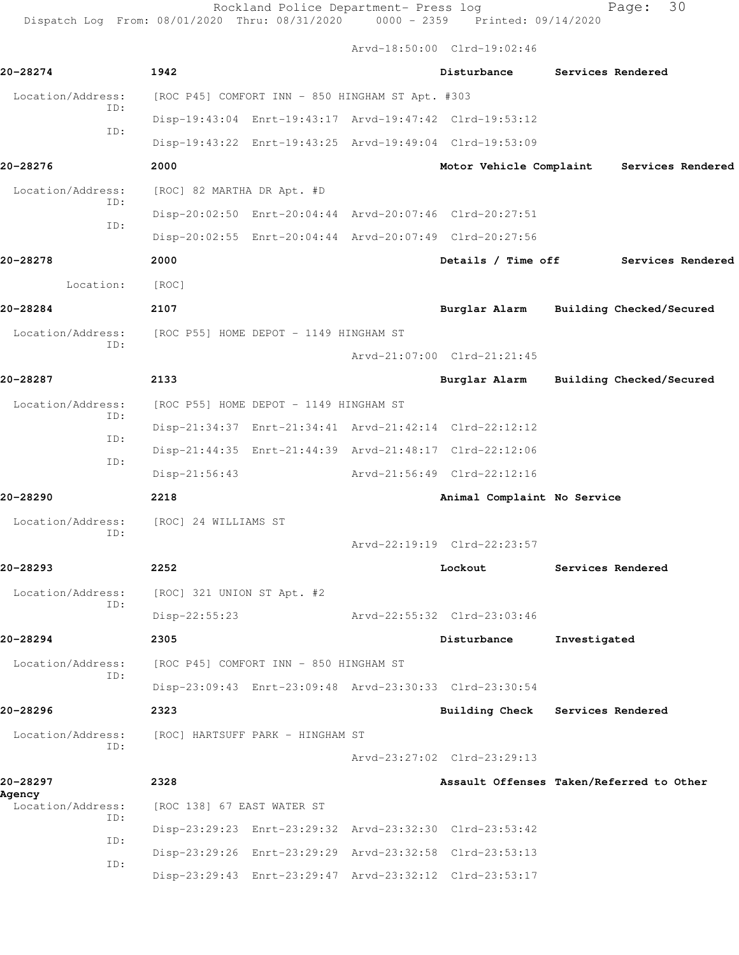Rockland Police Department- Press log entitled and Page: 30

Dispatch Log From: 08/01/2020 Thru: 08/31/2020 0000 - 2359 Printed: 09/14/2020

Arvd-18:50:00 Clrd-19:02:46

| 20-28274                           | 1942                                                    | Disturbance                              | Services Rendered |                          |
|------------------------------------|---------------------------------------------------------|------------------------------------------|-------------------|--------------------------|
| Location/Address:                  | [ROC P45] COMFORT INN - 850 HINGHAM ST Apt. #303        |                                          |                   |                          |
| ID:                                | Disp-19:43:04 Enrt-19:43:17 Arvd-19:47:42 Clrd-19:53:12 |                                          |                   |                          |
| ID:                                | Disp-19:43:22 Enrt-19:43:25 Arvd-19:49:04 Clrd-19:53:09 |                                          |                   |                          |
| 20-28276                           | 2000                                                    | Motor Vehicle Complaint                  |                   | Services Rendered        |
| Location/Address:                  | [ROC] 82 MARTHA DR Apt. #D                              |                                          |                   |                          |
| ID:<br>ID:                         | Disp-20:02:50 Enrt-20:04:44 Arvd-20:07:46 Clrd-20:27:51 |                                          |                   |                          |
|                                    | Disp-20:02:55 Enrt-20:04:44 Arvd-20:07:49 Clrd-20:27:56 |                                          |                   |                          |
| 20-28278                           | 2000                                                    | Details / Time off                       |                   | Services Rendered        |
| Location:                          | [ROC]                                                   |                                          |                   |                          |
| 20-28284                           | 2107                                                    | Burglar Alarm                            |                   | Building Checked/Secured |
| Location/Address:                  | [ROC P55] HOME DEPOT - 1149 HINGHAM ST                  |                                          |                   |                          |
| ID:                                |                                                         | Arvd-21:07:00 Clrd-21:21:45              |                   |                          |
| 20-28287                           | 2133                                                    | Burglar Alarm                            |                   | Building Checked/Secured |
| Location/Address:                  | [ROC P55] HOME DEPOT - 1149 HINGHAM ST                  |                                          |                   |                          |
| ID:<br>ID:                         | Disp-21:34:37 Enrt-21:34:41 Arvd-21:42:14 Clrd-22:12:12 |                                          |                   |                          |
| ID:                                | Disp-21:44:35 Enrt-21:44:39 Arvd-21:48:17 Clrd-22:12:06 |                                          |                   |                          |
|                                    | Disp-21:56:43                                           | Arvd-21:56:49 Clrd-22:12:16              |                   |                          |
| 20-28290                           | 2218                                                    | Animal Complaint No Service              |                   |                          |
| Location/Address:<br>ID:           | [ROC] 24 WILLIAMS ST                                    |                                          |                   |                          |
|                                    |                                                         | Arvd-22:19:19 Clrd-22:23:57              |                   |                          |
| 20-28293                           | 2252                                                    | Lockout                                  | Services Rendered |                          |
| ID:                                | Location/Address: [ROC] 321 UNION ST Apt. #2            |                                          |                   |                          |
|                                    | Disp-22:55:23                                           | Arvd-22:55:32 Clrd-23:03:46              |                   |                          |
| 20-28294                           | 2305                                                    | Disturbance                              | Investigated      |                          |
| Location/Address:<br>ID:           | [ROC P45] COMFORT INN - 850 HINGHAM ST                  |                                          |                   |                          |
|                                    | Disp-23:09:43 Enrt-23:09:48 Arvd-23:30:33 Clrd-23:30:54 |                                          |                   |                          |
| 20-28296                           | 2323                                                    | Building Check Services Rendered         |                   |                          |
| Location/Address:<br>ID:           | [ROC] HARTSUFF PARK - HINGHAM ST                        |                                          |                   |                          |
|                                    |                                                         | Arvd-23:27:02 Clrd-23:29:13              |                   |                          |
| 20-28297                           | 2328                                                    | Assault Offenses Taken/Referred to Other |                   |                          |
| Agency<br>Location/Address:<br>ID: | [ROC 138] 67 EAST WATER ST                              |                                          |                   |                          |
| ID:                                | Disp-23:29:23 Enrt-23:29:32 Arvd-23:32:30 Clrd-23:53:42 |                                          |                   |                          |
| ID:                                | Disp-23:29:26 Enrt-23:29:29 Arvd-23:32:58 Clrd-23:53:13 |                                          |                   |                          |
|                                    | Disp-23:29:43 Enrt-23:29:47 Arvd-23:32:12 Clrd-23:53:17 |                                          |                   |                          |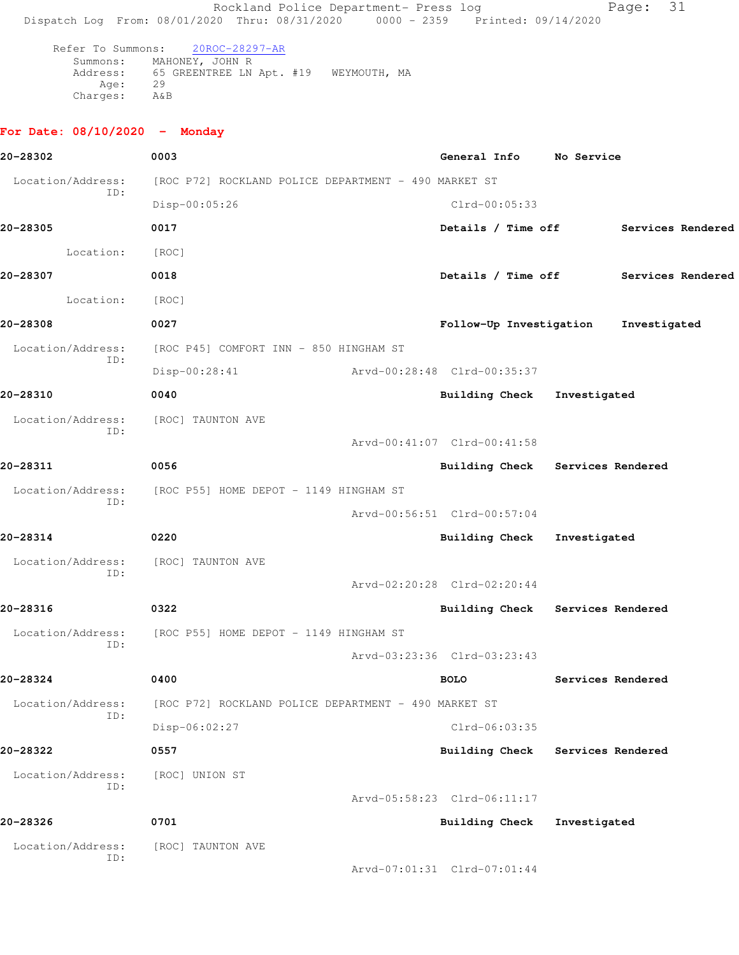Rockland Police Department- Press log entitled and Page: 31 Dispatch Log From: 08/01/2020 Thru: 08/31/2020 0000 - 2359 Printed: 09/14/2020 Refer To Summons: 20ROC-28297-AR Summons: MAHONEY, JOHN R Address: 65 GREENTREE LN Apt. #19 WEYMOUTH, MA Age: 29 Charges: A&B

## **For Date: 08/10/2020 - Monday**

| 20-28302                 | 0003                                                 |                             | General Info                     | No Service   |                                      |
|--------------------------|------------------------------------------------------|-----------------------------|----------------------------------|--------------|--------------------------------------|
| Location/Address:        | [ROC P72] ROCKLAND POLICE DEPARTMENT - 490 MARKET ST |                             |                                  |              |                                      |
| ID:                      | Disp-00:05:26                                        |                             | Clrd-00:05:33                    |              |                                      |
| 20-28305                 | 0017                                                 |                             |                                  |              | Details / Time off Services Rendered |
| Location:                | [ROC]                                                |                             |                                  |              |                                      |
| 20-28307                 | 0018                                                 |                             | Details / Time off               |              | Services Rendered                    |
| Location:                | [ROC]                                                |                             |                                  |              |                                      |
| 20-28308                 | 0027                                                 |                             | Follow-Up Investigation          |              | Investigated                         |
| Location/Address:        | [ROC P45] COMFORT INN - 850 HINGHAM ST               |                             |                                  |              |                                      |
| ID:                      | Disp-00:28:41                                        | Arvd-00:28:48 Clrd-00:35:37 |                                  |              |                                      |
| 20-28310                 | 0040                                                 |                             | Building Check Investigated      |              |                                      |
| Location/Address:<br>ID: | [ROC] TAUNTON AVE                                    |                             |                                  |              |                                      |
|                          |                                                      |                             | Arvd-00:41:07 Clrd-00:41:58      |              |                                      |
| 20-28311                 | 0056                                                 |                             | Building Check Services Rendered |              |                                      |
| Location/Address:<br>ID: | [ROC P55] HOME DEPOT - 1149 HINGHAM ST               |                             |                                  |              |                                      |
|                          |                                                      |                             | Arvd-00:56:51 Clrd-00:57:04      |              |                                      |
| 20-28314                 | 0220                                                 |                             | Building Check Investigated      |              |                                      |
| Location/Address:<br>ID: | [ROC] TAUNTON AVE                                    |                             |                                  |              |                                      |
|                          |                                                      |                             | Arvd-02:20:28 Clrd-02:20:44      |              |                                      |
| 20-28316                 | 0322                                                 |                             | Building Check Services Rendered |              |                                      |
| Location/Address:<br>ID: | [ROC P55] HOME DEPOT - 1149 HINGHAM ST               |                             |                                  |              |                                      |
|                          |                                                      |                             | Arvd-03:23:36 Clrd-03:23:43      |              |                                      |
| 20-28324                 | 0400                                                 |                             | <b>BOLO</b>                      |              | Services Rendered                    |
| Location/Address:<br>ID: | [ROC P72] ROCKLAND POLICE DEPARTMENT - 490 MARKET ST |                             |                                  |              |                                      |
|                          | Disp-06:02:27                                        |                             | $Clrd-06:03:35$                  |              |                                      |
| 20-28322                 | 0557                                                 |                             | <b>Building Check</b>            |              | Services Rendered                    |
| Location/Address:<br>ID: | [ROC] UNION ST                                       |                             |                                  |              |                                      |
|                          |                                                      |                             | Arvd-05:58:23 Clrd-06:11:17      |              |                                      |
| 20-28326                 | 0701                                                 |                             | Building Check                   | Investigated |                                      |
| Location/Address:<br>ID: | [ROC] TAUNTON AVE                                    |                             |                                  |              |                                      |
|                          |                                                      |                             | Arvd-07:01:31 Clrd-07:01:44      |              |                                      |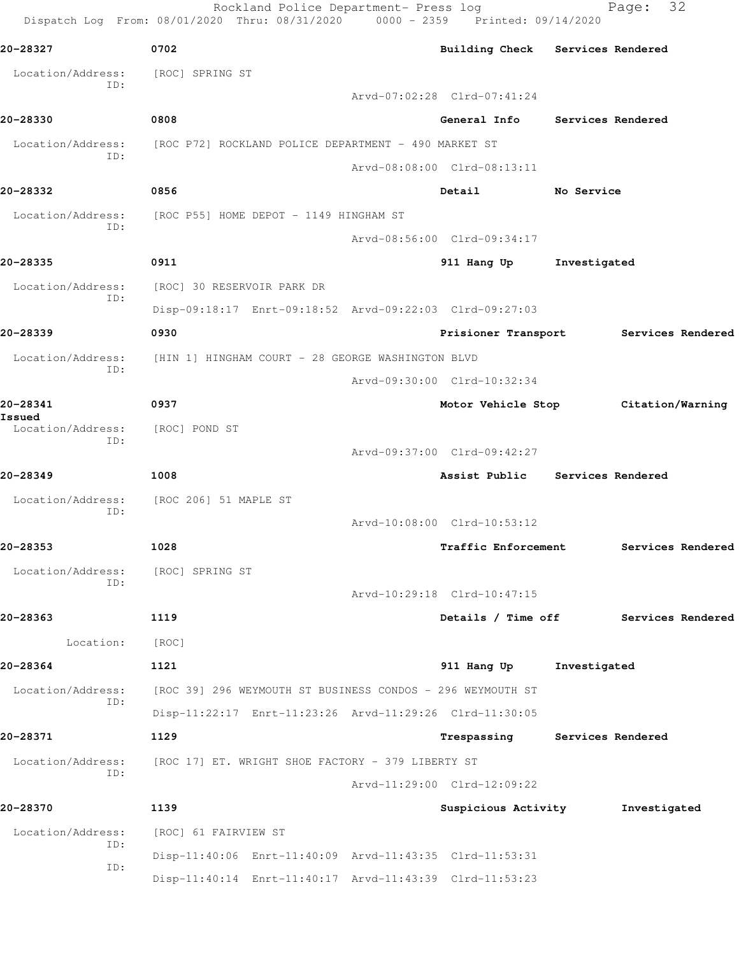|                                    | Rockland Police Department- Press log<br>Dispatch Log From: 08/01/2020 Thru: 08/31/2020 0000 - 2359 Printed: 09/14/2020 |                                  |              | 32<br>Page:       |
|------------------------------------|-------------------------------------------------------------------------------------------------------------------------|----------------------------------|--------------|-------------------|
| 20-28327                           | 0702                                                                                                                    | Building Check Services Rendered |              |                   |
| Location/Address:                  | [ROC] SPRING ST                                                                                                         |                                  |              |                   |
| ID:                                |                                                                                                                         | Arvd-07:02:28 Clrd-07:41:24      |              |                   |
| 20-28330                           | 0808                                                                                                                    | General Info Services Rendered   |              |                   |
| Location/Address:                  | [ROC P72] ROCKLAND POLICE DEPARTMENT - 490 MARKET ST                                                                    |                                  |              |                   |
| ID:                                |                                                                                                                         | Arvd-08:08:00 Clrd-08:13:11      |              |                   |
| 20-28332                           | 0856                                                                                                                    | Detail                           | No Service   |                   |
| Location/Address:<br>ID:           | [ROC P55] HOME DEPOT - 1149 HINGHAM ST                                                                                  |                                  |              |                   |
|                                    |                                                                                                                         | Arvd-08:56:00 Clrd-09:34:17      |              |                   |
| 20-28335                           | 0911                                                                                                                    | 911 Hang Up                      | Investigated |                   |
| Location/Address:<br>ID:           | [ROC] 30 RESERVOIR PARK DR                                                                                              |                                  |              |                   |
|                                    | Disp-09:18:17 Enrt-09:18:52 Arvd-09:22:03 Clrd-09:27:03                                                                 |                                  |              |                   |
| 20-28339                           | 0930                                                                                                                    | Prisioner Transport              |              | Services Rendered |
| Location/Address:                  | [HIN 1] HINGHAM COURT - 28 GEORGE WASHINGTON BLVD                                                                       |                                  |              |                   |
| ID:                                |                                                                                                                         | Arvd-09:30:00 Clrd-10:32:34      |              |                   |
| 20-28341                           | 0937                                                                                                                    | Motor Vehicle Stop               |              | Citation/Warning  |
| Issued<br>Location/Address:<br>ID: | [ROC] POND ST                                                                                                           |                                  |              |                   |
|                                    |                                                                                                                         | Arvd-09:37:00 Clrd-09:42:27      |              |                   |
| 20-28349                           | 1008                                                                                                                    | Assist Public Services Rendered  |              |                   |
| Location/Address:<br>ID:           | [ROC 206] 51 MAPLE ST                                                                                                   |                                  |              |                   |
|                                    |                                                                                                                         | Arvd-10:08:00 Clrd-10:53:12      |              |                   |
| 20-28353                           | 1028                                                                                                                    | Traffic Enforcement              |              | Services Rendered |
| Location/Address:<br>ID:           | [ROC] SPRING ST                                                                                                         |                                  |              |                   |
|                                    |                                                                                                                         | Arvd-10:29:18 Clrd-10:47:15      |              |                   |
| 20-28363                           | 1119                                                                                                                    | Details / Time off               |              | Services Rendered |
| Location:                          | [ROC]                                                                                                                   |                                  |              |                   |
| 20-28364                           | 1121                                                                                                                    | 911 Hang Up                      | Investigated |                   |
| Location/Address:                  | [ROC 39] 296 WEYMOUTH ST BUSINESS CONDOS - 296 WEYMOUTH ST                                                              |                                  |              |                   |
| ID:                                | Disp-11:22:17 Enrt-11:23:26 Arvd-11:29:26 Clrd-11:30:05                                                                 |                                  |              |                   |
| 20-28371                           | 1129                                                                                                                    | Trespassing Services Rendered    |              |                   |
| Location/Address:<br>ID:           | [ROC 17] ET. WRIGHT SHOE FACTORY - 379 LIBERTY ST                                                                       |                                  |              |                   |
|                                    |                                                                                                                         | Arvd-11:29:00 Clrd-12:09:22      |              |                   |
| 20-28370                           | 1139                                                                                                                    | Suspicious Activity              |              | Investigated      |
| Location/Address:<br>ID:           | [ROC] 61 FAIRVIEW ST                                                                                                    |                                  |              |                   |
| ID:                                | Disp-11:40:06 Enrt-11:40:09 Arvd-11:43:35 Clrd-11:53:31                                                                 |                                  |              |                   |
|                                    | Disp-11:40:14 Enrt-11:40:17 Arvd-11:43:39 Clrd-11:53:23                                                                 |                                  |              |                   |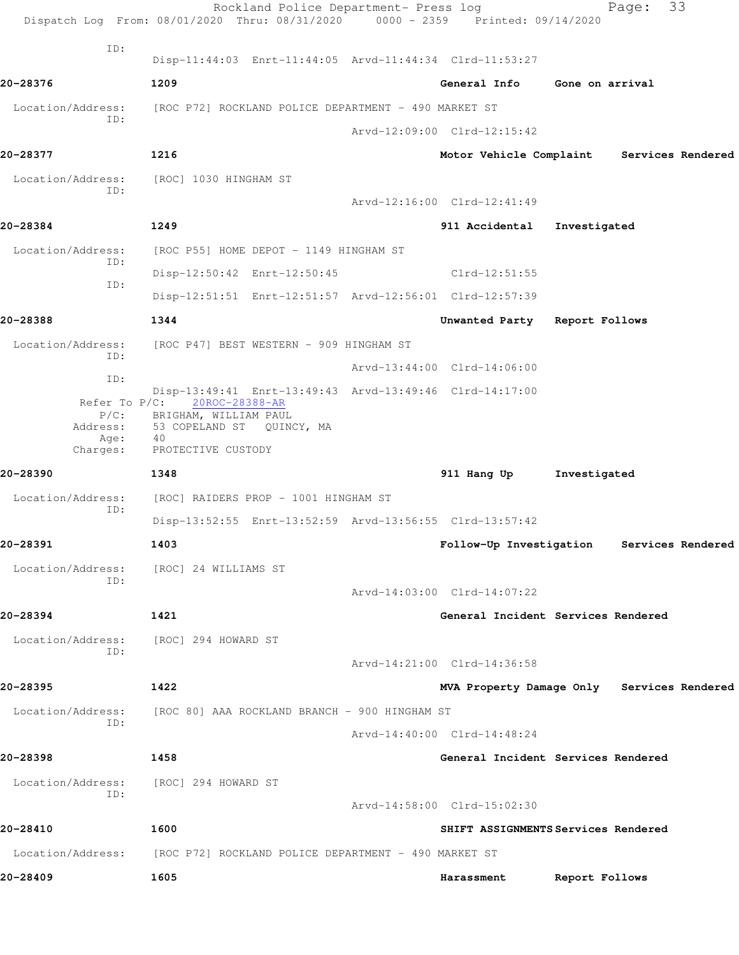|                             | Rockland Police Department- Press log<br>Dispatch Log From: 08/01/2020 Thru: 08/31/2020 0000 - 2359 Printed: 09/14/2020 |  |                               | Page:                                      | 33 |
|-----------------------------|-------------------------------------------------------------------------------------------------------------------------|--|-------------------------------|--------------------------------------------|----|
| ID:                         | Disp-11:44:03 Enrt-11:44:05 Arvd-11:44:34 Clrd-11:53:27                                                                 |  |                               |                                            |    |
| 20-28376                    | 1209                                                                                                                    |  | General Info                  | Gone on arrival                            |    |
| Location/Address:<br>ID:    | [ROC P72] ROCKLAND POLICE DEPARTMENT - 490 MARKET ST                                                                    |  |                               |                                            |    |
|                             |                                                                                                                         |  | Arvd-12:09:00 Clrd-12:15:42   |                                            |    |
| 20-28377                    | 1216                                                                                                                    |  |                               | Motor Vehicle Complaint Services Rendered  |    |
|                             | Location/Address: [ROC] 1030 HINGHAM ST                                                                                 |  |                               |                                            |    |
| ID:                         |                                                                                                                         |  | Arvd-12:16:00 Clrd-12:41:49   |                                            |    |
| 20-28384                    | 1249                                                                                                                    |  | 911 Accidental                | Investigated                               |    |
| Location/Address:           | [ROC P55] HOME DEPOT - 1149 HINGHAM ST                                                                                  |  |                               |                                            |    |
| ID:                         | Disp-12:50:42 Enrt-12:50:45                                                                                             |  | $Clrd-12:51:55$               |                                            |    |
| ID:                         | Disp-12:51:51 Enrt-12:51:57 Arvd-12:56:01 Clrd-12:57:39                                                                 |  |                               |                                            |    |
| 20-28388                    | 1344                                                                                                                    |  | Unwanted Party Report Follows |                                            |    |
| Location/Address:           | [ROC P47] BEST WESTERN - 909 HINGHAM ST                                                                                 |  |                               |                                            |    |
| ID:                         |                                                                                                                         |  | Arvd-13:44:00 Clrd-14:06:00   |                                            |    |
| ID:                         | Disp-13:49:41 Enrt-13:49:43 Arvd-13:49:46 Clrd-14:17:00                                                                 |  |                               |                                            |    |
| Refer To $P/C$ :<br>$P/C$ : | 20ROC-28388-AR<br>BRIGHAM, WILLIAM PAUL                                                                                 |  |                               |                                            |    |
| Address:<br>Age:            | 53 COPELAND ST QUINCY, MA<br>40                                                                                         |  |                               |                                            |    |
| Charges:                    | PROTECTIVE CUSTODY                                                                                                      |  |                               |                                            |    |
| 20-28390                    | 1348                                                                                                                    |  | 911 Hang Up                   | Investigated                               |    |
| Location/Address:<br>ID:    | [ROC] RAIDERS PROP - 1001 HINGHAM ST                                                                                    |  |                               |                                            |    |
|                             | Disp-13:52:55 Enrt-13:52:59 Arvd-13:56:55 Clrd-13:57:42                                                                 |  |                               |                                            |    |
| 20-28391                    | 1403                                                                                                                    |  |                               | Follow-Up Investigation Services Rendered  |    |
| Location/Address:<br>ID:    | [ROC] 24 WILLIAMS ST                                                                                                    |  |                               |                                            |    |
|                             |                                                                                                                         |  | Arvd-14:03:00 Clrd-14:07:22   |                                            |    |
| 20-28394                    | 1421                                                                                                                    |  |                               | General Incident Services Rendered         |    |
| Location/Address:<br>ID:    | [ROC] 294 HOWARD ST                                                                                                     |  |                               |                                            |    |
|                             |                                                                                                                         |  | Arvd-14:21:00 Clrd-14:36:58   |                                            |    |
| 20-28395                    | 1422                                                                                                                    |  |                               | MVA Property Damage Only Services Rendered |    |
| Location/Address:<br>ID:    | [ROC 80] AAA ROCKLAND BRANCH - 900 HINGHAM ST                                                                           |  |                               |                                            |    |
|                             |                                                                                                                         |  | Arvd-14:40:00 Clrd-14:48:24   |                                            |    |
| 20-28398                    | 1458                                                                                                                    |  |                               | General Incident Services Rendered         |    |
| Location/Address:<br>TD:    | [ROC] 294 HOWARD ST                                                                                                     |  |                               |                                            |    |
|                             |                                                                                                                         |  | Arvd-14:58:00 Clrd-15:02:30   |                                            |    |
| 20-28410                    | 1600                                                                                                                    |  |                               | SHIFT ASSIGNMENTS Services Rendered        |    |
| Location/Address:           | [ROC P72] ROCKLAND POLICE DEPARTMENT - 490 MARKET ST                                                                    |  |                               |                                            |    |
| 20-28409                    | 1605                                                                                                                    |  | Harassment                    | Report Follows                             |    |
|                             |                                                                                                                         |  |                               |                                            |    |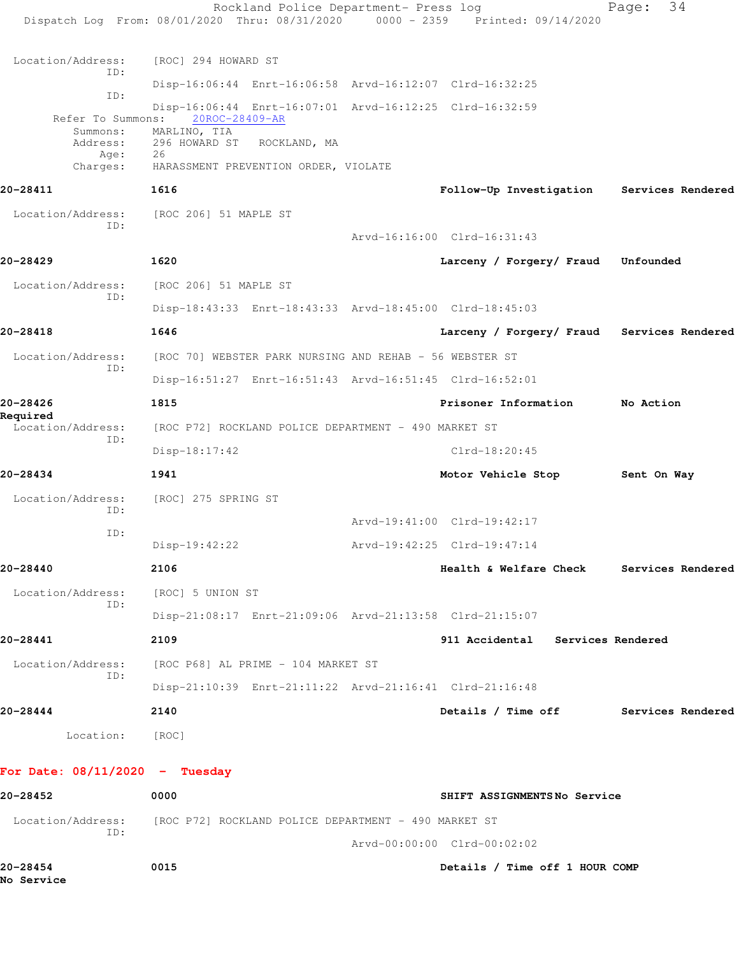Rockland Police Department- Press log Fage: 34 Dispatch Log From: 08/01/2020 Thru: 08/31/2020 0000 - 2359 Printed: 09/14/2020 Location/Address: [ROC] 294 HOWARD ST ID: Disp-16:06:44 Enrt-16:06:58 Arvd-16:12:07 Clrd-16:32:25 ID: Disp-16:06:44 Enrt-16:07:01 Arvd-16:12:25 Clrd-16:32:59 Refer To Summons: Summons: MARLINO, TIA Address: 296 HOWARD ST ROCKLAND, MA Age: 26<br>Charges: HA HARASSMENT PREVENTION ORDER, VIOLATE **20-28411 1616 Follow-Up Investigation Services Rendered** Location/Address: [ROC 206] 51 MAPLE ST ID: Arvd-16:16:00 Clrd-16:31:43 **20-28429 1620 Larceny / Forgery/ Fraud Unfounded** Location/Address: [ROC 206] 51 MAPLE ST ID: Disp-18:43:33 Enrt-18:43:33 Arvd-18:45:00 Clrd-18:45:03 **20-28418 1646 Larceny / Forgery/ Fraud Services Rendered** Location/Address: [ROC 70] WEBSTER PARK NURSING AND REHAB - 56 WEBSTER ST ID: Disp-16:51:27 Enrt-16:51:43 Arvd-16:51:45 Clrd-16:52:01 **20-28426 1815 Prisoner Information No Action Required**  [ROC P72] ROCKLAND POLICE DEPARTMENT - 490 MARKET ST ID: Disp-18:17:42 Clrd-18:20:45 **20-28434 1941 Motor Vehicle Stop Sent On Way** Location/Address: [ROC] 275 SPRING ST ID: Arvd-19:41:00 Clrd-19:42:17 ID: Disp-19:42:22 Arvd-19:42:25 Clrd-19:47:14 **20-28440 2106 Health & Welfare Check Services Rendered** Location/Address: [ROC] 5 UNION ST ID: Disp-21:08:17 Enrt-21:09:06 Arvd-21:13:58 Clrd-21:15:07 **20-28441 2109 911 Accidental Services Rendered** Location/Address: [ROC P68] AL PRIME - 104 MARKET ST ID: Disp-21:10:39 Enrt-21:11:22 Arvd-21:16:41 Clrd-21:16:48 **20-28444 2140 Details / Time off Services Rendered** Location: [ROC] **For Date: 08/11/2020 - Tuesday 20-28452 0000 SHIFT ASSIGNMENTS No Service** Location/Address: [ROC P72] ROCKLAND POLICE DEPARTMENT - 490 MARKET ST ID: Arvd-00:00:00 Clrd-00:02:02 **20-28454 0015 Details / Time off 1 HOUR COMP No Service**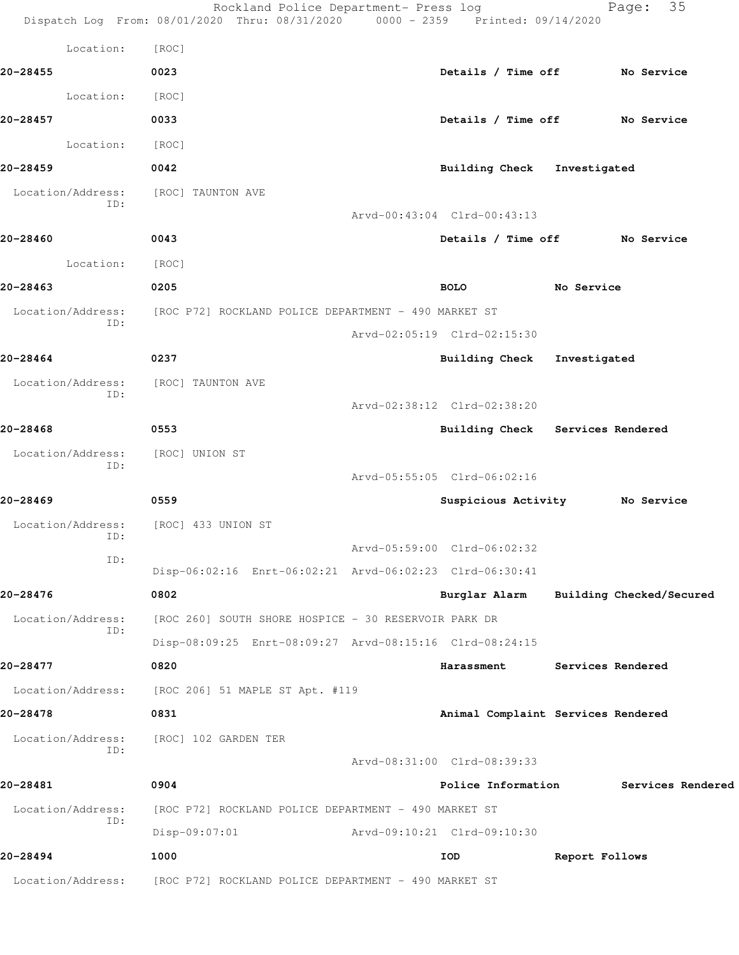|                          | Rockland Police Department- Press log<br>Dispatch Log From: 08/01/2020 Thru: 08/31/2020 0000 - 2359 Printed: 09/14/2020 |                                    |                | 35<br>Page:              |
|--------------------------|-------------------------------------------------------------------------------------------------------------------------|------------------------------------|----------------|--------------------------|
| Location:                | [ROC]                                                                                                                   |                                    |                |                          |
| 20-28455                 | 0023                                                                                                                    | Details / Time off No Service      |                |                          |
| Location:                | [ROC]                                                                                                                   |                                    |                |                          |
| 20-28457                 | 0033                                                                                                                    | Details / Time off No Service      |                |                          |
| Location:                | [ROC]                                                                                                                   |                                    |                |                          |
| 20-28459                 | 0042                                                                                                                    | Building Check Investigated        |                |                          |
| Location/Address:<br>ID: | [ROC] TAUNTON AVE                                                                                                       |                                    |                |                          |
|                          |                                                                                                                         | Arvd-00:43:04 Clrd-00:43:13        |                |                          |
| 20-28460                 | 0043                                                                                                                    | Details / Time off No Service      |                |                          |
| Location:                | [ROC]                                                                                                                   |                                    |                |                          |
| 20-28463                 | 0205                                                                                                                    | <b>BOLO</b>                        | No Service     |                          |
| Location/Address:<br>ID: | [ROC P72] ROCKLAND POLICE DEPARTMENT - 490 MARKET ST                                                                    |                                    |                |                          |
|                          |                                                                                                                         | Arvd-02:05:19 Clrd-02:15:30        |                |                          |
| 20-28464                 | 0237                                                                                                                    | <b>Building Check</b>              | Investigated   |                          |
| Location/Address:<br>ID: | [ROC] TAUNTON AVE                                                                                                       |                                    |                |                          |
| 20-28468                 |                                                                                                                         | Arvd-02:38:12 Clrd-02:38:20        |                |                          |
| Location/Address:        | 0553<br>[ROC] UNION ST                                                                                                  | Building Check Services Rendered   |                |                          |
| ID:                      |                                                                                                                         | Arvd-05:55:05 Clrd-06:02:16        |                |                          |
| 20-28469                 | 0559                                                                                                                    | Suspicious Activity Mo Service     |                |                          |
| Location/Address:        | [ROC] 433 UNION ST                                                                                                      |                                    |                |                          |
| ID:                      |                                                                                                                         | Arvd-05:59:00 Clrd-06:02:32        |                |                          |
| ID:                      | Disp-06:02:16 Enrt-06:02:21 Arvd-06:02:23 Clrd-06:30:41                                                                 |                                    |                |                          |
| 20-28476                 | 0802                                                                                                                    | Burglar Alarm                      |                | Building Checked/Secured |
| Location/Address:        | [ROC 260] SOUTH SHORE HOSPICE - 30 RESERVOIR PARK DR                                                                    |                                    |                |                          |
| ID:                      | Disp-08:09:25 Enrt-08:09:27 Arvd-08:15:16 Clrd-08:24:15                                                                 |                                    |                |                          |
| 20-28477                 | 0820                                                                                                                    | Harassment                         |                | Services Rendered        |
| Location/Address:        | [ROC 206] 51 MAPLE ST Apt. #119                                                                                         |                                    |                |                          |
| 20-28478                 | 0831                                                                                                                    | Animal Complaint Services Rendered |                |                          |
| Location/Address:<br>ID: | [ROC] 102 GARDEN TER                                                                                                    |                                    |                |                          |
|                          |                                                                                                                         | Arvd-08:31:00 Clrd-08:39:33        |                |                          |
| 20-28481                 | 0904                                                                                                                    | Police Information                 |                | Services Rendered        |
| Location/Address:<br>ID: | [ROC P72] ROCKLAND POLICE DEPARTMENT - 490 MARKET ST                                                                    |                                    |                |                          |
|                          | $Disp-09:07:01$                                                                                                         | Arvd-09:10:21 Clrd-09:10:30        |                |                          |
| 20-28494                 | 1000                                                                                                                    | IOD                                | Report Follows |                          |
| Location/Address:        | [ROC P72] ROCKLAND POLICE DEPARTMENT - 490 MARKET ST                                                                    |                                    |                |                          |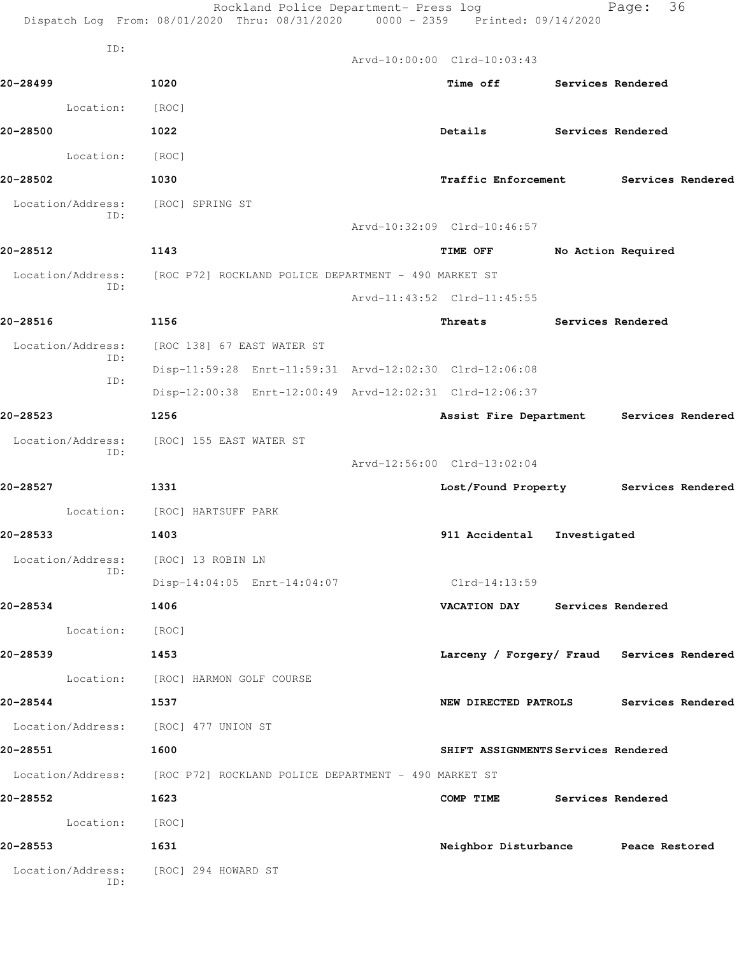|                          | Rockland Police Department- Press log<br>Dispatch Log From: 08/01/2020 Thru: 08/31/2020 0000 - 2359 Printed: 09/14/2020 |                                            |                    | Page: | 36                |  |  |
|--------------------------|-------------------------------------------------------------------------------------------------------------------------|--------------------------------------------|--------------------|-------|-------------------|--|--|
| ID:                      |                                                                                                                         | Arvd-10:00:00 Clrd-10:03:43                |                    |       |                   |  |  |
| 20-28499                 | 1020                                                                                                                    | Time off Services Rendered                 |                    |       |                   |  |  |
| Location:                | [ROC]                                                                                                                   |                                            |                    |       |                   |  |  |
| 20-28500                 | 1022                                                                                                                    | Details                                    | Services Rendered  |       |                   |  |  |
| Location:                |                                                                                                                         |                                            |                    |       |                   |  |  |
| 20-28502                 | [ROC]<br>1030                                                                                                           |                                            |                    |       |                   |  |  |
|                          |                                                                                                                         | Traffic Enforcement Services Rendered      |                    |       |                   |  |  |
| Location/Address:<br>ID: | [ROC] SPRING ST                                                                                                         | Arvd-10:32:09 Clrd-10:46:57                |                    |       |                   |  |  |
| 20-28512                 | 1143                                                                                                                    |                                            |                    |       |                   |  |  |
|                          |                                                                                                                         | <b>TIME OFF</b>                            | No Action Required |       |                   |  |  |
| Location/Address:<br>ID: | [ROC P72] ROCKLAND POLICE DEPARTMENT - 490 MARKET ST                                                                    |                                            |                    |       |                   |  |  |
|                          |                                                                                                                         | Arvd-11:43:52 Clrd-11:45:55                |                    |       |                   |  |  |
| 20-28516                 | 1156                                                                                                                    | Threats                                    | Services Rendered  |       |                   |  |  |
| Location/Address:<br>ID: | [ROC 138] 67 EAST WATER ST                                                                                              |                                            |                    |       |                   |  |  |
| ID:                      | Disp-11:59:28 Enrt-11:59:31 Arvd-12:02:30 Clrd-12:06:08                                                                 |                                            |                    |       |                   |  |  |
|                          | Disp-12:00:38 Enrt-12:00:49 Arvd-12:02:31 Clrd-12:06:37                                                                 |                                            |                    |       |                   |  |  |
| 20-28523                 | 1256                                                                                                                    | Assist Fire Department                     |                    |       | Services Rendered |  |  |
| Location/Address:<br>ID: | [ROC] 155 EAST WATER ST                                                                                                 |                                            |                    |       |                   |  |  |
|                          |                                                                                                                         | Arvd-12:56:00 Clrd-13:02:04                |                    |       |                   |  |  |
| 20-28527                 | 1331                                                                                                                    | Lost/Found Property                        |                    |       | Services Rendered |  |  |
|                          | Location: [ROC] HARTSUFF PARK                                                                                           |                                            |                    |       |                   |  |  |
| 20-28533                 | 1403                                                                                                                    | 911 Accidental                             | Investigated       |       |                   |  |  |
| Location/Address:<br>ID: | [ROC] 13 ROBIN LN                                                                                                       |                                            |                    |       |                   |  |  |
|                          | Disp-14:04:05 Enrt-14:04:07                                                                                             | Clrd-14:13:59                              |                    |       |                   |  |  |
| 20-28534                 | 1406                                                                                                                    | VACATION DAY Services Rendered             |                    |       |                   |  |  |
| Location: [ROC]          |                                                                                                                         |                                            |                    |       |                   |  |  |
| 20-28539                 | 1453                                                                                                                    | Larceny / Forgery/ Fraud Services Rendered |                    |       |                   |  |  |
|                          | Location: [ROC] HARMON GOLF COURSE                                                                                      |                                            |                    |       |                   |  |  |
| 20-28544                 | 1537                                                                                                                    | NEW DIRECTED PATROLS                       |                    |       | Services Rendered |  |  |
|                          | Location/Address: [ROC] 477 UNION ST                                                                                    |                                            |                    |       |                   |  |  |
| 20-28551                 | 1600                                                                                                                    | SHIFT ASSIGNMENTS Services Rendered        |                    |       |                   |  |  |
|                          | Location/Address: [ROC P72] ROCKLAND POLICE DEPARTMENT - 490 MARKET ST                                                  |                                            |                    |       |                   |  |  |
| 20-28552<br>1623         |                                                                                                                         | COMP TIME Services Rendered                |                    |       |                   |  |  |
| Location: [ROC]          |                                                                                                                         |                                            |                    |       |                   |  |  |
| 20-28553                 | 1631                                                                                                                    | Neighbor Disturbance Peace Restored        |                    |       |                   |  |  |
| Location/Address:<br>ID: | [ROC] 294 HOWARD ST                                                                                                     |                                            |                    |       |                   |  |  |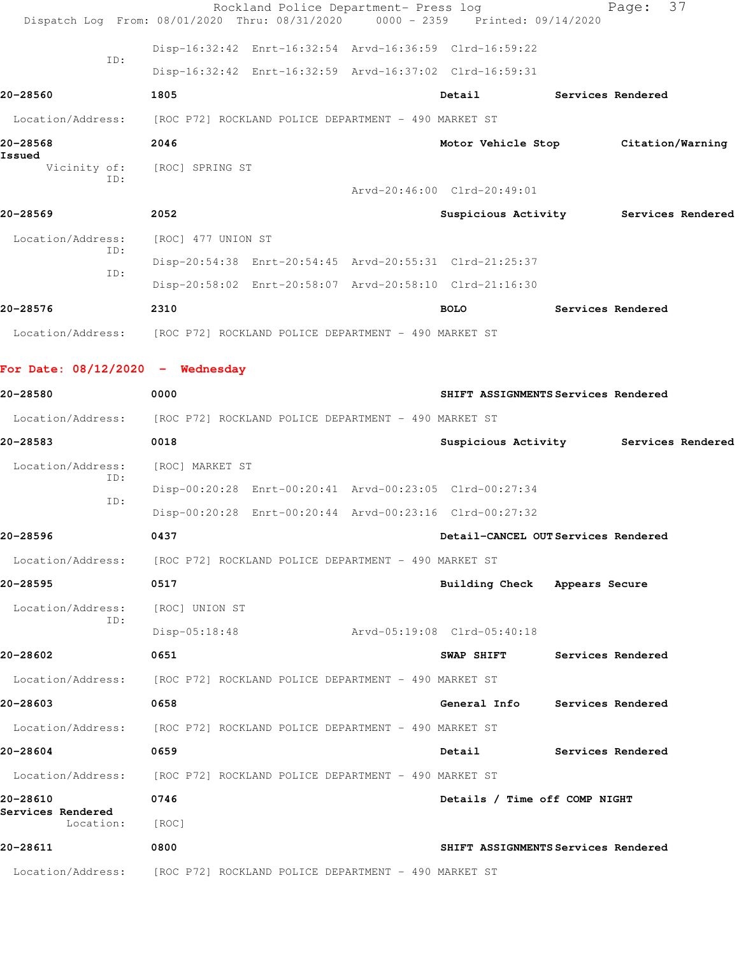|                    |     |                              | Rockland Police Department- Press log                                          |                                     | Page: 37          |  |
|--------------------|-----|------------------------------|--------------------------------------------------------------------------------|-------------------------------------|-------------------|--|
|                    |     |                              | Dispatch Log From: 08/01/2020 Thru: 08/31/2020 0000 - 2359 Printed: 09/14/2020 |                                     |                   |  |
|                    | TD: |                              | Disp-16:32:42 Enrt-16:32:54 Arvd-16:36:59 Clrd-16:59:22                        |                                     |                   |  |
|                    |     |                              | Disp-16:32:42 Enrt-16:32:59 Arvd-16:37:02 Clrd-16:59:31                        |                                     |                   |  |
| 20-28560           |     | 1805                         |                                                                                | Detail                              | Services Rendered |  |
|                    |     |                              | Location/Address: [ROC P72] ROCKLAND POLICE DEPARTMENT - 490 MARKET ST         |                                     |                   |  |
| 20-28568<br>Issued |     | 2046                         |                                                                                | Motor Vehicle Stop Citation/Warning |                   |  |
|                    | TD: | Vicinity of: [ROC] SPRING ST |                                                                                |                                     |                   |  |
|                    |     |                              |                                                                                | Arvd-20:46:00 Clrd-20:49:01         |                   |  |
| 20-28569           |     | 2052                         |                                                                                | Suspicious Activity                 | Services Rendered |  |
| Location/Address:  | ID: | [ROC] 477 UNION ST           |                                                                                |                                     |                   |  |
|                    | TD: |                              | Disp-20:54:38 Enrt-20:54:45 Arvd-20:55:31 Clrd-21:25:37                        |                                     |                   |  |
|                    |     |                              | Disp-20:58:02 Enrt-20:58:07 Arvd-20:58:10 Clrd-21:16:30                        |                                     |                   |  |
| 20-28576           |     | 2310                         |                                                                                | <b>BOLO</b>                         | Services Rendered |  |
|                    |     |                              | Location/Address: [ROC P72] ROCKLAND POLICE DEPARTMENT - 490 MARKET ST         |                                     |                   |  |

**For Date: 08/12/2020 - Wednesday**

| 20-28580                       | 0000                                                                   | SHIFT ASSIGNMENTS Services Rendered   |
|--------------------------------|------------------------------------------------------------------------|---------------------------------------|
|                                | Location/Address: [ROC P72] ROCKLAND POLICE DEPARTMENT - 490 MARKET ST |                                       |
| 20-28583                       | 0018                                                                   | Suspicious Activity Services Rendered |
| Location/Address:              | [ROC] MARKET ST                                                        |                                       |
| ID:                            | Disp-00:20:28 Enrt-00:20:41 Arvd-00:23:05 Clrd-00:27:34                |                                       |
| ID:                            | Disp-00:20:28 Enrt-00:20:44 Arvd-00:23:16 Clrd-00:27:32                |                                       |
| 20-28596                       | 0437                                                                   | Detail-CANCEL OUTServices Rendered    |
|                                | Location/Address: [ROC P72] ROCKLAND POLICE DEPARTMENT - 490 MARKET ST |                                       |
| 20-28595                       | 0517                                                                   | Building Check Appears Secure         |
| Location/Address:              | [ROC] UNION ST                                                         |                                       |
| ID:                            | Disp-05:18:48<br>Arvd-05:19:08 Clrd-05:40:18                           |                                       |
| 20-28602                       | 0651                                                                   | SWAP SHIFT Services Rendered          |
|                                | Location/Address: [ROC P72] ROCKLAND POLICE DEPARTMENT - 490 MARKET ST |                                       |
| 20-28603                       | 0658                                                                   | General Info Services Rendered        |
|                                | Location/Address: [ROC P72] ROCKLAND POLICE DEPARTMENT - 490 MARKET ST |                                       |
| 20-28604                       | 0659                                                                   | Detail<br>Services Rendered           |
|                                | Location/Address: [ROC P72] ROCKLAND POLICE DEPARTMENT - 490 MARKET ST |                                       |
| 20-28610                       | 0746                                                                   | Details / Time off COMP NIGHT         |
| Services Rendered<br>Location: | [ROC]                                                                  |                                       |
| 20-28611                       | 0800                                                                   | SHIFT ASSIGNMENTS Services Rendered   |
|                                | Location/Address: [ROC P72] ROCKLAND POLICE DEPARTMENT - 490 MARKET ST |                                       |
|                                |                                                                        |                                       |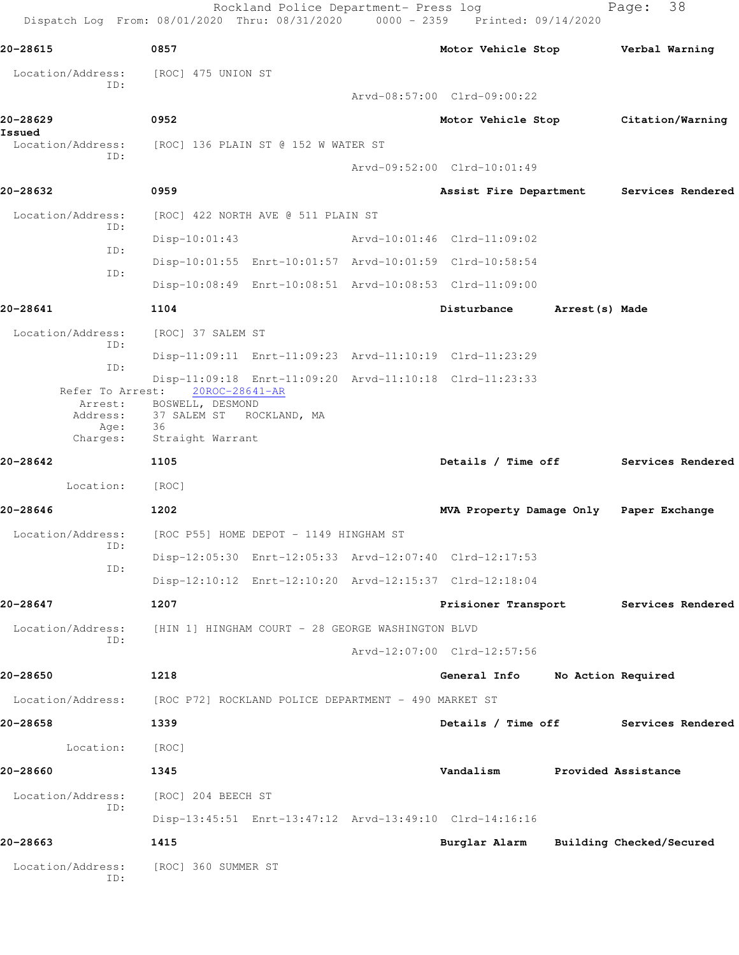Rockland Police Department- Press log Fage: 38 Dispatch Log From: 08/01/2020 Thru: 08/31/2020 0000 - 2359 Printed: 09/14/2020 **20-28615 0857 Motor Vehicle Stop Verbal Warning** Location/Address: [ROC] 475 UNION ST ID: Arvd-08:57:00 Clrd-09:00:22 **20-28629 0952 Motor Vehicle Stop Citation/Warning Issued**  Location/Address: [ROC] 136 PLAIN ST @ 152 W WATER ST ID: Arvd-09:52:00 Clrd-10:01:49 **20-28632 0959 Assist Fire Department Services Rendered** Location/Address: [ROC] 422 NORTH AVE @ 511 PLAIN ST ID: Disp-10:01:43 Arvd-10:01:46 Clrd-11:09:02 ID: Disp-10:01:55 Enrt-10:01:57 Arvd-10:01:59 Clrd-10:58:54 ID: Disp-10:08:49 Enrt-10:08:51 Arvd-10:08:53 Clrd-11:09:00 **20-28641 1104 Disturbance Arrest(s) Made** Location/Address: [ROC] 37 SALEM ST ID: Disp-11:09:11 Enrt-11:09:23 Arvd-11:10:19 Clrd-11:23:29 ID: Disp-11:09:18 Enrt-11:09:20 Arvd-11:10:18 Clrd-11:23:33 Refer To Arrest: 20ROC-28641-AR Arrest: BOSWELL, DESMOND Address: 37 SALEM ST ROCKLAND, MA Age: 36 Charges: Straight Warrant **20-28642 1105 Details / Time off Services Rendered** Location: [ROC] **20-28646 1202 MVA Property Damage Only Paper Exchange** Location/Address: [ROC P55] HOME DEPOT - 1149 HINGHAM ST ID: Disp-12:05:30 Enrt-12:05:33 Arvd-12:07:40 Clrd-12:17:53 ID: Disp-12:10:12 Enrt-12:10:20 Arvd-12:15:37 Clrd-12:18:04 **20-28647 1207 Prisioner Transport Services Rendered** Location/Address: [HIN 1] HINGHAM COURT - 28 GEORGE WASHINGTON BLVD ID: Arvd-12:07:00 Clrd-12:57:56 **20-28650 1218 General Info No Action Required** Location/Address: [ROC P72] ROCKLAND POLICE DEPARTMENT - 490 MARKET ST **20-28658 1339 Details / Time off Services Rendered** Location: [ROC] **20-28660 1345 Vandalism Provided Assistance** Location/Address: [ROC] 204 BEECH ST ID: Disp-13:45:51 Enrt-13:47:12 Arvd-13:49:10 Clrd-14:16:16 **20-28663 1415 Burglar Alarm Building Checked/Secured** Location/Address: [ROC] 360 SUMMER ST ID: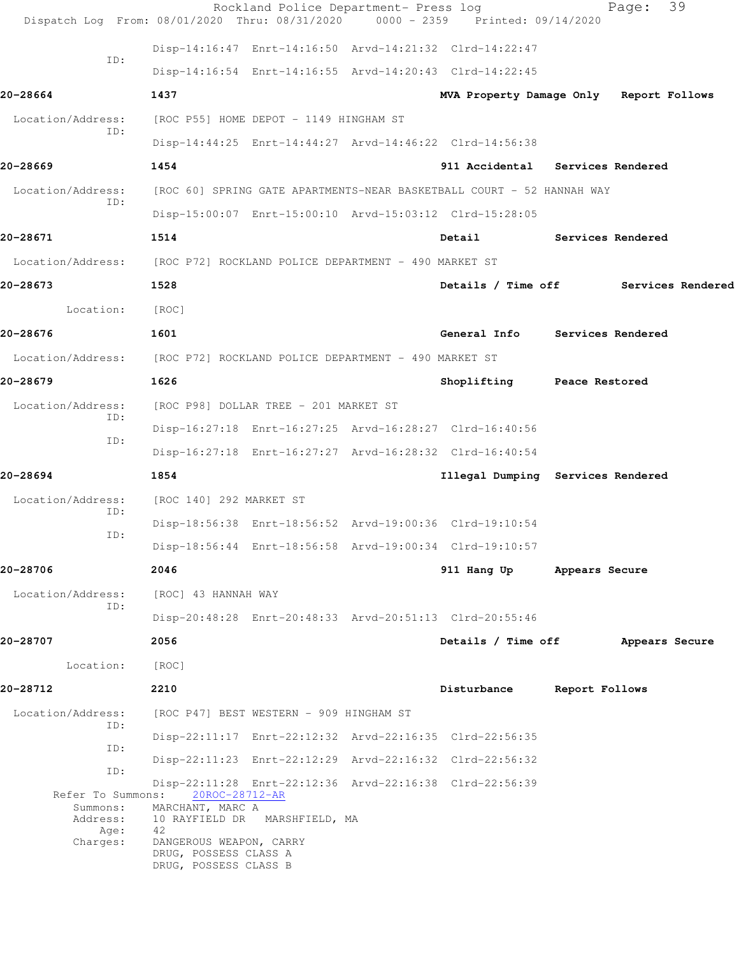| Dispatch Log From: 08/01/2020 Thru: 08/31/2020                         |                                                                                                                  | Rockland Police Department- Press log | 0000 - 2359 Printed: 09/14/2020         |                   | Page:          | 39                |
|------------------------------------------------------------------------|------------------------------------------------------------------------------------------------------------------|---------------------------------------|-----------------------------------------|-------------------|----------------|-------------------|
|                                                                        | Disp-14:16:47 Enrt-14:16:50 Arvd-14:21:32 Clrd-14:22:47                                                          |                                       |                                         |                   |                |                   |
| ID:                                                                    | Disp-14:16:54 Enrt-14:16:55 Arvd-14:20:43 Clrd-14:22:45                                                          |                                       |                                         |                   |                |                   |
| 20-28664                                                               | 1437                                                                                                             |                                       | MVA Property Damage Only Report Follows |                   |                |                   |
| Location/Address:                                                      | [ROC P55] HOME DEPOT - 1149 HINGHAM ST                                                                           |                                       |                                         |                   |                |                   |
| ID:                                                                    | Disp-14:44:25 Enrt-14:44:27 Arvd-14:46:22 Clrd-14:56:38                                                          |                                       |                                         |                   |                |                   |
| 20-28669                                                               | 1454                                                                                                             |                                       | 911 Accidental Services Rendered        |                   |                |                   |
| Location/Address:                                                      | [ROC 60] SPRING GATE APARTMENTS-NEAR BASKETBALL COURT - 52 HANNAH WAY                                            |                                       |                                         |                   |                |                   |
| ID:                                                                    | Disp-15:00:07 Enrt-15:00:10 Arvd-15:03:12 Clrd-15:28:05                                                          |                                       |                                         |                   |                |                   |
| 20-28671                                                               | 1514                                                                                                             |                                       | Detail                                  | Services Rendered |                |                   |
| Location/Address:                                                      | [ROC P72] ROCKLAND POLICE DEPARTMENT - 490 MARKET ST                                                             |                                       |                                         |                   |                |                   |
| 20-28673                                                               | 1528                                                                                                             |                                       | Details / Time off                      |                   |                | Services Rendered |
| Location:                                                              | [ROC]                                                                                                            |                                       |                                         |                   |                |                   |
| 20-28676                                                               | 1601                                                                                                             |                                       | General Info Services Rendered          |                   |                |                   |
| Location/Address: [ROC P72] ROCKLAND POLICE DEPARTMENT - 490 MARKET ST |                                                                                                                  |                                       |                                         |                   |                |                   |
| 20-28679                                                               | 1626                                                                                                             |                                       | Shoplifting                             | Peace Restored    |                |                   |
| Location/Address:                                                      | [ROC P98] DOLLAR TREE - 201 MARKET ST                                                                            |                                       |                                         |                   |                |                   |
| ID:                                                                    | Disp-16:27:18 Enrt-16:27:25 Arvd-16:28:27 Clrd-16:40:56                                                          |                                       |                                         |                   |                |                   |
| ID:                                                                    | Disp-16:27:18 Enrt-16:27:27 Arvd-16:28:32 Clrd-16:40:54                                                          |                                       |                                         |                   |                |                   |
| 20-28694                                                               | 1854                                                                                                             |                                       | Illegal Dumping Services Rendered       |                   |                |                   |
| Location/Address:                                                      | [ROC 140] 292 MARKET ST                                                                                          |                                       |                                         |                   |                |                   |
| ID:                                                                    | Disp-18:56:38 Enrt-18:56:52 Arvd-19:00:36 Clrd-19:10:54                                                          |                                       |                                         |                   |                |                   |
| ID:                                                                    | Disp-18:56:44 Enrt-18:56:58 Arvd-19:00:34 Clrd-19:10:57                                                          |                                       |                                         |                   |                |                   |
| 20-28706                                                               | 2046                                                                                                             |                                       | 911 Hang Up                             | Appears Secure    |                |                   |
| Location/Address:                                                      | [ROC] 43 HANNAH WAY                                                                                              |                                       |                                         |                   |                |                   |
| ID:                                                                    | Disp-20:48:28 Enrt-20:48:33 Arvd-20:51:13 Clrd-20:55:46                                                          |                                       |                                         |                   |                |                   |
| 20-28707                                                               | 2056                                                                                                             |                                       | Details / Time off                      |                   | Appears Secure |                   |
| Location:                                                              | [ROC]                                                                                                            |                                       |                                         |                   |                |                   |
| 20-28712                                                               | 2210                                                                                                             |                                       | Disturbance                             | Report Follows    |                |                   |
| Location/Address:<br>ID:                                               | [ROC P47] BEST WESTERN - 909 HINGHAM ST                                                                          |                                       |                                         |                   |                |                   |
| ID:                                                                    | Disp-22:11:17 Enrt-22:12:32 Arvd-22:16:35 Clrd-22:56:35                                                          |                                       |                                         |                   |                |                   |
| ID:                                                                    | Disp-22:11:23 Enrt-22:12:29 Arvd-22:16:32 Clrd-22:56:32                                                          |                                       |                                         |                   |                |                   |
| Refer To Summons:<br>Summons:                                          | Disp-22:11:28 Enrt-22:12:36 Arvd-22:16:38 Clrd-22:56:39<br>20ROC-28712-AR<br>MARCHANT, MARC A                    |                                       |                                         |                   |                |                   |
| Address:<br>Age:<br>Charges:                                           | 10 RAYFIELD DR MARSHFIELD, MA<br>42<br>DANGEROUS WEAPON, CARRY<br>DRUG, POSSESS CLASS A<br>DRUG, POSSESS CLASS B |                                       |                                         |                   |                |                   |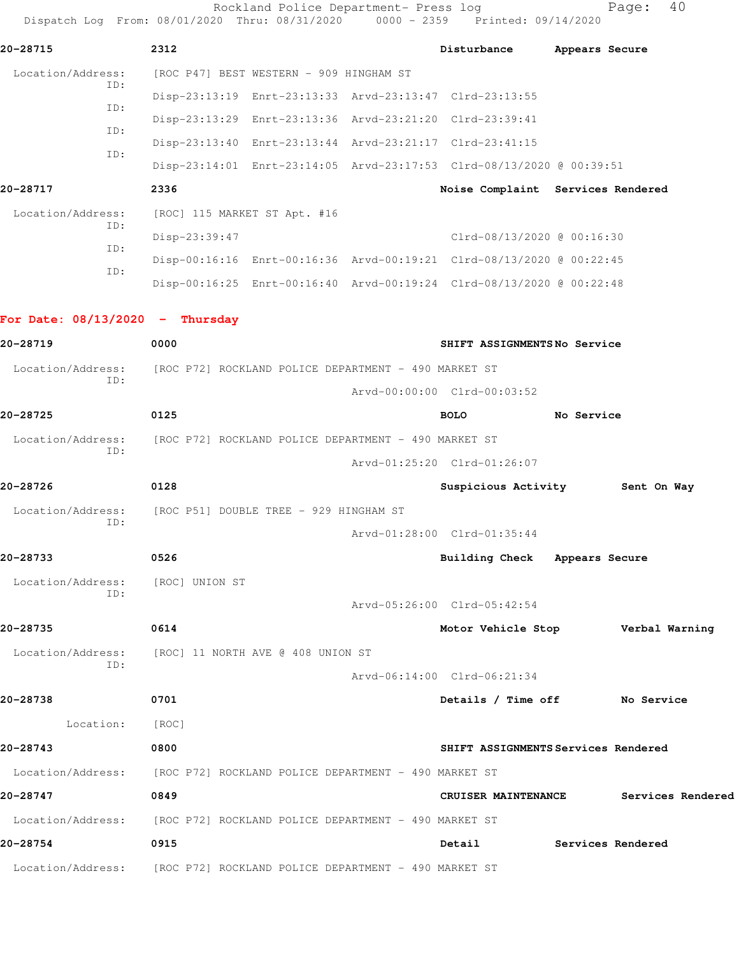Rockland Police Department- Press log Fage: 40 Dispatch Log From: 08/01/2020 Thru: 08/31/2020 0000 - 2359 Printed: 09/14/2020 **20-28715 2312 Disturbance Appears Secure** Location/Address: [ROC P47] BEST WESTERN - 909 HINGHAM ST ID: Disp-23:13:19 Enrt-23:13:33 Arvd-23:13:47 Clrd-23:13:55 ID: Disp-23:13:29 Enrt-23:13:36 Arvd-23:21:20 Clrd-23:39:41 ID: Disp-23:13:40 Enrt-23:13:44 Arvd-23:21:17 Clrd-23:41:15 ID: Disp-23:14:01 Enrt-23:14:05 Arvd-23:17:53 Clrd-08/13/2020 @ 00:39:51 **20-28717 2336 Noise Complaint Services Rendered** Location/Address: [ROC] 115 MARKET ST Apt. #16 ID: Disp-23:39:47 Clrd-08/13/2020 @ 00:16:30 ID: Disp-00:16:16 Enrt-00:16:36 Arvd-00:19:21 Clrd-08/13/2020 @ 00:22:45 ID: Disp-00:16:25 Enrt-00:16:40 Arvd-00:19:24 Clrd-08/13/2020 @ 00:22:48 **For Date: 08/13/2020 - Thursday 20-28719 0000 SHIFT ASSIGNMENTS No Service** Location/Address: [ROC P72] ROCKLAND POLICE DEPARTMENT - 490 MARKET ST ID: Arvd-00:00:00 Clrd-00:03:52 **20-28725 0125 BOLO No Service** Location/Address: [ROC P72] ROCKLAND POLICE DEPARTMENT - 490 MARKET ST ID: Arvd-01:25:20 Clrd-01:26:07 **20-28726 0128 Suspicious Activity Sent On Way** Location/Address: [ROC P51] DOUBLE TREE - 929 HINGHAM ST ID: Arvd-01:28:00 Clrd-01:35:44 **20-28733 0526 Building Check Appears Secure**

 Location/Address: [ROC] UNION ST ID:

**20-28735 0614 Motor Vehicle Stop Verbal Warning** Location/Address: [ROC] 11 NORTH AVE @ 408 UNION ST ID:

 Arvd-06:14:00 Clrd-06:21:34 **20-28738 0701 Details / Time off No Service** Location: [ROC] **20-28743 0800 SHIFT ASSIGNMENTS Services Rendered** Location/Address: [ROC P72] ROCKLAND POLICE DEPARTMENT - 490 MARKET ST **20-28747 0849 CRUISER MAINTENANCE Services Rendered** Location/Address: [ROC P72] ROCKLAND POLICE DEPARTMENT - 490 MARKET ST

Arvd-05:26:00 Clrd-05:42:54

**20-28754 0915 Detail Services Rendered** Location/Address: [ROC P72] ROCKLAND POLICE DEPARTMENT - 490 MARKET ST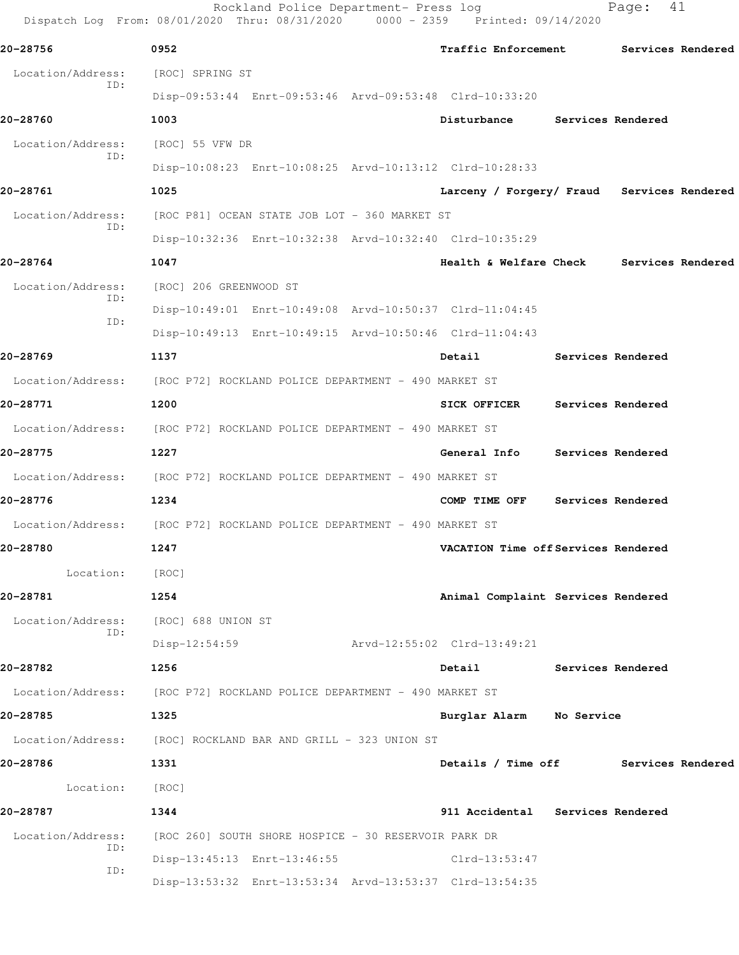|                   | Rockland Police Department- Press log<br>Dispatch Log From: 08/01/2020 Thru: 08/31/2020 0000 - 2359 Printed: 09/14/2020 |                                            | Page:             | 41 |
|-------------------|-------------------------------------------------------------------------------------------------------------------------|--------------------------------------------|-------------------|----|
| 20-28756          | 0952                                                                                                                    | Traffic Enforcement Services Rendered      |                   |    |
| Location/Address: | [ROC] SPRING ST                                                                                                         |                                            |                   |    |
| ID:               | Disp-09:53:44 Enrt-09:53:46 Arvd-09:53:48 Clrd-10:33:20                                                                 |                                            |                   |    |
| 20-28760          | 1003                                                                                                                    | Disturbance                                | Services Rendered |    |
| Location/Address: | [ROC] 55 VFW DR                                                                                                         |                                            |                   |    |
| ID:               | Disp-10:08:23 Enrt-10:08:25 Arvd-10:13:12 Clrd-10:28:33                                                                 |                                            |                   |    |
| 20-28761          | 1025                                                                                                                    | Larceny / Forgery/ Fraud Services Rendered |                   |    |
| Location/Address: | [ROC P81] OCEAN STATE JOB LOT - 360 MARKET ST                                                                           |                                            |                   |    |
| ID:               | Disp-10:32:36 Enrt-10:32:38 Arvd-10:32:40 Clrd-10:35:29                                                                 |                                            |                   |    |
| 20-28764          | 1047                                                                                                                    | Health & Welfare Check Services Rendered   |                   |    |
| Location/Address: | [ROC] 206 GREENWOOD ST                                                                                                  |                                            |                   |    |
| ID:<br>ID:        | Disp-10:49:01 Enrt-10:49:08 Arvd-10:50:37 Clrd-11:04:45                                                                 |                                            |                   |    |
|                   | Disp-10:49:13 Enrt-10:49:15 Arvd-10:50:46 Clrd-11:04:43                                                                 |                                            |                   |    |
| 20-28769          | 1137                                                                                                                    | Detail                                     | Services Rendered |    |
|                   | Location/Address: [ROC P72] ROCKLAND POLICE DEPARTMENT - 490 MARKET ST                                                  |                                            |                   |    |
| 20-28771          | 1200                                                                                                                    | <b>SICK OFFICER</b>                        | Services Rendered |    |
| Location/Address: | [ROC P72] ROCKLAND POLICE DEPARTMENT - 490 MARKET ST                                                                    |                                            |                   |    |
| 20-28775          | 1227                                                                                                                    | General Info                               | Services Rendered |    |
|                   | Location/Address: [ROC P72] ROCKLAND POLICE DEPARTMENT - 490 MARKET ST                                                  |                                            |                   |    |
| 20-28776          | 1234                                                                                                                    | COMP TIME OFF                              | Services Rendered |    |
| Location/Address: | [ROC P72] ROCKLAND POLICE DEPARTMENT - 490 MARKET ST                                                                    |                                            |                   |    |
| 20-28780          | 1247                                                                                                                    | VACATION Time off Services Rendered        |                   |    |
| Location: [ROC]   |                                                                                                                         |                                            |                   |    |
| 20-28781          | 1254                                                                                                                    | Animal Complaint Services Rendered         |                   |    |
|                   | Location/Address: [ROC] 688 UNION ST                                                                                    |                                            |                   |    |
| ID:               | Disp-12:54:59                                                                                                           | Arvd-12:55:02 Clrd-13:49:21                |                   |    |
| 20-28782          | 1256                                                                                                                    | Detail Services Rendered                   |                   |    |
|                   | Location/Address: [ROC P72] ROCKLAND POLICE DEPARTMENT - 490 MARKET ST                                                  |                                            |                   |    |
| 20-28785          | 1325                                                                                                                    | Burglar Alarm No Service                   |                   |    |
|                   | Location/Address: [ROC] ROCKLAND BAR AND GRILL - 323 UNION ST                                                           |                                            |                   |    |
| 20-28786          | 1331                                                                                                                    | Details / Time off Services Rendered       |                   |    |
| Location: [ROC]   |                                                                                                                         |                                            |                   |    |
| 20-28787          | 1344                                                                                                                    | 911 Accidental Services Rendered           |                   |    |
| Location/Address: | [ROC 260] SOUTH SHORE HOSPICE - 30 RESERVOIR PARK DR                                                                    |                                            |                   |    |
| ID:               | Disp-13:45:13 Enrt-13:46:55                                                                                             | $Clrd-13:53:47$                            |                   |    |
| ID:               | Disp-13:53:32 Enrt-13:53:34 Arvd-13:53:37 Clrd-13:54:35                                                                 |                                            |                   |    |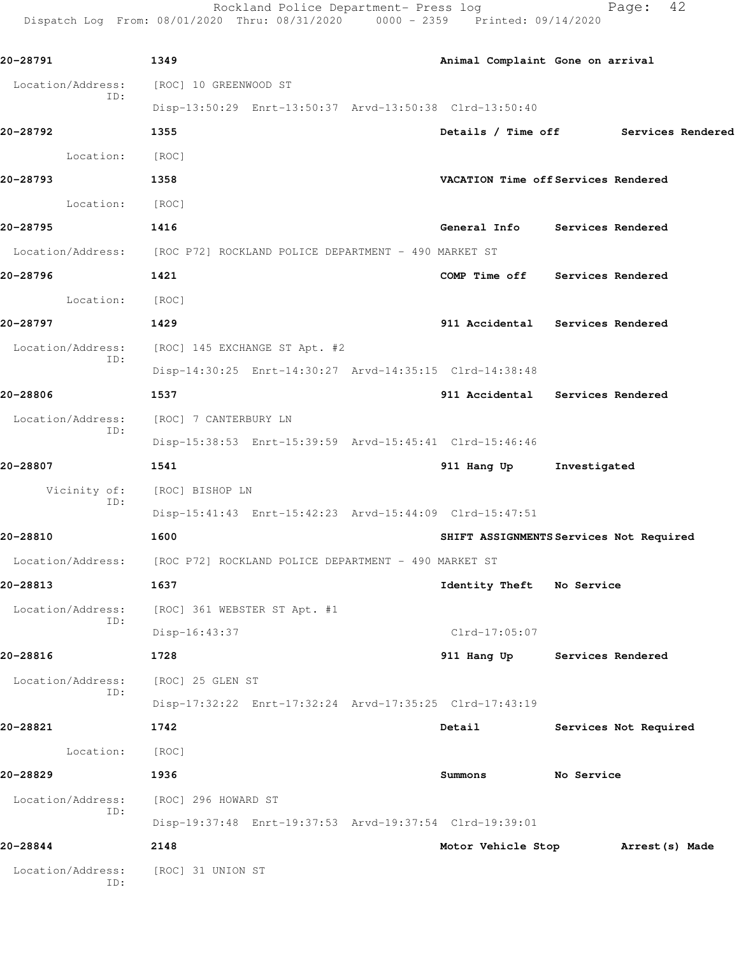Rockland Police Department- Press log Fage: 42 Dispatch Log From: 08/01/2020 Thru: 08/31/2020 0000 - 2359 Printed: 09/14/2020

| 20-28791                 | 1349                                                                   |                           | Animal Complaint Gone on arrival        |
|--------------------------|------------------------------------------------------------------------|---------------------------|-----------------------------------------|
| Location/Address:        | [ROC] 10 GREENWOOD ST                                                  |                           |                                         |
| ID:                      | Disp-13:50:29 Enrt-13:50:37 Arvd-13:50:38 Clrd-13:50:40                |                           |                                         |
| 20-28792                 | 1355                                                                   |                           | Details / Time off Services Rendered    |
| Location: [ROC]          |                                                                        |                           |                                         |
| 20-28793                 | 1358                                                                   |                           | VACATION Time off Services Rendered     |
| Location: [ROC]          |                                                                        |                           |                                         |
| 20-28795                 | 1416                                                                   |                           | General Info Services Rendered          |
|                          | Location/Address: [ROC P72] ROCKLAND POLICE DEPARTMENT - 490 MARKET ST |                           |                                         |
| 20-28796                 | 1421                                                                   |                           | COMP Time off Services Rendered         |
| Location: [ROC]          |                                                                        |                           |                                         |
| 20-28797                 | 1429                                                                   |                           | 911 Accidental Services Rendered        |
| Location/Address:        | [ROC] 145 EXCHANGE ST Apt. #2                                          |                           |                                         |
| ID:                      | Disp-14:30:25 Enrt-14:30:27 Arvd-14:35:15 Clrd-14:38:48                |                           |                                         |
| 20-28806                 | 1537                                                                   |                           | 911 Accidental Services Rendered        |
| Location/Address:        | [ROC] 7 CANTERBURY LN                                                  |                           |                                         |
| ID:                      | Disp-15:38:53 Enrt-15:39:59 Arvd-15:45:41 Clrd-15:46:46                |                           |                                         |
| 20-28807                 | 1541                                                                   | 911 Hang Up               | Investigated                            |
| Vicinity of:             | [ROC] BISHOP LN                                                        |                           |                                         |
| ID:                      | Disp-15:41:43 Enrt-15:42:23 Arvd-15:44:09 Clrd-15:47:51                |                           |                                         |
| 20-28810                 | 1600                                                                   |                           | SHIFT ASSIGNMENTS Services Not Required |
|                          | Location/Address: [ROC P72] ROCKLAND POLICE DEPARTMENT - 490 MARKET ST |                           |                                         |
| 20-28813<br>1637         |                                                                        | Identity Theft No Service |                                         |
| Location/Address:        | [ROC] 361 WEBSTER ST Apt. #1                                           |                           |                                         |
| ID:                      | Disp-16:43:37                                                          | Clrd-17:05:07             |                                         |
| 20-28816                 | 1728                                                                   | 911 Hang Up               | Services Rendered                       |
| Location/Address:        | [ROC] 25 GLEN ST                                                       |                           |                                         |
| ID:                      | Disp-17:32:22 Enrt-17:32:24 Arvd-17:35:25 Clrd-17:43:19                |                           |                                         |
| 20-28821                 | 1742                                                                   | Detail                    | Services Not Required                   |
| Location:                | [ROC]                                                                  |                           |                                         |
| 20-28829                 | 1936                                                                   | Summons                   | No Service                              |
| Location/Address:<br>ID: | [ROC] 296 HOWARD ST                                                    |                           |                                         |
|                          | Disp-19:37:48 Enrt-19:37:53 Arvd-19:37:54 Clrd-19:39:01                |                           |                                         |
| 20-28844                 | 2148                                                                   | Motor Vehicle Stop        | Arrest(s) Made                          |
| Location/Address:<br>ID: | [ROC] 31 UNION ST                                                      |                           |                                         |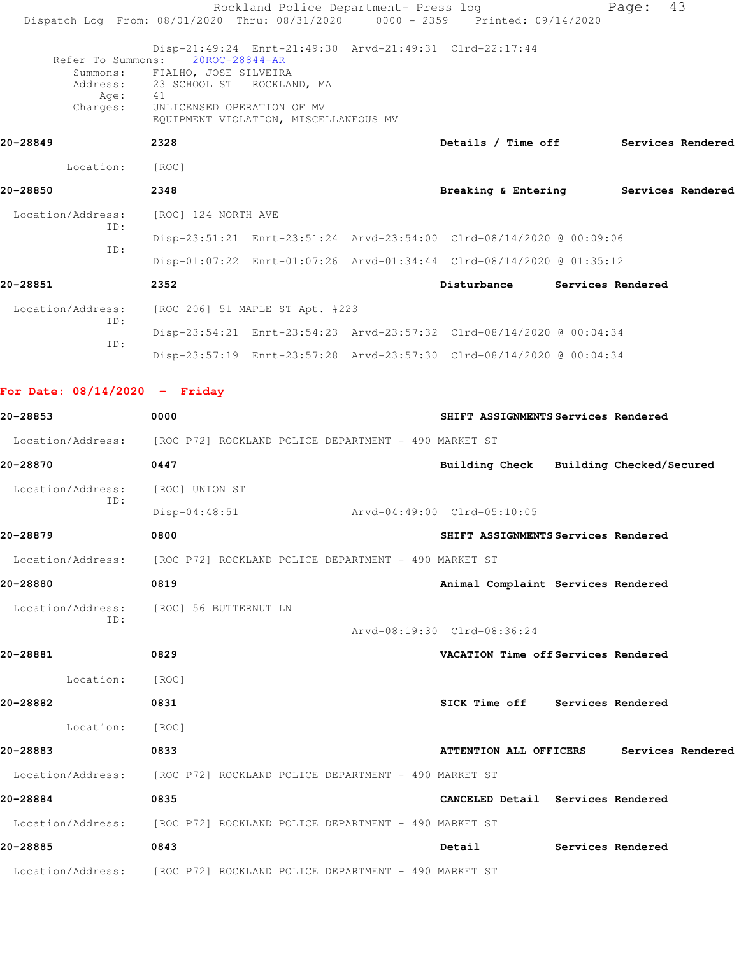|                                 | Rockland Police Department- Press log<br>Dispatch Log From: 08/01/2020 Thru: 08/31/2020 0000 - 2359 Printed: 09/14/2020                                                                                                                 |                             |                                          | Page: | 43 |
|---------------------------------|-----------------------------------------------------------------------------------------------------------------------------------------------------------------------------------------------------------------------------------------|-----------------------------|------------------------------------------|-------|----|
| Address:<br>Age:<br>Charges:    | Disp-21:49:24 Enrt-21:49:30 Arvd-21:49:31 Clrd-22:17:44<br>Refer To Summons: 20ROC-28844-AR<br>Summons: FIALHO, JOSE SILVEIRA<br>23 SCHOOL ST ROCKLAND, MA<br>41<br>UNLICENSED OPERATION OF MV<br>EQUIPMENT VIOLATION, MISCELLANEOUS MV |                             |                                          |       |    |
| 20-28849                        | 2328                                                                                                                                                                                                                                    |                             | Details / Time off Services Rendered     |       |    |
| Location:                       | [ROC]                                                                                                                                                                                                                                   |                             |                                          |       |    |
| 20-28850                        | 2348                                                                                                                                                                                                                                    |                             | Breaking & Entering Services Rendered    |       |    |
| Location/Address:               | [ROC] 124 NORTH AVE                                                                                                                                                                                                                     |                             |                                          |       |    |
| ID:                             | Disp-23:51:21 Enrt-23:51:24 Arvd-23:54:00 Clrd-08/14/2020 @ 00:09:06                                                                                                                                                                    |                             |                                          |       |    |
| ID:                             | Disp-01:07:22 Enrt-01:07:26 Arvd-01:34:44 Clrd-08/14/2020 @ 01:35:12                                                                                                                                                                    |                             |                                          |       |    |
| 20-28851                        | 2352                                                                                                                                                                                                                                    |                             | Disturbance Services Rendered            |       |    |
| Location/Address:               | [ROC 206] 51 MAPLE ST Apt. #223                                                                                                                                                                                                         |                             |                                          |       |    |
| ID:<br>ID:                      | Disp-23:54:21 Enrt-23:54:23 Arvd-23:57:32 Clrd-08/14/2020 @ 00:04:34                                                                                                                                                                    |                             |                                          |       |    |
|                                 | Disp-23:57:19 Enrt-23:57:28 Arvd-23:57:30 Clrd-08/14/2020 @ 00:04:34                                                                                                                                                                    |                             |                                          |       |    |
| For Date: $08/14/2020 -$ Friday |                                                                                                                                                                                                                                         |                             |                                          |       |    |
| 20-28853                        | 0000                                                                                                                                                                                                                                    |                             | SHIFT ASSIGNMENTS Services Rendered      |       |    |
|                                 | Location/Address: [ROC P72] ROCKLAND POLICE DEPARTMENT - 490 MARKET ST                                                                                                                                                                  |                             |                                          |       |    |
| 20-28870                        | 0447                                                                                                                                                                                                                                    |                             | Building Check Building Checked/Secured  |       |    |
| Location/Address:               | [ROC] UNION ST                                                                                                                                                                                                                          |                             |                                          |       |    |
| ID:                             | $Disp-04:48:51$                                                                                                                                                                                                                         | Arvd-04:49:00 Clrd-05:10:05 |                                          |       |    |
| 20-28879                        | 0800                                                                                                                                                                                                                                    |                             | SHIFT ASSIGNMENTS Services Rendered      |       |    |
|                                 | Location/Address: [ROC P72] ROCKLAND POLICE DEPARTMENT - 490 MARKET ST                                                                                                                                                                  |                             |                                          |       |    |
| 20-28880                        | 0819                                                                                                                                                                                                                                    |                             | Animal Complaint Services Rendered       |       |    |
| ID:                             | Location/Address: [ROC] 56 BUTTERNUT LN                                                                                                                                                                                                 | Arvd-08:19:30 Clrd-08:36:24 |                                          |       |    |
| 20-28881                        | 0829                                                                                                                                                                                                                                    |                             | VACATION Time off Services Rendered      |       |    |
| Location:                       | [ROC]                                                                                                                                                                                                                                   |                             |                                          |       |    |
| 20-28882                        | 0831                                                                                                                                                                                                                                    |                             | SICK Time off Services Rendered          |       |    |
| Location: [ROC]                 |                                                                                                                                                                                                                                         |                             |                                          |       |    |
| 20-28883                        | 0833                                                                                                                                                                                                                                    |                             | ATTENTION ALL OFFICERS Services Rendered |       |    |
|                                 | Location/Address: [ROC P72] ROCKLAND POLICE DEPARTMENT - 490 MARKET ST                                                                                                                                                                  |                             |                                          |       |    |
| 20-28884                        | 0835                                                                                                                                                                                                                                    |                             | CANCELED Detail Services Rendered        |       |    |
|                                 | Location/Address: [ROC P72] ROCKLAND POLICE DEPARTMENT - 490 MARKET ST                                                                                                                                                                  |                             |                                          |       |    |
| 20-28885                        | 0843                                                                                                                                                                                                                                    |                             | Detail Services Rendered                 |       |    |
|                                 | Location/Address: [ROC P72] ROCKLAND POLICE DEPARTMENT - 490 MARKET ST                                                                                                                                                                  |                             |                                          |       |    |
|                                 |                                                                                                                                                                                                                                         |                             |                                          |       |    |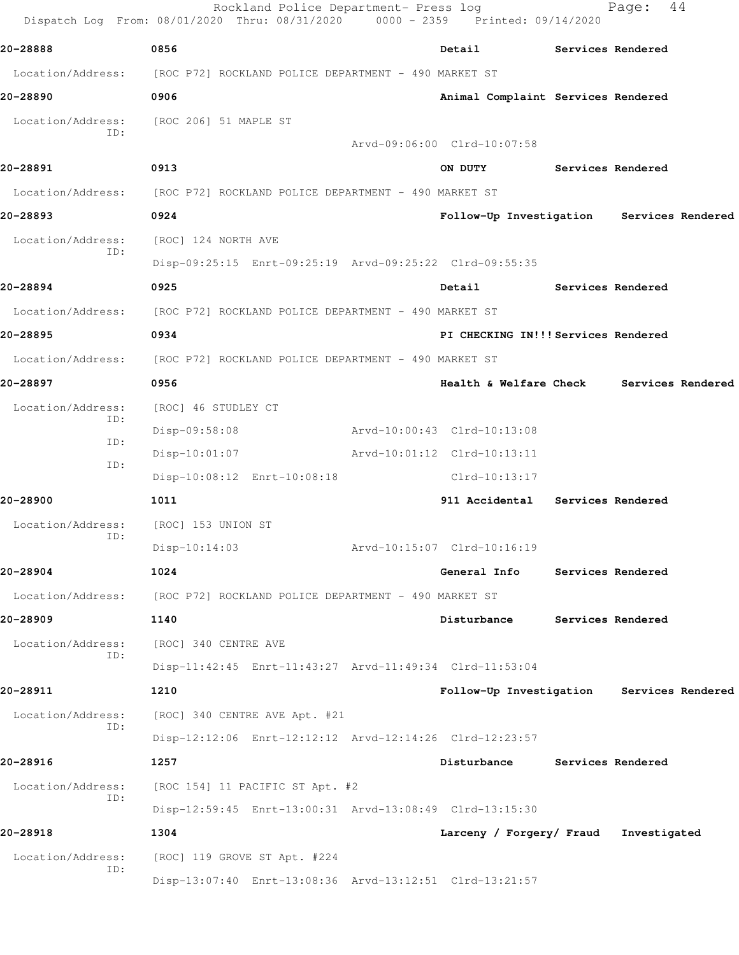|                          | Rockland Police Department- Press log<br>Dispatch Log From: 08/01/2020 Thru: 08/31/2020 0000 - 2359 Printed: 09/14/2020 |                                           | Page:             | 44                |
|--------------------------|-------------------------------------------------------------------------------------------------------------------------|-------------------------------------------|-------------------|-------------------|
| 20-28888                 | 0856                                                                                                                    | Detail                                    | Services Rendered |                   |
| Location/Address:        | [ROC P72] ROCKLAND POLICE DEPARTMENT - 490 MARKET ST                                                                    |                                           |                   |                   |
| 20-28890                 | 0906                                                                                                                    | Animal Complaint Services Rendered        |                   |                   |
| Location/Address:<br>TD: | [ROC 206] 51 MAPLE ST                                                                                                   |                                           |                   |                   |
|                          |                                                                                                                         | Arvd-09:06:00 Clrd-10:07:58               |                   |                   |
| 20-28891                 | 0913                                                                                                                    | ON DUTY                                   | Services Rendered |                   |
| Location/Address:        | [ROC P72] ROCKLAND POLICE DEPARTMENT - 490 MARKET ST                                                                    |                                           |                   |                   |
| 20-28893                 | 0924                                                                                                                    | Follow-Up Investigation Services Rendered |                   |                   |
| Location/Address:<br>ID: | [ROC] 124 NORTH AVE                                                                                                     |                                           |                   |                   |
|                          | Disp-09:25:15 Enrt-09:25:19 Arvd-09:25:22 Clrd-09:55:35                                                                 |                                           |                   |                   |
| 20-28894                 | 0925                                                                                                                    | Detail                                    | Services Rendered |                   |
| Location/Address:        | [ROC P72] ROCKLAND POLICE DEPARTMENT - 490 MARKET ST                                                                    |                                           |                   |                   |
| 20-28895                 | 0934                                                                                                                    | PI CHECKING IN!!! Services Rendered       |                   |                   |
| Location/Address:        | [ROC P72] ROCKLAND POLICE DEPARTMENT - 490 MARKET ST                                                                    |                                           |                   |                   |
| 20-28897                 | 0956                                                                                                                    | Health & Welfare Check                    |                   | Services Rendered |
| Location/Address:        | [ROC] 46 STUDLEY CT                                                                                                     |                                           |                   |                   |
| ID:                      | Disp-09:58:08                                                                                                           | Arvd-10:00:43 Clrd-10:13:08               |                   |                   |
| ID:                      | $Disp-10:01:07$                                                                                                         | Arvd-10:01:12 Clrd-10:13:11               |                   |                   |
| ID:                      | Disp-10:08:12 Enrt-10:08:18                                                                                             | Clrd-10:13:17                             |                   |                   |
| 20-28900                 | 1011                                                                                                                    | 911 Accidental                            | Services Rendered |                   |
| Location/Address:        | [ROC] 153 UNION ST                                                                                                      |                                           |                   |                   |
| ID:                      | Disp-10:14:03                                                                                                           | Arvd-10:15:07 Clrd-10:16:19               |                   |                   |
| 20-28904                 | 1024                                                                                                                    | General Info                              | Services Rendered |                   |
| Location/Address:        | [ROC P72] ROCKLAND POLICE DEPARTMENT - 490 MARKET ST                                                                    |                                           |                   |                   |
| 20-28909                 | 1140                                                                                                                    | Disturbance                               | Services Rendered |                   |
| Location/Address:        | [ROC] 340 CENTRE AVE                                                                                                    |                                           |                   |                   |
| ID:                      | Disp-11:42:45 Enrt-11:43:27 Arvd-11:49:34 Clrd-11:53:04                                                                 |                                           |                   |                   |
| 20-28911                 | 1210                                                                                                                    | Follow-Up Investigation Services Rendered |                   |                   |
| Location/Address:        | [ROC] 340 CENTRE AVE Apt. #21                                                                                           |                                           |                   |                   |
| ID:                      | Disp-12:12:06 Enrt-12:12:12 Arvd-12:14:26 Clrd-12:23:57                                                                 |                                           |                   |                   |
| 20-28916                 | 1257                                                                                                                    | Disturbance                               | Services Rendered |                   |
| Location/Address:        | [ROC 154] 11 PACIFIC ST Apt. #2                                                                                         |                                           |                   |                   |
| ID:                      | Disp-12:59:45 Enrt-13:00:31 Arvd-13:08:49 Clrd-13:15:30                                                                 |                                           |                   |                   |
| 20-28918                 | 1304                                                                                                                    | Larceny / Forgery/ Fraud                  | Investigated      |                   |
| Location/Address:        | [ROC] 119 GROVE ST Apt. #224                                                                                            |                                           |                   |                   |
| ID:                      | Disp-13:07:40 Enrt-13:08:36 Arvd-13:12:51 Clrd-13:21:57                                                                 |                                           |                   |                   |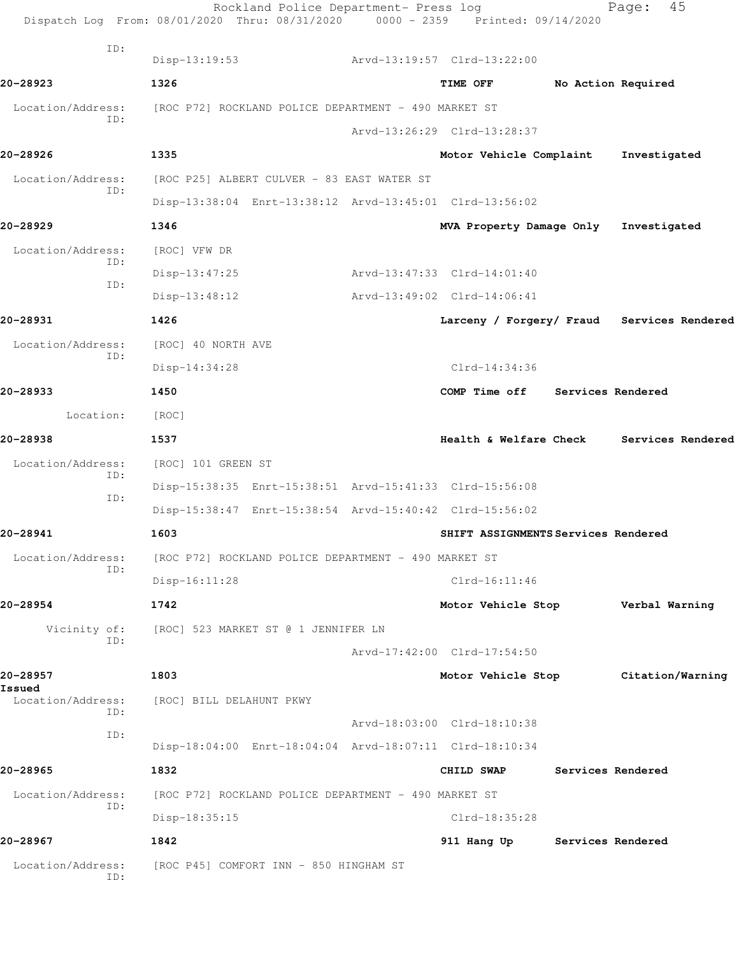|                                    | Dispatch Log From: 08/01/2020 Thru: 08/31/2020          | 0000 - 2359 Printed: 09/14/2020     |                          |                                            |
|------------------------------------|---------------------------------------------------------|-------------------------------------|--------------------------|--------------------------------------------|
| ID:                                | $Disp-13:19:53$                                         | Arvd-13:19:57 Clrd-13:22:00         |                          |                                            |
| 20-28923                           | 1326                                                    | TIME OFF                            |                          | No Action Required                         |
| Location/Address:                  | [ROC P72] ROCKLAND POLICE DEPARTMENT - 490 MARKET ST    |                                     |                          |                                            |
| ID:                                |                                                         | Arvd-13:26:29 Clrd-13:28:37         |                          |                                            |
| 20-28926                           | 1335                                                    | Motor Vehicle Complaint             |                          | Investigated                               |
| Location/Address:                  | [ROC P25] ALBERT CULVER - 83 EAST WATER ST              |                                     |                          |                                            |
| ID:                                | Disp-13:38:04 Enrt-13:38:12 Arvd-13:45:01 Clrd-13:56:02 |                                     |                          |                                            |
| 20-28929                           | 1346                                                    | MVA Property Damage Only            |                          | Investigated                               |
| Location/Address:                  | [ROC] VFW DR                                            |                                     |                          |                                            |
| ID:                                | Disp-13:47:25                                           | Arvd-13:47:33 Clrd-14:01:40         |                          |                                            |
| ID:                                | $Disp-13:48:12$                                         | Arvd-13:49:02 Clrd-14:06:41         |                          |                                            |
| 20-28931                           | 1426                                                    |                                     |                          | Larceny / Forgery/ Fraud Services Rendered |
| Location/Address:                  | [ROC] 40 NORTH AVE                                      |                                     |                          |                                            |
| ID:                                | $Disp-14:34:28$                                         | $Clrd-14:34:36$                     |                          |                                            |
| 20-28933                           | 1450                                                    | COMP Time off                       | <b>Services Rendered</b> |                                            |
| Location:                          | [ROC]                                                   |                                     |                          |                                            |
| 20-28938                           | 1537                                                    | Health & Welfare Check              |                          | Services Rendered                          |
| Location/Address:                  | [ROC] 101 GREEN ST                                      |                                     |                          |                                            |
| ID:                                | Disp-15:38:35 Enrt-15:38:51 Arvd-15:41:33 Clrd-15:56:08 |                                     |                          |                                            |
| ID:                                | Disp-15:38:47 Enrt-15:38:54 Arvd-15:40:42 Clrd-15:56:02 |                                     |                          |                                            |
| 20-28941                           | 1603                                                    | SHIFT ASSIGNMENTS Services Rendered |                          |                                            |
| Location/Address:                  | [ROC P72] ROCKLAND POLICE DEPARTMENT - 490 MARKET ST    |                                     |                          |                                            |
| ID:                                | Disp-16:11:28                                           | $Clrd-16:11:46$                     |                          |                                            |
| 20-28954                           | 1742                                                    | Motor Vehicle Stop                  |                          | Verbal Warning                             |
| Vicinity of:                       | [ROC] 523 MARKET ST @ 1 JENNIFER LN                     |                                     |                          |                                            |
| ID:                                |                                                         | Arvd-17:42:00 Clrd-17:54:50         |                          |                                            |
| 20-28957                           | 1803                                                    | Motor Vehicle Stop                  |                          | Citation/Warning                           |
| Issued<br>Location/Address:<br>TD: | [ROC] BILL DELAHUNT PKWY                                |                                     |                          |                                            |
| ID:                                |                                                         | Arvd-18:03:00 Clrd-18:10:38         |                          |                                            |
|                                    | Disp-18:04:00 Enrt-18:04:04 Arvd-18:07:11 Clrd-18:10:34 |                                     |                          |                                            |
| 20-28965                           | 1832                                                    | CHILD SWAP                          | Services Rendered        |                                            |
| Location/Address:<br>ID:           | [ROC P72] ROCKLAND POLICE DEPARTMENT - 490 MARKET ST    |                                     |                          |                                            |
|                                    | Disp-18:35:15                                           | Clrd-18:35:28                       |                          |                                            |
| 20-28967                           | 1842                                                    | 911 Hang Up                         | Services Rendered        |                                            |
| Location/Address:<br>ID:           | [ROC P45] COMFORT INN - 850 HINGHAM ST                  |                                     |                          |                                            |
|                                    |                                                         |                                     |                          |                                            |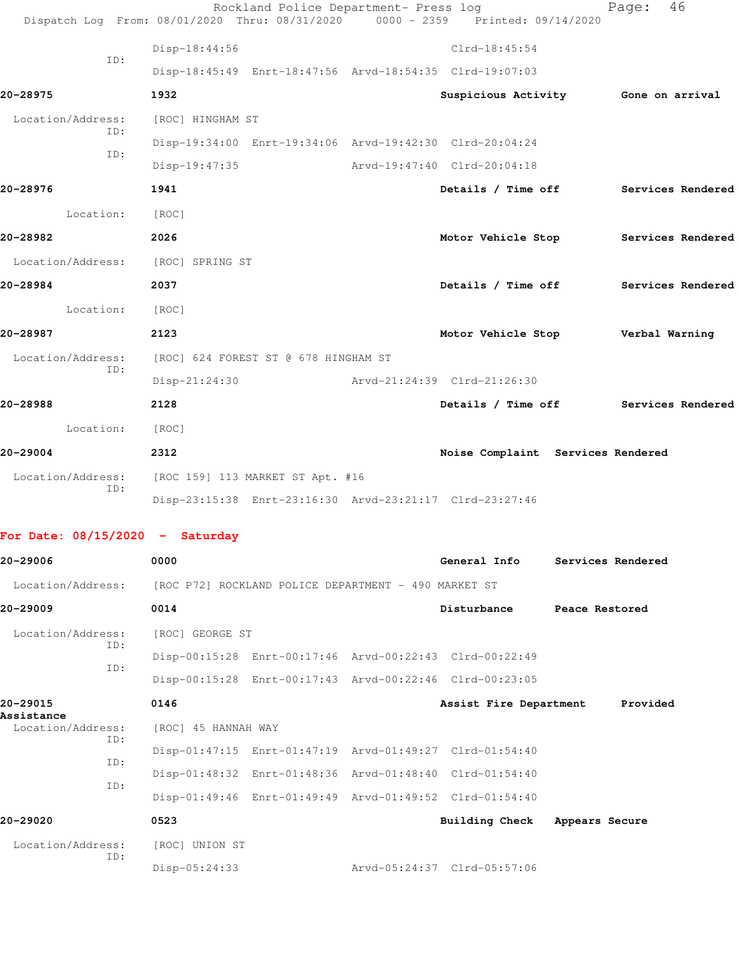|                                   | Dispatch Log From: 08/01/2020 Thru: 08/31/2020 0000 - 2359 Printed: 09/14/2020 | Rockland Police Department- Press log |                                      |                | Page:             | 46                |
|-----------------------------------|--------------------------------------------------------------------------------|---------------------------------------|--------------------------------------|----------------|-------------------|-------------------|
|                                   | Disp-18:44:56                                                                  |                                       | $Clrd-18:45:54$                      |                |                   |                   |
| ID:                               | Disp-18:45:49 Enrt-18:47:56 Arvd-18:54:35 Clrd-19:07:03                        |                                       |                                      |                |                   |                   |
| 20-28975                          | 1932                                                                           |                                       | Suspicious Activity 6one on arrival  |                |                   |                   |
| Location/Address:                 | [ROC] HINGHAM ST                                                               |                                       |                                      |                |                   |                   |
| ID:                               | Disp-19:34:00 Enrt-19:34:06 Arvd-19:42:30 Clrd-20:04:24                        |                                       |                                      |                |                   |                   |
| ID:                               | Disp-19:47:35                                                                  |                                       | Arvd-19:47:40 Clrd-20:04:18          |                |                   |                   |
| 20-28976                          | 1941                                                                           |                                       | Details / Time off Services Rendered |                |                   |                   |
| Location: [ROC]                   |                                                                                |                                       |                                      |                |                   |                   |
| 20-28982                          | 2026                                                                           |                                       | Motor Vehicle Stop                   |                |                   | Services Rendered |
| Location/Address: [ROC] SPRING ST |                                                                                |                                       |                                      |                |                   |                   |
| 20-28984                          | 2037                                                                           |                                       | Details / Time off Services Rendered |                |                   |                   |
| Location:                         | [ROC]                                                                          |                                       |                                      |                |                   |                   |
| 20-28987                          | 2123                                                                           |                                       | Motor Vehicle Stop Verbal Warning    |                |                   |                   |
| Location/Address:                 | [ROC] 624 FOREST ST @ 678 HINGHAM ST                                           |                                       |                                      |                |                   |                   |
| ID:                               | $Disp-21:24:30$                                                                |                                       | Arvd-21:24:39 Clrd-21:26:30          |                |                   |                   |
| 20-28988                          | 2128                                                                           |                                       | Details / Time off Services Rendered |                |                   |                   |
| Location:                         | [ROC]                                                                          |                                       |                                      |                |                   |                   |
| 20-29004                          | 2312                                                                           |                                       | Noise Complaint Services Rendered    |                |                   |                   |
| Location/Address:                 | [ROC 159] 113 MARKET ST Apt. #16                                               |                                       |                                      |                |                   |                   |
| ID:                               | Disp-23:15:38 Enrt-23:16:30 Arvd-23:21:17 Clrd-23:27:46                        |                                       |                                      |                |                   |                   |
| For Date: $08/15/2020 -$ Saturday |                                                                                |                                       |                                      |                |                   |                   |
| 20-29006                          | 0000                                                                           |                                       | General Info                         |                | Services Rendered |                   |
| Location/Address:                 | [ROC P72] ROCKLAND POLICE DEPARTMENT - 490 MARKET ST                           |                                       |                                      |                |                   |                   |
| 20-29009                          | 0014                                                                           |                                       | Disturbance                          | Peace Restored |                   |                   |
| Location/Address:<br>ID:          | [ROC] GEORGE ST                                                                |                                       |                                      |                |                   |                   |
| ID:                               | Disp-00:15:28 Enrt-00:17:46 Arvd-00:22:43 Clrd-00:22:49                        |                                       |                                      |                |                   |                   |
|                                   | Disp-00:15:28 Enrt-00:17:43 Arvd-00:22:46 Clrd-00:23:05                        |                                       |                                      |                |                   |                   |
| 20-29015<br>Assistance            | 0146                                                                           |                                       | Assist Fire Department               |                | Provided          |                   |
| Location/Address:<br>ID:          | [ROC] 45 HANNAH WAY                                                            |                                       |                                      |                |                   |                   |
| ID:                               | Disp-01:47:15 Enrt-01:47:19 Arvd-01:49:27 Clrd-01:54:40                        |                                       |                                      |                |                   |                   |
| ID:                               | Disp-01:48:32 Enrt-01:48:36 Arvd-01:48:40 Clrd-01:54:40                        |                                       |                                      |                |                   |                   |
|                                   | Disp-01:49:46 Enrt-01:49:49 Arvd-01:49:52 Clrd-01:54:40                        |                                       |                                      |                |                   |                   |

**20-29020 0523 Building Check Appears Secure** Location/Address: [ROC] UNION ST ID: Disp-05:24:33 Arvd-05:24:37 Clrd-05:57:06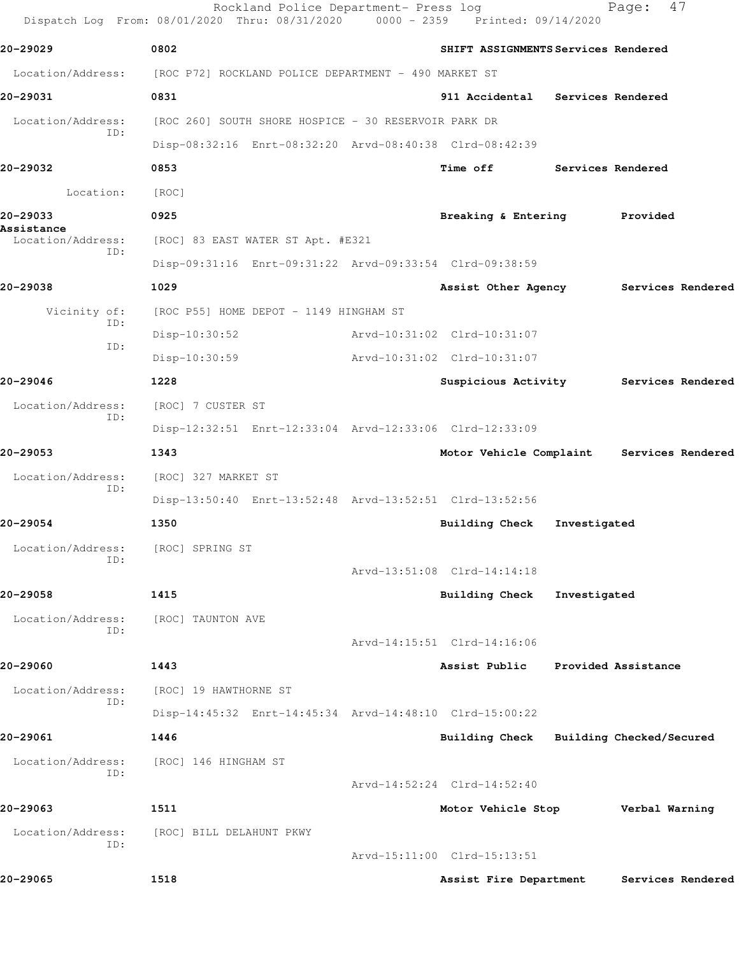|                                        | Rockland Police Department- Press log<br>Dispatch Log From: 08/01/2020 Thru: 08/31/2020 | 0000 - 2359 Printed: 09/14/2020     |                   | 47<br>Page:                               |
|----------------------------------------|-----------------------------------------------------------------------------------------|-------------------------------------|-------------------|-------------------------------------------|
| 20-29029                               | 0802                                                                                    | SHIFT ASSIGNMENTS Services Rendered |                   |                                           |
| Location/Address:                      | [ROC P72] ROCKLAND POLICE DEPARTMENT - 490 MARKET ST                                    |                                     |                   |                                           |
| 20-29031                               | 0831                                                                                    | 911 Accidental Services Rendered    |                   |                                           |
| Location/Address:<br>ID:               | [ROC 260] SOUTH SHORE HOSPICE - 30 RESERVOIR PARK DR                                    |                                     |                   |                                           |
|                                        | Disp-08:32:16 Enrt-08:32:20 Arvd-08:40:38 Clrd-08:42:39                                 |                                     |                   |                                           |
| 20-29032                               | 0853                                                                                    | <b>Time off</b>                     | Services Rendered |                                           |
| Location:                              | [ROC]                                                                                   |                                     |                   |                                           |
| 20-29033                               | 0925                                                                                    | Breaking & Entering Provided        |                   |                                           |
| Assistance<br>Location/Address:<br>ID: | [ROC] 83 EAST WATER ST Apt. #E321                                                       |                                     |                   |                                           |
|                                        | Disp-09:31:16 Enrt-09:31:22 Arvd-09:33:54 Clrd-09:38:59                                 |                                     |                   |                                           |
| 20-29038                               | 1029                                                                                    |                                     |                   | Assist Other Agency Services Rendered     |
| Vicinity of:                           | [ROC P55] HOME DEPOT - 1149 HINGHAM ST                                                  |                                     |                   |                                           |
| ID:<br>ID:                             | $Disp-10:30:52$                                                                         | Arvd-10:31:02 Clrd-10:31:07         |                   |                                           |
|                                        | $Disp-10:30:59$                                                                         | Arvd-10:31:02 Clrd-10:31:07         |                   |                                           |
| 20-29046                               | 1228                                                                                    | Suspicious Activity                 |                   | Services Rendered                         |
| Location/Address:<br>ID:               | [ROC] 7 CUSTER ST                                                                       |                                     |                   |                                           |
|                                        | Disp-12:32:51 Enrt-12:33:04 Arvd-12:33:06 Clrd-12:33:09                                 |                                     |                   |                                           |
| 20-29053                               | 1343                                                                                    |                                     |                   | Motor Vehicle Complaint Services Rendered |
| Location/Address:<br>ID:               | [ROC] 327 MARKET ST                                                                     |                                     |                   |                                           |
|                                        | Disp-13:50:40 Enrt-13:52:48 Arvd-13:52:51 Clrd-13:52:56                                 |                                     |                   |                                           |
| 20-29054                               | 1350                                                                                    | <b>Building Check</b>               | Investigated      |                                           |
| Location/Address:<br>TD:               | [ROC] SPRING ST                                                                         |                                     |                   |                                           |
|                                        |                                                                                         | Arvd-13:51:08 Clrd-14:14:18         |                   |                                           |
| 20-29058                               | 1415                                                                                    | <b>Building Check</b>               | Investigated      |                                           |
| Location/Address:<br>ID:               | [ROC] TAUNTON AVE                                                                       |                                     |                   |                                           |
|                                        |                                                                                         | Arvd-14:15:51 Clrd-14:16:06         |                   |                                           |
| 20-29060                               | 1443                                                                                    | Assist Public                       |                   | Provided Assistance                       |
| Location/Address:<br>ID:               | [ROC] 19 HAWTHORNE ST                                                                   |                                     |                   |                                           |
|                                        | Disp-14:45:32 Enrt-14:45:34 Arvd-14:48:10 Clrd-15:00:22                                 |                                     |                   |                                           |
| 20-29061                               | 1446                                                                                    | <b>Building Check</b>               |                   | Building Checked/Secured                  |
| Location/Address:<br>ID:               | [ROC] 146 HINGHAM ST                                                                    |                                     |                   |                                           |
|                                        |                                                                                         | Arvd-14:52:24 Clrd-14:52:40         |                   |                                           |
| 20-29063                               | 1511                                                                                    | Motor Vehicle Stop                  |                   | Verbal Warning                            |
| Location/Address:<br>ID:               | [ROC] BILL DELAHUNT PKWY                                                                |                                     |                   |                                           |
|                                        |                                                                                         | Arvd-15:11:00 Clrd-15:13:51         |                   |                                           |
| 20-29065                               | 1518                                                                                    | Assist Fire Department              |                   | Services Rendered                         |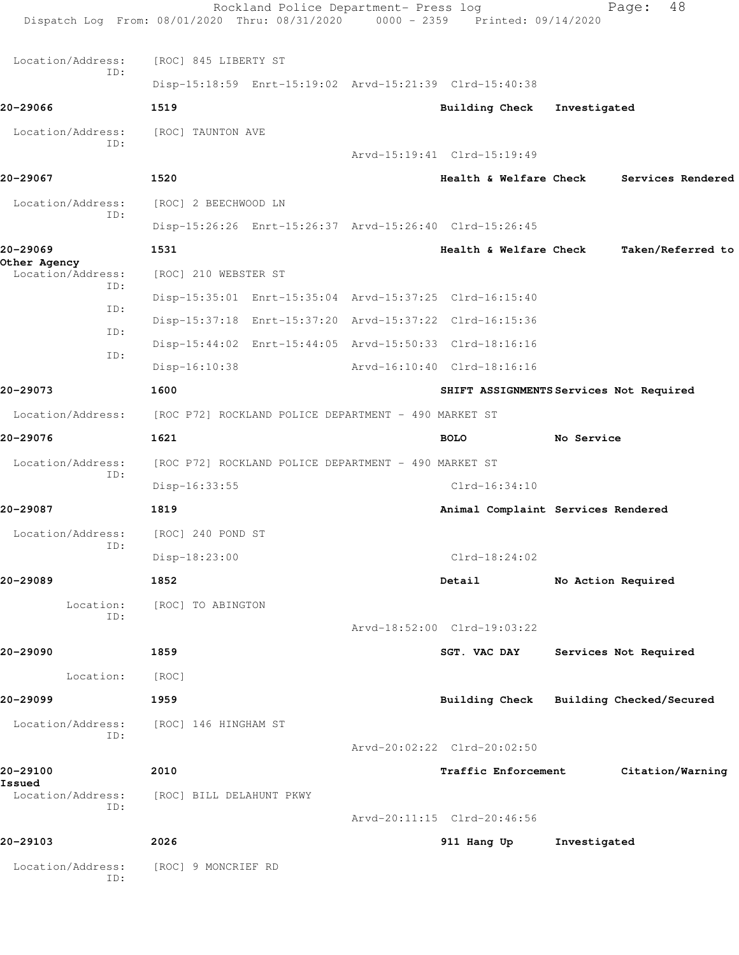|                                   | Rockland Police Department- Press log<br>Dispatch Log From: 08/01/2020 Thru: 08/31/2020 0000 - 2359 Printed: 09/14/2020 |                                         |              | 48<br>Page:           |
|-----------------------------------|-------------------------------------------------------------------------------------------------------------------------|-----------------------------------------|--------------|-----------------------|
| Location/Address:                 | [ROC] 845 LIBERTY ST                                                                                                    |                                         |              |                       |
| ID:                               | Disp-15:18:59 Enrt-15:19:02 Arvd-15:21:39 Clrd-15:40:38                                                                 |                                         |              |                       |
| 20-29066                          | 1519                                                                                                                    | Building Check Investigated             |              |                       |
| Location/Address:<br>ID:          | [ROC] TAUNTON AVE                                                                                                       | Arvd-15:19:41 Clrd-15:19:49             |              |                       |
| 20-29067                          | 1520                                                                                                                    | Health & Welfare Check                  |              | Services Rendered     |
| Location/Address:                 | [ROC] 2 BEECHWOOD LN                                                                                                    |                                         |              |                       |
| ID:                               | Disp-15:26:26 Enrt-15:26:37 Arvd-15:26:40 Clrd-15:26:45                                                                 |                                         |              |                       |
| 20-29069                          | 1531                                                                                                                    | Health & Welfare Check                  |              | Taken/Referred to     |
| Other Agency<br>Location/Address: | [ROC] 210 WEBSTER ST                                                                                                    |                                         |              |                       |
| ID:                               | Disp-15:35:01 Enrt-15:35:04 Arvd-15:37:25 Clrd-16:15:40                                                                 |                                         |              |                       |
| ID:                               | Disp-15:37:18 Enrt-15:37:20 Arvd-15:37:22 Clrd-16:15:36                                                                 |                                         |              |                       |
| ID:                               | Disp-15:44:02 Enrt-15:44:05 Arvd-15:50:33 Clrd-18:16:16                                                                 |                                         |              |                       |
| ID:                               | $Disp-16:10:38$                                                                                                         | Arvd-16:10:40 Clrd-18:16:16             |              |                       |
| 20-29073                          | 1600                                                                                                                    | SHIFT ASSIGNMENTS Services Not Required |              |                       |
| Location/Address:                 | [ROC P72] ROCKLAND POLICE DEPARTMENT - 490 MARKET ST                                                                    |                                         |              |                       |
| 20-29076                          | 1621                                                                                                                    | <b>BOLO</b>                             | No Service   |                       |
| Location/Address:                 | [ROC P72] ROCKLAND POLICE DEPARTMENT - 490 MARKET ST                                                                    |                                         |              |                       |
| ID:                               | Disp-16:33:55                                                                                                           | $Clrd-16:34:10$                         |              |                       |
| 20-29087                          | 1819                                                                                                                    | Animal Complaint Services Rendered      |              |                       |
| Location/Address:                 | [ROC] 240 POND ST                                                                                                       |                                         |              |                       |
| ID:                               | Disp-18:23:00                                                                                                           | $Clrd-18:24:02$                         |              |                       |
| 20-29089                          | 1852                                                                                                                    | Detail                                  |              | No Action Required    |
| Location:                         | [ROC] TO ABINGTON                                                                                                       |                                         |              |                       |
| ID:                               |                                                                                                                         | Arvd-18:52:00 Clrd-19:03:22             |              |                       |
| 20-29090                          | 1859                                                                                                                    | SGT. VAC DAY                            |              | Services Not Required |
| Location:                         | [ROC]                                                                                                                   |                                         |              |                       |
| 20-29099                          | 1959                                                                                                                    | Building Check Building Checked/Secured |              |                       |
| Location/Address:<br>ID:          | [ROC] 146 HINGHAM ST                                                                                                    | Arvd-20:02:22 Clrd-20:02:50             |              |                       |
| 20-29100                          | 2010                                                                                                                    | Traffic Enforcement                     |              | Citation/Warning      |
| Issued<br>Location/Address:       | [ROC] BILL DELAHUNT PKWY                                                                                                |                                         |              |                       |
| ID:                               |                                                                                                                         | Arvd-20:11:15 Clrd-20:46:56             |              |                       |
| 20-29103                          | 2026                                                                                                                    | 911 Hang Up                             | Investigated |                       |
| Location/Address:<br>ID:          | [ROC] 9 MONCRIEF RD                                                                                                     |                                         |              |                       |
|                                   |                                                                                                                         |                                         |              |                       |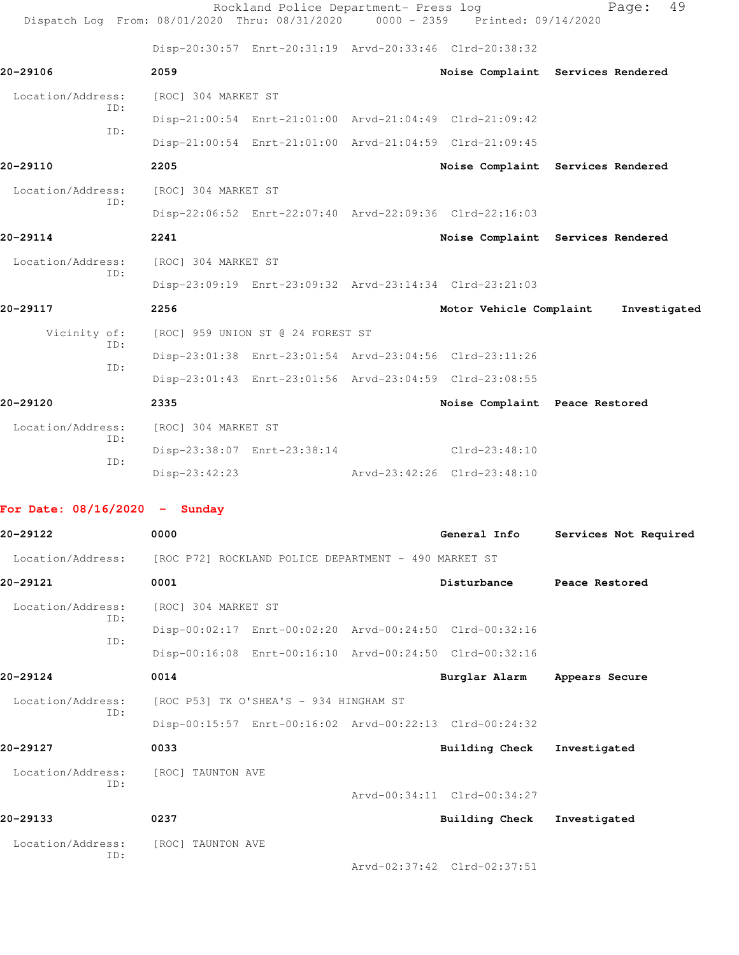|                                 | Dispatch Log From: 08/01/2020 Thru: 08/31/2020 | Rockland Police Department- Press log                | 0000 - 2359 Printed: 09/14/2020                         | 49<br>Page:                       |
|---------------------------------|------------------------------------------------|------------------------------------------------------|---------------------------------------------------------|-----------------------------------|
|                                 |                                                |                                                      | Disp-20:30:57 Enrt-20:31:19 Arvd-20:33:46 Clrd-20:38:32 |                                   |
| 20-29106                        | 2059                                           |                                                      |                                                         | Noise Complaint Services Rendered |
| Location/Address:               | [ROC] 304 MARKET ST                            |                                                      |                                                         |                                   |
| ID:                             |                                                |                                                      | Disp-21:00:54 Enrt-21:01:00 Arvd-21:04:49 Clrd-21:09:42 |                                   |
| ID:                             |                                                |                                                      | Disp-21:00:54 Enrt-21:01:00 Arvd-21:04:59 Clrd-21:09:45 |                                   |
| 20-29110                        | 2205                                           |                                                      |                                                         | Noise Complaint Services Rendered |
| Location/Address:               | [ROC] 304 MARKET ST                            |                                                      |                                                         |                                   |
| ID:                             |                                                |                                                      | Disp-22:06:52 Enrt-22:07:40 Arvd-22:09:36 Clrd-22:16:03 |                                   |
| 20-29114                        | 2241                                           |                                                      |                                                         | Noise Complaint Services Rendered |
| Location/Address:               | [ROC] 304 MARKET ST                            |                                                      |                                                         |                                   |
| ID:                             |                                                |                                                      | Disp-23:09:19 Enrt-23:09:32 Arvd-23:14:34 Clrd-23:21:03 |                                   |
| 20-29117                        | 2256                                           |                                                      | Motor Vehicle Complaint                                 | Investigated                      |
| Vicinity of:                    |                                                | [ROC] 959 UNION ST @ 24 FOREST ST                    |                                                         |                                   |
| ID:                             |                                                |                                                      | Disp-23:01:38 Enrt-23:01:54 Arvd-23:04:56 Clrd-23:11:26 |                                   |
| ID:                             |                                                |                                                      | Disp-23:01:43 Enrt-23:01:56 Arvd-23:04:59 Clrd-23:08:55 |                                   |
| 20-29120                        | 2335                                           |                                                      | Noise Complaint Peace Restored                          |                                   |
| Location/Address:               | [ROC] 304 MARKET ST                            |                                                      |                                                         |                                   |
| ID:                             |                                                |                                                      | Disp-23:38:07 Enrt-23:38:14 Clrd-23:48:10               |                                   |
| ID:                             | Disp-23:42:23                                  |                                                      | Arvd-23:42:26 Clrd-23:48:10                             |                                   |
| For Date: $08/16/2020$ - Sunday |                                                |                                                      |                                                         |                                   |
| 20-29122                        | 0000                                           |                                                      | General Info                                            | Services Not Required             |
| Location/Address:               |                                                | [ROC P72] ROCKLAND POLICE DEPARTMENT - 490 MARKET ST |                                                         |                                   |
| 20-29121                        | 0001                                           |                                                      | Disturbance                                             | Peace Restored                    |
| Location/Address:               | [ROC] 304 MARKET ST                            |                                                      |                                                         |                                   |
| ID:                             |                                                |                                                      | Disp-00:02:17 Enrt-00:02:20 Arvd-00:24:50 Clrd-00:32:16 |                                   |
| ID:                             |                                                |                                                      | Disp-00:16:08 Enrt-00:16:10 Arvd-00:24:50 Clrd-00:32:16 |                                   |
| 20-29124                        | 0014                                           |                                                      | Burglar Alarm                                           | Appears Secure                    |
| Location/Address:               |                                                | [ROC P53] TK O'SHEA'S - 934 HINGHAM ST               |                                                         |                                   |
| ID:                             |                                                |                                                      | Disp-00:15:57 Enrt-00:16:02 Arvd-00:22:13 Clrd-00:24:32 |                                   |
| 20-29127                        | 0033                                           |                                                      | <b>Building Check</b>                                   | Investigated                      |
| Location/Address:               | [ROC] TAUNTON AVE                              |                                                      |                                                         |                                   |
| ID:                             |                                                |                                                      | Arvd-00:34:11 Clrd-00:34:27                             |                                   |
| 20-29133                        | 0237                                           |                                                      | <b>Building Check</b>                                   | Investigated                      |

 Location/Address: [ROC] TAUNTON AVE ID:

Arvd-02:37:42 Clrd-02:37:51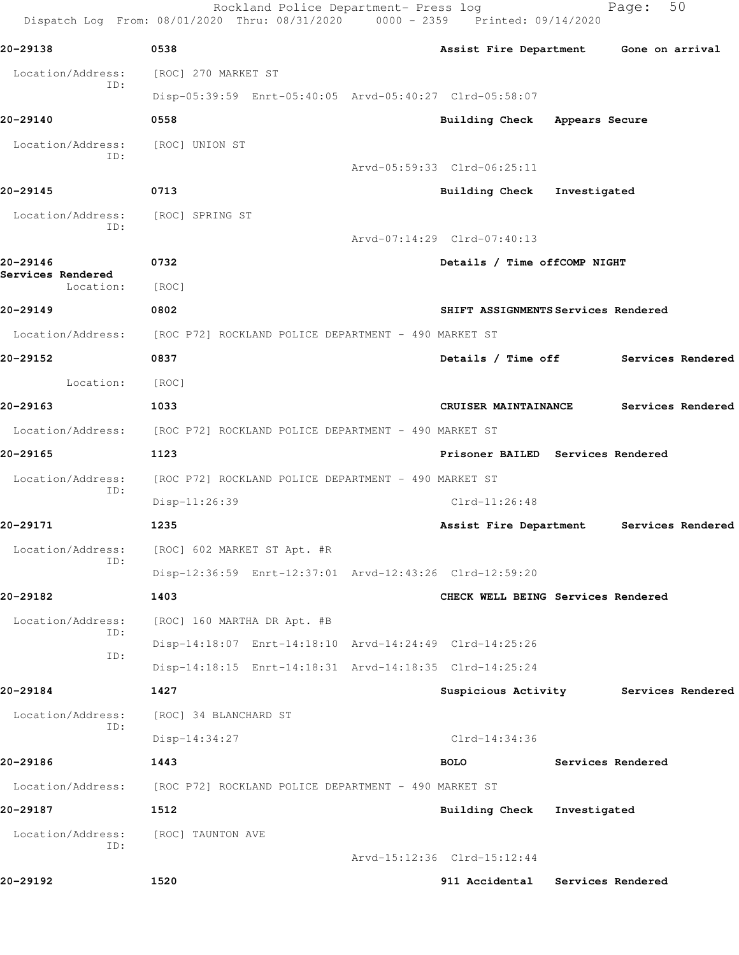Rockland Police Department- Press log Fage: 50 Dispatch Log From: 08/01/2020 Thru: 08/31/2020 0000 - 2359 Printed: 09/14/2020 **20-29138 0538 Assist Fire Department Gone on arrival** Location/Address: [ROC] 270 MARKET ST ID: Disp-05:39:59 Enrt-05:40:05 Arvd-05:40:27 Clrd-05:58:07 **20-29140 0558 Building Check Appears Secure** Location/Address: [ROC] UNION ST ID: Arvd-05:59:33 Clrd-06:25:11 **20-29145 0713 Building Check Investigated** Location/Address: [ROC] SPRING ST ID: Arvd-07:14:29 Clrd-07:40:13 **20-29146 0732 Details / Time offCOMP NIGHT Services Rendered**  Location: [ROC] **20-29149 0802 SHIFT ASSIGNMENTS Services Rendered** Location/Address: [ROC P72] ROCKLAND POLICE DEPARTMENT - 490 MARKET ST **20-29152 0837 Details / Time off Services Rendered** Location: [ROC] **20-29163 1033 CRUISER MAINTAINANCE Services Rendered** Location/Address: [ROC P72] ROCKLAND POLICE DEPARTMENT - 490 MARKET ST **20-29165 1123 Prisoner BAILED Services Rendered** Location/Address: [ROC P72] ROCKLAND POLICE DEPARTMENT - 490 MARKET ST ID: Disp-11:26:39 Clrd-11:26:48 **20-29171 1235 Assist Fire Department Services Rendered** Location/Address: [ROC] 602 MARKET ST Apt. #R ID: Disp-12:36:59 Enrt-12:37:01 Arvd-12:43:26 Clrd-12:59:20 **20-29182 1403 CHECK WELL BEING Services Rendered** Location/Address: [ROC] 160 MARTHA DR Apt. #B ID: Disp-14:18:07 Enrt-14:18:10 Arvd-14:24:49 Clrd-14:25:26 ID: Disp-14:18:15 Enrt-14:18:31 Arvd-14:18:35 Clrd-14:25:24 **20-29184 1427 Suspicious Activity Services Rendered** Location/Address: [ROC] 34 BLANCHARD ST ID: Disp-14:34:27 Clrd-14:34:36 **20-29186 1443 BOLO Services Rendered** Location/Address: [ROC P72] ROCKLAND POLICE DEPARTMENT - 490 MARKET ST **20-29187 1512 Building Check Investigated** Location/Address: [ROC] TAUNTON AVE ID: Arvd-15:12:36 Clrd-15:12:44 **20-29192 1520 911 Accidental Services Rendered**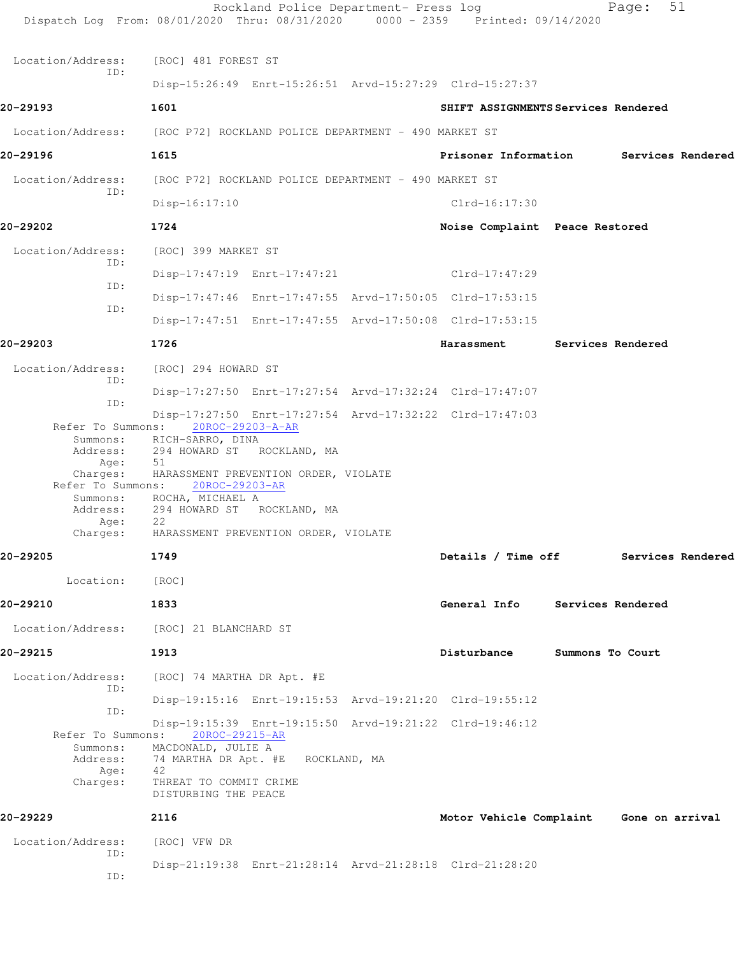| Dispatch Log From: 08/01/2020 Thru: 08/31/2020 0000 - 2359 Printed: 09/14/2020             |                                                                                                                                                                                                                                                               | Rockland Police Department- Press log |                                                         |                   | 51<br>Page:       |  |
|--------------------------------------------------------------------------------------------|---------------------------------------------------------------------------------------------------------------------------------------------------------------------------------------------------------------------------------------------------------------|---------------------------------------|---------------------------------------------------------|-------------------|-------------------|--|
| Location/Address:                                                                          | [ROC] 481 FOREST ST                                                                                                                                                                                                                                           |                                       |                                                         |                   |                   |  |
| ID:                                                                                        |                                                                                                                                                                                                                                                               |                                       | Disp-15:26:49 Enrt-15:26:51 Arvd-15:27:29 Clrd-15:27:37 |                   |                   |  |
| 20-29193                                                                                   | 1601                                                                                                                                                                                                                                                          |                                       | SHIFT ASSIGNMENTS Services Rendered                     |                   |                   |  |
| Location/Address: [ROC P72] ROCKLAND POLICE DEPARTMENT - 490 MARKET ST                     |                                                                                                                                                                                                                                                               |                                       |                                                         |                   |                   |  |
| 20-29196                                                                                   | 1615                                                                                                                                                                                                                                                          |                                       | Prisoner Information                                    |                   | Services Rendered |  |
| Location/Address:                                                                          | [ROC P72] ROCKLAND POLICE DEPARTMENT - 490 MARKET ST                                                                                                                                                                                                          |                                       |                                                         |                   |                   |  |
| ID:                                                                                        | $Disp-16:17:10$                                                                                                                                                                                                                                               |                                       | $Clrd-16:17:30$                                         |                   |                   |  |
| 20-29202                                                                                   | 1724                                                                                                                                                                                                                                                          |                                       | Noise Complaint Peace Restored                          |                   |                   |  |
| Location/Address:                                                                          | [ROC] 399 MARKET ST                                                                                                                                                                                                                                           |                                       |                                                         |                   |                   |  |
| ID:                                                                                        |                                                                                                                                                                                                                                                               | Disp-17:47:19 Enrt-17:47:21           | Clrd-17:47:29                                           |                   |                   |  |
| ID:                                                                                        |                                                                                                                                                                                                                                                               |                                       | Disp-17:47:46 Enrt-17:47:55 Arvd-17:50:05 Clrd-17:53:15 |                   |                   |  |
| ID:                                                                                        |                                                                                                                                                                                                                                                               |                                       | Disp-17:47:51 Enrt-17:47:55 Arvd-17:50:08 Clrd-17:53:15 |                   |                   |  |
| 20-29203                                                                                   | 1726                                                                                                                                                                                                                                                          |                                       | Harassment                                              | Services Rendered |                   |  |
| Location/Address:                                                                          | [ROC] 294 HOWARD ST                                                                                                                                                                                                                                           |                                       |                                                         |                   |                   |  |
| ID:<br>ID:                                                                                 |                                                                                                                                                                                                                                                               |                                       | Disp-17:27:50 Enrt-17:27:54 Arvd-17:32:24 Clrd-17:47:07 |                   |                   |  |
| Refer To Summons:<br>Address:<br>Age:<br>Charges:<br>Refer To Summons:<br>Age:<br>Charges: | 20ROC-29203-A-AR<br>Summons: RICH-SARRO, DINA<br>294 HOWARD ST ROCKLAND, MA<br>51<br>HARASSMENT PREVENTION ORDER, VIOLATE<br>20ROC-29203-AR<br>Summons: ROCHA, MICHAEL A<br>Address: 294 HOWARD ST ROCKLAND, MA<br>22<br>HARASSMENT PREVENTION ORDER, VIOLATE |                                       | Disp-17:27:50 Enrt-17:27:54 Arvd-17:32:22 Clrd-17:47:03 |                   |                   |  |
| 20-29205                                                                                   | 1749                                                                                                                                                                                                                                                          |                                       | Details / Time off Services Rendered                    |                   |                   |  |
| Location:                                                                                  | [ROC]                                                                                                                                                                                                                                                         |                                       |                                                         |                   |                   |  |
| 20-29210                                                                                   | 1833                                                                                                                                                                                                                                                          |                                       | General Info                                            | Services Rendered |                   |  |
| Location/Address:                                                                          | [ROC] 21 BLANCHARD ST                                                                                                                                                                                                                                         |                                       |                                                         |                   |                   |  |
| 20-29215                                                                                   | 1913                                                                                                                                                                                                                                                          |                                       | Disturbance                                             | Summons To Court  |                   |  |
| Location/Address:<br>ID:                                                                   | [ROC] 74 MARTHA DR Apt. #E                                                                                                                                                                                                                                    |                                       |                                                         |                   |                   |  |
| ID:                                                                                        |                                                                                                                                                                                                                                                               |                                       | Disp-19:15:16 Enrt-19:15:53 Arvd-19:21:20 Clrd-19:55:12 |                   |                   |  |
| Refer To Summons:                                                                          | 20ROC-29215-AR                                                                                                                                                                                                                                                |                                       | Disp-19:15:39 Enrt-19:15:50 Arvd-19:21:22 Clrd-19:46:12 |                   |                   |  |
| Summons:<br>Address:<br>Age:<br>Charges:                                                   | MACDONALD, JULIE A<br>74 MARTHA DR Apt. #E<br>42<br>THREAT TO COMMIT CRIME<br>DISTURBING THE PEACE                                                                                                                                                            | ROCKLAND, MA                          |                                                         |                   |                   |  |
| 20-29229                                                                                   | 2116                                                                                                                                                                                                                                                          |                                       | Motor Vehicle Complaint Gone on arrival                 |                   |                   |  |
| Location/Address:                                                                          | [ROC] VFW DR                                                                                                                                                                                                                                                  |                                       |                                                         |                   |                   |  |
| ID:<br>ID:                                                                                 |                                                                                                                                                                                                                                                               |                                       | Disp-21:19:38 Enrt-21:28:14 Arvd-21:28:18 Clrd-21:28:20 |                   |                   |  |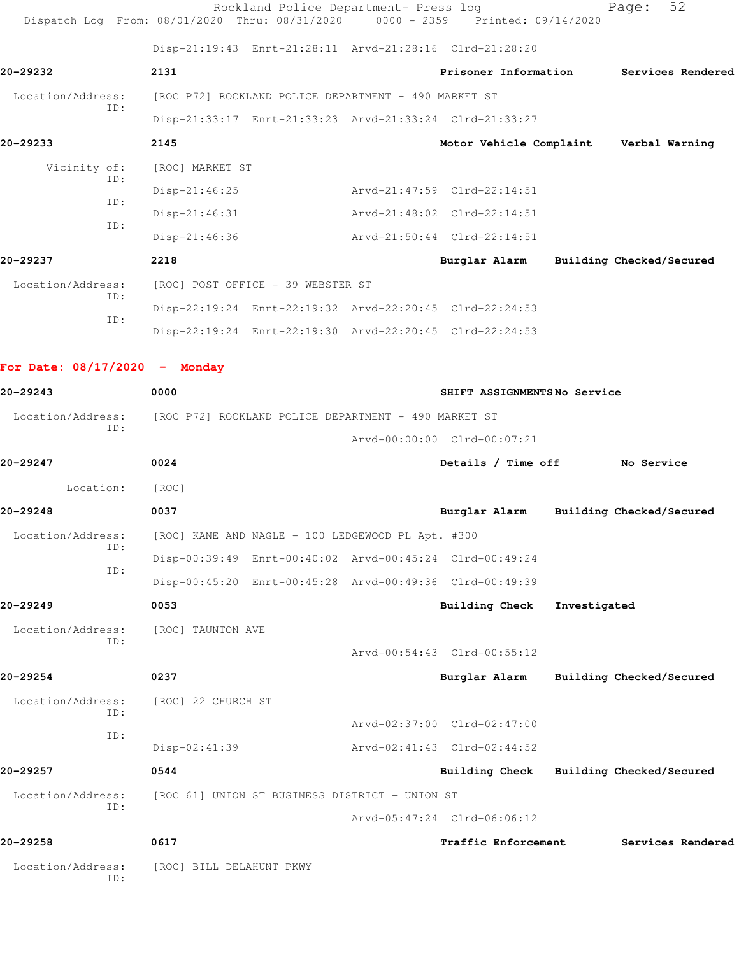| Dispatch Log From: 08/01/2020 Thru: 08/31/2020 |                                                      | Rockland Police Department- Press log             | $0000 - 2359$ | Printed: 09/14/2020                                     |              | 52<br>Page:              |
|------------------------------------------------|------------------------------------------------------|---------------------------------------------------|---------------|---------------------------------------------------------|--------------|--------------------------|
|                                                |                                                      |                                                   |               | Disp-21:19:43 Enrt-21:28:11 Arvd-21:28:16 Clrd-21:28:20 |              |                          |
| 20-29232                                       | 2131                                                 |                                                   |               | Prisoner Information                                    |              | Services Rendered        |
| Location/Address:                              | [ROC P72] ROCKLAND POLICE DEPARTMENT - 490 MARKET ST |                                                   |               |                                                         |              |                          |
| TD:                                            |                                                      |                                                   |               | Disp-21:33:17 Enrt-21:33:23 Arvd-21:33:24 Clrd-21:33:27 |              |                          |
| 20-29233                                       | 2145                                                 |                                                   |               | Motor Vehicle Complaint                                 |              | Verbal Warning           |
| Vicinity of:                                   | [ROC] MARKET ST                                      |                                                   |               |                                                         |              |                          |
| ID:                                            | Disp-21:46:25                                        |                                                   |               | Arvd-21:47:59 Clrd-22:14:51                             |              |                          |
| ID:                                            | $Disp-21:46:31$                                      |                                                   |               | Arvd-21:48:02 Clrd-22:14:51                             |              |                          |
| ID:                                            | $Disp-21:46:36$                                      |                                                   |               | Arvd-21:50:44 Clrd-22:14:51                             |              |                          |
| 20-29237                                       | 2218                                                 |                                                   |               | Burglar Alarm                                           |              | Building Checked/Secured |
| Location/Address:                              | [ROC] POST OFFICE - 39 WEBSTER ST                    |                                                   |               |                                                         |              |                          |
| ID:                                            |                                                      |                                                   |               | Disp-22:19:24 Enrt-22:19:32 Arvd-22:20:45 Clrd-22:24:53 |              |                          |
| ID:                                            |                                                      |                                                   |               | Disp-22:19:24 Enrt-22:19:30 Arvd-22:20:45 Clrd-22:24:53 |              |                          |
| For Date: $08/17/2020 -$ Monday                |                                                      |                                                   |               |                                                         |              |                          |
| 20-29243                                       | 0000                                                 |                                                   |               | SHIFT ASSIGNMENTSNo Service                             |              |                          |
| Location/Address:                              | [ROC P72] ROCKLAND POLICE DEPARTMENT - 490 MARKET ST |                                                   |               |                                                         |              |                          |
| ID:                                            |                                                      |                                                   |               | Arvd-00:00:00 Clrd-00:07:21                             |              |                          |
| 20-29247                                       | 0024                                                 |                                                   |               | Details / Time off                                      |              | No Service               |
| Location:                                      | [ROC]                                                |                                                   |               |                                                         |              |                          |
| 20-29248                                       | 0037                                                 |                                                   |               | Burglar Alarm                                           |              | Building Checked/Secured |
| Location/Address:                              |                                                      | [ROC] KANE AND NAGLE - 100 LEDGEWOOD PL Apt. #300 |               |                                                         |              |                          |
| ID:                                            |                                                      |                                                   |               | Disp-00:39:49 Enrt-00:40:02 Arvd-00:45:24 Clrd-00:49:24 |              |                          |
| ID:                                            |                                                      |                                                   |               | Disp-00:45:20 Enrt-00:45:28 Arvd-00:49:36 Clrd-00:49:39 |              |                          |
| 20-29249                                       | 0053                                                 |                                                   |               | <b>Building Check</b>                                   | Investigated |                          |
| Location/Address:                              | [ROC] TAUNTON AVE                                    |                                                   |               |                                                         |              |                          |
| ID:                                            |                                                      |                                                   |               | Arvd-00:54:43 Clrd-00:55:12                             |              |                          |
| 20-29254                                       | 0237                                                 |                                                   |               | Burglar Alarm                                           |              | Building Checked/Secured |
| Location/Address:                              | [ROC] 22 CHURCH ST                                   |                                                   |               |                                                         |              |                          |
| ID:                                            |                                                      |                                                   |               | Arvd-02:37:00 Clrd-02:47:00                             |              |                          |
| ID:                                            | $Disp-02:41:39$                                      |                                                   |               | Arvd-02:41:43 Clrd-02:44:52                             |              |                          |
| 20-29257                                       | 0544                                                 |                                                   |               | <b>Building Check</b>                                   |              | Building Checked/Secured |
| Location/Address:                              |                                                      | [ROC 61] UNION ST BUSINESS DISTRICT - UNION ST    |               |                                                         |              |                          |
| ID:                                            |                                                      |                                                   |               | Arvd-05:47:24 Clrd-06:06:12                             |              |                          |
| 20-29258                                       | 0617                                                 |                                                   |               | Traffic Enforcement                                     |              | Services Rendered        |
| Location/Address:<br>ID:                       | [ROC] BILL DELAHUNT PKWY                             |                                                   |               |                                                         |              |                          |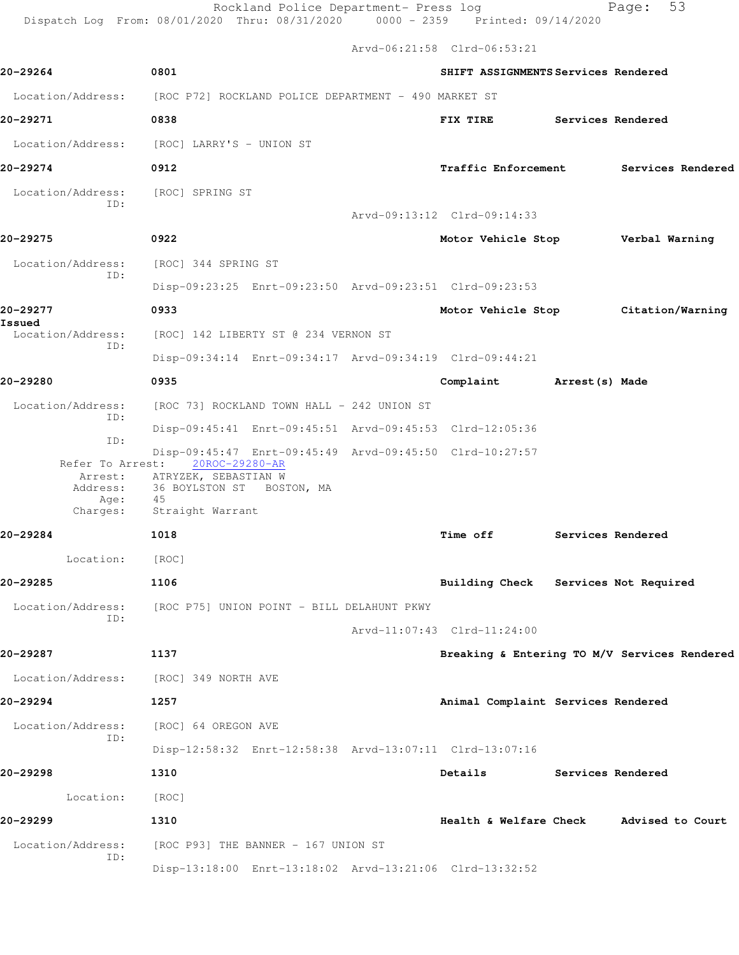Rockland Police Department- Press log Fage: 53 Dispatch Log From: 08/01/2020 Thru: 08/31/2020 0000 - 2359 Printed: 09/14/2020 Arvd-06:21:58 Clrd-06:53:21 **20-29264 0801 SHIFT ASSIGNMENTS Services Rendered** Location/Address: [ROC P72] ROCKLAND POLICE DEPARTMENT - 490 MARKET ST **20-29271 0838 FIX TIRE Services Rendered** Location/Address: [ROC] LARRY'S - UNION ST **20-29274 0912 Traffic Enforcement Services Rendered** Location/Address: [ROC] SPRING ST ID: Arvd-09:13:12 Clrd-09:14:33 **20-29275 0922 Motor Vehicle Stop Verbal Warning** Location/Address: [ROC] 344 SPRING ST ID: Disp-09:23:25 Enrt-09:23:50 Arvd-09:23:51 Clrd-09:23:53 **20-29277 0933 Motor Vehicle Stop Citation/Warning Issued**  Location/Address: [ROC] 142 LIBERTY ST @ 234 VERNON ST ID: Disp-09:34:14 Enrt-09:34:17 Arvd-09:34:19 Clrd-09:44:21 **20-29280 0935 Complaint Arrest(s) Made** Location/Address: [ROC 73] ROCKLAND TOWN HALL - 242 UNION ST ID: Disp-09:45:41 Enrt-09:45:51 Arvd-09:45:53 Clrd-12:05:36 ID: Disp-09:45:47 Enrt-09:45:49 Arvd-09:45:50 Clrd-10:27:57 Refer To Arrest: Arrest: ATRYZEK, SEBASTIAN W Address: 36 BOYLSTON ST BOSTON, MA Age: 45 Charges: Straight Warrant **20-29284 1018 Time off Services Rendered** Location: [ROC] **20-29285 1106 Building Check Services Not Required** Location/Address: [ROC P75] UNION POINT - BILL DELAHUNT PKWY

Arvd-11:07:43 Clrd-11:24:00

**20-29287 1137 Breaking & Entering TO M/V Services Rendered** Location/Address: [ROC] 349 NORTH AVE **20-29294 1257 Animal Complaint Services Rendered** Location/Address: [ROC] 64 OREGON AVE ID: Disp-12:58:32 Enrt-12:58:38 Arvd-13:07:11 Clrd-13:07:16 **20-29298 1310 Details Services Rendered** Location: [ROC] **20-29299 1310 Health & Welfare Check Advised to Court** Location/Address: [ROC P93] THE BANNER - 167 UNION ST ID:

Disp-13:18:00 Enrt-13:18:02 Arvd-13:21:06 Clrd-13:32:52

ID: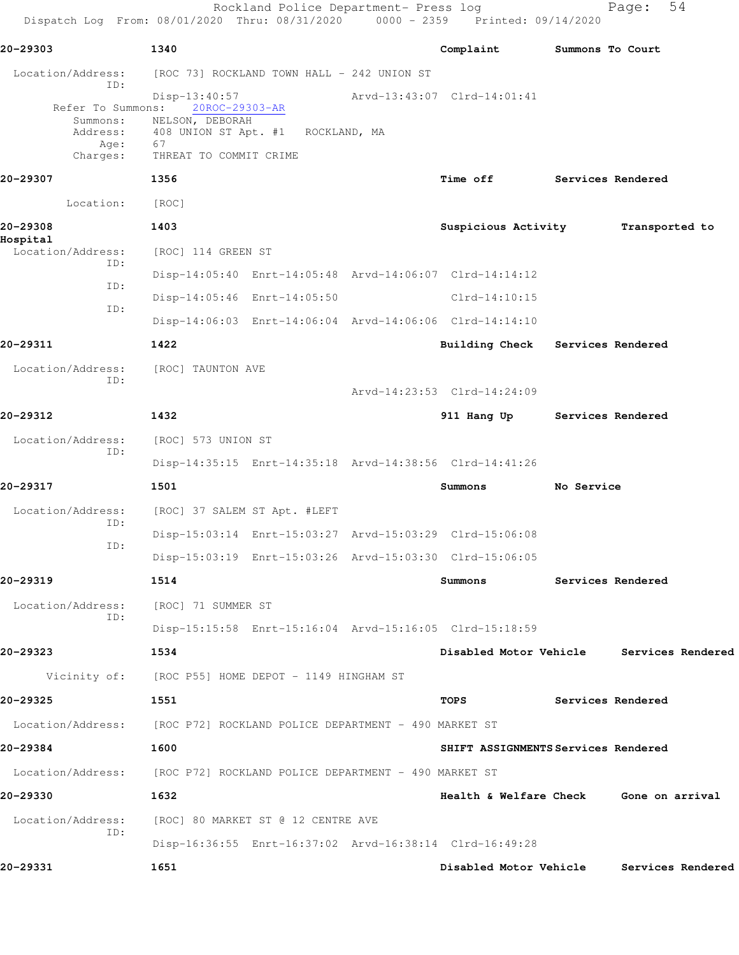Rockland Police Department- Press log entitled and Page: 54 Dispatch Log From: 08/01/2020 Thru: 08/31/2020 0000 - 2359 Printed: 09/14/2020

| 20-29303                                        | 1340                                                                                                                                        | Complaint                              | Summons To Court  |                                          |
|-------------------------------------------------|---------------------------------------------------------------------------------------------------------------------------------------------|----------------------------------------|-------------------|------------------------------------------|
| Location/Address:                               | [ROC 73] ROCKLAND TOWN HALL - 242 UNION ST                                                                                                  |                                        |                   |                                          |
| ID:<br>Summons:<br>Address:<br>Age:<br>Charges: | $Disp-13:40:57$<br>Refer To Summons: 20ROC-29303-AR<br>NELSON, DEBORAH<br>408 UNION ST Apt. #1 ROCKLAND, MA<br>67<br>THREAT TO COMMIT CRIME | Arvd-13:43:07 Clrd-14:01:41            |                   |                                          |
| 20-29307                                        | 1356                                                                                                                                        | <b>Time off</b>                        | Services Rendered |                                          |
| Location:                                       | [ROC]                                                                                                                                       |                                        |                   |                                          |
| 20-29308                                        | 1403                                                                                                                                        | Suspicious Activity                    |                   | Transported to                           |
| Hospital<br>Location/Address:                   | [ROC] 114 GREEN ST                                                                                                                          |                                        |                   |                                          |
| ID:                                             | Disp-14:05:40 Enrt-14:05:48 Arvd-14:06:07 Clrd-14:14:12                                                                                     |                                        |                   |                                          |
| ID:<br>ID:                                      | Disp-14:05:46 Enrt-14:05:50                                                                                                                 | $Clrd-14:10:15$                        |                   |                                          |
|                                                 | Disp-14:06:03 Enrt-14:06:04 Arvd-14:06:06 Clrd-14:14:10                                                                                     |                                        |                   |                                          |
| 20-29311                                        | 1422                                                                                                                                        | Building Check Services Rendered       |                   |                                          |
| Location/Address:<br>ID:                        | [ROC] TAUNTON AVE                                                                                                                           |                                        |                   |                                          |
|                                                 |                                                                                                                                             | Arvd-14:23:53 Clrd-14:24:09            |                   |                                          |
| 20-29312                                        | 1432                                                                                                                                        | 911 Hang Up Services Rendered          |                   |                                          |
| Location/Address:<br>ID:                        | [ROC] 573 UNION ST                                                                                                                          |                                        |                   |                                          |
|                                                 | Disp-14:35:15 Enrt-14:35:18 Arvd-14:38:56 Clrd-14:41:26                                                                                     |                                        |                   |                                          |
| 20-29317                                        | 1501                                                                                                                                        | Summons                                | No Service        |                                          |
| Location/Address:<br>ID:                        | [ROC] 37 SALEM ST Apt. #LEFT                                                                                                                |                                        |                   |                                          |
| ID:                                             | Disp-15:03:14 Enrt-15:03:27 Arvd-15:03:29 Clrd-15:06:08                                                                                     |                                        |                   |                                          |
|                                                 | Disp-15:03:19 Enrt-15:03:26 Arvd-15:03:30 Clrd-15:06:05                                                                                     |                                        |                   |                                          |
| 20-29319                                        | 1514                                                                                                                                        | Summons                                | Services Rendered |                                          |
| Location/Address:<br>ID:                        | [ROC] 71 SUMMER ST                                                                                                                          |                                        |                   |                                          |
|                                                 | Disp-15:15:58 Enrt-15:16:04 Arvd-15:16:05 Clrd-15:18:59                                                                                     |                                        |                   |                                          |
| 20-29323                                        | 1534                                                                                                                                        |                                        |                   | Disabled Motor Vehicle Services Rendered |
|                                                 | Vicinity of: [ROC P55] HOME DEPOT - 1149 HINGHAM ST                                                                                         |                                        |                   |                                          |
| 20-29325                                        | 1551                                                                                                                                        | TOPS                                   | Services Rendered |                                          |
|                                                 | Location/Address: [ROC P72] ROCKLAND POLICE DEPARTMENT - 490 MARKET ST                                                                      |                                        |                   |                                          |
| 20-29384                                        | 1600                                                                                                                                        | SHIFT ASSIGNMENTS Services Rendered    |                   |                                          |
|                                                 | Location/Address: [ROC P72] ROCKLAND POLICE DEPARTMENT - 490 MARKET ST                                                                      |                                        |                   |                                          |
| 20-29330                                        | 1632                                                                                                                                        | Health & Welfare Check Gone on arrival |                   |                                          |
| Location/Address:<br>ID:                        | [ROC] 80 MARKET ST @ 12 CENTRE AVE                                                                                                          |                                        |                   |                                          |
|                                                 | Disp-16:36:55 Enrt-16:37:02 Arvd-16:38:14 Clrd-16:49:28                                                                                     |                                        |                   |                                          |
| 20-29331                                        | 1651                                                                                                                                        | Disabled Motor Vehicle                 |                   | Services Rendered                        |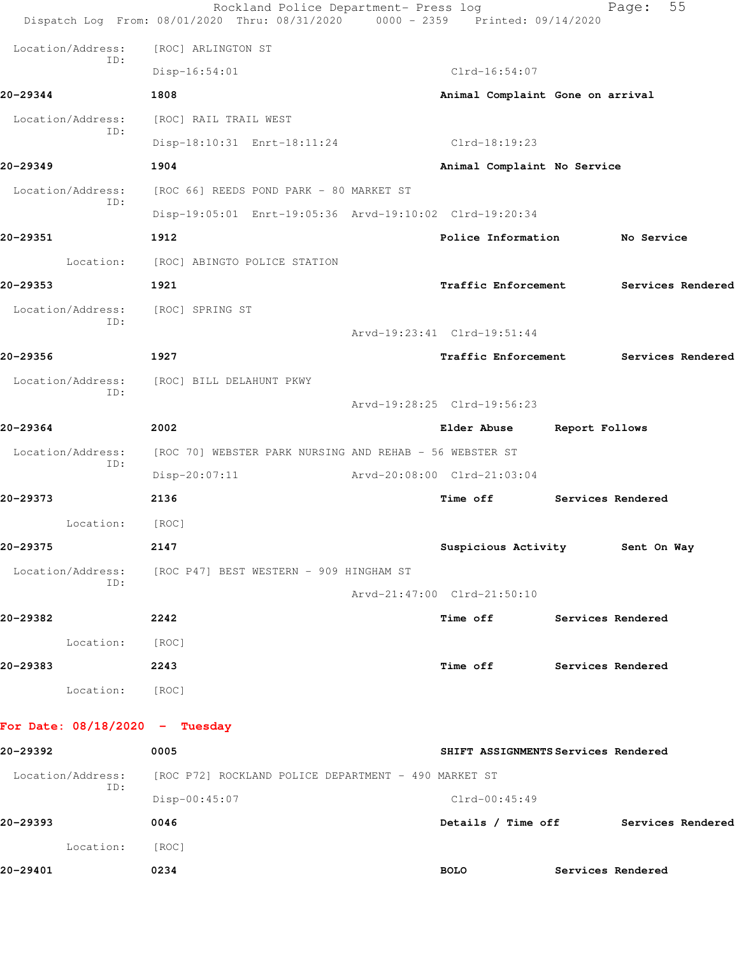|                                  | Rockland Police Department- Press log<br>Dispatch Log From: 08/01/2020 Thru: 08/31/2020 0000 - 2359 Printed: 09/14/2020 |                                     |                          | 55<br>Page:       |  |
|----------------------------------|-------------------------------------------------------------------------------------------------------------------------|-------------------------------------|--------------------------|-------------------|--|
| Location/Address:                | [ROC] ARLINGTON ST                                                                                                      |                                     |                          |                   |  |
| ID:                              | $Disp-16:54:01$                                                                                                         | $Clrd-16:54:07$                     |                          |                   |  |
| 20-29344                         | 1808                                                                                                                    | Animal Complaint Gone on arrival    |                          |                   |  |
| Location/Address:                | [ROC] RAIL TRAIL WEST                                                                                                   |                                     |                          |                   |  |
| ID:                              | Disp-18:10:31 Enrt-18:11:24                                                                                             | Clrd-18:19:23                       |                          |                   |  |
| 20-29349                         | 1904                                                                                                                    | Animal Complaint No Service         |                          |                   |  |
| Location/Address:                | [ROC 66] REEDS POND PARK - 80 MARKET ST                                                                                 |                                     |                          |                   |  |
| ID:                              | Disp-19:05:01 Enrt-19:05:36 Arvd-19:10:02 Clrd-19:20:34                                                                 |                                     |                          |                   |  |
| 20-29351                         | 1912                                                                                                                    | Police Information                  |                          | No Service        |  |
|                                  | Location: [ROC] ABINGTO POLICE STATION                                                                                  |                                     |                          |                   |  |
| 20-29353                         | 1921                                                                                                                    | <b>Traffic Enforcement</b>          |                          | Services Rendered |  |
| Location/Address:<br>ID:         | [ROC] SPRING ST                                                                                                         |                                     |                          |                   |  |
|                                  |                                                                                                                         | Arvd-19:23:41 Clrd-19:51:44         |                          |                   |  |
| 20-29356                         | 1927                                                                                                                    | <b>Traffic Enforcement</b>          |                          | Services Rendered |  |
| Location/Address:<br>ID:         | [ROC] BILL DELAHUNT PKWY                                                                                                |                                     |                          |                   |  |
|                                  |                                                                                                                         | Arvd-19:28:25 Clrd-19:56:23         |                          |                   |  |
| 20-29364                         | 2002                                                                                                                    | <b>Elder Abuse</b>                  | Report Follows           |                   |  |
| Location/Address:<br>ID:         | [ROC 70] WEBSTER PARK NURSING AND REHAB - 56 WEBSTER ST                                                                 |                                     |                          |                   |  |
|                                  | $Disp-20:07:11$                                                                                                         | Arvd-20:08:00 Clrd-21:03:04         |                          |                   |  |
| 20-29373                         | 2136                                                                                                                    | <b>Time off</b>                     |                          | Services Rendered |  |
| Location:                        | [ROC]                                                                                                                   |                                     |                          |                   |  |
| 20-29375                         | 2147                                                                                                                    | Suspicious Activity 5ent On Way     |                          |                   |  |
| Location/Address:<br>ID:         | [ROC P47] BEST WESTERN - 909 HINGHAM ST                                                                                 |                                     |                          |                   |  |
|                                  |                                                                                                                         | Arvd-21:47:00 Clrd-21:50:10         |                          |                   |  |
| 20-29382                         | 2242                                                                                                                    | Time off Services Rendered          |                          |                   |  |
| Location:                        | [ROC]                                                                                                                   |                                     |                          |                   |  |
| 20-29383                         | 2243                                                                                                                    | Time off                            | <b>Services Rendered</b> |                   |  |
| Location: [ROC]                  |                                                                                                                         |                                     |                          |                   |  |
| For Date: $08/18/2020 -$ Tuesday |                                                                                                                         |                                     |                          |                   |  |
| 20-29392                         | 0005                                                                                                                    | SHIFT ASSIGNMENTS Services Rendered |                          |                   |  |
| Location/Address:                | [ROC P72] ROCKLAND POLICE DEPARTMENT - 490 MARKET ST                                                                    |                                     |                          |                   |  |
| ID:                              | Disp-00:45:07                                                                                                           | $Clrd-00:45:49$                     |                          |                   |  |
| 20-29393                         | 0046                                                                                                                    | Details / Time off                  |                          | Services Rendered |  |
| Location:                        | [ROC]                                                                                                                   |                                     |                          |                   |  |

**20-29401 0234 BOLO Services Rendered**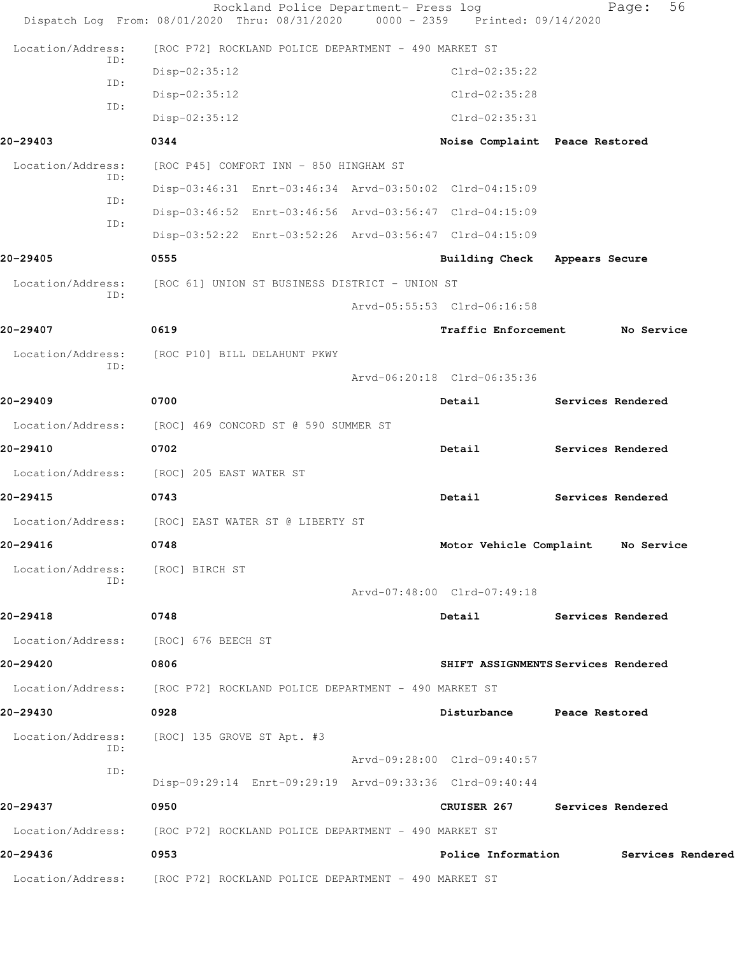|                          | Rockland Police Department- Press log<br>Dispatch Log From: 08/01/2020 Thru: 08/31/2020 0000 - 2359 Printed: 09/14/2020 |                                | 56<br>Page:                         |
|--------------------------|-------------------------------------------------------------------------------------------------------------------------|--------------------------------|-------------------------------------|
| Location/Address:        | [ROC P72] ROCKLAND POLICE DEPARTMENT - 490 MARKET ST                                                                    |                                |                                     |
| ID:                      | Disp-02:35:12                                                                                                           | $Clrd-02:35:22$                |                                     |
| ID:                      | Disp-02:35:12                                                                                                           | Clrd-02:35:28                  |                                     |
| ID:                      | Disp-02:35:12                                                                                                           | Clrd-02:35:31                  |                                     |
| 20-29403                 | 0344                                                                                                                    | Noise Complaint Peace Restored |                                     |
| Location/Address:        | [ROC P45] COMFORT INN - 850 HINGHAM ST                                                                                  |                                |                                     |
| ID:                      | Disp-03:46:31 Enrt-03:46:34 Arvd-03:50:02 Clrd-04:15:09                                                                 |                                |                                     |
| ID:<br>ID:               | Disp-03:46:52 Enrt-03:46:56 Arvd-03:56:47 Clrd-04:15:09                                                                 |                                |                                     |
|                          | Disp-03:52:22 Enrt-03:52:26 Arvd-03:56:47 Clrd-04:15:09                                                                 |                                |                                     |
| 20-29405                 | 0555                                                                                                                    | Building Check Appears Secure  |                                     |
| Location/Address:<br>ID: | [ROC 61] UNION ST BUSINESS DISTRICT - UNION ST                                                                          |                                |                                     |
|                          |                                                                                                                         | Arvd-05:55:53 Clrd-06:16:58    |                                     |
| 20-29407                 | 0619                                                                                                                    | <b>Traffic Enforcement</b>     | No Service                          |
| Location/Address:<br>TD: | [ROC P10] BILL DELAHUNT PKWY                                                                                            |                                |                                     |
|                          |                                                                                                                         | Arvd-06:20:18 Clrd-06:35:36    |                                     |
| 20-29409                 | 0700                                                                                                                    | Detail                         | Services Rendered                   |
|                          | Location/Address: [ROC] 469 CONCORD ST @ 590 SUMMER ST                                                                  |                                |                                     |
| 20-29410                 | 0702                                                                                                                    | Detail                         | Services Rendered                   |
| Location/Address:        | [ROC] 205 EAST WATER ST                                                                                                 |                                |                                     |
| 20-29415                 | 0743                                                                                                                    | Detail                         | Services Rendered                   |
|                          | Location/Address: [ROC] EAST WATER ST @ LIBERTY ST                                                                      |                                |                                     |
| 20-29416                 | 0748                                                                                                                    |                                | Motor Vehicle Complaint No Service  |
| Location/Address:        | [ROC] BIRCH ST                                                                                                          |                                |                                     |
| ID:                      |                                                                                                                         | Arvd-07:48:00 Clrd-07:49:18    |                                     |
| 20-29418                 | 0748                                                                                                                    | Detail                         | Services Rendered                   |
|                          | Location/Address: [ROC] 676 BEECH ST                                                                                    |                                |                                     |
| 20-29420                 | 0806                                                                                                                    |                                | SHIFT ASSIGNMENTS Services Rendered |
|                          | Location/Address: [ROC P72] ROCKLAND POLICE DEPARTMENT - 490 MARKET ST                                                  |                                |                                     |
| 20-29430                 | 0928                                                                                                                    | Disturbance Peace Restored     |                                     |
| Location/Address:        | [ROC] 135 GROVE ST Apt. #3                                                                                              |                                |                                     |
| ID:<br>ID:               |                                                                                                                         | Arvd-09:28:00 Clrd-09:40:57    |                                     |
|                          | Disp-09:29:14 Enrt-09:29:19 Arvd-09:33:36 Clrd-09:40:44                                                                 |                                |                                     |
| 20-29437                 | 0950                                                                                                                    |                                | CRUISER 267 Services Rendered       |
|                          | Location/Address: [ROC P72] ROCKLAND POLICE DEPARTMENT - 490 MARKET ST                                                  |                                |                                     |
| 20-29436                 | 0953                                                                                                                    | Police Information             | Services Rendered                   |
| Location/Address:        | [ROC P72] ROCKLAND POLICE DEPARTMENT - 490 MARKET ST                                                                    |                                |                                     |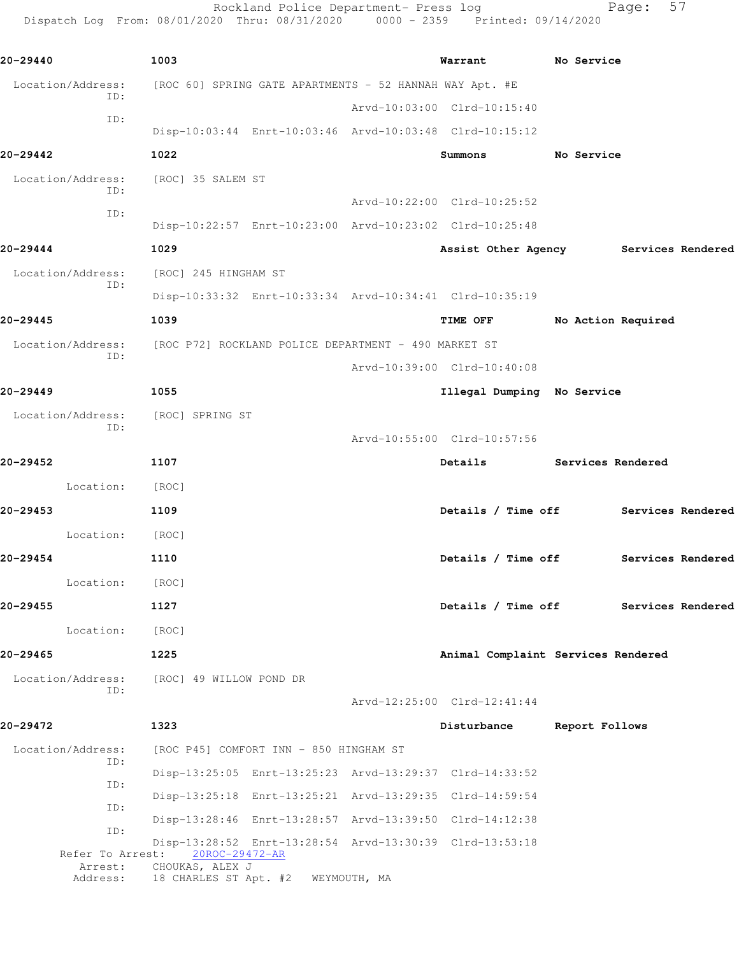Rockland Police Department- Press log entitled and Page: 57 Dispatch Log From: 08/01/2020 Thru: 08/31/2020 0000 - 2359 Printed: 09/14/2020

| 20-29440                 | 1003                                                                      | Warrant                            | No Service |                    |  |
|--------------------------|---------------------------------------------------------------------------|------------------------------------|------------|--------------------|--|
| Location/Address:<br>ID: | [ROC 60] SPRING GATE APARTMENTS - 52 HANNAH WAY Apt. #E                   |                                    |            |                    |  |
| ID:                      |                                                                           | Arvd-10:03:00 Clrd-10:15:40        |            |                    |  |
|                          | Disp-10:03:44 Enrt-10:03:46 Arvd-10:03:48 Clrd-10:15:12                   |                                    |            |                    |  |
| 20-29442                 | 1022                                                                      | Summons                            | No Service |                    |  |
| Location/Address:<br>ID: | [ROC] 35 SALEM ST                                                         |                                    |            |                    |  |
| ID:                      |                                                                           | Arvd-10:22:00 Clrd-10:25:52        |            |                    |  |
|                          | Disp-10:22:57 Enrt-10:23:00 Arvd-10:23:02 Clrd-10:25:48                   |                                    |            |                    |  |
| 20-29444                 | 1029                                                                      | Assist Other Agency                |            | Services Rendered  |  |
| Location/Address:        | [ROC] 245 HINGHAM ST                                                      |                                    |            |                    |  |
| ID:                      | Disp-10:33:32 Enrt-10:33:34 Arvd-10:34:41 Clrd-10:35:19                   |                                    |            |                    |  |
| 20-29445                 | 1039                                                                      | TIME OFF                           |            | No Action Required |  |
| Location/Address:        | [ROC P72] ROCKLAND POLICE DEPARTMENT - 490 MARKET ST                      |                                    |            |                    |  |
| ID:                      |                                                                           | Arvd-10:39:00 Clrd-10:40:08        |            |                    |  |
| 20-29449                 | 1055                                                                      | Illegal Dumping No Service         |            |                    |  |
| Location/Address:        | [ROC] SPRING ST                                                           |                                    |            |                    |  |
| ID:                      |                                                                           | Arvd-10:55:00 Clrd-10:57:56        |            |                    |  |
| 20-29452                 | 1107                                                                      | Details                            |            | Services Rendered  |  |
| Location:                | [ROC]                                                                     |                                    |            |                    |  |
| 20-29453                 | 1109                                                                      | Details / Time off                 |            | Services Rendered  |  |
| Location:                | [ROC]                                                                     |                                    |            |                    |  |
| 20-29454                 | 1110                                                                      | Details / Time off                 |            | Services Rendered  |  |
| Location:                | [ROC]                                                                     |                                    |            |                    |  |
| 20-29455                 | 1127                                                                      | Details / Time off                 |            | Services Rendered  |  |
| Location:                | [ROC]                                                                     |                                    |            |                    |  |
| 20-29465                 | 1225                                                                      | Animal Complaint Services Rendered |            |                    |  |
| Location/Address:        | [ROC] 49 WILLOW POND DR                                                   |                                    |            |                    |  |
| ID:                      |                                                                           | Arvd-12:25:00 Clrd-12:41:44        |            |                    |  |
| 20-29472                 | 1323                                                                      | Disturbance                        |            | Report Follows     |  |
|                          |                                                                           |                                    |            |                    |  |
| Location/Address:<br>ID: | [ROC P45] COMFORT INN - 850 HINGHAM ST                                    |                                    |            |                    |  |
| ID:                      | Disp-13:25:05 Enrt-13:25:23 Arvd-13:29:37 Clrd-14:33:52                   |                                    |            |                    |  |
| ID:                      | Disp-13:25:18 Enrt-13:25:21 Arvd-13:29:35 Clrd-14:59:54                   |                                    |            |                    |  |
| ID:                      | Disp-13:28:46 Enrt-13:28:57 Arvd-13:39:50 Clrd-14:12:38                   |                                    |            |                    |  |
| Refer To Arrest:         | Disp-13:28:52 Enrt-13:28:54 Arvd-13:30:39 Clrd-13:53:18<br>20ROC-29472-AR |                                    |            |                    |  |
| Arrest:<br>Address:      | CHOUKAS, ALEX J<br>18 CHARLES ST Apt. #2 WEYMOUTH, MA                     |                                    |            |                    |  |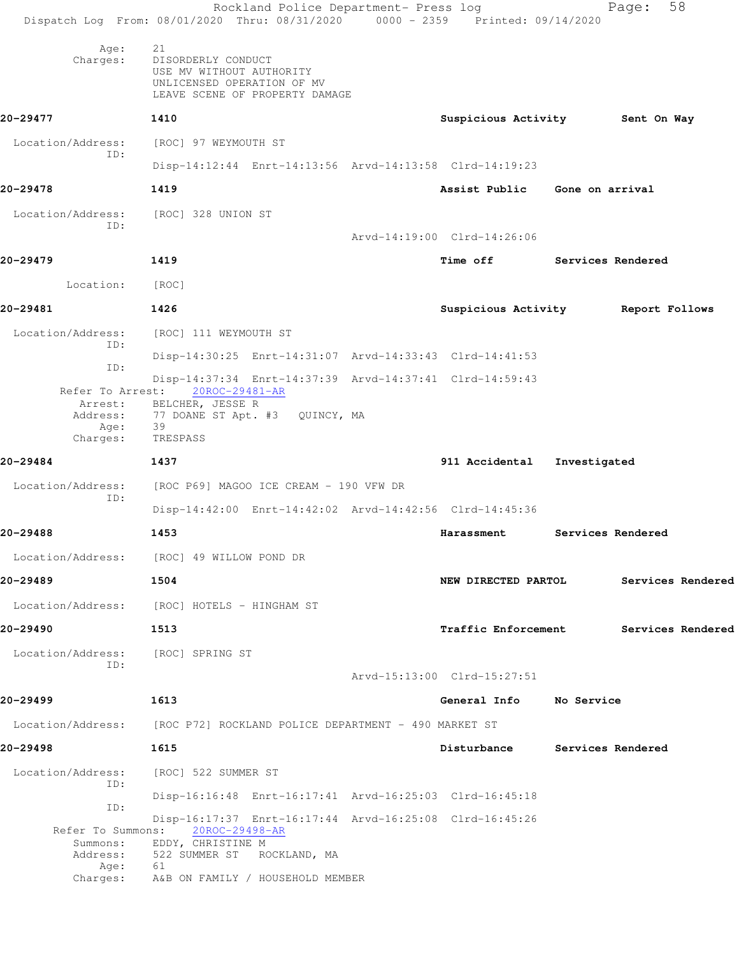|                                                   | Rockland Police Department- Press log<br>Dispatch Log From: 08/01/2020 Thru: 08/31/2020 0000 - 2359 Printed: 09/14/2020            |                                 |                   | 58<br>Page:       |  |
|---------------------------------------------------|------------------------------------------------------------------------------------------------------------------------------------|---------------------------------|-------------------|-------------------|--|
| Age:<br>Charges:                                  | 21<br>DISORDERLY CONDUCT<br>USE MV WITHOUT AUTHORITY<br>UNLICENSED OPERATION OF MV<br>LEAVE SCENE OF PROPERTY DAMAGE               |                                 |                   |                   |  |
| 20-29477                                          | 1410                                                                                                                               | Suspicious Activity 5ent On Way |                   |                   |  |
| Location/Address:                                 | [ROC] 97 WEYMOUTH ST                                                                                                               |                                 |                   |                   |  |
| ID:                                               | Disp-14:12:44 Enrt-14:13:56 Arvd-14:13:58 Clrd-14:19:23                                                                            |                                 |                   |                   |  |
| 20-29478                                          | 1419                                                                                                                               | Assist Public Gone on arrival   |                   |                   |  |
| Location/Address:                                 | [ROC] 328 UNION ST                                                                                                                 |                                 |                   |                   |  |
| ID:                                               |                                                                                                                                    | Arvd-14:19:00 Clrd-14:26:06     |                   |                   |  |
| 20-29479                                          | 1419                                                                                                                               | Time off                        | Services Rendered |                   |  |
| Location:                                         | [ROC]                                                                                                                              |                                 |                   |                   |  |
| 20-29481                                          | 1426                                                                                                                               | Suspicious Activity             |                   | Report Follows    |  |
| Location/Address:                                 | [ROC] 111 WEYMOUTH ST                                                                                                              |                                 |                   |                   |  |
| ID:                                               | Disp-14:30:25 Enrt-14:31:07 Arvd-14:33:43 Clrd-14:41:53                                                                            |                                 |                   |                   |  |
| ID:                                               | Disp-14:37:34 Enrt-14:37:39 Arvd-14:37:41 Clrd-14:59:43<br>Refer To Arrest: 20ROC-29481-AR                                         |                                 |                   |                   |  |
| Arrest:<br>Address:<br>Age:<br>Charges:           | BELCHER, JESSE R<br>77 DOANE ST Apt. #3 QUINCY, MA<br>39<br>TRESPASS                                                               |                                 |                   |                   |  |
| 20-29484                                          | 1437                                                                                                                               | 911 Accidental Investigated     |                   |                   |  |
| Location/Address:                                 | [ROC P69] MAGOO ICE CREAM - 190 VFW DR                                                                                             |                                 |                   |                   |  |
| ID:                                               | Disp-14:42:00 Enrt-14:42:02 Arvd-14:42:56 Clrd-14:45:36                                                                            |                                 |                   |                   |  |
| 20-29488                                          | 1453                                                                                                                               | Harassment                      |                   | Services Rendered |  |
|                                                   | Location/Address: [ROC] 49 WILLOW POND DR                                                                                          |                                 |                   |                   |  |
| 20-29489                                          | 1504                                                                                                                               | NEW DIRECTED PARTOL             |                   | Services Rendered |  |
|                                                   | Location/Address: [ROC] HOTELS - HINGHAM ST                                                                                        |                                 |                   |                   |  |
| 20-29490                                          | 1513                                                                                                                               | <b>Traffic Enforcement</b>      |                   | Services Rendered |  |
| Location/Address:                                 | [ROC] SPRING ST                                                                                                                    |                                 |                   |                   |  |
| ID:                                               |                                                                                                                                    | Arvd-15:13:00 Clrd-15:27:51     |                   |                   |  |
| 20-29499                                          | 1613                                                                                                                               | General Info                    | No Service        |                   |  |
|                                                   | Location/Address: [ROC P72] ROCKLAND POLICE DEPARTMENT - 490 MARKET ST                                                             |                                 |                   |                   |  |
| 20-29498                                          | 1615                                                                                                                               | Disturbance                     |                   | Services Rendered |  |
| Location/Address:<br>ID:                          | [ROC] 522 SUMMER ST                                                                                                                |                                 |                   |                   |  |
| ID:                                               | Disp-16:16:48 Enrt-16:17:41 Arvd-16:25:03 Clrd-16:45:18                                                                            |                                 |                   |                   |  |
| Refer To Summons:<br>Summons:<br>Address:<br>Age: | Disp-16:17:37 Enrt-16:17:44 Arvd-16:25:08 Clrd-16:45:26<br>20ROC-29498-AR<br>EDDY, CHRISTINE M<br>522 SUMMER ST ROCKLAND, MA<br>61 |                                 |                   |                   |  |
| Charges:                                          | A&B ON FAMILY / HOUSEHOLD MEMBER                                                                                                   |                                 |                   |                   |  |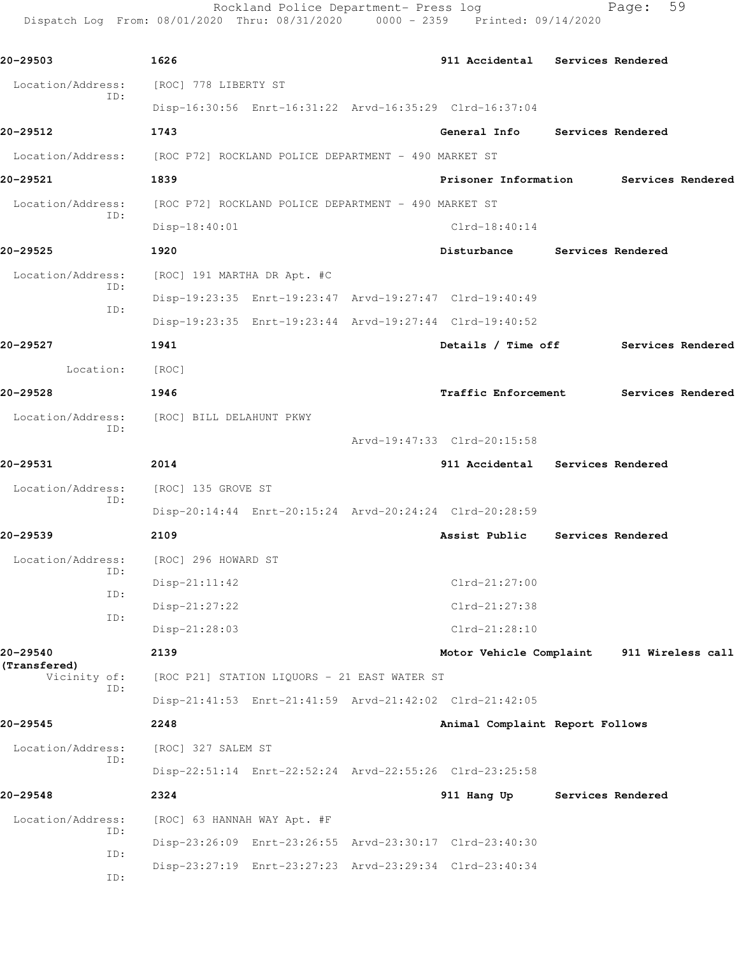Rockland Police Department- Press log Fage: 59 Dispatch Log From: 08/01/2020 Thru: 08/31/2020 0000 - 2359 Printed: 09/14/2020

**20-29503 1626 911 Accidental Services Rendered** Location/Address: [ROC] 778 LIBERTY ST ID: Disp-16:30:56 Enrt-16:31:22 Arvd-16:35:29 Clrd-16:37:04 **20-29512 1743 General Info Services Rendered** Location/Address: [ROC P72] ROCKLAND POLICE DEPARTMENT - 490 MARKET ST **20-29521 1839 Prisoner Information Services Rendered** Location/Address: [ROC P72] ROCKLAND POLICE DEPARTMENT - 490 MARKET ST ID: Disp-18:40:01 Clrd-18:40:14 **20-29525 1920 Disturbance Services Rendered** Location/Address: [ROC] 191 MARTHA DR Apt. #C ID: Disp-19:23:35 Enrt-19:23:47 Arvd-19:27:47 Clrd-19:40:49 ID: Disp-19:23:35 Enrt-19:23:44 Arvd-19:27:44 Clrd-19:40:52 **20-29527 1941 Details / Time off Services Rendered** Location: [ROC] **20-29528 1946 Traffic Enforcement Services Rendered** Location/Address: [ROC] BILL DELAHUNT PKWY ID: Arvd-19:47:33 Clrd-20:15:58 **20-29531 2014 911 Accidental Services Rendered** Location/Address: [ROC] 135 GROVE ST ID: Disp-20:14:44 Enrt-20:15:24 Arvd-20:24:24 Clrd-20:28:59 **20-29539 2109 Assist Public Services Rendered** Location/Address: [ROC] 296 HOWARD ST ID: Disp-21:11:42 Clrd-21:27:00 ID: Disp-21:27:22 Clrd-21:27:38 ID: Disp-21:28:03 Clrd-21:28:10 **20-29540 2139 Motor Vehicle Complaint 911 Wireless call (Transfered)**  [ROC P21] STATION LIQUORS - 21 EAST WATER ST ID: Disp-21:41:53 Enrt-21:41:59 Arvd-21:42:02 Clrd-21:42:05 **20-29545 2248 Animal Complaint Report Follows** Location/Address: [ROC] 327 SALEM ST ID: Disp-22:51:14 Enrt-22:52:24 Arvd-22:55:26 Clrd-23:25:58 **20-29548 2324 911 Hang Up Services Rendered** Location/Address: [ROC] 63 HANNAH WAY Apt. #F ID: Disp-23:26:09 Enrt-23:26:55 Arvd-23:30:17 Clrd-23:40:30 ID: Disp-23:27:19 Enrt-23:27:23 Arvd-23:29:34 Clrd-23:40:34 ID: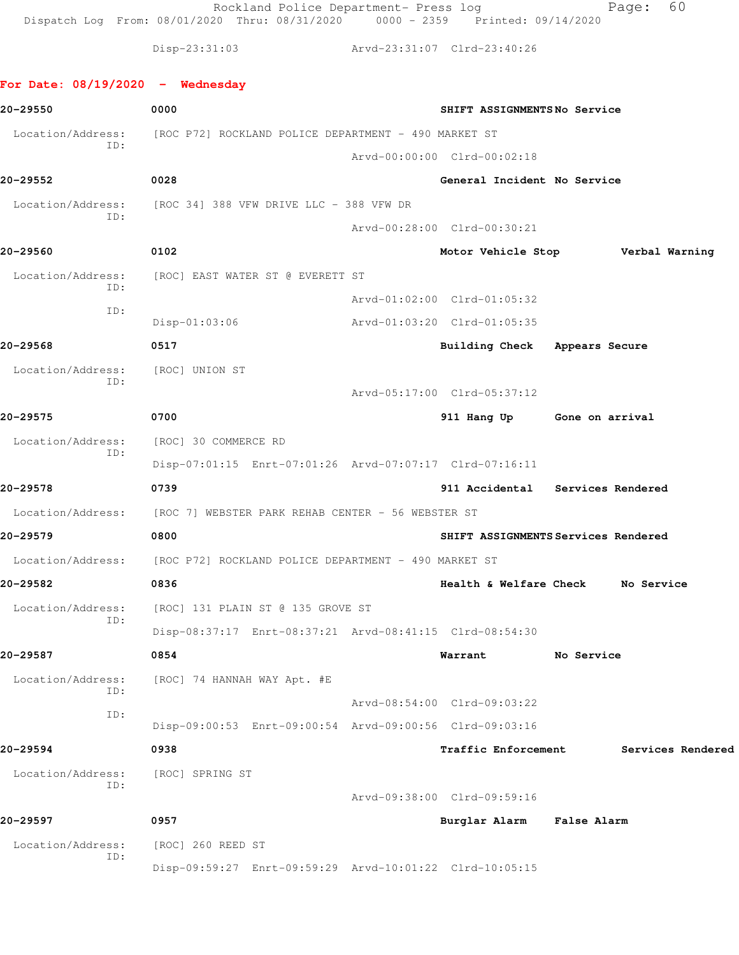Rockland Police Department- Press log entitled and Page: 60 Dispatch Log From: 08/01/2020 Thru: 08/31/2020 0000 - 2359 Printed: 09/14/2020

Disp-23:31:03 Arvd-23:31:07 Clrd-23:40:26

## **For Date: 08/19/2020 - Wednesday**

| 20-29550          | 0000                                                                   | SHIFT ASSIGNMENTSNo Service              |                    |                   |
|-------------------|------------------------------------------------------------------------|------------------------------------------|--------------------|-------------------|
| Location/Address: | [ROC P72] ROCKLAND POLICE DEPARTMENT - 490 MARKET ST                   |                                          |                    |                   |
| ID:               |                                                                        | Arvd-00:00:00 Clrd-00:02:18              |                    |                   |
| 20-29552          | 0028                                                                   | General Incident No Service              |                    |                   |
|                   | Location/Address: [ROC 34] 388 VFW DRIVE LLC - 388 VFW DR              |                                          |                    |                   |
| ID:               |                                                                        | Arvd-00:28:00 Clrd-00:30:21              |                    |                   |
| 20-29560          | 0102                                                                   | Motor Vehicle Stop <b>Werbal Warning</b> |                    |                   |
| Location/Address: | [ROC] EAST WATER ST @ EVERETT ST                                       |                                          |                    |                   |
| ID:               |                                                                        | Arvd-01:02:00 Clrd-01:05:32              |                    |                   |
| ID:               | $Disp-01:03:06$                                                        | Arvd-01:03:20 Clrd-01:05:35              |                    |                   |
| 20-29568          | 0517                                                                   | Building Check Appears Secure            |                    |                   |
| Location/Address: | [ROC] UNION ST                                                         |                                          |                    |                   |
| ID:               |                                                                        | Arvd-05:17:00 Clrd-05:37:12              |                    |                   |
| 20-29575          | 0700                                                                   | 911 Hang Up Gone on arrival              |                    |                   |
| Location/Address: | [ROC] 30 COMMERCE RD                                                   |                                          |                    |                   |
| ID:               | Disp-07:01:15 Enrt-07:01:26 Arvd-07:07:17 Clrd-07:16:11                |                                          |                    |                   |
| 20-29578          | 0739                                                                   | 911 Accidental Services Rendered         |                    |                   |
| Location/Address: | [ROC 7] WEBSTER PARK REHAB CENTER - 56 WEBSTER ST                      |                                          |                    |                   |
| 20-29579          | 0800                                                                   | SHIFT ASSIGNMENTS Services Rendered      |                    |                   |
|                   | Location/Address: [ROC P72] ROCKLAND POLICE DEPARTMENT - 490 MARKET ST |                                          |                    |                   |
| 20-29582          | 0836                                                                   | Health & Welfare Check No Service        |                    |                   |
| Location/Address: | [ROC] 131 PLAIN ST @ 135 GROVE ST                                      |                                          |                    |                   |
| ID:               | Disp-08:37:17 Enrt-08:37:21 Arvd-08:41:15 Clrd-08:54:30                |                                          |                    |                   |
| 20-29587          | 0854                                                                   | Warrant                                  | No Service         |                   |
| Location/Address: | [ROC] 74 HANNAH WAY Apt. #E                                            |                                          |                    |                   |
| ID:               |                                                                        | Arvd-08:54:00 Clrd-09:03:22              |                    |                   |
| ID:               | Disp-09:00:53 Enrt-09:00:54 Arvd-09:00:56 Clrd-09:03:16                |                                          |                    |                   |
| 20–29594          | 0938                                                                   | Traffic Enforcement                      |                    | Services Rendered |
| Location/Address: | [ROC] SPRING ST                                                        |                                          |                    |                   |
| ID:               |                                                                        | Arvd-09:38:00 Clrd-09:59:16              |                    |                   |
| 20-29597          | 0957                                                                   | Burglar Alarm                            | <b>False Alarm</b> |                   |
| Location/Address: | [ROC] 260 REED ST                                                      |                                          |                    |                   |
| ID:               | Disp-09:59:27 Enrt-09:59:29 Arvd-10:01:22 Clrd-10:05:15                |                                          |                    |                   |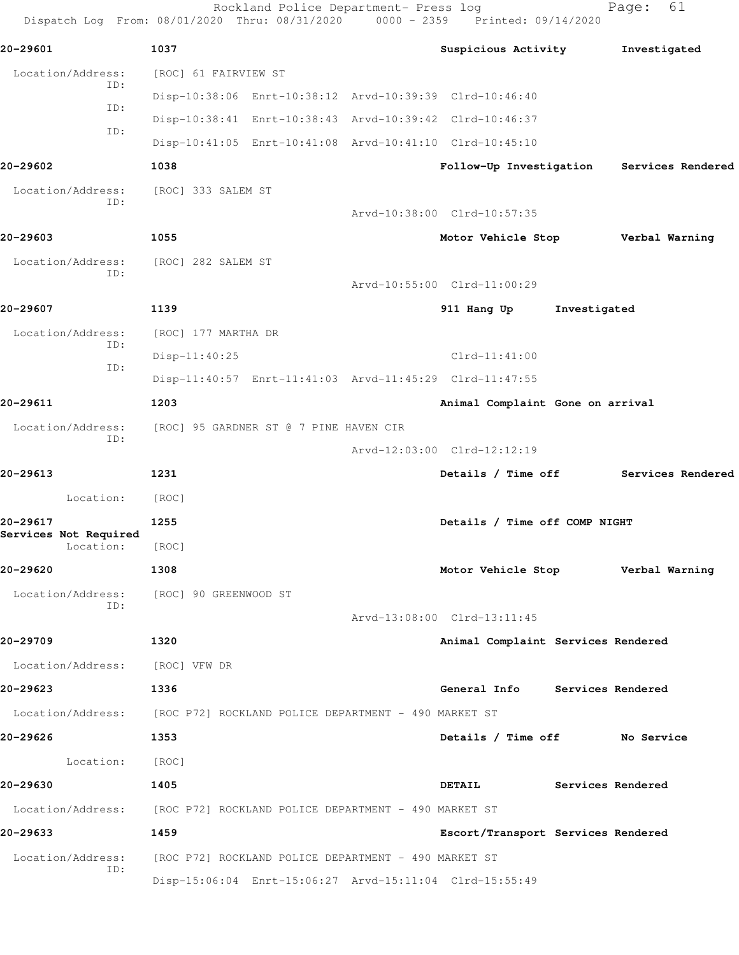| Dispatch Log From: 08/01/2020 Thru: 08/31/2020 0000 - 2359 Printed: 09/14/2020 |                                                      | Rockland Police Department- Press log  |                                                         |                   | 61<br>Page:       |
|--------------------------------------------------------------------------------|------------------------------------------------------|----------------------------------------|---------------------------------------------------------|-------------------|-------------------|
| 20-29601                                                                       | 1037                                                 |                                        | Suspicious Activity                                     |                   | Investigated      |
| Location/Address:                                                              | [ROC] 61 FAIRVIEW ST                                 |                                        |                                                         |                   |                   |
| ID:                                                                            |                                                      |                                        | Disp-10:38:06 Enrt-10:38:12 Arvd-10:39:39 Clrd-10:46:40 |                   |                   |
| ID:<br>ID:                                                                     |                                                      |                                        | Disp-10:38:41 Enrt-10:38:43 Arvd-10:39:42 Clrd-10:46:37 |                   |                   |
|                                                                                |                                                      |                                        | Disp-10:41:05 Enrt-10:41:08 Arvd-10:41:10 Clrd-10:45:10 |                   |                   |
| 20-29602                                                                       | 1038                                                 |                                        | Follow-Up Investigation                                 |                   | Services Rendered |
| Location/Address:<br>ID:                                                       | [ROC] 333 SALEM ST                                   |                                        |                                                         |                   |                   |
|                                                                                |                                                      |                                        | Arvd-10:38:00 Clrd-10:57:35                             |                   |                   |
| 20-29603                                                                       | 1055                                                 |                                        | Motor Vehicle Stop                                      |                   | Verbal Warning    |
| Location/Address:<br>ID:                                                       | [ROC] 282 SALEM ST                                   |                                        |                                                         |                   |                   |
|                                                                                |                                                      |                                        | Arvd-10:55:00 Clrd-11:00:29                             |                   |                   |
| 20-29607                                                                       | 1139                                                 |                                        | 911 Hang Up                                             | Investigated      |                   |
| Location/Address:<br>ID:                                                       | [ROC] 177 MARTHA DR                                  |                                        |                                                         |                   |                   |
| ID:                                                                            | Disp-11:40:25                                        |                                        | $Clrd-11:41:00$                                         |                   |                   |
|                                                                                |                                                      |                                        | Disp-11:40:57 Enrt-11:41:03 Arvd-11:45:29 Clrd-11:47:55 |                   |                   |
| 20-29611                                                                       | 1203                                                 |                                        | Animal Complaint Gone on arrival                        |                   |                   |
| Location/Address:<br>ID:                                                       |                                                      | [ROC] 95 GARDNER ST @ 7 PINE HAVEN CIR |                                                         |                   |                   |
|                                                                                |                                                      |                                        | Arvd-12:03:00 Clrd-12:12:19                             |                   |                   |
| 20-29613                                                                       | 1231                                                 |                                        | Details / Time off                                      |                   | Services Rendered |
| Location:                                                                      | [ROC]                                                |                                        |                                                         |                   |                   |
| 20-29617<br>Services Not Required                                              | 1255                                                 |                                        | Details / Time off COMP NIGHT                           |                   |                   |
| Location:                                                                      | [ROC]                                                |                                        |                                                         |                   |                   |
| 20-29620                                                                       | 1308                                                 |                                        | Motor Vehicle Stop Verbal Warning                       |                   |                   |
| Location/Address: [ROC] 90 GREENWOOD ST<br>ID:                                 |                                                      |                                        |                                                         |                   |                   |
|                                                                                |                                                      |                                        | Arvd-13:08:00 Clrd-13:11:45                             |                   |                   |
| 20-29709                                                                       | 1320                                                 |                                        | Animal Complaint Services Rendered                      |                   |                   |
| Location/Address: [ROC] VFW DR                                                 |                                                      |                                        |                                                         |                   |                   |
| 20-29623                                                                       | 1336                                                 |                                        | General Info Services Rendered                          |                   |                   |
| Location/Address: [ROC P72] ROCKLAND POLICE DEPARTMENT - 490 MARKET ST         |                                                      |                                        |                                                         |                   |                   |
| 20-29626                                                                       | 1353                                                 |                                        | Details / Time off No Service                           |                   |                   |
| Location:                                                                      | [ROC]                                                |                                        |                                                         |                   |                   |
| 20-29630                                                                       | 1405                                                 |                                        | <b>DETAIL</b>                                           | Services Rendered |                   |
| Location/Address: [ROC P72] ROCKLAND POLICE DEPARTMENT - 490 MARKET ST         |                                                      |                                        |                                                         |                   |                   |
| 20-29633                                                                       | 1459                                                 |                                        | Escort/Transport Services Rendered                      |                   |                   |
| Location/Address:                                                              | [ROC P72] ROCKLAND POLICE DEPARTMENT - 490 MARKET ST |                                        |                                                         |                   |                   |
| ID:                                                                            |                                                      |                                        | Disp-15:06:04 Enrt-15:06:27 Arvd-15:11:04 Clrd-15:55:49 |                   |                   |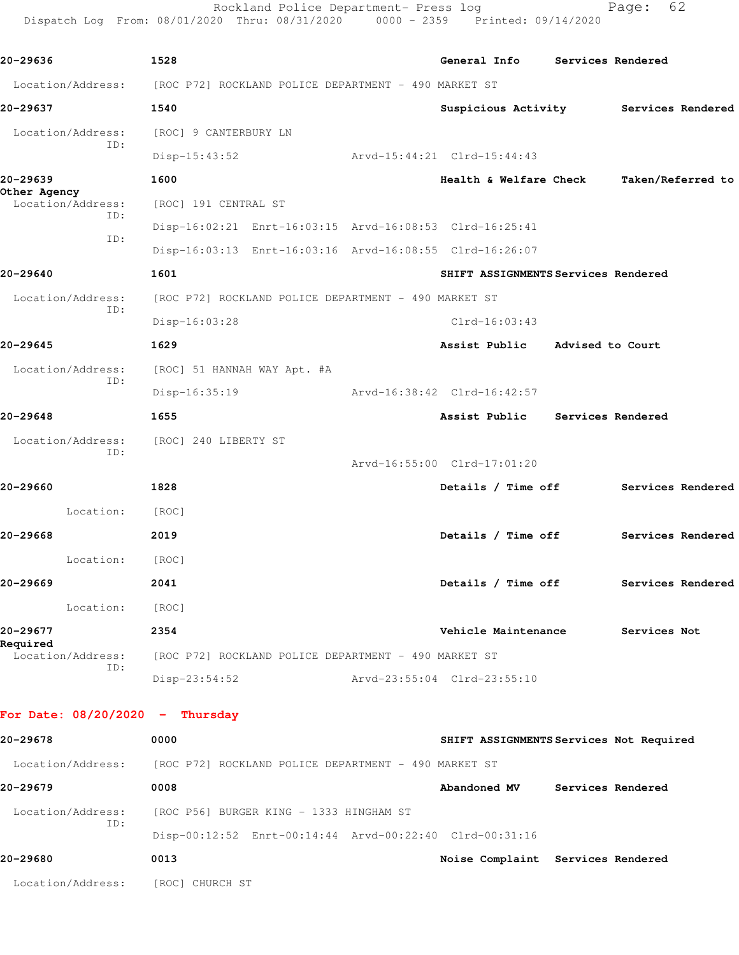Rockland Police Department- Press log entitled Page: 62 Dispatch Log From: 08/01/2020 Thru: 08/31/2020 0000 - 2359 Printed: 09/14/2020

| 20-29636                          | 1528                                                                   | General Info Services Rendered           |              |  |
|-----------------------------------|------------------------------------------------------------------------|------------------------------------------|--------------|--|
|                                   | Location/Address: [ROC P72] ROCKLAND POLICE DEPARTMENT - 490 MARKET ST |                                          |              |  |
| 20-29637                          | 1540                                                                   | Suspicious Activity Services Rendered    |              |  |
| Location/Address:                 | [ROC] 9 CANTERBURY LN                                                  |                                          |              |  |
| ID:                               | $Disp-15:43:52$                                                        | Arvd-15:44:21 Clrd-15:44:43              |              |  |
| 20-29639                          | 1600                                                                   | Health & Welfare Check Taken/Referred to |              |  |
| Other Agency<br>Location/Address: | [ROC] 191 CENTRAL ST                                                   |                                          |              |  |
| ID:                               | Disp-16:02:21 Enrt-16:03:15 Arvd-16:08:53 Clrd-16:25:41                |                                          |              |  |
| ID:                               | Disp-16:03:13 Enrt-16:03:16 Arvd-16:08:55 Clrd-16:26:07                |                                          |              |  |
| 20-29640                          | 1601                                                                   | SHIFT ASSIGNMENTS Services Rendered      |              |  |
| Location/Address:<br>ID:          | [ROC P72] ROCKLAND POLICE DEPARTMENT - 490 MARKET ST                   |                                          |              |  |
|                                   | Disp-16:03:28                                                          | $Clrd-16:03:43$                          |              |  |
| 20-29645                          | 1629                                                                   | Assist Public Advised to Court           |              |  |
| Location/Address:<br>ID:          | [ROC] 51 HANNAH WAY Apt. #A                                            |                                          |              |  |
|                                   | Disp-16:35:19                                                          | Arvd-16:38:42 Clrd-16:42:57              |              |  |
| 20-29648                          | 1655                                                                   | Assist Public Services Rendered          |              |  |
| Location/Address:<br>ID:          | [ROC] 240 LIBERTY ST                                                   |                                          |              |  |
|                                   |                                                                        | Arvd-16:55:00 Clrd-17:01:20              |              |  |
| 20-29660                          | 1828                                                                   | Details / Time off Services Rendered     |              |  |
| Location:                         | [ROC]                                                                  |                                          |              |  |
| 20-29668                          | 2019                                                                   | Details / Time off Services Rendered     |              |  |
| Location:                         | [ROC]                                                                  |                                          |              |  |
| 20–29669                          | 2041                                                                   | Details / Time off Services Rendered     |              |  |
| Location:                         | [ROC]                                                                  |                                          |              |  |
| 20-29677<br>Required              | 2354                                                                   | Vehicle Maintenance                      | Services Not |  |
| Location/Address:<br>ID:          | [ROC P72] ROCKLAND POLICE DEPARTMENT - 490 MARKET ST                   |                                          |              |  |
|                                   | $Disp-23:54:52$                                                        | Arvd-23:55:04 Clrd-23:55:10              |              |  |
| For Date: $08/20/2020 -$ Thursday |                                                                        |                                          |              |  |
| 20-29678                          | 0000                                                                   | SHIFT ASSIGNMENTS Services Not Required  |              |  |

| Location/Address: | [ROC P72] ROCKLAND POLICE DEPARTMENT - 490 MARKET ST    |              |                                   |
|-------------------|---------------------------------------------------------|--------------|-----------------------------------|
| 20-29679          | 0008                                                    | Abandoned MV | Services Rendered                 |
| Location/Address: | [ROC P56] BURGER KING - 1333 HINGHAM ST                 |              |                                   |
| ID:               | Disp-00:12:52 Enrt-00:14:44 Arvd-00:22:40 Clrd-00:31:16 |              |                                   |
| 20-29680          | 0013                                                    |              | Noise Complaint Services Rendered |
| Location/Address: | [ROC] CHURCH ST                                         |              |                                   |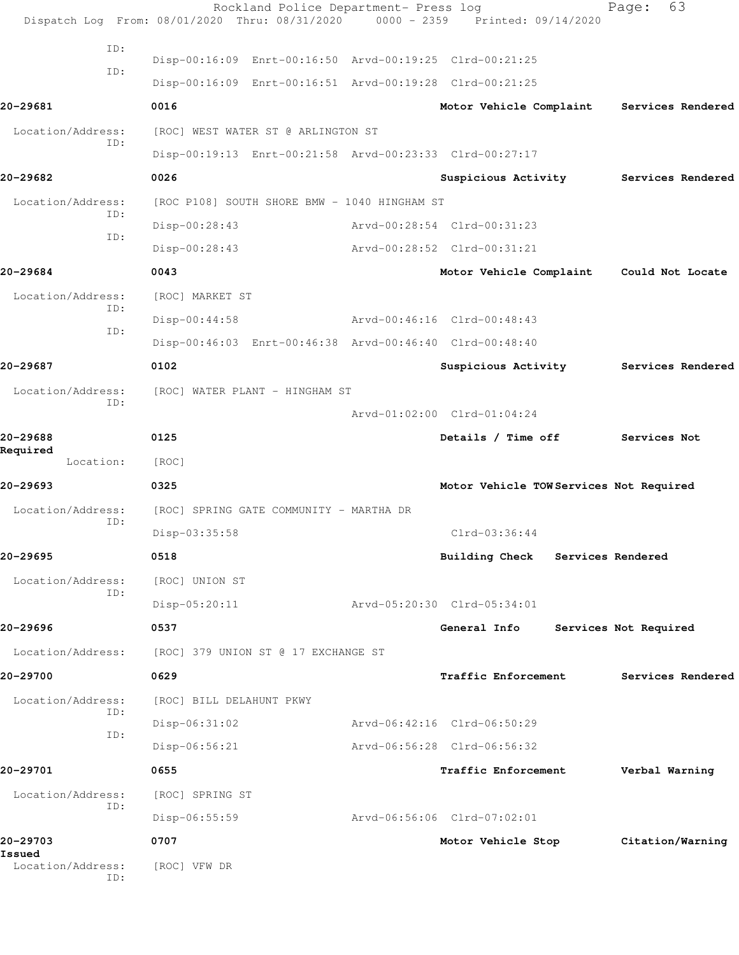|                                    | Rockland Police Department- Press log<br>Dispatch Log From: 08/01/2020 Thru: 08/31/2020 | $0000 - 2359$ | Printed: 09/14/2020                     | 63<br>Page:           |
|------------------------------------|-----------------------------------------------------------------------------------------|---------------|-----------------------------------------|-----------------------|
| ID:                                |                                                                                         |               |                                         |                       |
| TD:                                | Disp-00:16:09 Enrt-00:16:50 Arvd-00:19:25 Clrd-00:21:25                                 |               |                                         |                       |
|                                    | Disp-00:16:09 Enrt-00:16:51 Arvd-00:19:28 Clrd-00:21:25                                 |               |                                         |                       |
| 20-29681                           | 0016                                                                                    |               | Motor Vehicle Complaint                 | Services Rendered     |
| Location/Address:<br>ID:           | [ROC] WEST WATER ST @ ARLINGTON ST                                                      |               |                                         |                       |
|                                    | Disp-00:19:13 Enrt-00:21:58 Arvd-00:23:33 Clrd-00:27:17                                 |               |                                         |                       |
| 20-29682                           | 0026                                                                                    |               | Suspicious Activity                     | Services Rendered     |
| Location/Address:<br>ID:           | [ROC P108] SOUTH SHORE BMW - 1040 HINGHAM ST                                            |               |                                         |                       |
| ID:                                | $Disp-00:28:43$                                                                         |               | Arvd-00:28:54 Clrd-00:31:23             |                       |
|                                    | $Disp-00:28:43$                                                                         |               | Arvd-00:28:52 Clrd-00:31:21             |                       |
| 20-29684                           | 0043                                                                                    |               | Motor Vehicle Complaint                 | Could Not Locate      |
| Location/Address:                  | [ROC] MARKET ST                                                                         |               |                                         |                       |
| ID:                                | $Disp-00:44:58$                                                                         |               | Arvd-00:46:16 Clrd-00:48:43             |                       |
| ID:                                | Disp-00:46:03 Enrt-00:46:38 Arvd-00:46:40 Clrd-00:48:40                                 |               |                                         |                       |
| 20-29687                           | 0102                                                                                    |               | Suspicious Activity                     | Services Rendered     |
| Location/Address:                  | [ROC] WATER PLANT - HINGHAM ST                                                          |               |                                         |                       |
| ID:                                |                                                                                         |               | Arvd-01:02:00 Clrd-01:04:24             |                       |
| 20-29688                           | 0125                                                                                    |               | Details / Time off                      | Services Not          |
| Required<br>Location:              | [ROC]                                                                                   |               |                                         |                       |
| 20-29693                           | 0325                                                                                    |               | Motor Vehicle TOW Services Not Required |                       |
| Location/Address:                  | [ROC] SPRING GATE COMMUNITY - MARTHA DR                                                 |               |                                         |                       |
| ID:                                | Disp-03:35:58                                                                           |               | $Clrd-03:36:44$                         |                       |
| 20-29695                           | 0518                                                                                    |               | Building Check Services Rendered        |                       |
| Location/Address:                  | [ROC] UNION ST                                                                          |               |                                         |                       |
| ID:                                | $Disp-05:20:11$                                                                         |               | Arvd-05:20:30 Clrd-05:34:01             |                       |
| 20-29696                           | 0537                                                                                    |               | General Info                            | Services Not Required |
| Location/Address:                  | [ROC] 379 UNION ST @ 17 EXCHANGE ST                                                     |               |                                         |                       |
| 20-29700                           | 0629                                                                                    |               | Traffic Enforcement                     | Services Rendered     |
| Location/Address:                  | [ROC] BILL DELAHUNT PKWY                                                                |               |                                         |                       |
| ID:                                | Disp-06:31:02                                                                           |               | Arvd-06:42:16 Clrd-06:50:29             |                       |
| ID:                                | $Disp-06:56:21$                                                                         |               | Arvd-06:56:28 Clrd-06:56:32             |                       |
| 20-29701                           | 0655                                                                                    |               | Traffic Enforcement                     | Verbal Warning        |
| Location/Address:                  | [ROC] SPRING ST                                                                         |               |                                         |                       |
| ID:                                | $Disp-06:55:59$                                                                         |               | Arvd-06:56:06 Clrd-07:02:01             |                       |
| 20-29703                           | 0707                                                                                    |               | Motor Vehicle Stop                      | Citation/Warning      |
| Issued<br>Location/Address:<br>ID: | [ROC] VFW DR                                                                            |               |                                         |                       |
|                                    |                                                                                         |               |                                         |                       |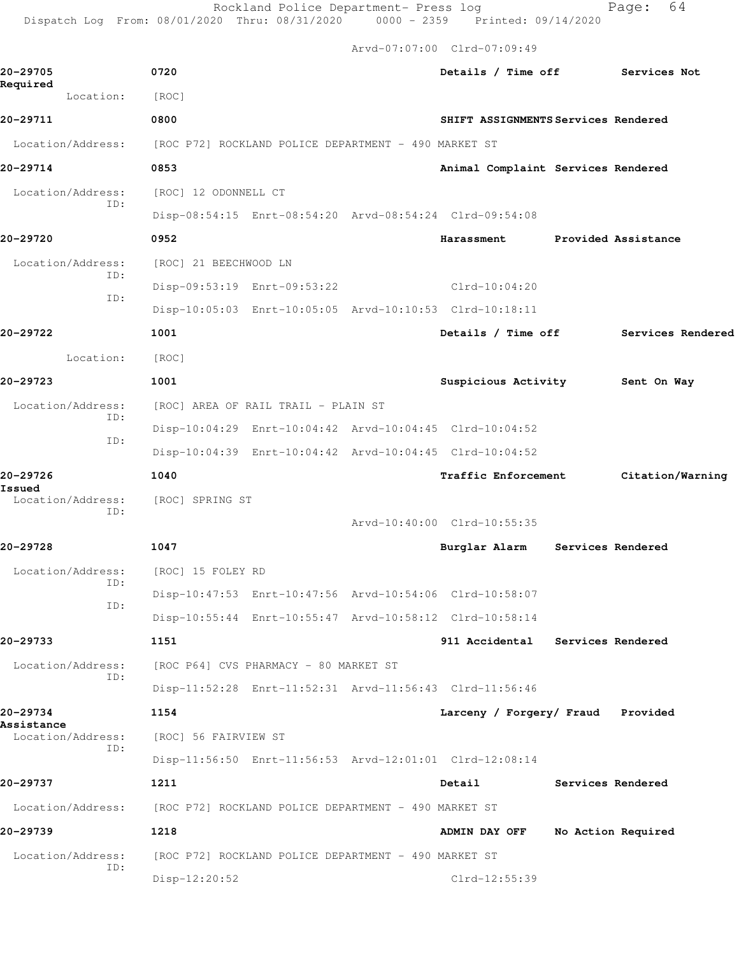Rockland Police Department- Press log entitled and Page: 64 Dispatch Log From: 08/01/2020 Thru: 08/31/2020 0000 - 2359 Printed: 09/14/2020

Arvd-07:07:00 Clrd-07:09:49

| 20-29705<br>Required     | 0720                                                    | Details / Time off Services Not         |
|--------------------------|---------------------------------------------------------|-----------------------------------------|
| Location:                | [ROC]                                                   |                                         |
| 20-29711                 | 0800                                                    | SHIFT ASSIGNMENTS Services Rendered     |
| Location/Address:        | [ROC P72] ROCKLAND POLICE DEPARTMENT - 490 MARKET ST    |                                         |
| 20-29714                 | 0853                                                    | Animal Complaint Services Rendered      |
| Location/Address:        | [ROC] 12 ODONNELL CT                                    |                                         |
| ID:                      | Disp-08:54:15 Enrt-08:54:20 Arvd-08:54:24 Clrd-09:54:08 |                                         |
| 20-29720                 | 0952                                                    | Harassment<br>Provided Assistance       |
| Location/Address:        | [ROC] 21 BEECHWOOD LN                                   |                                         |
| ID:                      | Disp-09:53:19 Enrt-09:53:22                             | $Clrd-10:04:20$                         |
| ID:                      | Disp-10:05:03 Enrt-10:05:05 Arvd-10:10:53 Clrd-10:18:11 |                                         |
| 20–29722                 | 1001                                                    | Details / Time off<br>Services Rendered |
| Location:                | [ROC]                                                   |                                         |
| 20-29723                 | 1001                                                    | Suspicious Activity<br>Sent On Way      |
| Location/Address:<br>ID: | [ROC] AREA OF RAIL TRAIL - PLAIN ST                     |                                         |
| ID:                      | Disp-10:04:29 Enrt-10:04:42 Arvd-10:04:45 Clrd-10:04:52 |                                         |
|                          | Disp-10:04:39 Enrt-10:04:42 Arvd-10:04:45 Clrd-10:04:52 |                                         |
| 20-29726<br>Issued       | 1040                                                    | Traffic Enforcement<br>Citation/Warning |
| Location/Address:<br>ID: | [ROC] SPRING ST                                         |                                         |
|                          |                                                         | Arvd-10:40:00 Clrd-10:55:35             |
| 20-29728                 | 1047                                                    | Burglar Alarm Services Rendered         |
| Location/Address:<br>ID: | [ROC] 15 FOLEY RD                                       |                                         |
| ID:                      | Disp-10:47:53 Enrt-10:47:56 Arvd-10:54:06 Clrd-10:58:07 |                                         |
|                          | Disp-10:55:44 Enrt-10:55:47 Arvd-10:58:12 Clrd-10:58:14 |                                         |
| 20-29733                 | 1151                                                    | 911 Accidental Services Rendered        |
| Location/Address:<br>ID: | [ROC P64] CVS PHARMACY - 80 MARKET ST                   |                                         |
|                          | Disp-11:52:28 Enrt-11:52:31 Arvd-11:56:43 Clrd-11:56:46 |                                         |
| 20-29734<br>Assistance   | 1154                                                    | Larceny / Forgery/ Fraud<br>Provided    |
| Location/Address:<br>ID: | [ROC] 56 FAIRVIEW ST                                    |                                         |
|                          | Disp-11:56:50 Enrt-11:56:53 Arvd-12:01:01 Clrd-12:08:14 |                                         |
| 20-29737                 | 1211                                                    | Detail<br>Services Rendered             |
| Location/Address:        | [ROC P72] ROCKLAND POLICE DEPARTMENT - 490 MARKET ST    |                                         |
| 20-29739                 | 1218                                                    | ADMIN DAY OFF<br>No Action Required     |
| Location/Address:<br>ID: | [ROC P72] ROCKLAND POLICE DEPARTMENT - 490 MARKET ST    |                                         |
|                          | Disp-12:20:52                                           | Clrd-12:55:39                           |
|                          |                                                         |                                         |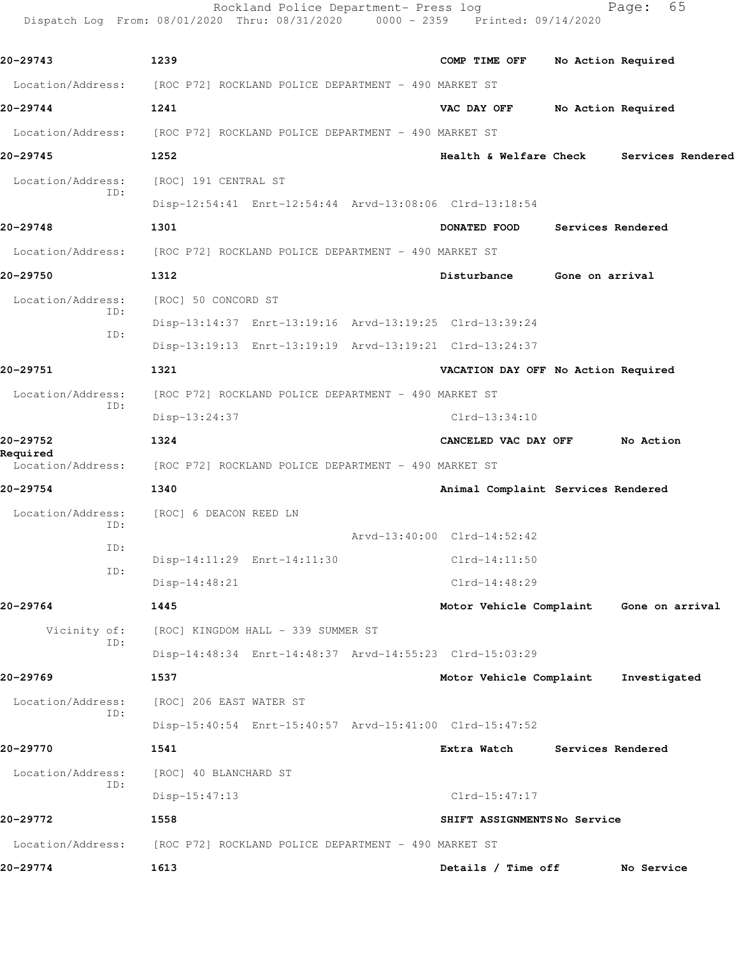|                               | Rockland Police Department- Press log<br>Dispatch Log From: 08/01/2020 Thru: 08/31/2020 0000 - 2359 Printed: 09/14/2020 |                                     | 65<br>Page:                             |  |  |
|-------------------------------|-------------------------------------------------------------------------------------------------------------------------|-------------------------------------|-----------------------------------------|--|--|
| 20-29743                      | 1239                                                                                                                    | COMP TIME OFF                       | No Action Required                      |  |  |
|                               | Location/Address: [ROC P72] ROCKLAND POLICE DEPARTMENT - 490 MARKET ST                                                  |                                     |                                         |  |  |
| 20-29744                      | 1241                                                                                                                    | VAC DAY OFF                         | No Action Required                      |  |  |
| Location/Address:             | [ROC P72] ROCKLAND POLICE DEPARTMENT - 490 MARKET ST                                                                    |                                     |                                         |  |  |
| 20-29745                      | 1252                                                                                                                    | Health & Welfare Check              | Services Rendered                       |  |  |
| Location/Address:             | [ROC] 191 CENTRAL ST                                                                                                    |                                     |                                         |  |  |
| ID:                           | Disp-12:54:41 Enrt-12:54:44 Arvd-13:08:06 Clrd-13:18:54                                                                 |                                     |                                         |  |  |
| 20-29748                      | 1301                                                                                                                    | DONATED FOOD                        | Services Rendered                       |  |  |
| Location/Address:             | [ROC P72] ROCKLAND POLICE DEPARTMENT - 490 MARKET ST                                                                    |                                     |                                         |  |  |
| 20-29750                      | 1312                                                                                                                    | Disturbance                         | Gone on arrival                         |  |  |
| Location/Address:             | [ROC] 50 CONCORD ST                                                                                                     |                                     |                                         |  |  |
| ID:                           | Disp-13:14:37 Enrt-13:19:16 Arvd-13:19:25 Clrd-13:39:24                                                                 |                                     |                                         |  |  |
| ID:                           | Disp-13:19:13 Enrt-13:19:19 Arvd-13:19:21 Clrd-13:24:37                                                                 |                                     |                                         |  |  |
| 20-29751                      | 1321                                                                                                                    | VACATION DAY OFF No Action Required |                                         |  |  |
| Location/Address:             | [ROC P72] ROCKLAND POLICE DEPARTMENT - 490 MARKET ST                                                                    |                                     |                                         |  |  |
| ID:                           | Disp-13:24:37                                                                                                           | $Clrd-13:34:10$                     |                                         |  |  |
| 20-29752                      | 1324                                                                                                                    | CANCELED VAC DAY OFF                | No Action                               |  |  |
| Required<br>Location/Address: | [ROC P72] ROCKLAND POLICE DEPARTMENT - 490 MARKET ST                                                                    |                                     |                                         |  |  |
| 20-29754                      | 1340                                                                                                                    | Animal Complaint Services Rendered  |                                         |  |  |
| Location/Address:<br>ID:      | [ROC] 6 DEACON REED LN                                                                                                  |                                     |                                         |  |  |
| ID:                           |                                                                                                                         | Arvd-13:40:00 Clrd-14:52:42         |                                         |  |  |
| ID:                           | Disp-14:11:29 Enrt-14:11:30                                                                                             | $Clrd-14:11:50$                     |                                         |  |  |
|                               | $Disp-14:48:21$                                                                                                         | $Clrd-14:48:29$                     |                                         |  |  |
| 20-29764                      | 1445                                                                                                                    |                                     | Motor Vehicle Complaint Gone on arrival |  |  |
| Vicinity of:<br>ID:           | [ROC] KINGDOM HALL - 339 SUMMER ST                                                                                      |                                     |                                         |  |  |
|                               | Disp-14:48:34 Enrt-14:48:37 Arvd-14:55:23 Clrd-15:03:29                                                                 |                                     |                                         |  |  |
| 20-29769                      | 1537                                                                                                                    | Motor Vehicle Complaint             | Investigated                            |  |  |
| Location/Address:<br>ID:      | [ROC] 206 EAST WATER ST                                                                                                 |                                     |                                         |  |  |
|                               | Disp-15:40:54 Enrt-15:40:57 Arvd-15:41:00 Clrd-15:47:52                                                                 |                                     |                                         |  |  |
| 20-29770                      | 1541                                                                                                                    | Extra Watch                         | Services Rendered                       |  |  |
| Location/Address:<br>ID:      | [ROC] 40 BLANCHARD ST                                                                                                   |                                     |                                         |  |  |
|                               | $Disp-15:47:13$                                                                                                         | $Clrd-15:47:17$                     |                                         |  |  |
| 20–29772                      | 1558                                                                                                                    | SHIFT ASSIGNMENTSNo Service         |                                         |  |  |
| Location/Address:             | [ROC P72] ROCKLAND POLICE DEPARTMENT - 490 MARKET ST                                                                    |                                     |                                         |  |  |
| 20-29774                      | 1613                                                                                                                    | Details / Time off                  | No Service                              |  |  |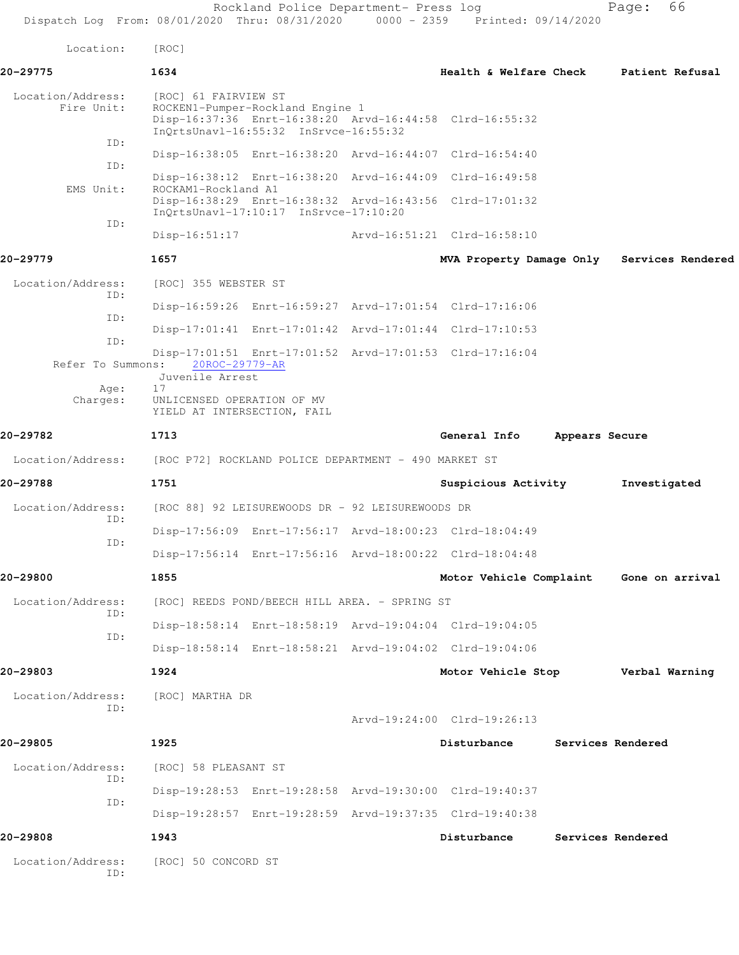Rockland Police Department- Press log Fage: 66 Dispatch Log From: 08/01/2020 Thru: 08/31/2020 0000 - 2359 Printed: 09/14/2020 Location: [ROC] **20-29775 1634 Health & Welfare Check Patient Refusal** Location/Address: [ROC] 61 FAIRVIEW ST Fire Unit: ROCKEN1-Pumper-Rockland Engine 1 Disp-16:37:36 Enrt-16:38:20 Arvd-16:44:58 Clrd-16:55:32 InQrtsUnavl-16:55:32 InSrvce-16:55:32 ID: Disp-16:38:05 Enrt-16:38:20 Arvd-16:44:07 Clrd-16:54:40 ID: Disp-16:38:12 Enrt-16:38:20 Arvd-16:44:09 Clrd-16:49:58 EMS Unit: ROCKAM1-Rockland A1 Disp-16:38:29 Enrt-16:38:32 Arvd-16:43:56 Clrd-17:01:32 InQrtsUnavl-17:10:17 InSrvce-17:10:20 ID: Disp-16:51:17 Arvd-16:51:21 Clrd-16:58:10 **20-29779 1657 MVA Property Damage Only Services Rendered** Location/Address: [ROC] 355 WEBSTER ST ID: Disp-16:59:26 Enrt-16:59:27 Arvd-17:01:54 Clrd-17:16:06 ID: Disp-17:01:41 Enrt-17:01:42 Arvd-17:01:44 Clrd-17:10:53 ID: Disp-17:01:51 Enrt-17:01:52 Arvd-17:01:53 Clrd-17:16:04 Refer To Summons: 20ROC-29779-AR Juvenile Arrest Age: 17 Charges: UNLICENSED OPERATION OF MV YIELD AT INTERSECTION, FAIL **20-29782 1713 General Info Appears Secure** Location/Address: [ROC P72] ROCKLAND POLICE DEPARTMENT - 490 MARKET ST **20-29788 1751 Suspicious Activity Investigated** Location/Address: [ROC 88] 92 LEISUREWOODS DR - 92 LEISUREWOODS DR ID: Disp-17:56:09 Enrt-17:56:17 Arvd-18:00:23 Clrd-18:04:49 ID: Disp-17:56:14 Enrt-17:56:16 Arvd-18:00:22 Clrd-18:04:48 **20-29800 1855 Motor Vehicle Complaint Gone on arrival** Location/Address: [ROC] REEDS POND/BEECH HILL AREA. - SPRING ST ID: Disp-18:58:14 Enrt-18:58:19 Arvd-19:04:04 Clrd-19:04:05 ID: Disp-18:58:14 Enrt-18:58:21 Arvd-19:04:02 Clrd-19:04:06 **20-29803 1924 Motor Vehicle Stop Verbal Warning** Location/Address: [ROC] MARTHA DR ID: Arvd-19:24:00 Clrd-19:26:13 **20-29805 1925 Disturbance Services Rendered** Location/Address: [ROC] 58 PLEASANT ST ID: Disp-19:28:53 Enrt-19:28:58 Arvd-19:30:00 Clrd-19:40:37 ID: Disp-19:28:57 Enrt-19:28:59 Arvd-19:37:35 Clrd-19:40:38 **20-29808 1943 Disturbance Services Rendered** Location/Address: [ROC] 50 CONCORD ST ID: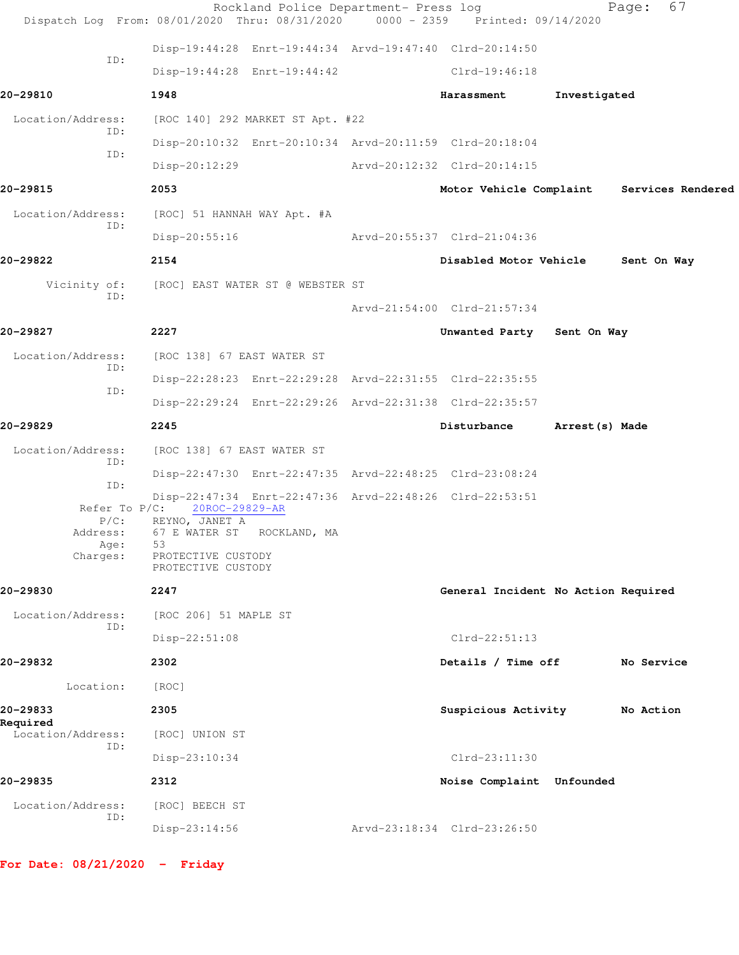|                                      | Dispatch Log From: 08/01/2020 Thru: 08/31/2020          | Rockland Police Department- Press log | 0000 - 2359 Printed: 09/14/2020     |                | 67<br>Page:                               |
|--------------------------------------|---------------------------------------------------------|---------------------------------------|-------------------------------------|----------------|-------------------------------------------|
|                                      | Disp-19:44:28 Enrt-19:44:34 Arvd-19:47:40 Clrd-20:14:50 |                                       |                                     |                |                                           |
| ID:                                  | Disp-19:44:28 Enrt-19:44:42                             |                                       | Clrd-19:46:18                       |                |                                           |
| 20-29810                             | 1948                                                    |                                       | Harassment                          | Investigated   |                                           |
| Location/Address:                    | [ROC 140] 292 MARKET ST Apt. #22                        |                                       |                                     |                |                                           |
| ID:                                  | Disp-20:10:32 Enrt-20:10:34 Arvd-20:11:59 Clrd-20:18:04 |                                       |                                     |                |                                           |
| ID:                                  | Disp-20:12:29                                           |                                       | Arvd-20:12:32 Clrd-20:14:15         |                |                                           |
| 20-29815                             | 2053                                                    |                                       |                                     |                | Motor Vehicle Complaint Services Rendered |
| Location/Address:                    | [ROC] 51 HANNAH WAY Apt. #A                             |                                       |                                     |                |                                           |
| ID:                                  | Disp-20:55:16                                           |                                       | Arvd-20:55:37 Clrd-21:04:36         |                |                                           |
| 20-29822                             | 2154                                                    |                                       | Disabled Motor Vehicle              |                | Sent On Way                               |
| Vicinity of:                         | [ROC] EAST WATER ST @ WEBSTER ST                        |                                       |                                     |                |                                           |
| ID:                                  |                                                         |                                       | Arvd-21:54:00 Clrd-21:57:34         |                |                                           |
| 20-29827                             | 2227                                                    |                                       | Unwanted Party Sent On Way          |                |                                           |
| Location/Address:                    | [ROC 138] 67 EAST WATER ST                              |                                       |                                     |                |                                           |
| ID:                                  | Disp-22:28:23 Enrt-22:29:28 Arvd-22:31:55 Clrd-22:35:55 |                                       |                                     |                |                                           |
| ID:                                  | Disp-22:29:24 Enrt-22:29:26 Arvd-22:31:38 Clrd-22:35:57 |                                       |                                     |                |                                           |
| 20-29829                             | 2245                                                    |                                       | Disturbance                         | Arrest(s) Made |                                           |
| Location/Address:                    | [ROC 138] 67 EAST WATER ST                              |                                       |                                     |                |                                           |
| ID:                                  | Disp-22:47:30 Enrt-22:47:35 Arvd-22:48:25 Clrd-23:08:24 |                                       |                                     |                |                                           |
| ID:                                  | Disp-22:47:34 Enrt-22:47:36 Arvd-22:48:26 Clrd-22:53:51 |                                       |                                     |                |                                           |
| $P/C$ :                              | Refer To P/C: 20ROC-29829-AR<br>REYNO, JANET A          |                                       |                                     |                |                                           |
| Address:<br>Age:                     | 67 E WATER ST ROCKLAND, MA<br>53                        |                                       |                                     |                |                                           |
| Charges:                             | PROTECTIVE CUSTODY<br>PROTECTIVE CUSTODY                |                                       |                                     |                |                                           |
| 20-29830                             | 2247                                                    |                                       | General Incident No Action Required |                |                                           |
| Location/Address:<br>ID:             | [ROC 206] 51 MAPLE ST                                   |                                       |                                     |                |                                           |
|                                      | $Disp-22:51:08$                                         |                                       | $Clrd-22:51:13$                     |                |                                           |
| 20-29832                             | 2302                                                    |                                       | Details / Time off                  |                | No Service                                |
| Location:                            | [ROC]                                                   |                                       |                                     |                |                                           |
| 20-29833                             | 2305                                                    |                                       | Suspicious Activity                 |                | No Action                                 |
| Required<br>Location/Address:<br>ID: | [ROC] UNION ST                                          |                                       |                                     |                |                                           |
|                                      | Disp-23:10:34                                           |                                       | $Clrd-23:11:30$                     |                |                                           |
| 20-29835                             | 2312                                                    |                                       | Noise Complaint Unfounded           |                |                                           |
| Location/Address:<br>ID:             | [ROC] BEECH ST                                          |                                       |                                     |                |                                           |
|                                      | Disp-23:14:56                                           |                                       | Arvd-23:18:34 Clrd-23:26:50         |                |                                           |

**For Date: 08/21/2020 - Friday**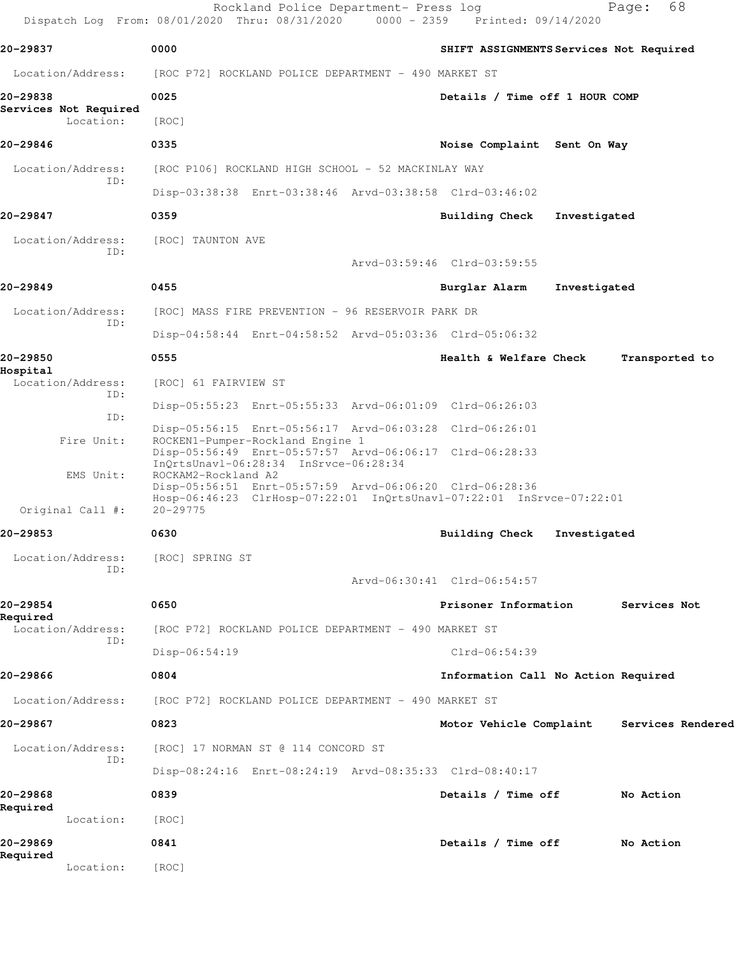|                                    | Rockland Police Department- Press log<br>Dispatch Log From: 08/01/2020 Thru: 08/31/2020 0000 - 2359 Printed: 09/14/2020 | 68<br>Page:                                  |
|------------------------------------|-------------------------------------------------------------------------------------------------------------------------|----------------------------------------------|
| 20-29837                           | 0000                                                                                                                    | SHIFT ASSIGNMENTS Services Not Required      |
| Location/Address:                  | [ROC P72] ROCKLAND POLICE DEPARTMENT - 490 MARKET ST                                                                    |                                              |
| 20-29838                           | 0025                                                                                                                    | Details / Time off 1 HOUR COMP               |
| Services Not Required<br>Location: | [ROC]                                                                                                                   |                                              |
| 20-29846                           | 0335                                                                                                                    | Noise Complaint Sent On Way                  |
| Location/Address:<br>ID:           | [ROC P106] ROCKLAND HIGH SCHOOL - 52 MACKINLAY WAY                                                                      |                                              |
|                                    | Disp-03:38:38 Enrt-03:38:46 Arvd-03:38:58 Clrd-03:46:02                                                                 |                                              |
| 20-29847                           | 0359                                                                                                                    | Building Check<br>Investigated               |
| Location/Address:<br>ID:           | [ROC] TAUNTON AVE                                                                                                       |                                              |
|                                    |                                                                                                                         | Arvd-03:59:46 Clrd-03:59:55                  |
| 20-29849                           | 0455                                                                                                                    | Burglar Alarm<br>Investigated                |
| Location/Address:<br>ID:           | [ROC] MASS FIRE PREVENTION - 96 RESERVOIR PARK DR                                                                       |                                              |
|                                    | Disp-04:58:44 Enrt-04:58:52 Arvd-05:03:36 Clrd-05:06:32                                                                 |                                              |
| 20-29850<br>Hospital               | 0555                                                                                                                    | Health & Welfare Check<br>Transported to     |
| Location/Address:<br>ID:           | [ROC] 61 FAIRVIEW ST                                                                                                    |                                              |
| ID:                                | Disp-05:55:23 Enrt-05:55:33 Arvd-06:01:09 Clrd-06:26:03                                                                 |                                              |
| Fire Unit:                         | Disp-05:56:15 Enrt-05:56:17 Arvd-06:03:28 Clrd-06:26:01<br>ROCKEN1-Pumper-Rockland Engine 1                             |                                              |
|                                    | Disp-05:56:49 Enrt-05:57:57 Arvd-06:06:17 Clrd-06:28:33<br>InQrtsUnavl-06:28:34 InSrvce-06:28:34                        |                                              |
| EMS Unit:                          | ROCKAM2-Rockland A2<br>Disp-05:56:51 Enrt-05:57:59 Arvd-06:06:20 Clrd-06:28:36                                          |                                              |
| Original Call #:                   | Hosp-06:46:23 ClrHosp-07:22:01 InQrtsUnavl-07:22:01 InSrvce-07:22:01<br>$20 - 29775$                                    |                                              |
| 20-29853                           | 0630                                                                                                                    | Building Check<br>Investigated               |
| Location/Address:                  | [ROC] SPRING ST                                                                                                         |                                              |
| ID:                                |                                                                                                                         | Arvd-06:30:41 Clrd-06:54:57                  |
| 20-29854                           | 0650                                                                                                                    | Prisoner Information<br>Services Not         |
| Required<br>Location/Address:      | [ROC P72] ROCKLAND POLICE DEPARTMENT - 490 MARKET ST                                                                    |                                              |
| ID:                                | Disp-06:54:19                                                                                                           | Clrd-06:54:39                                |
| 20-29866                           | 0804                                                                                                                    | Information Call No Action Required          |
| Location/Address:                  | [ROC P72] ROCKLAND POLICE DEPARTMENT - 490 MARKET ST                                                                    |                                              |
| 20-29867                           | 0823                                                                                                                    | Motor Vehicle Complaint<br>Services Rendered |
| Location/Address:                  | [ROC] 17 NORMAN ST @ 114 CONCORD ST                                                                                     |                                              |
| ID:                                | Disp-08:24:16 Enrt-08:24:19 Arvd-08:35:33 Clrd-08:40:17                                                                 |                                              |
| 20-29868                           | 0839                                                                                                                    | Details / Time off<br>No Action              |
| Required<br>Location:              | [ROC]                                                                                                                   |                                              |
| 20-29869                           | 0841                                                                                                                    | Details / Time off<br>No Action              |
| Required<br>Location:              | [ROC]                                                                                                                   |                                              |
|                                    |                                                                                                                         |                                              |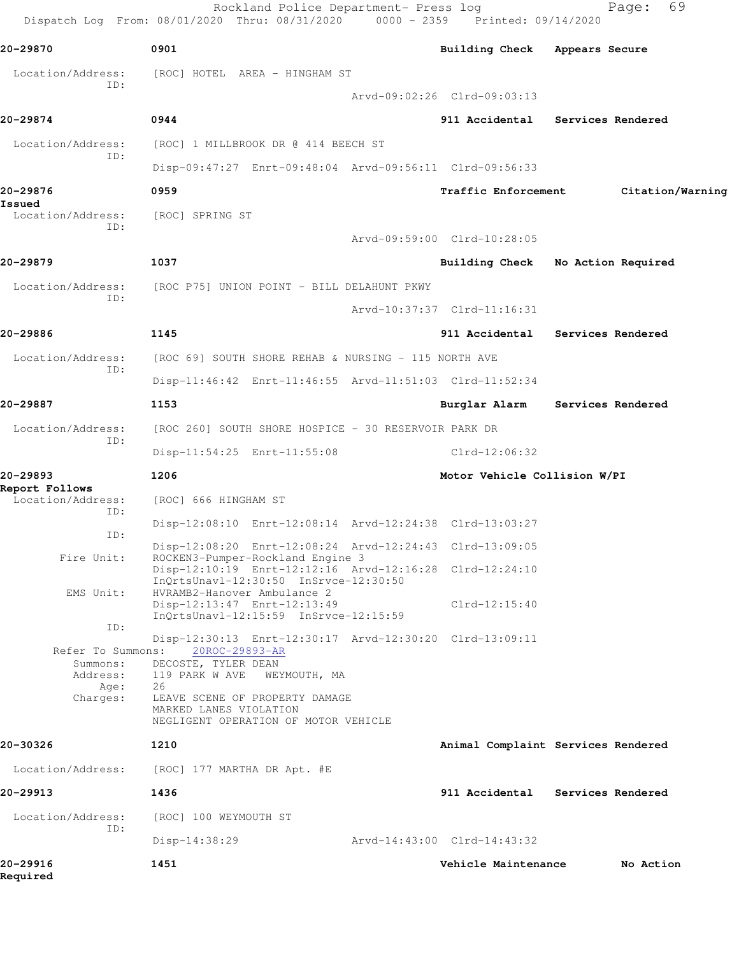|                                                                       | Rockland Police Department- Press log<br>Dispatch Log From: 08/01/2020 Thru: 08/31/2020 0000 - 2359 Printed: 09/14/2020                                                                                                                      |                               | 69<br>Page:                        |
|-----------------------------------------------------------------------|----------------------------------------------------------------------------------------------------------------------------------------------------------------------------------------------------------------------------------------------|-------------------------------|------------------------------------|
| 20-29870                                                              | 0901                                                                                                                                                                                                                                         | Building Check Appears Secure |                                    |
| Location/Address:                                                     | [ROC] HOTEL AREA - HINGHAM ST                                                                                                                                                                                                                |                               |                                    |
| ID:                                                                   |                                                                                                                                                                                                                                              | Arvd-09:02:26 Clrd-09:03:13   |                                    |
| 20-29874                                                              | 0944                                                                                                                                                                                                                                         |                               | 911 Accidental Services Rendered   |
| Location/Address:                                                     | [ROC] 1 MILLBROOK DR @ 414 BEECH ST                                                                                                                                                                                                          |                               |                                    |
| ID:                                                                   | Disp-09:47:27 Enrt-09:48:04 Arvd-09:56:11 Clrd-09:56:33                                                                                                                                                                                      |                               |                                    |
| 20-29876                                                              | 0959                                                                                                                                                                                                                                         | <b>Traffic Enforcement</b>    | Citation/Warning                   |
| Issued<br>Location/Address:                                           | [ROC] SPRING ST                                                                                                                                                                                                                              |                               |                                    |
| ID:                                                                   |                                                                                                                                                                                                                                              | Arvd-09:59:00 Clrd-10:28:05   |                                    |
| 20-29879                                                              | 1037                                                                                                                                                                                                                                         |                               | Building Check No Action Required  |
| Location/Address:                                                     | [ROC P75] UNION POINT - BILL DELAHUNT PKWY                                                                                                                                                                                                   |                               |                                    |
| TD:                                                                   |                                                                                                                                                                                                                                              | Arvd-10:37:37 Clrd-11:16:31   |                                    |
| 20-29886                                                              | 1145                                                                                                                                                                                                                                         | 911 Accidental                | Services Rendered                  |
| Location/Address:                                                     | [ROC 69] SOUTH SHORE REHAB & NURSING - 115 NORTH AVE                                                                                                                                                                                         |                               |                                    |
| ID:                                                                   | Disp-11:46:42 Enrt-11:46:55 Arvd-11:51:03 Clrd-11:52:34                                                                                                                                                                                      |                               |                                    |
| 20-29887                                                              | 1153                                                                                                                                                                                                                                         | Burglar Alarm                 | Services Rendered                  |
| Location/Address:                                                     | [ROC 260] SOUTH SHORE HOSPICE - 30 RESERVOIR PARK DR                                                                                                                                                                                         |                               |                                    |
| ID:                                                                   | Disp-11:54:25 Enrt-11:55:08                                                                                                                                                                                                                  | Clrd-12:06:32                 |                                    |
| 20-29893<br>Report Follows                                            | 1206                                                                                                                                                                                                                                         | Motor Vehicle Collision W/PI  |                                    |
| Location/Address:<br>ID:                                              | [ROC] 666 HINGHAM ST                                                                                                                                                                                                                         |                               |                                    |
| ID:                                                                   | Disp-12:08:10 Enrt-12:08:14 Arvd-12:24:38 Clrd-13:03:27                                                                                                                                                                                      |                               |                                    |
| Fire Unit:                                                            | Disp-12:08:20 Enrt-12:08:24 Arvd-12:24:43 Clrd-13:09:05<br>ROCKEN3-Pumper-Rockland Engine 3                                                                                                                                                  |                               |                                    |
|                                                                       | Disp-12:10:19 Enrt-12:12:16 Arvd-12:16:28 Clrd-12:24:10<br>InQrtsUnavl-12:30:50 InSrvce-12:30:50                                                                                                                                             |                               |                                    |
| EMS Unit:                                                             | HVRAMB2-Hanover Ambulance 2<br>Disp-12:13:47 Enrt-12:13:49<br>$InQrtsUnav1-12:15:59$ $InSrvce-12:15:59$                                                                                                                                      | $Clrd-12:15:40$               |                                    |
| ID:<br>Refer To Summons:<br>Summons:<br>Address:<br>Age :<br>Charges: | Disp-12:30:13 Enrt-12:30:17 Arvd-12:30:20 Clrd-13:09:11<br>20ROC-29893-AR<br>DECOSTE, TYLER DEAN<br>119 PARK W AVE<br>WEYMOUTH, MA<br>26<br>LEAVE SCENE OF PROPERTY DAMAGE<br>MARKED LANES VIOLATION<br>NEGLIGENT OPERATION OF MOTOR VEHICLE |                               |                                    |
| 20-30326                                                              | 1210                                                                                                                                                                                                                                         |                               | Animal Complaint Services Rendered |
| Location/Address:                                                     | [ROC] 177 MARTHA DR Apt. #E                                                                                                                                                                                                                  |                               |                                    |
| 20-29913                                                              | 1436                                                                                                                                                                                                                                         | 911 Accidental                | Services Rendered                  |
| Location/Address:                                                     | [ROC] 100 WEYMOUTH ST                                                                                                                                                                                                                        |                               |                                    |
| ID:                                                                   | $Disp-14:38:29$                                                                                                                                                                                                                              | Arvd-14:43:00 Clrd-14:43:32   |                                    |
| 20-29916<br>Required                                                  | 1451                                                                                                                                                                                                                                         | Vehicle Maintenance           | No Action                          |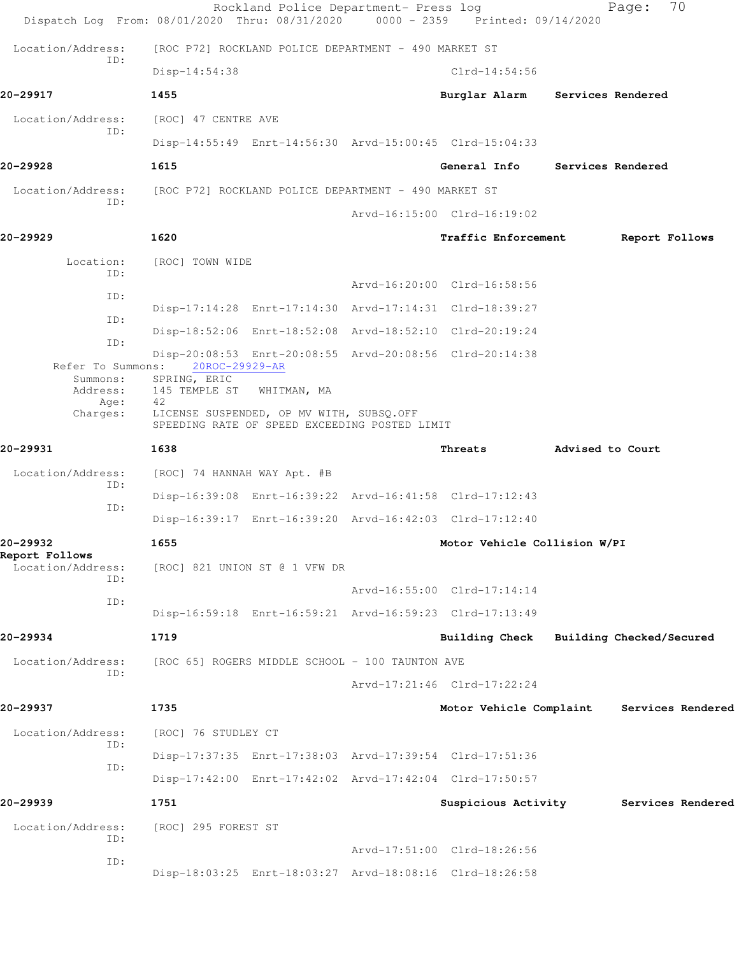|                                            | Rockland Police Department- Press log<br>Dispatch Log From: 08/01/2020 Thru: 08/31/2020 0000 - 2359 Printed: 09/14/2020 |                                |                  | 70<br>Page:              |
|--------------------------------------------|-------------------------------------------------------------------------------------------------------------------------|--------------------------------|------------------|--------------------------|
| Location/Address:                          | [ROC P72] ROCKLAND POLICE DEPARTMENT - 490 MARKET ST                                                                    |                                |                  |                          |
| TD:                                        | Disp-14:54:38                                                                                                           | $Clrd-14:54:56$                |                  |                          |
| 20-29917                                   | 1455                                                                                                                    | Burglar Alarm                  |                  | Services Rendered        |
| Location/Address:                          | [ROC] 47 CENTRE AVE                                                                                                     |                                |                  |                          |
| ID:                                        | Disp-14:55:49 Enrt-14:56:30 Arvd-15:00:45 Clrd-15:04:33                                                                 |                                |                  |                          |
| 20-29928                                   | 1615                                                                                                                    | General Info Services Rendered |                  |                          |
| Location/Address:                          | [ROC P72] ROCKLAND POLICE DEPARTMENT - 490 MARKET ST                                                                    |                                |                  |                          |
| ID:                                        |                                                                                                                         | Arvd-16:15:00 Clrd-16:19:02    |                  |                          |
| 20-29929                                   | 1620                                                                                                                    | Traffic Enforcement            |                  | Report Follows           |
| Location:                                  | [ROC] TOWN WIDE                                                                                                         |                                |                  |                          |
| TD:                                        |                                                                                                                         | Arvd-16:20:00 Clrd-16:58:56    |                  |                          |
| ID:                                        | Disp-17:14:28 Enrt-17:14:30 Arvd-17:14:31 Clrd-18:39:27                                                                 |                                |                  |                          |
| ID:                                        | Disp-18:52:06 Enrt-18:52:08 Arvd-18:52:10 Clrd-20:19:24                                                                 |                                |                  |                          |
| ID:<br>Refer To Summons:                   | Disp-20:08:53 Enrt-20:08:55 Arvd-20:08:56 Clrd-20:14:38<br>20ROC-29929-AR                                               |                                |                  |                          |
| Address:                                   | Summons: SPRING, ERIC<br>145 TEMPLE ST WHITMAN, MA                                                                      |                                |                  |                          |
| Age:<br>Charges:                           | 42<br>LICENSE SUSPENDED, OP MV WITH, SUBSQ.OFF<br>SPEEDING RATE OF SPEED EXCEEDING POSTED LIMIT                         |                                |                  |                          |
| 20-29931                                   | 1638                                                                                                                    | Threats                        | Advised to Court |                          |
| Location/Address:                          | [ROC] 74 HANNAH WAY Apt. #B                                                                                             |                                |                  |                          |
| ID:                                        | Disp-16:39:08 Enrt-16:39:22 Arvd-16:41:58 Clrd-17:12:43                                                                 |                                |                  |                          |
| ID:                                        | Disp-16:39:17 Enrt-16:39:20 Arvd-16:42:03 Clrd-17:12:40                                                                 |                                |                  |                          |
| 20–29932                                   | 1655                                                                                                                    | Motor Vehicle Collision W/PI   |                  |                          |
| Report Follows<br>Location/Address:<br>ID: | [ROC] 821 UNION ST @ 1 VFW DR                                                                                           |                                |                  |                          |
| ID:                                        |                                                                                                                         | Arvd-16:55:00 Clrd-17:14:14    |                  |                          |
|                                            | Disp-16:59:18 Enrt-16:59:21 Arvd-16:59:23 Clrd-17:13:49                                                                 |                                |                  |                          |
| 20–29934                                   | 1719                                                                                                                    | <b>Building Check</b>          |                  | Building Checked/Secured |
| Location/Address:<br>ID:                   | [ROC 65] ROGERS MIDDLE SCHOOL - 100 TAUNTON AVE                                                                         |                                |                  |                          |
|                                            |                                                                                                                         | Arvd-17:21:46 Clrd-17:22:24    |                  |                          |
| 20-29937                                   | 1735                                                                                                                    | Motor Vehicle Complaint        |                  | Services Rendered        |
| Location/Address:<br>ID:                   | [ROC] 76 STUDLEY CT                                                                                                     |                                |                  |                          |
| ID:                                        | Disp-17:37:35 Enrt-17:38:03 Arvd-17:39:54 Clrd-17:51:36                                                                 |                                |                  |                          |
|                                            | Disp-17:42:00 Enrt-17:42:02 Arvd-17:42:04 Clrd-17:50:57                                                                 |                                |                  |                          |
| 20-29939                                   | 1751                                                                                                                    | Suspicious Activity            |                  | Services Rendered        |
| Location/Address:<br>ID:                   | [ROC] 295 FOREST ST                                                                                                     | Arvd-17:51:00 Clrd-18:26:56    |                  |                          |
| ID:                                        | Disp-18:03:25 Enrt-18:03:27 Arvd-18:08:16 Clrd-18:26:58                                                                 |                                |                  |                          |
|                                            |                                                                                                                         |                                |                  |                          |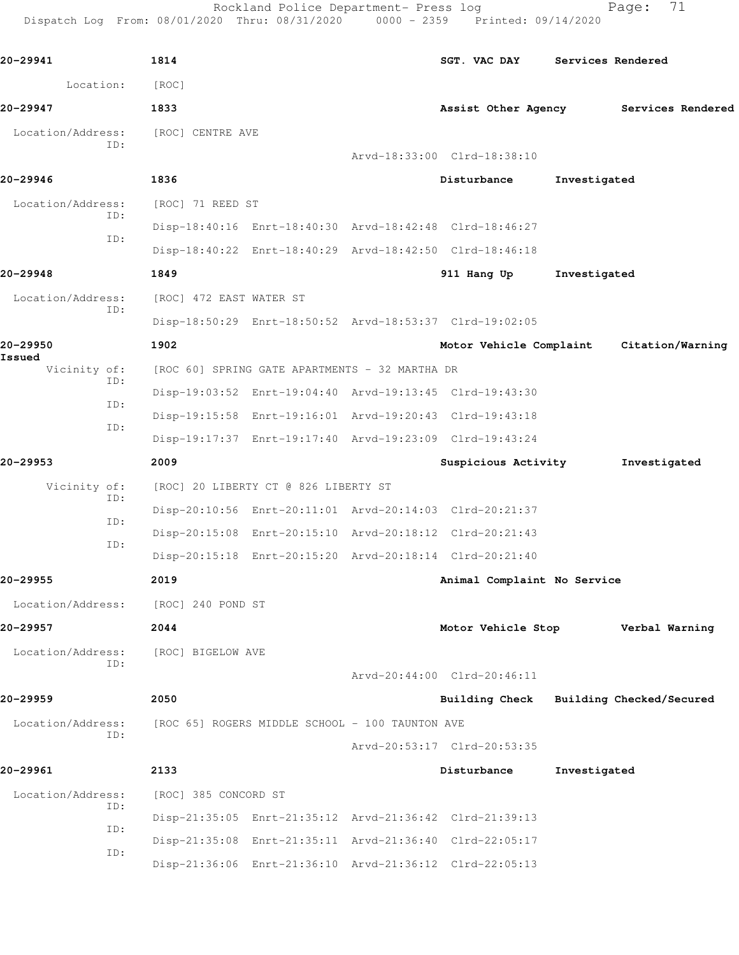Rockland Police Department- Press log Fage: 71 Dispatch Log From: 08/01/2020 Thru: 08/31/2020 0000 - 2359 Printed: 09/14/2020 **20-29941 1814 SGT. VAC DAY Services Rendered** Location: [ROC] **20-29947 1833 Assist Other Agency Services Rendered** Location/Address: [ROC] CENTRE AVE ID: Arvd-18:33:00 Clrd-18:38:10 **20-29946 1836 Disturbance Investigated** Location/Address: [ROC] 71 REED ST ID: Disp-18:40:16 Enrt-18:40:30 Arvd-18:42:48 Clrd-18:46:27 ID: Disp-18:40:22 Enrt-18:40:29 Arvd-18:42:50 Clrd-18:46:18 **20-29948 1849 911 Hang Up Investigated** Location/Address: [ROC] 472 EAST WATER ST ID: Disp-18:50:29 Enrt-18:50:52 Arvd-18:53:37 Clrd-19:02:05 **20-29950 1902 Motor Vehicle Complaint Citation/Warning Issued**  [ROC 60] SPRING GATE APARTMENTS - 32 MARTHA DR ID: Disp-19:03:52 Enrt-19:04:40 Arvd-19:13:45 Clrd-19:43:30 ID: Disp-19:15:58 Enrt-19:16:01 Arvd-19:20:43 Clrd-19:43:18 ID: Disp-19:17:37 Enrt-19:17:40 Arvd-19:23:09 Clrd-19:43:24 **20-29953 2009 Suspicious Activity Investigated** Vicinity of: [ROC] 20 LIBERTY CT @ 826 LIBERTY ST ID: Disp-20:10:56 Enrt-20:11:01 Arvd-20:14:03 Clrd-20:21:37 ID: Disp-20:15:08 Enrt-20:15:10 Arvd-20:18:12 Clrd-20:21:43 ID: Disp-20:15:18 Enrt-20:15:20 Arvd-20:18:14 Clrd-20:21:40 **20-29955 2019 Animal Complaint No Service** Location/Address: [ROC] 240 POND ST **20-29957 2044 Motor Vehicle Stop Verbal Warning** Location/Address: [ROC] BIGELOW AVE ID: Arvd-20:44:00 Clrd-20:46:11

**20-29959 2050 Building Check Building Checked/Secured** Location/Address: [ROC 65] ROGERS MIDDLE SCHOOL - 100 TAUNTON AVE ID: Arvd-20:53:17 Clrd-20:53:35 **20-29961 2133 Disturbance Investigated**

| Location/Address:<br>ID: | [ROC] 385 CONCORD ST |                                                         |  |  |
|--------------------------|----------------------|---------------------------------------------------------|--|--|
| TD:                      |                      | Disp-21:35:05 Enrt-21:35:12 Arvd-21:36:42 Clrd-21:39:13 |  |  |
| ID:                      |                      | Disp-21:35:08 Enrt-21:35:11 Arvd-21:36:40 Clrd-22:05:17 |  |  |
|                          |                      | Disp-21:36:06 Enrt-21:36:10 Arvd-21:36:12 Clrd-22:05:13 |  |  |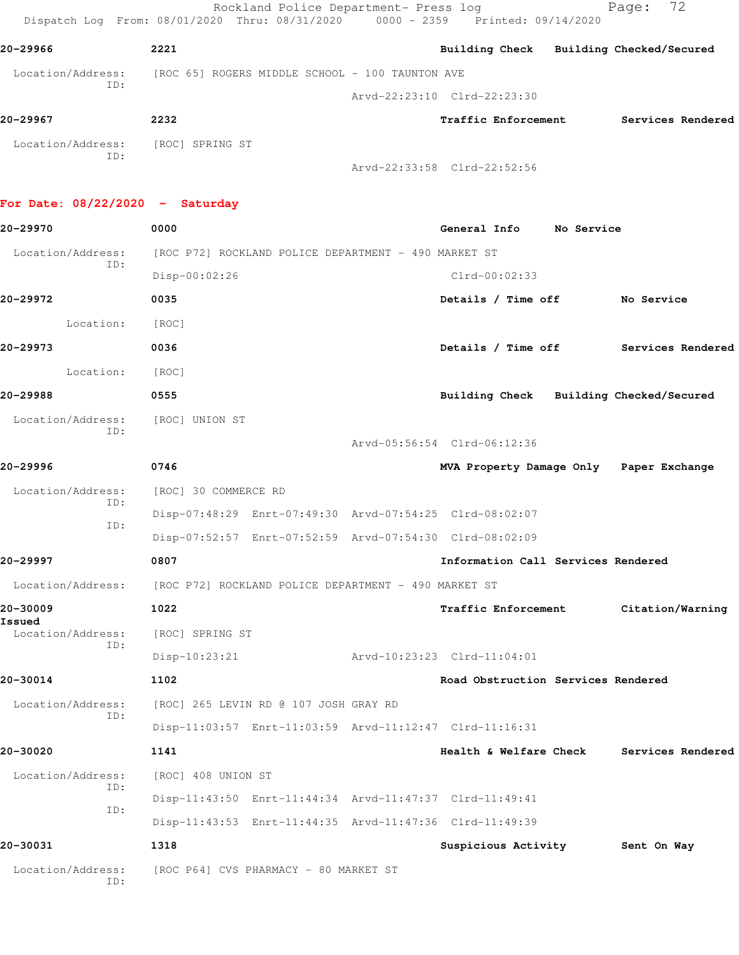Rockland Police Department- Press log Page: 72 Dispatch Log From: 08/01/2020 Thru: 08/31/2020 0000 - 2359 Printed: 09/14/2020 **20-29966 2221 Building Check Building Checked/Secured** Location/Address: [ROC 65] ROGERS MIDDLE SCHOOL - 100 TAUNTON AVE ID: Arvd-22:23:10 Clrd-22:23:30 **20-29967 2232 Traffic Enforcement Services Rendered** Location/Address: [ROC] SPRING ST ID: Arvd-22:33:58 Clrd-22:52:56

## **For Date: 08/22/2020 - Saturday**

| 20-29970                 | 0000                                                    | General Info                            | No Service                           |
|--------------------------|---------------------------------------------------------|-----------------------------------------|--------------------------------------|
| Location/Address:        | [ROC P72] ROCKLAND POLICE DEPARTMENT - 490 MARKET ST    |                                         |                                      |
| ID:                      | Disp-00:02:26                                           | $Clrd-00:02:33$                         |                                      |
| 20-29972                 | 0035                                                    | Details / Time off No Service           |                                      |
| Location:                | [ROC]                                                   |                                         |                                      |
| 20-29973                 | 0036                                                    |                                         | Details / Time off Services Rendered |
| Location:                | [ROC]                                                   |                                         |                                      |
| 20-29988                 | 0555                                                    | Building Check Building Checked/Secured |                                      |
| Location/Address:<br>ID: | [ROC] UNION ST                                          |                                         |                                      |
|                          |                                                         | Arvd-05:56:54 Clrd-06:12:36             |                                      |
| 20-29996                 | 0746                                                    | MVA Property Damage Only Paper Exchange |                                      |
| Location/Address:<br>ID: | [ROC] 30 COMMERCE RD                                    |                                         |                                      |
| ID:                      | Disp-07:48:29 Enrt-07:49:30 Arvd-07:54:25 Clrd-08:02:07 |                                         |                                      |
|                          | Disp-07:52:57 Enrt-07:52:59 Arvd-07:54:30 Clrd-08:02:09 |                                         |                                      |
| 20-29997                 | 0807                                                    | Information Call Services Rendered      |                                      |
| Location/Address:        | [ROC P72] ROCKLAND POLICE DEPARTMENT - 490 MARKET ST    |                                         |                                      |
| 20-30009<br>Issued       | 1022                                                    |                                         | Traffic Enforcement Citation/Warning |
| Location/Address:<br>ID: | [ROC] SPRING ST                                         |                                         |                                      |
|                          | $Disp-10:23:21$                                         | Arvd-10:23:23 Clrd-11:04:01             |                                      |
| 20-30014                 | 1102                                                    | Road Obstruction Services Rendered      |                                      |
| Location/Address:<br>ID: | [ROC] 265 LEVIN RD @ 107 JOSH GRAY RD                   |                                         |                                      |
|                          | Disp-11:03:57 Enrt-11:03:59 Arvd-11:12:47 Clrd-11:16:31 |                                         |                                      |
| 20-30020                 | 1141                                                    | Health & Welfare Check                  | Services Rendered                    |
| Location/Address:<br>ID: | [ROC] 408 UNION ST                                      |                                         |                                      |
| ID:                      | Disp-11:43:50 Enrt-11:44:34 Arvd-11:47:37 Clrd-11:49:41 |                                         |                                      |
|                          | Disp-11:43:53 Enrt-11:44:35 Arvd-11:47:36 Clrd-11:49:39 |                                         |                                      |
| 20-30031                 | 1318                                                    | Suspicious Activity                     | Sent On Way                          |
| Location/Address:<br>ID: | [ROC P64] CVS PHARMACY - 80 MARKET ST                   |                                         |                                      |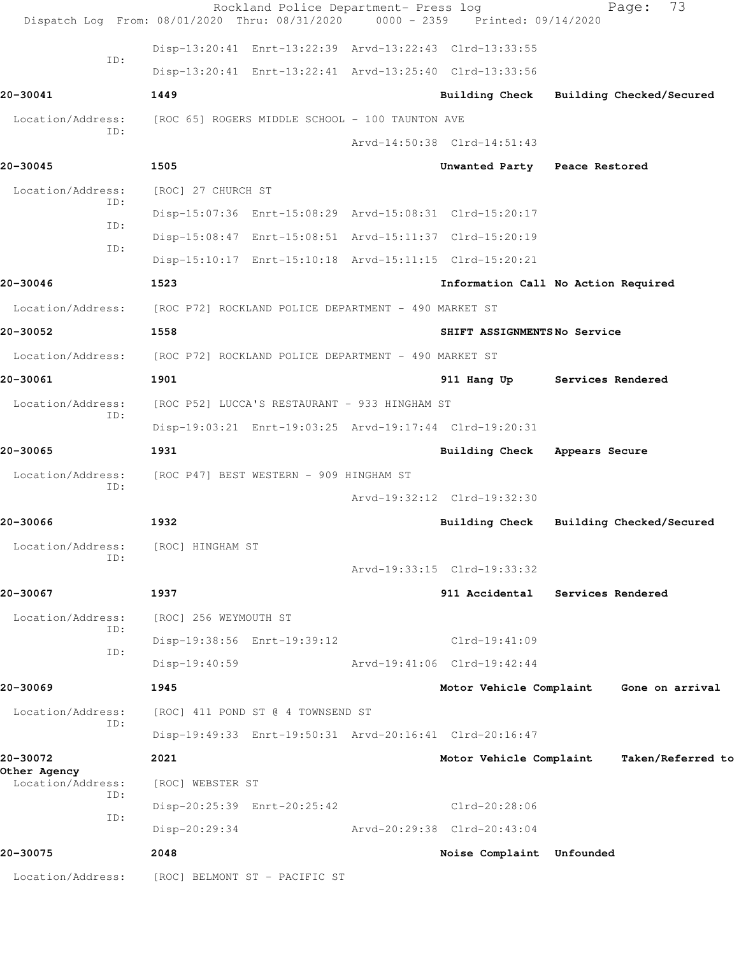|                                   | Rockland Police Department- Press log<br>Dispatch Log From: 08/01/2020 Thru: 08/31/2020 0000 - 2359 Printed: 09/14/2020 |                                         |                   | 73<br>Page:              |  |
|-----------------------------------|-------------------------------------------------------------------------------------------------------------------------|-----------------------------------------|-------------------|--------------------------|--|
|                                   | Disp-13:20:41 Enrt-13:22:39 Arvd-13:22:43 Clrd-13:33:55                                                                 |                                         |                   |                          |  |
| ID:                               | Disp-13:20:41 Enrt-13:22:41 Arvd-13:25:40 Clrd-13:33:56                                                                 |                                         |                   |                          |  |
| 20-30041                          | 1449                                                                                                                    | Building Check Building Checked/Secured |                   |                          |  |
| Location/Address:<br>ID:          | [ROC 65] ROGERS MIDDLE SCHOOL - 100 TAUNTON AVE                                                                         |                                         |                   |                          |  |
|                                   |                                                                                                                         | Arvd-14:50:38 Clrd-14:51:43             |                   |                          |  |
| 20-30045                          | 1505                                                                                                                    | Unwanted Party Peace Restored           |                   |                          |  |
| Location/Address:<br>ID:          | [ROC] 27 CHURCH ST                                                                                                      |                                         |                   |                          |  |
| ID:                               | Disp-15:07:36 Enrt-15:08:29 Arvd-15:08:31 Clrd-15:20:17                                                                 |                                         |                   |                          |  |
| ID:                               | Disp-15:08:47 Enrt-15:08:51 Arvd-15:11:37 Clrd-15:20:19                                                                 |                                         |                   |                          |  |
|                                   | Disp-15:10:17 Enrt-15:10:18 Arvd-15:11:15 Clrd-15:20:21                                                                 |                                         |                   |                          |  |
| 20-30046                          | 1523                                                                                                                    | Information Call No Action Required     |                   |                          |  |
| Location/Address:                 | [ROC P72] ROCKLAND POLICE DEPARTMENT - 490 MARKET ST                                                                    |                                         |                   |                          |  |
| 20-30052                          | 1558                                                                                                                    | SHIFT ASSIGNMENTSNo Service             |                   |                          |  |
| Location/Address:                 | [ROC P72] ROCKLAND POLICE DEPARTMENT - 490 MARKET ST                                                                    |                                         |                   |                          |  |
| 20-30061                          | 1901                                                                                                                    | 911 Hang Up                             | Services Rendered |                          |  |
| Location/Address:                 | [ROC P52] LUCCA'S RESTAURANT - 933 HINGHAM ST                                                                           |                                         |                   |                          |  |
| ID:                               | Disp-19:03:21 Enrt-19:03:25 Arvd-19:17:44 Clrd-19:20:31                                                                 |                                         |                   |                          |  |
| 20-30065                          | 1931                                                                                                                    | <b>Building Check</b>                   | Appears Secure    |                          |  |
| Location/Address:                 | [ROC P47] BEST WESTERN - 909 HINGHAM ST                                                                                 |                                         |                   |                          |  |
| ID:                               |                                                                                                                         | Arvd-19:32:12 Clrd-19:32:30             |                   |                          |  |
| 20-30066                          | 1932                                                                                                                    | Building Check                          |                   | Building Checked/Secured |  |
| Location/Address:                 | [ROC] HINGHAM ST                                                                                                        |                                         |                   |                          |  |
| ID:                               |                                                                                                                         | Arvd-19:33:15 Clrd-19:33:32             |                   |                          |  |
| 20-30067                          | 1937                                                                                                                    | 911 Accidental Services Rendered        |                   |                          |  |
| Location/Address:                 | [ROC] 256 WEYMOUTH ST                                                                                                   |                                         |                   |                          |  |
| ID:                               | Disp-19:38:56 Enrt-19:39:12                                                                                             | $Clrd-19:41:09$                         |                   |                          |  |
| ID:                               | $Disp-19:40:59$                                                                                                         | Arvd-19:41:06 Clrd-19:42:44             |                   |                          |  |
| 20-30069                          | 1945                                                                                                                    | Motor Vehicle Complaint Gone on arrival |                   |                          |  |
| Location/Address:                 | [ROC] 411 POND ST @ 4 TOWNSEND ST                                                                                       |                                         |                   |                          |  |
| ID:                               | Disp-19:49:33 Enrt-19:50:31 Arvd-20:16:41 Clrd-20:16:47                                                                 |                                         |                   |                          |  |
| 20-30072                          | 2021                                                                                                                    | Motor Vehicle Complaint                 |                   | Taken/Referred to        |  |
| Other Agency<br>Location/Address: | [ROC] WEBSTER ST                                                                                                        |                                         |                   |                          |  |
| ID:                               | Disp-20:25:39 Enrt-20:25:42                                                                                             | Clrd-20:28:06                           |                   |                          |  |
| ID:                               | Disp-20:29:34                                                                                                           | Arvd-20:29:38 Clrd-20:43:04             |                   |                          |  |
| 20-30075                          | 2048                                                                                                                    | Noise Complaint Unfounded               |                   |                          |  |
| Location/Address:                 | [ROC] BELMONT ST - PACIFIC ST                                                                                           |                                         |                   |                          |  |
|                                   |                                                                                                                         |                                         |                   |                          |  |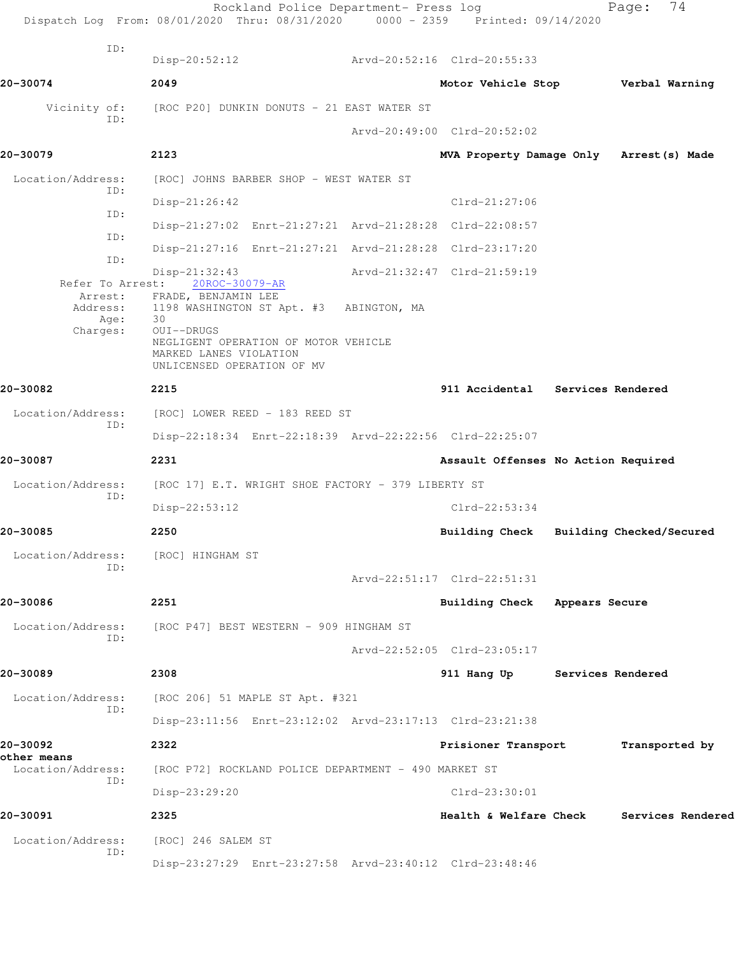Rockland Police Department- Press log Fage: 74 Dispatch Log From: 08/01/2020 Thru: 08/31/2020 0000 - 2359 Printed: 09/14/2020 ID: Disp-20:52:12 Arvd-20:52:16 Clrd-20:55:33 **20-30074 2049 Motor Vehicle Stop Verbal Warning** Vicinity of: [ROC P20] DUNKIN DONUTS - 21 EAST WATER ST ID: Arvd-20:49:00 Clrd-20:52:02 **20-30079 2123 MVA Property Damage Only Arrest(s) Made** Location/Address: [ROC] JOHNS BARBER SHOP - WEST WATER ST ID: Disp-21:26:42 Clrd-21:27:06 ID: Disp-21:27:02 Enrt-21:27:21 Arvd-21:28:28 Clrd-22:08:57 ID: Disp-21:27:16 Enrt-21:27:21 Arvd-21:28:28 Clrd-23:17:20 ID: Disp-21:32:43<br>
st: 20ROC-30079-AR<br>
Arvd-21:32:47 Clrd-21:59:19 Refer To Arrest: Arrest: FRADE, BENJAMIN LEE Address: 1198 WASHINGTON ST Apt. #3 ABINGTON, MA<br>Age: 30 Age: Charges: OUI--DRUGS NEGLIGENT OPERATION OF MOTOR VEHICLE MARKED LANES VIOLATION UNLICENSED OPERATION OF MV **20-30082 2215 911 Accidental Services Rendered** Location/Address: [ROC] LOWER REED - 183 REED ST ID: Disp-22:18:34 Enrt-22:18:39 Arvd-22:22:56 Clrd-22:25:07 **20-30087 2231 Assault Offenses No Action Required** Location/Address: [ROC 17] E.T. WRIGHT SHOE FACTORY - 379 LIBERTY ST ID: Disp-22:53:12 Clrd-22:53:34 **20-30085 2250 Building Check Building Checked/Secured** Location/Address: [ROC] HINGHAM ST ID: Arvd-22:51:17 Clrd-22:51:31 **20-30086 2251 Building Check Appears Secure** Location/Address: [ROC P47] BEST WESTERN - 909 HINGHAM ST ID: Arvd-22:52:05 Clrd-23:05:17 **20-30089 2308 911 Hang Up Services Rendered** Location/Address: [ROC 206] 51 MAPLE ST Apt. #321 ID: Disp-23:11:56 Enrt-23:12:02 Arvd-23:17:13 Clrd-23:21:38 **20-30092 2322 Prisioner Transport Transported by other means**  Location/Address: [ROC P72] ROCKLAND POLICE DEPARTMENT - 490 MARKET ST ID: Disp-23:29:20 Clrd-23:30:01 **20-30091 2325 Health & Welfare Check Services Rendered** Location/Address: [ROC] 246 SALEM ST ID: Disp-23:27:29 Enrt-23:27:58 Arvd-23:40:12 Clrd-23:48:46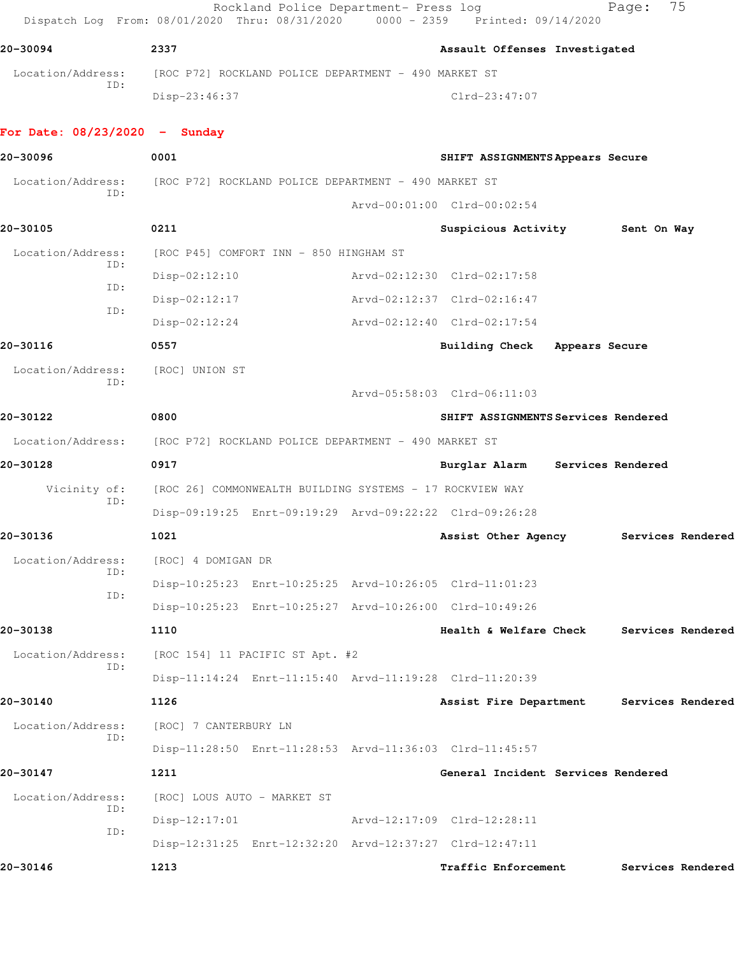Rockland Police Department- Press log entitled Page: 75 Dispatch Log From: 08/01/2020 Thru: 08/31/2020 0000 - 2359 Printed: 09/14/2020

**20-30094 2337 Assault Offenses Investigated** Location/Address: [ROC P72] ROCKLAND POLICE DEPARTMENT - 490 MARKET ST ID: Disp-23:46:37 Clrd-23:47:07

## **For Date: 08/23/2020 - Sunday**

| 20-30096            | 0001                                                                   | SHIFT ASSIGNMENTS Appears Secure         |                   |  |
|---------------------|------------------------------------------------------------------------|------------------------------------------|-------------------|--|
| Location/Address:   | [ROC P72] ROCKLAND POLICE DEPARTMENT - 490 MARKET ST                   |                                          |                   |  |
| ID:                 |                                                                        | Arvd-00:01:00 Clrd-00:02:54              |                   |  |
| 20-30105            | 0211                                                                   | Suspicious Activity                      | Sent On Way       |  |
| Location/Address:   | [ROC P45] COMFORT INN - 850 HINGHAM ST                                 |                                          |                   |  |
| ID:                 | $Disp-02:12:10$                                                        | Arvd-02:12:30 Clrd-02:17:58              |                   |  |
| ID:                 | $Disp-02:12:17$                                                        | Arvd-02:12:37 Clrd-02:16:47              |                   |  |
| ID:                 | $Disp-02:12:24$                                                        | Arvd-02:12:40 Clrd-02:17:54              |                   |  |
| 20-30116            | 0557                                                                   | Building Check Appears Secure            |                   |  |
| Location/Address:   | [ROC] UNION ST                                                         |                                          |                   |  |
| ID:                 |                                                                        | Arvd-05:58:03 Clrd-06:11:03              |                   |  |
| 20-30122            | 0800                                                                   | SHIFT ASSIGNMENTS Services Rendered      |                   |  |
|                     | Location/Address: [ROC P72] ROCKLAND POLICE DEPARTMENT - 490 MARKET ST |                                          |                   |  |
| 20-30128            | 0917                                                                   | Burglar Alarm                            | Services Rendered |  |
| Vicinity of:<br>ID: | [ROC 26] COMMONWEALTH BUILDING SYSTEMS - 17 ROCKVIEW WAY               |                                          |                   |  |
|                     | Disp-09:19:25 Enrt-09:19:29 Arvd-09:22:22 Clrd-09:26:28                |                                          |                   |  |
| 20-30136            | 1021                                                                   | Assist Other Agency                      | Services Rendered |  |
| Location/Address:   | [ROC] 4 DOMIGAN DR                                                     |                                          |                   |  |
| ID:                 | Disp-10:25:23 Enrt-10:25:25 Arvd-10:26:05 Clrd-11:01:23                |                                          |                   |  |
| ID:                 | Disp-10:25:23 Enrt-10:25:27 Arvd-10:26:00 Clrd-10:49:26                |                                          |                   |  |
| 20-30138            | 1110                                                                   | Health & Welfare Check                   | Services Rendered |  |
| Location/Address:   | [ROC 154] 11 PACIFIC ST Apt. #2                                        |                                          |                   |  |
| ID:                 | Disp-11:14:24 Enrt-11:15:40 Arvd-11:19:28 Clrd-11:20:39                |                                          |                   |  |
| 20-30140            | 1126                                                                   | Assist Fire Department Services Rendered |                   |  |
| Location/Address:   | [ROC] 7 CANTERBURY LN                                                  |                                          |                   |  |
| ID:                 | Disp-11:28:50 Enrt-11:28:53 Arvd-11:36:03 Clrd-11:45:57                |                                          |                   |  |
| 20-30147            | 1211                                                                   | General Incident Services Rendered       |                   |  |
| Location/Address:   | [ROC] LOUS AUTO - MARKET ST                                            |                                          |                   |  |
| ID:                 | $Disp-12:17:01$                                                        | Arvd-12:17:09 Clrd-12:28:11              |                   |  |
| ID:                 | Disp-12:31:25 Enrt-12:32:20 Arvd-12:37:27 Clrd-12:47:11                |                                          |                   |  |
| 20-30146            | 1213                                                                   | Traffic Enforcement                      | Services Rendered |  |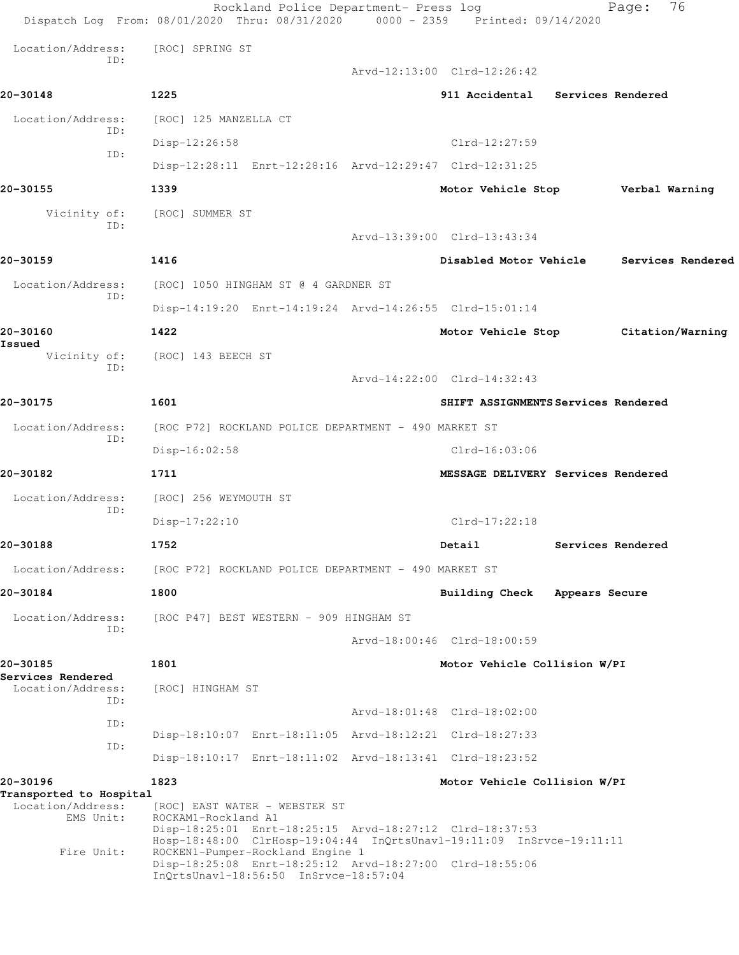|                                     | Rockland Police Department- Press log<br>Dispatch Log From: 08/01/2020 Thru: 08/31/2020 0000 - 2359 Printed: 09/14/2020                                                                                      |                                     | 76<br>Page:                         |
|-------------------------------------|--------------------------------------------------------------------------------------------------------------------------------------------------------------------------------------------------------------|-------------------------------------|-------------------------------------|
| Location/Address:                   | [ROC] SPRING ST                                                                                                                                                                                              |                                     |                                     |
| ID:                                 |                                                                                                                                                                                                              | Arvd-12:13:00 Clrd-12:26:42         |                                     |
| 20-30148                            | 1225                                                                                                                                                                                                         | 911 Accidental Services Rendered    |                                     |
| Location/Address:                   | [ROC] 125 MANZELLA CT                                                                                                                                                                                        |                                     |                                     |
| ID:<br>ID:                          | Disp-12:26:58                                                                                                                                                                                                | Clrd-12:27:59                       |                                     |
|                                     | Disp-12:28:11 Enrt-12:28:16 Arvd-12:29:47 Clrd-12:31:25                                                                                                                                                      |                                     |                                     |
| 20-30155                            | 1339                                                                                                                                                                                                         |                                     | Motor Vehicle Stop Verbal Warning   |
| Vicinity of:<br>ID:                 | [ROC] SUMMER ST                                                                                                                                                                                              |                                     |                                     |
|                                     |                                                                                                                                                                                                              | Arvd-13:39:00 Clrd-13:43:34         |                                     |
| 20-30159                            | 1416                                                                                                                                                                                                         | Disabled Motor Vehicle              | Services Rendered                   |
| Location/Address:<br>ID:            | [ROC] 1050 HINGHAM ST @ 4 GARDNER ST                                                                                                                                                                         |                                     |                                     |
|                                     | Disp-14:19:20 Enrt-14:19:24 Arvd-14:26:55 Clrd-15:01:14                                                                                                                                                      |                                     |                                     |
| 20-30160                            | 1422                                                                                                                                                                                                         |                                     | Motor Vehicle Stop Citation/Warning |
| Issued<br>Vicinity of:<br>TD:       | [ROC] 143 BEECH ST                                                                                                                                                                                           |                                     |                                     |
|                                     |                                                                                                                                                                                                              | Arvd-14:22:00 Clrd-14:32:43         |                                     |
| 20-30175                            | 1601                                                                                                                                                                                                         | SHIFT ASSIGNMENTS Services Rendered |                                     |
| Location/Address:<br>ID:            | [ROC P72] ROCKLAND POLICE DEPARTMENT - 490 MARKET ST                                                                                                                                                         |                                     |                                     |
|                                     | Disp-16:02:58                                                                                                                                                                                                | $Clrd-16:03:06$                     |                                     |
| 20-30182                            | 1711                                                                                                                                                                                                         | MESSAGE DELIVERY Services Rendered  |                                     |
| Location/Address:<br>ID:            | [ROC] 256 WEYMOUTH ST                                                                                                                                                                                        |                                     |                                     |
|                                     | $Disp-17:22:10$                                                                                                                                                                                              | $Clrd-17:22:18$                     |                                     |
| 20-30188                            | 1752                                                                                                                                                                                                         | Detail                              | Services Rendered                   |
| Location/Address:                   | [ROC P72] ROCKLAND POLICE DEPARTMENT - 490 MARKET ST                                                                                                                                                         |                                     |                                     |
| 20-30184                            | 1800                                                                                                                                                                                                         | Building Check Appears Secure       |                                     |
| Location/Address:<br>ID:            | [ROC P47] BEST WESTERN - 909 HINGHAM ST                                                                                                                                                                      |                                     |                                     |
|                                     |                                                                                                                                                                                                              | Arvd-18:00:46 Clrd-18:00:59         |                                     |
| 20-30185<br>Services Rendered       | 1801                                                                                                                                                                                                         | Motor Vehicle Collision W/PI        |                                     |
| Location/Address:                   | [ROC] HINGHAM ST                                                                                                                                                                                             |                                     |                                     |
| ID:<br>ID:                          |                                                                                                                                                                                                              | Arvd-18:01:48 Clrd-18:02:00         |                                     |
| ID:                                 | Disp-18:10:07 Enrt-18:11:05 Arvd-18:12:21 Clrd-18:27:33                                                                                                                                                      |                                     |                                     |
|                                     | Disp-18:10:17 Enrt-18:11:02 Arvd-18:13:41 Clrd-18:23:52                                                                                                                                                      |                                     |                                     |
| 20-30196<br>Transported to Hospital | 1823                                                                                                                                                                                                         | Motor Vehicle Collision W/PI        |                                     |
| Location/Address:<br>EMS Unit:      | [ROC] EAST WATER - WEBSTER ST<br>ROCKAM1-Rockland A1<br>Disp-18:25:01 Enrt-18:25:15 Arvd-18:27:12 Clrd-18:37:53                                                                                              |                                     |                                     |
| Fire Unit:                          | Hosp-18:48:00 ClrHosp-19:04:44 InQrtsUnavl-19:11:09 InSrvce-19:11:11<br>ROCKEN1-Pumper-Rockland Engine 1<br>Disp-18:25:08 Enrt-18:25:12 Arvd-18:27:00 Clrd-18:55:06<br>InQrtsUnavl-18:56:50 InSrvce-18:57:04 |                                     |                                     |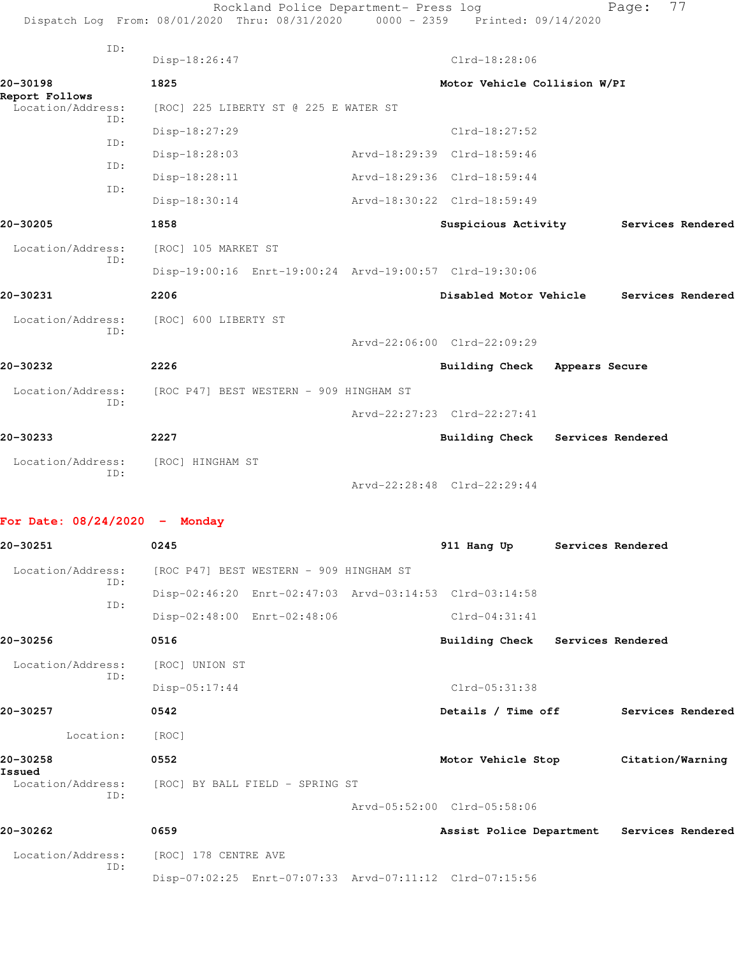|                      |               |                                                                                  |                                                                                                                                                                                                                                                                                                                                        | 77                                                                             |                                                                                                                                              |
|----------------------|---------------|----------------------------------------------------------------------------------|----------------------------------------------------------------------------------------------------------------------------------------------------------------------------------------------------------------------------------------------------------------------------------------------------------------------------------------|--------------------------------------------------------------------------------|----------------------------------------------------------------------------------------------------------------------------------------------|
| Disp-18:26:47        |               | Clrd-18:28:06                                                                    |                                                                                                                                                                                                                                                                                                                                        |                                                                                |                                                                                                                                              |
| 1825                 |               |                                                                                  |                                                                                                                                                                                                                                                                                                                                        |                                                                                |                                                                                                                                              |
|                      |               |                                                                                  |                                                                                                                                                                                                                                                                                                                                        |                                                                                |                                                                                                                                              |
|                      |               |                                                                                  |                                                                                                                                                                                                                                                                                                                                        |                                                                                |                                                                                                                                              |
| Disp-18:28:03        |               |                                                                                  |                                                                                                                                                                                                                                                                                                                                        |                                                                                |                                                                                                                                              |
| Disp-18:28:11        |               |                                                                                  |                                                                                                                                                                                                                                                                                                                                        |                                                                                |                                                                                                                                              |
| Disp-18:30:14        |               |                                                                                  |                                                                                                                                                                                                                                                                                                                                        |                                                                                |                                                                                                                                              |
| 1858                 |               |                                                                                  |                                                                                                                                                                                                                                                                                                                                        | Services Rendered                                                              |                                                                                                                                              |
| [ROC] 105 MARKET ST  |               |                                                                                  |                                                                                                                                                                                                                                                                                                                                        |                                                                                |                                                                                                                                              |
|                      |               |                                                                                  |                                                                                                                                                                                                                                                                                                                                        |                                                                                |                                                                                                                                              |
| 2206                 |               |                                                                                  |                                                                                                                                                                                                                                                                                                                                        | Services Rendered                                                              |                                                                                                                                              |
| [ROC] 600 LIBERTY ST |               |                                                                                  |                                                                                                                                                                                                                                                                                                                                        |                                                                                |                                                                                                                                              |
|                      |               |                                                                                  |                                                                                                                                                                                                                                                                                                                                        |                                                                                |                                                                                                                                              |
| 2226                 |               |                                                                                  |                                                                                                                                                                                                                                                                                                                                        |                                                                                |                                                                                                                                              |
|                      |               |                                                                                  |                                                                                                                                                                                                                                                                                                                                        |                                                                                |                                                                                                                                              |
|                      |               |                                                                                  |                                                                                                                                                                                                                                                                                                                                        |                                                                                |                                                                                                                                              |
| 2227                 |               |                                                                                  |                                                                                                                                                                                                                                                                                                                                        |                                                                                |                                                                                                                                              |
| [ROC] HINGHAM ST     |               |                                                                                  |                                                                                                                                                                                                                                                                                                                                        |                                                                                |                                                                                                                                              |
|                      |               |                                                                                  |                                                                                                                                                                                                                                                                                                                                        |                                                                                |                                                                                                                                              |
|                      | Disp-18:27:29 | [ROC] 225 LIBERTY ST @ 225 E WATER ST<br>[ROC P47] BEST WESTERN - 909 HINGHAM ST | Rockland Police Department- Press log<br>$Clrd-18:27:52$<br>Arvd-18:29:39 Clrd-18:59:46<br>Arvd-18:29:36 Clrd-18:59:44<br>Arvd-18:30:22 Clrd-18:59:49<br>Disp-19:00:16 Enrt-19:00:24 Arvd-19:00:57 Clrd-19:30:06<br>Arvd-22:06:00 Clrd-22:09:29<br><b>Building Check</b><br>Arvd-22:27:23 Clrd-22:27:41<br>Arvd-22:28:48 Clrd-22:29:44 | Dispatch Log From: 08/01/2020 Thru: 08/31/2020 0000 - 2359 Printed: 09/14/2020 | Page:<br>Motor Vehicle Collision W/PI<br>Suspicious Activity<br>Disabled Motor Vehicle<br>Appears Secure<br>Building Check Services Rendered |

## **For Date: 08/24/2020 - Monday**

| 20-30251                    | 0245                                                    | 911 Hang Up                                | Services Rendered |  |
|-----------------------------|---------------------------------------------------------|--------------------------------------------|-------------------|--|
| Location/Address:           | [ROC P47] BEST WESTERN - 909 HINGHAM ST                 |                                            |                   |  |
| ID:                         | Disp-02:46:20 Enrt-02:47:03 Arvd-03:14:53 Clrd-03:14:58 |                                            |                   |  |
| ID:                         | Disp-02:48:00 Enrt-02:48:06                             | $Clrd-04:31:41$                            |                   |  |
| 20-30256                    | 0516                                                    | Building Check Services Rendered           |                   |  |
| Location/Address:           | [ROC] UNION ST                                          |                                            |                   |  |
| ID:                         | $Disp-05:17:44$                                         | Clrd-05:31:38                              |                   |  |
| 20-30257                    | 0542                                                    | Details / Time off                         | Services Rendered |  |
| Location:                   | [ROC]                                                   |                                            |                   |  |
| 20-30258                    | 0552                                                    | Motor Vehicle Stop                         | Citation/Warning  |  |
| Issued<br>Location/Address: | [ROC] BY BALL FIELD - SPRING ST                         |                                            |                   |  |
| ID:                         |                                                         | Arvd-05:52:00 Clrd-05:58:06                |                   |  |
| 20-30262                    | 0659                                                    | Assist Police Department Services Rendered |                   |  |
| Location/Address:           | [ROC] 178 CENTRE AVE                                    |                                            |                   |  |
| ID:                         | Disp-07:02:25 Enrt-07:07:33 Arvd-07:11:12 Clrd-07:15:56 |                                            |                   |  |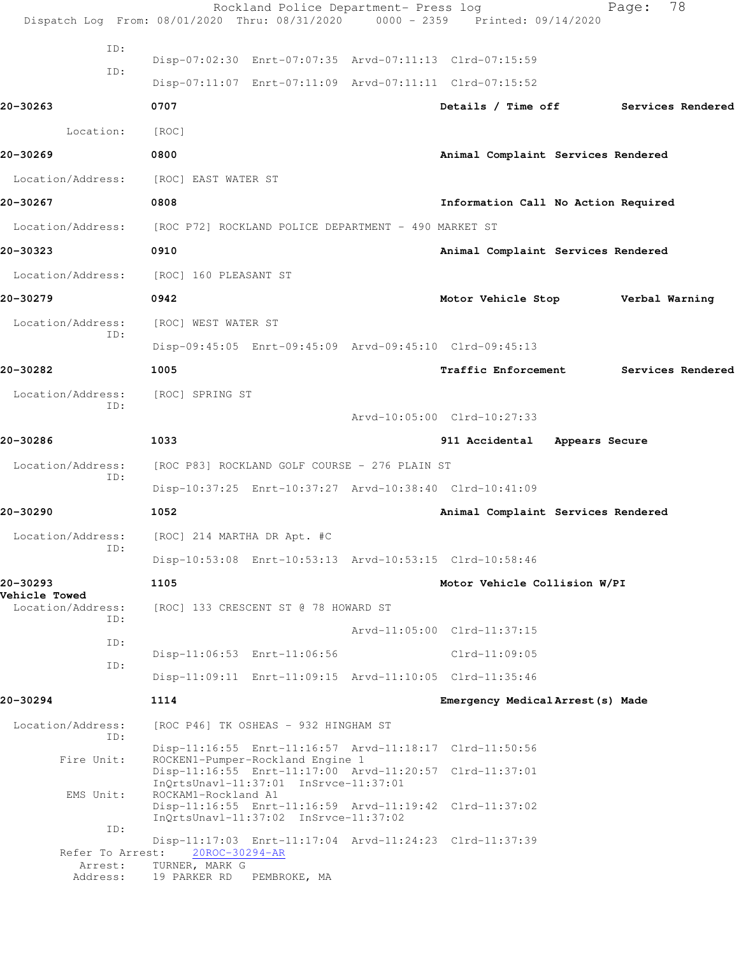|                                  | Rockland Police Department- Press log<br>Dispatch Log From: 08/01/2020 Thru: 08/31/2020 0000 - 2359 Printed: 09/14/2020 |                                     | Page:          | 78                |
|----------------------------------|-------------------------------------------------------------------------------------------------------------------------|-------------------------------------|----------------|-------------------|
| ID:<br>ID:                       | Disp-07:02:30 Enrt-07:07:35 Arvd-07:11:13 Clrd-07:15:59<br>Disp-07:11:07 Enrt-07:11:09 Arvd-07:11:11 Clrd-07:15:52      |                                     |                |                   |
| 20-30263                         | 0707                                                                                                                    | Details / Time off                  |                | Services Rendered |
| Location:                        | [ROC]                                                                                                                   |                                     |                |                   |
| 20-30269                         | 0800                                                                                                                    | Animal Complaint Services Rendered  |                |                   |
| Location/Address:                | [ROC] EAST WATER ST                                                                                                     |                                     |                |                   |
| 20-30267                         | 0808                                                                                                                    | Information Call No Action Required |                |                   |
| Location/Address:                | [ROC P72] ROCKLAND POLICE DEPARTMENT - 490 MARKET ST                                                                    |                                     |                |                   |
| 20-30323                         | 0910                                                                                                                    | Animal Complaint Services Rendered  |                |                   |
| Location/Address:                | [ROC] 160 PLEASANT ST                                                                                                   |                                     |                |                   |
| 20-30279                         | 0942                                                                                                                    | Motor Vehicle Stop                  | Verbal Warning |                   |
| Location/Address:                | [ROC] WEST WATER ST                                                                                                     |                                     |                |                   |
| ID:                              | Disp-09:45:05 Enrt-09:45:09 Arvd-09:45:10 Clrd-09:45:13                                                                 |                                     |                |                   |
| 20-30282                         | 1005                                                                                                                    | Traffic Enforcement                 |                | Services Rendered |
| Location/Address:                | [ROC] SPRING ST                                                                                                         |                                     |                |                   |
| ID:                              |                                                                                                                         | Arvd-10:05:00 Clrd-10:27:33         |                |                   |
| 20-30286                         | 1033                                                                                                                    | 911 Accidental Appears Secure       |                |                   |
| Location/Address:<br>ID:         | [ROC P83] ROCKLAND GOLF COURSE - 276 PLAIN ST                                                                           |                                     |                |                   |
|                                  | Disp-10:37:25 Enrt-10:37:27 Arvd-10:38:40 Clrd-10:41:09                                                                 |                                     |                |                   |
| 20-30290                         | 1052                                                                                                                    | Animal Complaint Services Rendered  |                |                   |
| Location/Address:<br>ID:         | [ROC] 214 MARTHA DR Apt. #C                                                                                             |                                     |                |                   |
|                                  | Disp-10:53:08 Enrt-10:53:13 Arvd-10:53:15 Clrd-10:58:46                                                                 |                                     |                |                   |
| 20-30293<br><b>Vehicle Towed</b> | 1105                                                                                                                    | Motor Vehicle Collision W/PI        |                |                   |
| Location/Address:<br>ID:         | [ROC] 133 CRESCENT ST @ 78 HOWARD ST                                                                                    |                                     |                |                   |
| ID:                              |                                                                                                                         | Arvd-11:05:00 Clrd-11:37:15         |                |                   |
| ID:                              | Disp-11:06:53 Enrt-11:06:56                                                                                             | $Clrd-11:09:05$                     |                |                   |
|                                  | Disp-11:09:11 Enrt-11:09:15 Arvd-11:10:05 Clrd-11:35:46                                                                 |                                     |                |                   |
| 20-30294                         | 1114                                                                                                                    | Emergency Medical Arrest (s) Made   |                |                   |
| Location/Address:<br>ID:         | [ROC P46] TK OSHEAS - 932 HINGHAM ST                                                                                    |                                     |                |                   |
| Fire Unit:                       | Disp-11:16:55 Enrt-11:16:57 Arvd-11:18:17 Clrd-11:50:56<br>ROCKEN1-Pumper-Rockland Engine 1                             |                                     |                |                   |
|                                  | Disp-11:16:55 Enrt-11:17:00 Arvd-11:20:57 Clrd-11:37:01<br>InQrtsUnavl-11:37:01 InSrvce-11:37:01                        |                                     |                |                   |
| EMS Unit:                        | ROCKAM1-Rockland A1<br>Disp-11:16:55 Enrt-11:16:59 Arvd-11:19:42 Clrd-11:37:02                                          |                                     |                |                   |
| ID:                              | InQrtsUnavl-11:37:02 InSrvce-11:37:02                                                                                   |                                     |                |                   |
|                                  | Disp-11:17:03 Enrt-11:17:04 Arvd-11:24:23 Clrd-11:37:39<br>Refer To Arrest: 20ROC-30294-AR                              |                                     |                |                   |
| Arrest:<br>Address:              | TURNER, MARK G<br>19 PARKER RD<br>PEMBROKE, MA                                                                          |                                     |                |                   |
|                                  |                                                                                                                         |                                     |                |                   |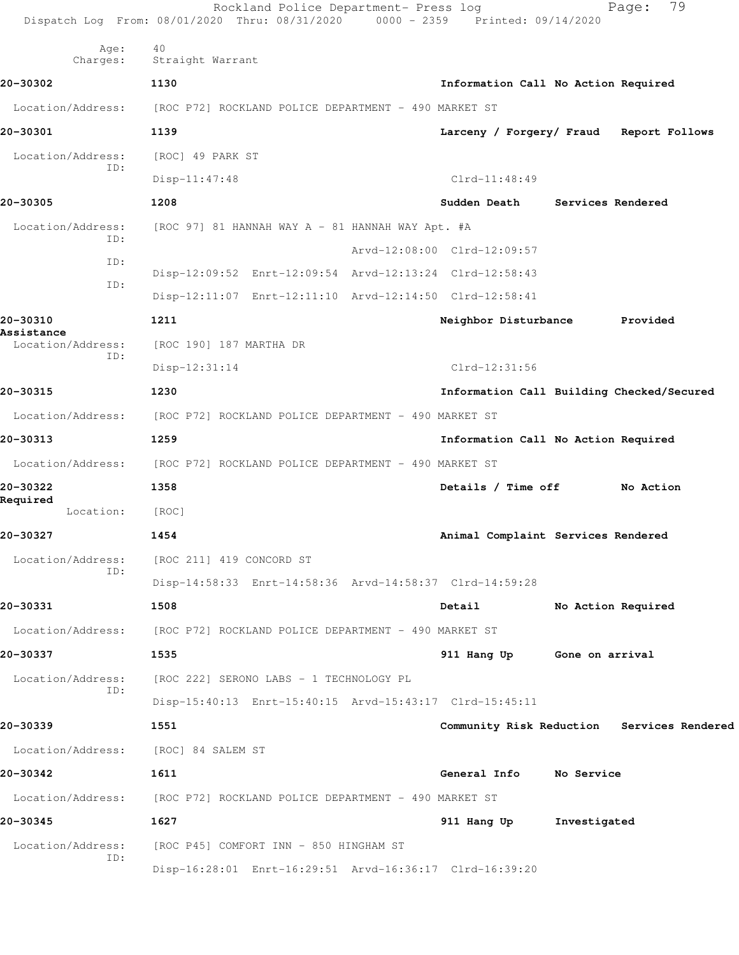|                                 | Rockland Police Department- Press log<br>Dispatch Log From: 08/01/2020 Thru: 08/31/2020 0000 - 2359 Printed: 09/14/2020 |                                     |                 | 79<br>Page:                                |
|---------------------------------|-------------------------------------------------------------------------------------------------------------------------|-------------------------------------|-----------------|--------------------------------------------|
| Age:<br>Charges:                | 40<br>Straight Warrant                                                                                                  |                                     |                 |                                            |
| 20-30302                        | 1130                                                                                                                    | Information Call No Action Required |                 |                                            |
|                                 | Location/Address: [ROC P72] ROCKLAND POLICE DEPARTMENT - 490 MARKET ST                                                  |                                     |                 |                                            |
| 20-30301                        | 1139                                                                                                                    |                                     |                 | Larceny / Forgery/ Fraud Report Follows    |
| Location/Address:               | [ROC] 49 PARK ST                                                                                                        |                                     |                 |                                            |
| ID:                             | $Disp-11:47:48$                                                                                                         | $Clrd-11:48:49$                     |                 |                                            |
| 20-30305                        | 1208                                                                                                                    | Sudden Death                        |                 | Services Rendered                          |
| Location/Address:               | [ROC 97] 81 HANNAH WAY A - 81 HANNAH WAY Apt. #A                                                                        |                                     |                 |                                            |
| ID:                             |                                                                                                                         | Arvd-12:08:00 Clrd-12:09:57         |                 |                                            |
| ID:                             | Disp-12:09:52 Enrt-12:09:54 Arvd-12:13:24 Clrd-12:58:43                                                                 |                                     |                 |                                            |
| ID:                             | Disp-12:11:07 Enrt-12:11:10 Arvd-12:14:50 Clrd-12:58:41                                                                 |                                     |                 |                                            |
| 20-30310                        | 1211                                                                                                                    | Neighbor Disturbance                |                 | Provided                                   |
| Assistance<br>Location/Address: | [ROC 190] 187 MARTHA DR                                                                                                 |                                     |                 |                                            |
| ID:                             | $Disp-12:31:14$                                                                                                         | $Clrd-12:31:56$                     |                 |                                            |
| 20-30315                        | 1230                                                                                                                    |                                     |                 | Information Call Building Checked/Secured  |
| Location/Address:               | [ROC P72] ROCKLAND POLICE DEPARTMENT - 490 MARKET ST                                                                    |                                     |                 |                                            |
| 20-30313                        | 1259                                                                                                                    | Information Call No Action Required |                 |                                            |
|                                 | Location/Address: [ROC P72] ROCKLAND POLICE DEPARTMENT - 490 MARKET ST                                                  |                                     |                 |                                            |
| 20-30322                        | 1358                                                                                                                    | Details / Time off                  |                 | No Action                                  |
| Required<br>Location:           | [ROC]                                                                                                                   |                                     |                 |                                            |
| 20-30327                        | 1454                                                                                                                    | Animal Complaint Services Rendered  |                 |                                            |
| Location/Address:               | [ROC 211] 419 CONCORD ST                                                                                                |                                     |                 |                                            |
| ID:                             | Disp-14:58:33 Enrt-14:58:36 Arvd-14:58:37 Clrd-14:59:28                                                                 |                                     |                 |                                            |
| 20-30331                        | 1508                                                                                                                    | Detail                              |                 | No Action Required                         |
| Location/Address:               | [ROC P72] ROCKLAND POLICE DEPARTMENT - 490 MARKET ST                                                                    |                                     |                 |                                            |
| 20-30337                        | 1535                                                                                                                    | 911 Hang Up                         | Gone on arrival |                                            |
| Location/Address:<br>ID:        | [ROC 222] SERONO LABS - 1 TECHNOLOGY PL                                                                                 |                                     |                 |                                            |
|                                 | Disp-15:40:13 Enrt-15:40:15 Arvd-15:43:17 Clrd-15:45:11                                                                 |                                     |                 |                                            |
| 20-30339                        | 1551                                                                                                                    |                                     |                 | Community Risk Reduction Services Rendered |
| Location/Address:               | [ROC] 84 SALEM ST                                                                                                       |                                     |                 |                                            |
| 20-30342                        | 1611                                                                                                                    | General Info                        | No Service      |                                            |
| Location/Address:               | [ROC P72] ROCKLAND POLICE DEPARTMENT - 490 MARKET ST                                                                    |                                     |                 |                                            |
| 20-30345                        | 1627                                                                                                                    | 911 Hang Up                         | Investigated    |                                            |
| Location/Address:<br>ID:        | [ROC P45] COMFORT INN - 850 HINGHAM ST                                                                                  |                                     |                 |                                            |
|                                 | Disp-16:28:01 Enrt-16:29:51 Arvd-16:36:17 Clrd-16:39:20                                                                 |                                     |                 |                                            |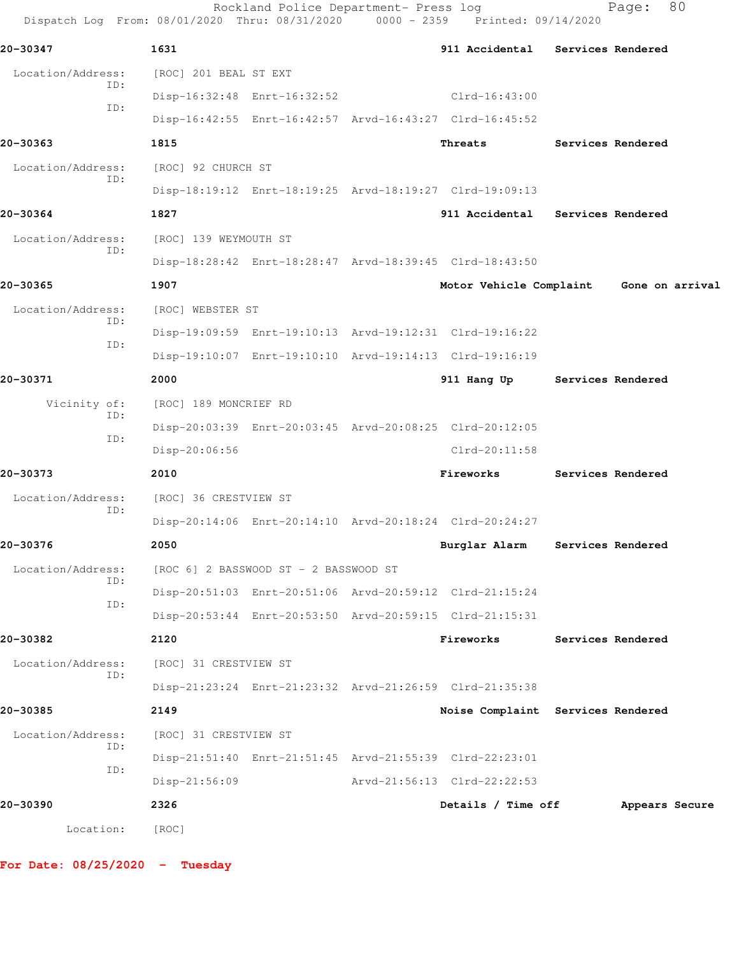| Dispatch Log From: 08/01/2020 Thru: 08/31/2020 0000 - 2359 Printed: 09/14/2020 |                       | Rockland Police Department- Press log |                                                         | Page:             | 80 |
|--------------------------------------------------------------------------------|-----------------------|---------------------------------------|---------------------------------------------------------|-------------------|----|
| 20-30347                                                                       | 1631                  |                                       | 911 Accidental Services Rendered                        |                   |    |
| Location/Address:<br>ID:                                                       | [ROC] 201 BEAL ST EXT |                                       |                                                         |                   |    |
| ID:                                                                            |                       | Disp-16:32:48 Enrt-16:32:52           | $Clrd-16:43:00$                                         |                   |    |
|                                                                                |                       |                                       | Disp-16:42:55 Enrt-16:42:57 Arvd-16:43:27 Clrd-16:45:52 |                   |    |
| 20-30363                                                                       | 1815                  |                                       | Threats                                                 | Services Rendered |    |
| Location/Address:                                                              | [ROC] 92 CHURCH ST    |                                       |                                                         |                   |    |
| TD:                                                                            |                       |                                       | Disp-18:19:12 Enrt-18:19:25 Arvd-18:19:27 Clrd-19:09:13 |                   |    |
| 20-30364                                                                       | 1827                  |                                       | 911 Accidental                                          | Services Rendered |    |
| Location/Address:                                                              | [ROC] 139 WEYMOUTH ST |                                       |                                                         |                   |    |
| ID:                                                                            |                       |                                       | Disp-18:28:42 Enrt-18:28:47 Arvd-18:39:45 Clrd-18:43:50 |                   |    |
| 20-30365                                                                       | 1907                  |                                       | Motor Vehicle Complaint                                 | Gone on arrival   |    |
| Location/Address:                                                              | [ROC] WEBSTER ST      |                                       |                                                         |                   |    |
| ID:                                                                            |                       |                                       | Disp-19:09:59 Enrt-19:10:13 Arvd-19:12:31 Clrd-19:16:22 |                   |    |
| ID:                                                                            |                       |                                       | Disp-19:10:07 Enrt-19:10:10 Arvd-19:14:13 Clrd-19:16:19 |                   |    |
| 20-30371                                                                       | 2000                  |                                       | 911 Hang Up                                             | Services Rendered |    |
| Vicinity of:                                                                   | [ROC] 189 MONCRIEF RD |                                       |                                                         |                   |    |
| ID:                                                                            |                       |                                       | Disp-20:03:39 Enrt-20:03:45 Arvd-20:08:25 Clrd-20:12:05 |                   |    |
| ID:                                                                            | Disp-20:06:56         |                                       | $Clrd-20:11:58$                                         |                   |    |
| 20-30373                                                                       | 2010                  |                                       | Fireworks                                               | Services Rendered |    |
| Location/Address:                                                              | [ROC] 36 CRESTVIEW ST |                                       |                                                         |                   |    |
| ID:                                                                            |                       |                                       | Disp-20:14:06 Enrt-20:14:10 Arvd-20:18:24 Clrd-20:24:27 |                   |    |
| 20-30376                                                                       | 2050                  |                                       | Burglar Alarm                                           | Services Rendered |    |
| Location/Address:                                                              |                       | [ROC 6] 2 BASSWOOD ST - 2 BASSWOOD ST |                                                         |                   |    |
| ID:                                                                            |                       |                                       | Disp-20:51:03 Enrt-20:51:06 Arvd-20:59:12 Clrd-21:15:24 |                   |    |
| ID:                                                                            |                       |                                       | Disp-20:53:44 Enrt-20:53:50 Arvd-20:59:15 Clrd-21:15:31 |                   |    |
| 20-30382                                                                       | 2120                  |                                       | Fireworks                                               | Services Rendered |    |
| Location/Address:                                                              | [ROC] 31 CRESTVIEW ST |                                       |                                                         |                   |    |
| ID:                                                                            |                       |                                       | Disp-21:23:24 Enrt-21:23:32 Arvd-21:26:59 Clrd-21:35:38 |                   |    |
| 20-30385                                                                       | 2149                  |                                       | Noise Complaint Services Rendered                       |                   |    |
| Location/Address:                                                              | [ROC] 31 CRESTVIEW ST |                                       |                                                         |                   |    |
| ID:                                                                            |                       |                                       | Disp-21:51:40 Enrt-21:51:45 Arvd-21:55:39 Clrd-22:23:01 |                   |    |
| ID:                                                                            | $Disp-21:56:09$       |                                       | Arvd-21:56:13 Clrd-22:22:53                             |                   |    |
| 20-30390                                                                       | 2326                  |                                       | Details / Time off                                      | Appears Secure    |    |
| Location:                                                                      |                       |                                       |                                                         |                   |    |
|                                                                                | [ROC]                 |                                       |                                                         |                   |    |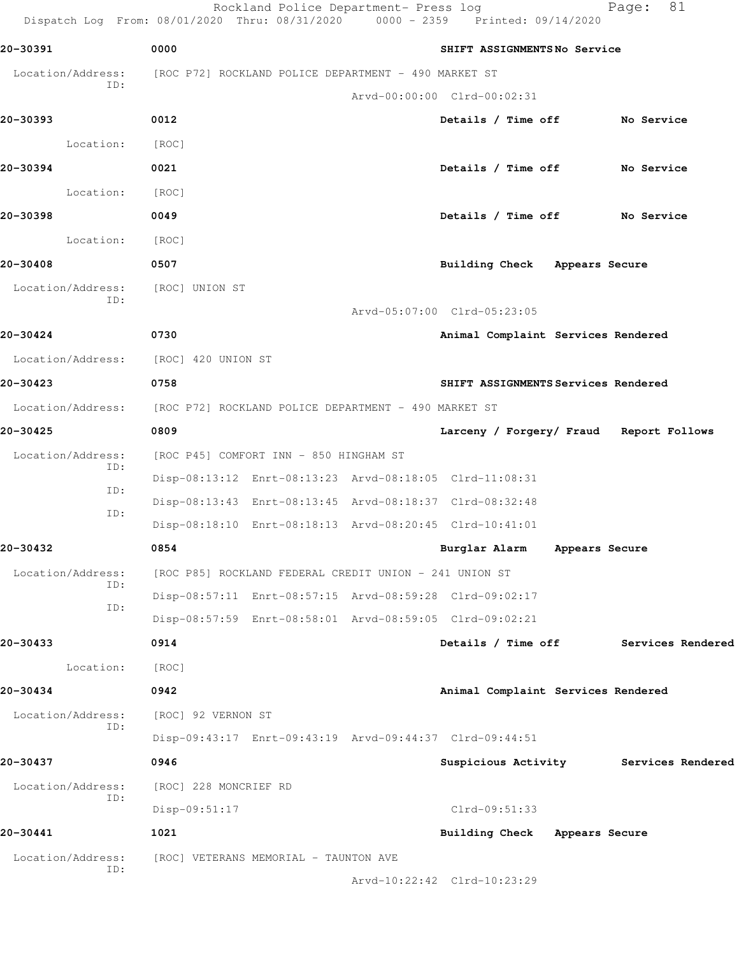Rockland Police Department- Press log Fage: 81 Dispatch Log From: 08/01/2020 Thru: 08/31/2020 0000 - 2359 Printed: 09/14/2020 **20-30391 0000 SHIFT ASSIGNMENTS No Service** Location/Address: [ROC P72] ROCKLAND POLICE DEPARTMENT - 490 MARKET ST ID: Arvd-00:00:00 Clrd-00:02:31 **20-30393 0012 Details / Time off No Service** Location: [ROC] **20-30394 0021 Details / Time off No Service** Location: [ROC] **20-30398 0049 Details / Time off No Service** Location: [ROC] **20-30408 0507 Building Check Appears Secure** Location/Address: [ROC] UNION ST ID: Arvd-05:07:00 Clrd-05:23:05 **20-30424 0730 Animal Complaint Services Rendered** Location/Address: [ROC] 420 UNION ST **20-30423 0758 SHIFT ASSIGNMENTS Services Rendered** Location/Address: [ROC P72] ROCKLAND POLICE DEPARTMENT - 490 MARKET ST **20-30425 0809 Larceny / Forgery/ Fraud Report Follows** Location/Address: [ROC P45] COMFORT INN - 850 HINGHAM ST ID: Disp-08:13:12 Enrt-08:13:23 Arvd-08:18:05 Clrd-11:08:31 ID: Disp-08:13:43 Enrt-08:13:45 Arvd-08:18:37 Clrd-08:32:48 ID: Disp-08:18:10 Enrt-08:18:13 Arvd-08:20:45 Clrd-10:41:01 **20-30432 0854 Burglar Alarm Appears Secure** Location/Address: [ROC P85] ROCKLAND FEDERAL CREDIT UNION - 241 UNION ST ID: Disp-08:57:11 Enrt-08:57:15 Arvd-08:59:28 Clrd-09:02:17 ID: Disp-08:57:59 Enrt-08:58:01 Arvd-08:59:05 Clrd-09:02:21 **20-30433 0914 Details / Time off Services Rendered** Location: [ROC] **20-30434 0942 Animal Complaint Services Rendered** Location/Address: [ROC] 92 VERNON ST ID: Disp-09:43:17 Enrt-09:43:19 Arvd-09:44:37 Clrd-09:44:51 **20-30437 0946 Suspicious Activity Services Rendered** Location/Address: [ROC] 228 MONCRIEF RD ID: Disp-09:51:17 Clrd-09:51:33 **20-30441 1021 Building Check Appears Secure** Location/Address: [ROC] VETERANS MEMORIAL - TAUNTON AVE ID: Arvd-10:22:42 Clrd-10:23:29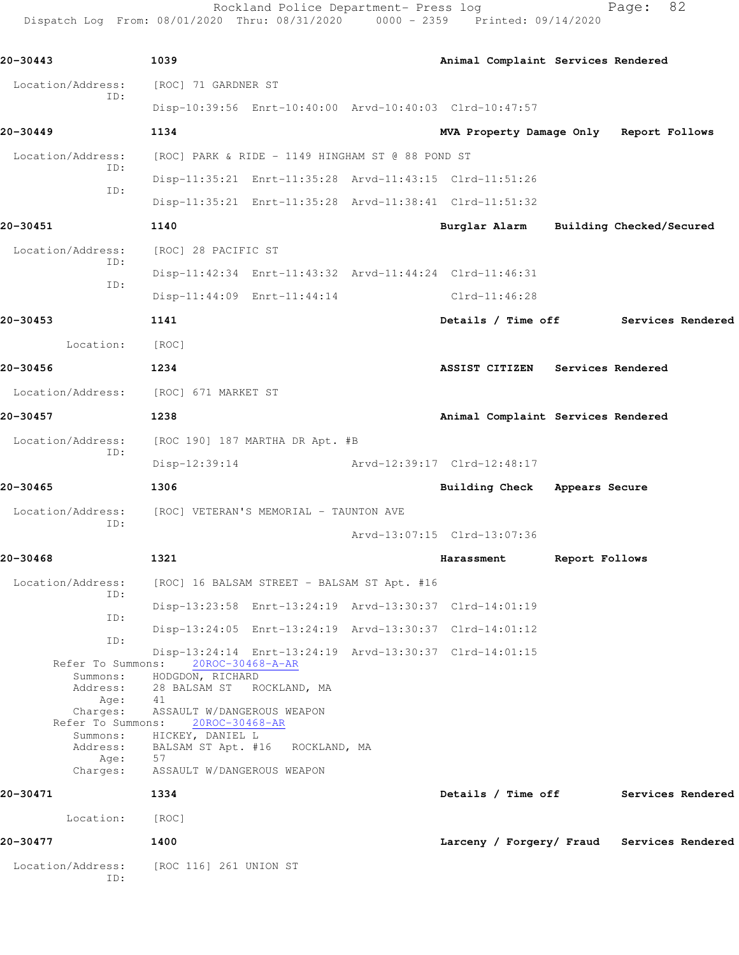Rockland Police Department- Press log entitled and Page: 82 Dispatch Log From: 08/01/2020 Thru: 08/31/2020 0000 - 2359 Printed: 09/14/2020

| 20-30443                              | 1039                                         |                                                         |                             |            | Animal Complaint Services Rendered |                   |                                            |                   |
|---------------------------------------|----------------------------------------------|---------------------------------------------------------|-----------------------------|------------|------------------------------------|-------------------|--------------------------------------------|-------------------|
| Location/Address:                     | [ROC] 71 GARDNER ST                          |                                                         |                             |            |                                    |                   |                                            |                   |
| ID:                                   |                                              | Disp-10:39:56 Enrt-10:40:00 Arvd-10:40:03 Clrd-10:47:57 |                             |            |                                    |                   |                                            |                   |
| 20-30449                              | 1134                                         |                                                         |                             |            |                                    |                   | MVA Property Damage Only Report Follows    |                   |
| Location/Address:                     |                                              | [ROC] PARK & RIDE - 1149 HINGHAM ST @ 88 POND ST        |                             |            |                                    |                   |                                            |                   |
| ID:<br>ID:                            |                                              | Disp-11:35:21 Enrt-11:35:28 Arvd-11:43:15 Clrd-11:51:26 |                             |            |                                    |                   |                                            |                   |
|                                       |                                              | Disp-11:35:21 Enrt-11:35:28 Arvd-11:38:41 Clrd-11:51:32 |                             |            |                                    |                   |                                            |                   |
| 20-30451                              | 1140                                         |                                                         |                             |            |                                    |                   | Burglar Alarm Building Checked/Secured     |                   |
| Location/Address:<br>ID:              | [ROC] 28 PACIFIC ST                          |                                                         |                             |            |                                    |                   |                                            |                   |
| ID:                                   |                                              | Disp-11:42:34 Enrt-11:43:32 Arvd-11:44:24 Clrd-11:46:31 |                             |            |                                    |                   |                                            |                   |
|                                       |                                              | Disp-11:44:09 Enrt-11:44:14                             |                             |            | Clrd-11:46:28                      |                   |                                            |                   |
| 20-30453                              | 1141                                         |                                                         |                             |            |                                    |                   | Details / Time off Services Rendered       |                   |
| Location:                             | [ROC]                                        |                                                         |                             |            |                                    |                   |                                            |                   |
| 20-30456                              | 1234                                         |                                                         |                             |            | ASSIST CITIZEN                     | Services Rendered |                                            |                   |
| Location/Address: [ROC] 671 MARKET ST |                                              |                                                         |                             |            |                                    |                   |                                            |                   |
| 20-30457                              | 1238                                         |                                                         |                             |            | Animal Complaint Services Rendered |                   |                                            |                   |
| Location/Address:<br>ID:              |                                              | [ROC 190] 187 MARTHA DR Apt. #B                         |                             |            |                                    |                   |                                            |                   |
|                                       | Disp-12:39:14                                |                                                         | Arvd-12:39:17 Clrd-12:48:17 |            |                                    |                   |                                            |                   |
| 20-30465                              | 1306                                         |                                                         |                             |            | Building Check Appears Secure      |                   |                                            |                   |
| Location/Address:                     |                                              | [ROC] VETERAN'S MEMORIAL - TAUNTON AVE                  |                             |            |                                    |                   |                                            |                   |
| ID:                                   |                                              |                                                         | Arvd-13:07:15 Clrd-13:07:36 |            |                                    |                   |                                            |                   |
| 20-30468                              | 1321                                         |                                                         |                             | Harassment |                                    | Report Follows    |                                            |                   |
| Location/Address:                     |                                              | [ROC] 16 BALSAM STREET - BALSAM ST Apt. #16             |                             |            |                                    |                   |                                            |                   |
| ID:                                   |                                              | Disp-13:23:58 Enrt-13:24:19 Arvd-13:30:37 Clrd-14:01:19 |                             |            |                                    |                   |                                            |                   |
| ID:                                   |                                              | Disp-13:24:05 Enrt-13:24:19 Arvd-13:30:37 Clrd-14:01:12 |                             |            |                                    |                   |                                            |                   |
| ID:                                   |                                              | Disp-13:24:14 Enrt-13:24:19 Arvd-13:30:37 Clrd-14:01:15 |                             |            |                                    |                   |                                            |                   |
| Refer To Summons:<br>Summons:         | 20ROC-30468-A-AR<br>HODGDON, RICHARD         |                                                         |                             |            |                                    |                   |                                            |                   |
| Address:<br>Age:                      | 28 BALSAM ST ROCKLAND, MA<br>41              |                                                         |                             |            |                                    |                   |                                            |                   |
| Charges:<br>Refer To Summons:         | ASSAULT W/DANGEROUS WEAPON<br>20ROC-30468-AR |                                                         |                             |            |                                    |                   |                                            |                   |
| Summons:<br>Address:                  | HICKEY, DANIEL L                             | BALSAM ST Apt. #16 ROCKLAND, MA                         |                             |            |                                    |                   |                                            |                   |
| Age:<br>Charges:                      | 57<br>ASSAULT W/DANGEROUS WEAPON             |                                                         |                             |            |                                    |                   |                                            |                   |
| 20-30471                              | 1334                                         |                                                         |                             |            | Details / Time off                 |                   |                                            | Services Rendered |
| Location:                             | [ROC]                                        |                                                         |                             |            |                                    |                   |                                            |                   |
| 20-30477                              | 1400                                         |                                                         |                             |            |                                    |                   | Larceny / Forgery/ Fraud Services Rendered |                   |
| Location/Address:<br>ID:              | [ROC 116] 261 UNION ST                       |                                                         |                             |            |                                    |                   |                                            |                   |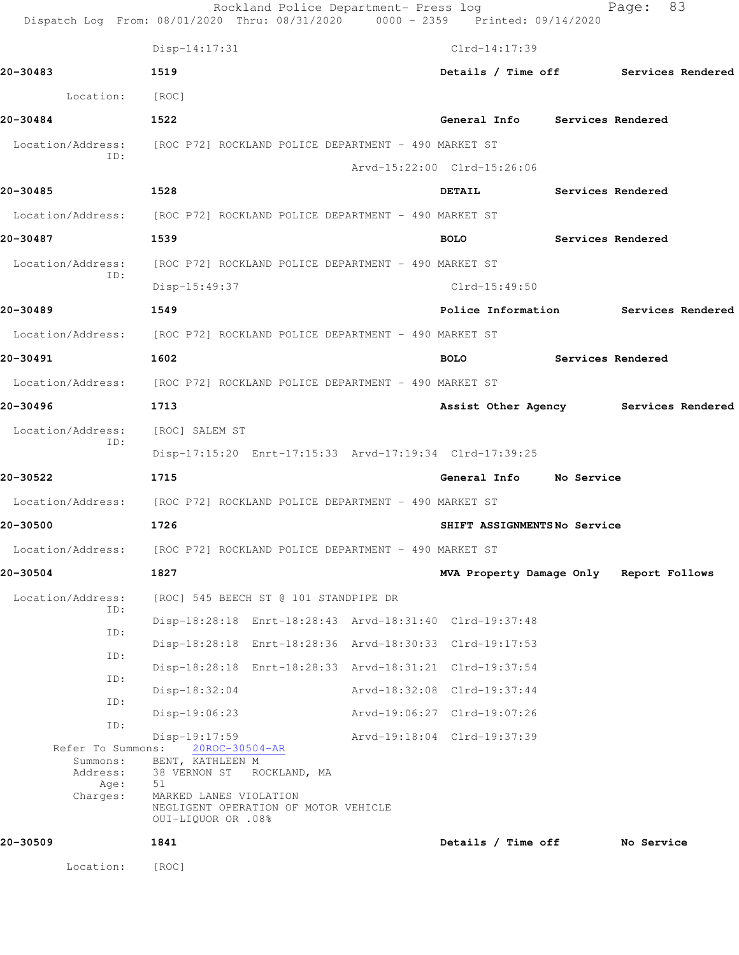|                                                               | Rockland Police Department- Press log<br>Dispatch Log From: 08/01/2020 Thru: 08/31/2020 0000 - 2359 Printed: 09/14/2020                                                             |                                         |                   | Page:             | 83 |
|---------------------------------------------------------------|-------------------------------------------------------------------------------------------------------------------------------------------------------------------------------------|-----------------------------------------|-------------------|-------------------|----|
|                                                               | $Disp-14:17:31$                                                                                                                                                                     | Clrd-14:17:39                           |                   |                   |    |
| 20-30483                                                      | 1519                                                                                                                                                                                | Details / Time off Services Rendered    |                   |                   |    |
| Location:                                                     | [ROC]                                                                                                                                                                               |                                         |                   |                   |    |
| 20-30484                                                      | 1522                                                                                                                                                                                | General Info Services Rendered          |                   |                   |    |
| Location/Address:                                             | [ROC P72] ROCKLAND POLICE DEPARTMENT - 490 MARKET ST                                                                                                                                |                                         |                   |                   |    |
| ID:                                                           |                                                                                                                                                                                     | Arvd-15:22:00 Clrd-15:26:06             |                   |                   |    |
| 20-30485                                                      | 1528                                                                                                                                                                                | <b>DETAIL</b>                           |                   | Services Rendered |    |
|                                                               | Location/Address: [ROC P72] ROCKLAND POLICE DEPARTMENT - 490 MARKET ST                                                                                                              |                                         |                   |                   |    |
| 20-30487                                                      | 1539                                                                                                                                                                                | <b>BOLO</b>                             |                   | Services Rendered |    |
| Location/Address:                                             | [ROC P72] ROCKLAND POLICE DEPARTMENT - 490 MARKET ST                                                                                                                                |                                         |                   |                   |    |
| ID:                                                           | $Disp-15:49:37$                                                                                                                                                                     | Clrd-15:49:50                           |                   |                   |    |
| 20-30489                                                      | 1549                                                                                                                                                                                | Police Information 5ervices Rendered    |                   |                   |    |
|                                                               | Location/Address: [ROC P72] ROCKLAND POLICE DEPARTMENT - 490 MARKET ST                                                                                                              |                                         |                   |                   |    |
| 20-30491                                                      | 1602                                                                                                                                                                                | <b>BOLO</b>                             | Services Rendered |                   |    |
|                                                               | Location/Address: [ROC P72] ROCKLAND POLICE DEPARTMENT - 490 MARKET ST                                                                                                              |                                         |                   |                   |    |
| 20-30496                                                      | 1713                                                                                                                                                                                | Assist Other Agency Services Rendered   |                   |                   |    |
| Location/Address:                                             | [ROC] SALEM ST                                                                                                                                                                      |                                         |                   |                   |    |
| ID:                                                           | Disp-17:15:20 Enrt-17:15:33 Arvd-17:19:34 Clrd-17:39:25                                                                                                                             |                                         |                   |                   |    |
| 20-30522                                                      | 1715                                                                                                                                                                                | General Info                            | No Service        |                   |    |
| Location/Address:                                             | [ROC P72] ROCKLAND POLICE DEPARTMENT - 490 MARKET ST                                                                                                                                |                                         |                   |                   |    |
| 20-30500                                                      | 1726                                                                                                                                                                                | SHIFT ASSIGNMENTSNo Service             |                   |                   |    |
| Location/Address:                                             | [ROC P72] ROCKLAND POLICE DEPARTMENT - 490 MARKET ST                                                                                                                                |                                         |                   |                   |    |
| 20-30504                                                      | 1827                                                                                                                                                                                | MVA Property Damage Only Report Follows |                   |                   |    |
| Location/Address:                                             | [ROC] 545 BEECH ST @ 101 STANDPIPE DR                                                                                                                                               |                                         |                   |                   |    |
| ID:                                                           | Disp-18:28:18 Enrt-18:28:43 Arvd-18:31:40 Clrd-19:37:48                                                                                                                             |                                         |                   |                   |    |
| ID:<br>ID:                                                    | Disp-18:28:18 Enrt-18:28:36 Arvd-18:30:33 Clrd-19:17:53                                                                                                                             |                                         |                   |                   |    |
| ID:                                                           | Disp-18:28:18 Enrt-18:28:33 Arvd-18:31:21 Clrd-19:37:54                                                                                                                             |                                         |                   |                   |    |
| ID:                                                           | $Disp-18:32:04$                                                                                                                                                                     | Arvd-18:32:08 Clrd-19:37:44             |                   |                   |    |
| ID:                                                           | $Disp-19:06:23$                                                                                                                                                                     | Arvd-19:06:27 Clrd-19:07:26             |                   |                   |    |
| Refer To Summons:<br>Summons:<br>Address:<br>Age:<br>Charges: | $Disp-19:17:59$<br>20ROC-30504-AR<br>BENT, KATHLEEN M<br>38 VERNON ST<br>ROCKLAND, MA<br>51<br>MARKED LANES VIOLATION<br>NEGLIGENT OPERATION OF MOTOR VEHICLE<br>OUI-LIQUOR OR .08% | Arvd-19:18:04 Clrd-19:37:39             |                   |                   |    |
| 20-30509                                                      | 1841                                                                                                                                                                                | Details / Time off                      |                   | No Service        |    |
| Location:                                                     | [ROC]                                                                                                                                                                               |                                         |                   |                   |    |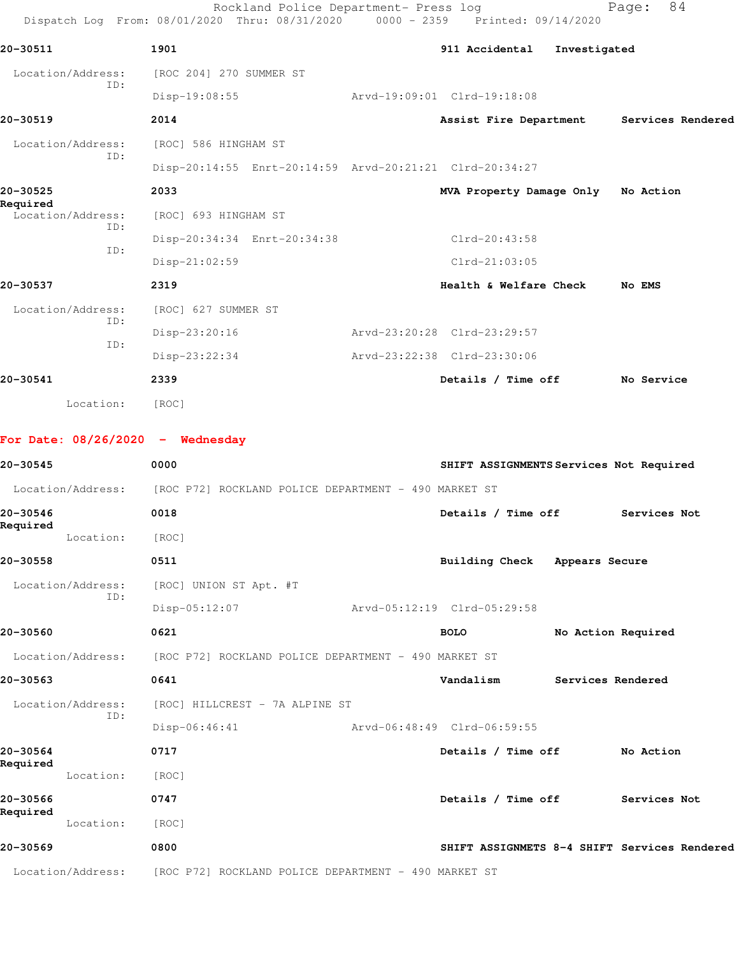|                                    | Rockland Police Department- Press log<br>Dispatch Log From: 08/01/2020 Thru: 08/31/2020 |  | 0000 - 2359 Printed: 09/14/2020         |                    | 84<br>Page:       |
|------------------------------------|-----------------------------------------------------------------------------------------|--|-----------------------------------------|--------------------|-------------------|
| 20-30511                           | 1901                                                                                    |  | 911 Accidental                          | Investigated       |                   |
| Location/Address:                  | [ROC 204] 270 SUMMER ST                                                                 |  |                                         |                    |                   |
| ID:                                | Disp-19:08:55                                                                           |  | Arvd-19:09:01 Clrd-19:18:08             |                    |                   |
| 20-30519                           | 2014                                                                                    |  | Assist Fire Department                  |                    | Services Rendered |
| Location/Address:                  | [ROC] 586 HINGHAM ST                                                                    |  |                                         |                    |                   |
| ID:                                | Disp-20:14:55 Enrt-20:14:59 Arvd-20:21:21 Clrd-20:34:27                                 |  |                                         |                    |                   |
| 20-30525                           | 2033                                                                                    |  | MVA Property Damage Only                |                    | No Action         |
| Required<br>Location/Address:      | [ROC] 693 HINGHAM ST                                                                    |  |                                         |                    |                   |
| ID:                                | Disp-20:34:34 Enrt-20:34:38                                                             |  | Clrd-20:43:58                           |                    |                   |
| ID:                                | Disp-21:02:59                                                                           |  | $Clrd-21:03:05$                         |                    |                   |
| 20-30537                           | 2319                                                                                    |  | Health & Welfare Check                  |                    | No EMS            |
| Location/Address:                  | [ROC] 627 SUMMER ST                                                                     |  |                                         |                    |                   |
| ID:                                | Disp-23:20:16                                                                           |  | Arvd-23:20:28 Clrd-23:29:57             |                    |                   |
| ID:                                | $Disp-23:22:34$                                                                         |  | Arvd-23:22:38 Clrd-23:30:06             |                    |                   |
| 20-30541                           | 2339                                                                                    |  | Details / Time off                      |                    | No Service        |
| Location:                          | [ROC]                                                                                   |  |                                         |                    |                   |
|                                    |                                                                                         |  |                                         |                    |                   |
| For Date: $08/26/2020 -$ Wednesday |                                                                                         |  |                                         |                    |                   |
| 20-30545                           | 0000                                                                                    |  | SHIFT ASSIGNMENTS Services Not Required |                    |                   |
| Location/Address:                  | [ROC P72] ROCKLAND POLICE DEPARTMENT - 490 MARKET ST                                    |  |                                         |                    |                   |
| 20-30546<br>Required               | 0018                                                                                    |  | Details / Time off                      |                    | Services Not      |
| Location:                          | [ROC]                                                                                   |  |                                         |                    |                   |
| 20-30558                           | 0511                                                                                    |  | <b>Building Check</b>                   | Appears Secure     |                   |
| Location/Address:<br>ID:           | [ROC] UNION ST Apt. #T                                                                  |  |                                         |                    |                   |
|                                    | Disp-05:12:07                                                                           |  | Arvd-05:12:19 Clrd-05:29:58             |                    |                   |
| 20-30560                           | 0621                                                                                    |  | <b>BOLO</b>                             | No Action Required |                   |
| Location/Address:                  | [ROC P72] ROCKLAND POLICE DEPARTMENT - 490 MARKET ST                                    |  |                                         |                    |                   |
| 20-30563                           | 0641                                                                                    |  | Vandalism                               | Services Rendered  |                   |
| Location/Address:<br>ID:           | [ROC] HILLCREST - 7A ALPINE ST                                                          |  |                                         |                    |                   |
|                                    | $Disp-06:46:41$                                                                         |  | Arvd-06:48:49 Clrd-06:59:55             |                    |                   |
| 20-30564<br>Required               | 0717                                                                                    |  | Details / Time off                      |                    | No Action         |

**20-30566 0747 Details / Time off Services Not Required**  .<br>Location: [ROC]

**20-30569 0800 SHIFT ASSIGNMETS 8-4 SHIFT Services Rendered**

Location/Address: [ROC P72] ROCKLAND POLICE DEPARTMENT - 490 MARKET ST

Location: [ROC]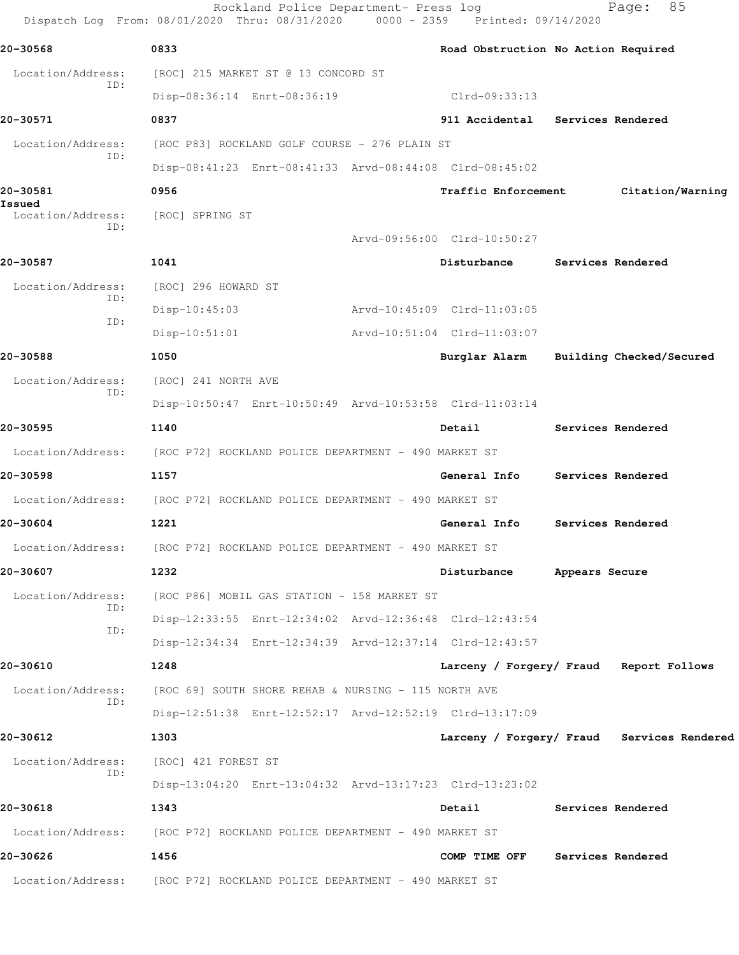Rockland Police Department- Press log Fage: 85 Dispatch Log From: 08/01/2020 Thru: 08/31/2020 0000 - 2359 Printed: 09/14/2020 **20-30568 0833 Road Obstruction No Action Required** Location/Address: [ROC] 215 MARKET ST @ 13 CONCORD ST ID: Disp-08:36:14 Enrt-08:36:19 Clrd-09:33:13 **20-30571 0837 911 Accidental Services Rendered** Location/Address: [ROC P83] ROCKLAND GOLF COURSE - 276 PLAIN ST ID: Disp-08:41:23 Enrt-08:41:33 Arvd-08:44:08 Clrd-08:45:02 **20-30581 0956 Traffic Enforcement Citation/Warning Issued**  Location/Address: [ROC] SPRING ST ID: Arvd-09:56:00 Clrd-10:50:27 **20-30587 1041 Disturbance Services Rendered** Location/Address: [ROC] 296 HOWARD ST ID: Disp-10:45:03 Arvd-10:45:09 Clrd-11:03:05 ID: Disp-10:51:01 Arvd-10:51:04 Clrd-11:03:07 **20-30588 1050 Burglar Alarm Building Checked/Secured** Location/Address: [ROC] 241 NORTH AVE ID: Disp-10:50:47 Enrt-10:50:49 Arvd-10:53:58 Clrd-11:03:14 **20-30595 1140 Detail Services Rendered** Location/Address: [ROC P72] ROCKLAND POLICE DEPARTMENT - 490 MARKET ST **20-30598 1157 General Info Services Rendered** Location/Address: [ROC P72] ROCKLAND POLICE DEPARTMENT - 490 MARKET ST **20-30604 1221 General Info Services Rendered** Location/Address: [ROC P72] ROCKLAND POLICE DEPARTMENT - 490 MARKET ST **20-30607 1232 Disturbance Appears Secure** Location/Address: [ROC P86] MOBIL GAS STATION - 158 MARKET ST ID: Disp-12:33:55 Enrt-12:34:02 Arvd-12:36:48 Clrd-12:43:54 ID: Disp-12:34:34 Enrt-12:34:39 Arvd-12:37:14 Clrd-12:43:57 **20-30610 1248 Larceny / Forgery/ Fraud Report Follows** Location/Address: [ROC 69] SOUTH SHORE REHAB & NURSING - 115 NORTH AVE ID: Disp-12:51:38 Enrt-12:52:17 Arvd-12:52:19 Clrd-13:17:09 **20-30612 1303 Larceny / Forgery/ Fraud Services Rendered** Location/Address: [ROC] 421 FOREST ST ID: Disp-13:04:20 Enrt-13:04:32 Arvd-13:17:23 Clrd-13:23:02 **20-30618 1343 Detail Services Rendered** Location/Address: [ROC P72] ROCKLAND POLICE DEPARTMENT - 490 MARKET ST **20-30626 1456 COMP TIME OFF Services Rendered** Location/Address: [ROC P72] ROCKLAND POLICE DEPARTMENT - 490 MARKET ST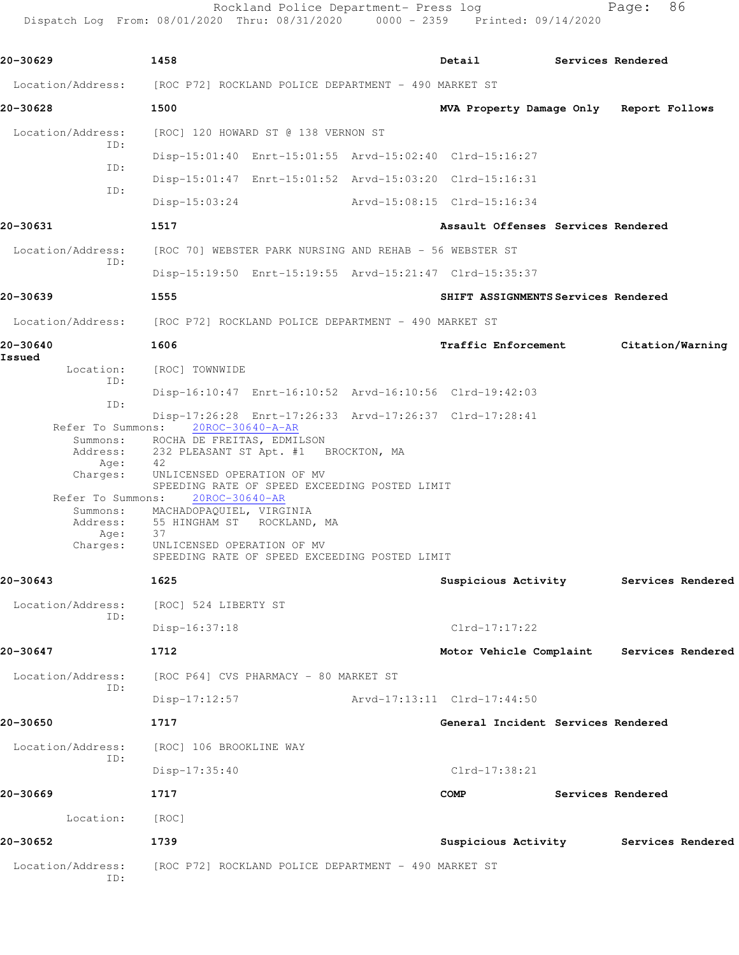Rockland Police Department- Press log entitled and Page: 86 Dispatch Log From: 08/01/2020 Thru: 08/31/2020 0000 - 2359 Printed: 09/14/2020

| 20-30629                 | 1458                                                                        | <b>Detail</b>                             | Services Rendered |                   |
|--------------------------|-----------------------------------------------------------------------------|-------------------------------------------|-------------------|-------------------|
|                          |                                                                             |                                           |                   |                   |
|                          | Location/Address: [ROC P72] ROCKLAND POLICE DEPARTMENT - 490 MARKET ST      |                                           |                   |                   |
| 20-30628                 | 1500                                                                        | MVA Property Damage Only Report Follows   |                   |                   |
| Location/Address:<br>ID: | [ROC] 120 HOWARD ST @ 138 VERNON ST                                         |                                           |                   |                   |
| ID:                      | Disp-15:01:40 Enrt-15:01:55 Arvd-15:02:40 Clrd-15:16:27                     |                                           |                   |                   |
| ID:                      | Disp-15:01:47 Enrt-15:01:52 Arvd-15:03:20 Clrd-15:16:31                     |                                           |                   |                   |
|                          | $Disp-15:03:24$                                                             | Arvd-15:08:15 Clrd-15:16:34               |                   |                   |
| 20-30631                 | 1517                                                                        | Assault Offenses Services Rendered        |                   |                   |
| Location/Address:<br>TD: | [ROC 70] WEBSTER PARK NURSING AND REHAB - 56 WEBSTER ST                     |                                           |                   |                   |
|                          | Disp-15:19:50 Enrt-15:19:55 Arvd-15:21:47 Clrd-15:35:37                     |                                           |                   |                   |
| 20-30639                 | 1555                                                                        | SHIFT ASSIGNMENTS Services Rendered       |                   |                   |
|                          | Location/Address: [ROC P72] ROCKLAND POLICE DEPARTMENT - 490 MARKET ST      |                                           |                   |                   |
| 20-30640                 | 1606                                                                        | <b>Traffic Enforcement</b>                | Citation/Warning  |                   |
| Issued<br>Location:      | [ROC] TOWNWIDE                                                              |                                           |                   |                   |
| ID:                      | Disp-16:10:47 Enrt-16:10:52 Arvd-16:10:56 Clrd-19:42:03                     |                                           |                   |                   |
| ID:                      | Disp-17:26:28 Enrt-17:26:33 Arvd-17:26:37 Clrd-17:28:41                     |                                           |                   |                   |
|                          | Refer To Summons: 20ROC-30640-A-AR<br>Summons: ROCHA DE FREITAS, EDMILSON   |                                           |                   |                   |
| Address:<br>Age:         | 232 PLEASANT ST Apt. #1 BROCKTON, MA<br>42                                  |                                           |                   |                   |
| Charges:                 | UNLICENSED OPERATION OF MV<br>SPEEDING RATE OF SPEED EXCEEDING POSTED LIMIT |                                           |                   |                   |
| Refer To Summons:        | 20ROC-30640-AR                                                              |                                           |                   |                   |
|                          | Summons: MACHADOPAQUIEL, VIRGINIA<br>Address: 55 HINGHAM ST ROCKLAND, MA    |                                           |                   |                   |
| Age:<br>Charges:         | 37<br>UNLICENSED OPERATION OF MV                                            |                                           |                   |                   |
|                          | SPEEDING RATE OF SPEED EXCEEDING POSTED LIMIT                               |                                           |                   |                   |
| 20-30643                 | 1625                                                                        | Suspicious Activity                       |                   | Services Rendered |
| Location/Address:<br>ID: | [ROC] 524 LIBERTY ST                                                        |                                           |                   |                   |
|                          | Disp-16:37:18                                                               | $Clrd-17:17:22$                           |                   |                   |
| 20-30647                 | 1712                                                                        | Motor Vehicle Complaint Services Rendered |                   |                   |
| Location/Address:<br>ID: | [ROC P64] CVS PHARMACY - 80 MARKET ST                                       |                                           |                   |                   |
|                          | Disp-17:12:57                                                               | Arvd-17:13:11 Clrd-17:44:50               |                   |                   |
| 20-30650                 | 1717                                                                        | General Incident Services Rendered        |                   |                   |
| Location/Address:        | [ROC] 106 BROOKLINE WAY                                                     |                                           |                   |                   |
| ID:                      | $Disp-17:35:40$                                                             | $Clrd-17:38:21$                           |                   |                   |
| 20-30669                 | 1717                                                                        | COMP                                      | Services Rendered |                   |
| Location:                | [ROC]                                                                       |                                           |                   |                   |
| 20-30652                 | 1739                                                                        | Suspicious Activity Services Rendered     |                   |                   |
| Location/Address:<br>ID: | [ROC P72] ROCKLAND POLICE DEPARTMENT - 490 MARKET ST                        |                                           |                   |                   |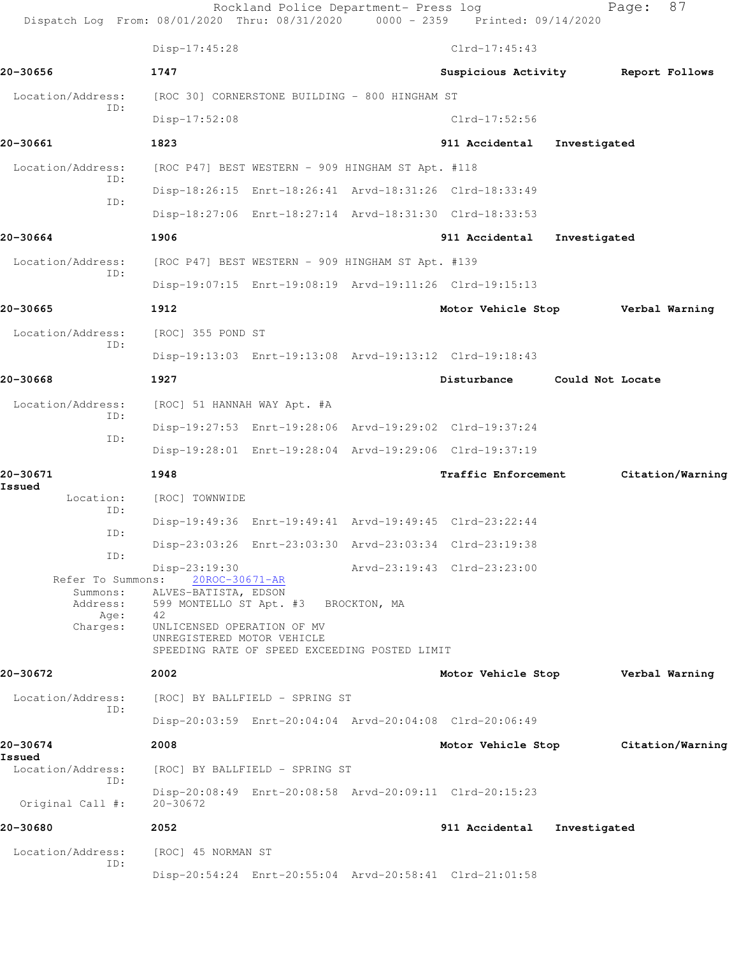|                             | Dispatch Log From: 08/01/2020 Thru: 08/31/2020 0000 - 2359 Printed: 09/14/2020                            | Rockland Police Department- Press log |                                    |                  | Page: | 87               |
|-----------------------------|-----------------------------------------------------------------------------------------------------------|---------------------------------------|------------------------------------|------------------|-------|------------------|
|                             | Disp-17:45:28                                                                                             |                                       | $Clrd-17:45:43$                    |                  |       |                  |
| 20-30656                    | 1747                                                                                                      |                                       | Suspicious Activity Report Follows |                  |       |                  |
| Location/Address:           | [ROC 30] CORNERSTONE BUILDING - 800 HINGHAM ST                                                            |                                       |                                    |                  |       |                  |
| TD:                         | $Disp-17:52:08$                                                                                           |                                       | $Clrd-17:52:56$                    |                  |       |                  |
| 20-30661                    | 1823                                                                                                      |                                       | 911 Accidental                     | Investigated     |       |                  |
| Location/Address:           | [ROC P47] BEST WESTERN - 909 HINGHAM ST Apt. #118                                                         |                                       |                                    |                  |       |                  |
| ID:                         | Disp-18:26:15 Enrt-18:26:41 Arvd-18:31:26 Clrd-18:33:49                                                   |                                       |                                    |                  |       |                  |
| ID:                         | Disp-18:27:06 Enrt-18:27:14 Arvd-18:31:30 Clrd-18:33:53                                                   |                                       |                                    |                  |       |                  |
| 20-30664                    | 1906                                                                                                      |                                       | 911 Accidental                     | Investigated     |       |                  |
| Location/Address:           | [ROC P47] BEST WESTERN - 909 HINGHAM ST Apt. #139                                                         |                                       |                                    |                  |       |                  |
| ID:                         | Disp-19:07:15 Enrt-19:08:19 Arvd-19:11:26 Clrd-19:15:13                                                   |                                       |                                    |                  |       |                  |
| 20-30665                    | 1912                                                                                                      |                                       | Motor Vehicle Stop Verbal Warning  |                  |       |                  |
| Location/Address:           | [ROC] 355 POND ST                                                                                         |                                       |                                    |                  |       |                  |
| ID:                         | Disp-19:13:03 Enrt-19:13:08 Arvd-19:13:12 Clrd-19:18:43                                                   |                                       |                                    |                  |       |                  |
| 20-30668                    | 1927                                                                                                      |                                       | Disturbance                        | Could Not Locate |       |                  |
| Location/Address:           | [ROC] 51 HANNAH WAY Apt. #A                                                                               |                                       |                                    |                  |       |                  |
| ID:                         | Disp-19:27:53 Enrt-19:28:06 Arvd-19:29:02 Clrd-19:37:24                                                   |                                       |                                    |                  |       |                  |
| ID:                         | Disp-19:28:01 Enrt-19:28:04 Arvd-19:29:06 Clrd-19:37:19                                                   |                                       |                                    |                  |       |                  |
| 20-30671<br>Issued          | 1948                                                                                                      |                                       | Traffic Enforcement                |                  |       | Citation/Warning |
| Location:<br>ID:            | [ROC] TOWNWIDE                                                                                            |                                       |                                    |                  |       |                  |
| ID:                         | Disp-19:49:36 Enrt-19:49:41 Arvd-19:49:45 Clrd-23:22:44                                                   |                                       |                                    |                  |       |                  |
| ID:                         | Disp-23:03:26 Enrt-23:03:30 Arvd-23:03:34 Clrd-23:19:38                                                   |                                       |                                    |                  |       |                  |
| Refer To Summons:           | Disp-23:19:30<br>20ROC-30671-AR<br>Summons: ALVES-BATISTA, EDSON                                          |                                       | Arvd-23:19:43 Clrd-23:23:00        |                  |       |                  |
| Address:<br>Age: 42         | 599 MONTELLO ST Apt. #3 BROCKTON, MA                                                                      |                                       |                                    |                  |       |                  |
| Charges:                    | UNLICENSED OPERATION OF MV<br>UNREGISTERED MOTOR VEHICLE<br>SPEEDING RATE OF SPEED EXCEEDING POSTED LIMIT |                                       |                                    |                  |       |                  |
| 20-30672                    | 2002                                                                                                      |                                       | Motor Vehicle Stop Verbal Warning  |                  |       |                  |
| Location/Address:           | [ROC] BY BALLFIELD - SPRING ST                                                                            |                                       |                                    |                  |       |                  |
| ID:                         | Disp-20:03:59 Enrt-20:04:04 Arvd-20:04:08 Clrd-20:06:49                                                   |                                       |                                    |                  |       |                  |
| 20-30674                    | 2008                                                                                                      |                                       | Motor Vehicle Stop                 |                  |       | Citation/Warning |
| Issued<br>Location/Address: | [ROC] BY BALLFIELD - SPRING ST                                                                            |                                       |                                    |                  |       |                  |
| ID:<br>Original Call #:     | Disp-20:08:49 Enrt-20:08:58 Arvd-20:09:11 Clrd-20:15:23<br>$20 - 30672$                                   |                                       |                                    |                  |       |                  |
| 20-30680                    | 2052                                                                                                      |                                       | 911 Accidental                     | Investigated     |       |                  |
| Location/Address:           | [ROC] 45 NORMAN ST                                                                                        |                                       |                                    |                  |       |                  |
| ID:                         | Disp-20:54:24 Enrt-20:55:04 Arvd-20:58:41 Clrd-21:01:58                                                   |                                       |                                    |                  |       |                  |
|                             |                                                                                                           |                                       |                                    |                  |       |                  |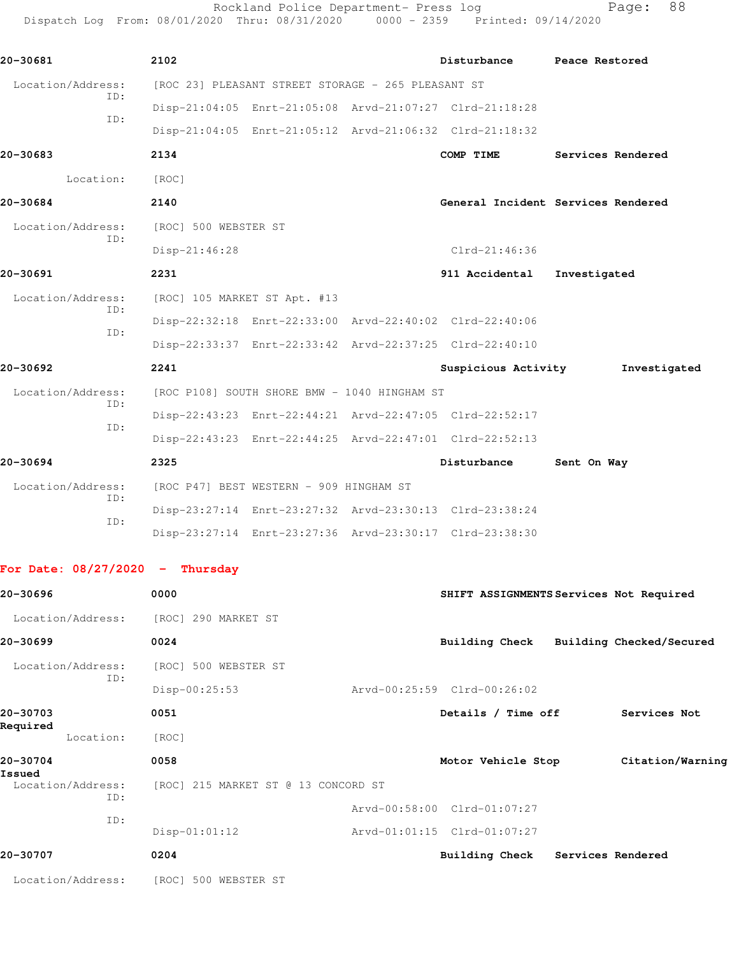Rockland Police Department- Press log entitled and Page: 88 Dispatch Log From: 08/01/2020 Thru: 08/31/2020 0000 - 2359 Printed: 09/14/2020

| 20-30681          |     | 2102                                    |                              |                                                    | Disturbance                                             | Peace Restored                     |
|-------------------|-----|-----------------------------------------|------------------------------|----------------------------------------------------|---------------------------------------------------------|------------------------------------|
| Location/Address: |     |                                         |                              | [ROC 23] PLEASANT STREET STORAGE - 265 PLEASANT ST |                                                         |                                    |
|                   | ID: |                                         |                              |                                                    | Disp-21:04:05 Enrt-21:05:08 Arvd-21:07:27 Clrd-21:18:28 |                                    |
|                   | TD: |                                         |                              |                                                    | Disp-21:04:05 Enrt-21:05:12 Arvd-21:06:32 Clrd-21:18:32 |                                    |
| 20-30683          |     | 2134                                    |                              |                                                    | COMP TIME                                               | Services Rendered                  |
| Location:         |     | [ROC]                                   |                              |                                                    |                                                         |                                    |
| 20-30684          |     | 2140                                    |                              |                                                    |                                                         | General Incident Services Rendered |
| Location/Address: |     | [ROC] 500 WEBSTER ST                    |                              |                                                    |                                                         |                                    |
|                   | TD: | Disp-21:46:28                           |                              |                                                    | $Clrd-21:46:36$                                         |                                    |
| 20-30691          |     | 2231                                    |                              |                                                    | 911 Accidental                                          | Investigated                       |
| Location/Address: |     |                                         | [ROC] 105 MARKET ST Apt. #13 |                                                    |                                                         |                                    |
|                   | ID: |                                         |                              |                                                    | Disp-22:32:18 Enrt-22:33:00 Arvd-22:40:02 Clrd-22:40:06 |                                    |
|                   | TD: |                                         |                              |                                                    | Disp-22:33:37 Enrt-22:33:42 Arvd-22:37:25 Clrd-22:40:10 |                                    |
| 20-30692          |     | 2241                                    |                              |                                                    | Suspicious Activity                                     | Investigated                       |
| Location/Address: |     |                                         |                              | [ROC P108] SOUTH SHORE BMW - 1040 HINGHAM ST       |                                                         |                                    |
|                   | ID: |                                         |                              |                                                    | Disp-22:43:23 Enrt-22:44:21 Arvd-22:47:05 Clrd-22:52:17 |                                    |
|                   | ID: |                                         |                              |                                                    | Disp-22:43:23 Enrt-22:44:25 Arvd-22:47:01 Clrd-22:52:13 |                                    |
| 20-30694          |     | 2325                                    |                              |                                                    | Disturbance                                             | Sent On Way                        |
| Location/Address: |     | [ROC P47] BEST WESTERN - 909 HINGHAM ST |                              |                                                    |                                                         |                                    |
|                   | ID: |                                         |                              |                                                    | Disp-23:27:14 Enrt-23:27:32 Arvd-23:30:13 Clrd-23:38:24 |                                    |
|                   | ID: |                                         |                              |                                                    | Disp-23:27:14 Enrt-23:27:36 Arvd-23:30:17 Clrd-23:38:30 |                                    |

## **For Date: 08/27/2020 - Thursday**

| 20-30696                 | 0000                                | SHIFT ASSIGNMENTS Services Not Required |                          |
|--------------------------|-------------------------------------|-----------------------------------------|--------------------------|
| Location/Address:        | [ROC] 290 MARKET ST                 |                                         |                          |
| 20-30699                 | 0024                                | <b>Building Check</b>                   | Building Checked/Secured |
| Location/Address:        | [ROC] 500 WEBSTER ST                |                                         |                          |
| ID:                      | Disp-00:25:53                       | Arvd-00:25:59 Clrd-00:26:02             |                          |
| 20-30703                 | 0051                                | Details / Time off                      | Services Not             |
| Required<br>Location:    | [ROC]                               |                                         |                          |
| 20-30704<br>Issued       | 0058                                | Motor Vehicle Stop                      | Citation/Warning         |
| Location/Address:<br>ID: | [ROC] 215 MARKET ST @ 13 CONCORD ST |                                         |                          |
| ID:                      |                                     | Arvd-00:58:00 Clrd-01:07:27             |                          |
|                          | $Disp-01:01:12$                     | Arvd-01:01:15 Clrd-01:07:27             |                          |
| 20-30707                 | 0204                                | <b>Building Check</b>                   | Services Rendered        |
| Location/Address:        | [ROC] 500 WEBSTER ST                |                                         |                          |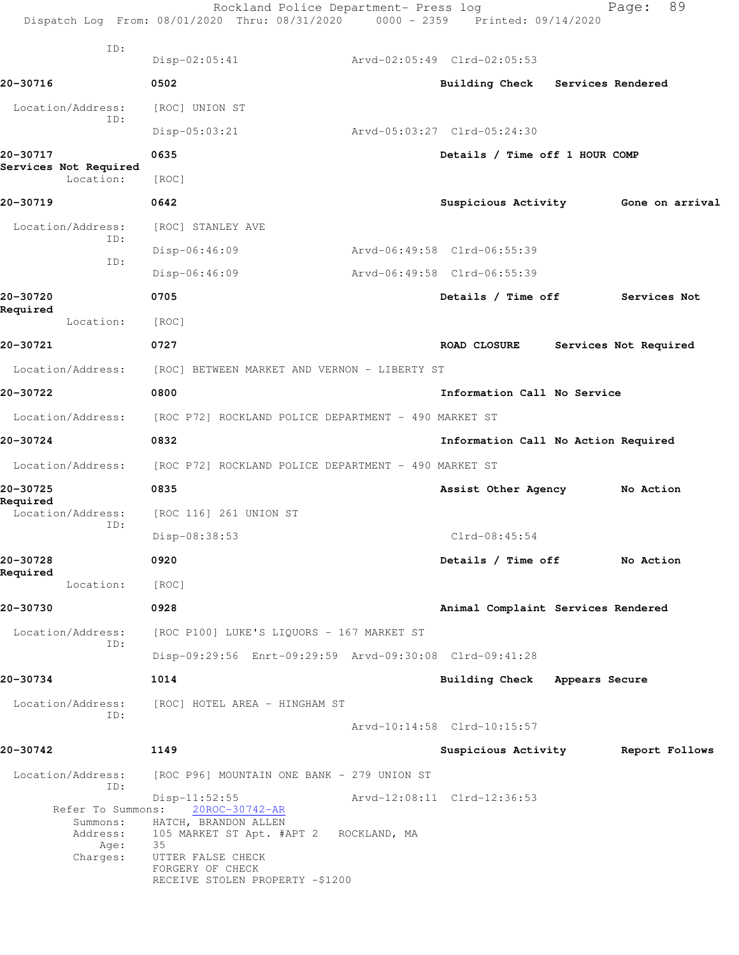|                                    | Rockland Police Department- Press log<br>Dispatch Log From: 08/01/2020 Thru: 08/31/2020 0000 - 2359 Printed: 09/14/2020 |                                     |                   | 89<br>Page:           |
|------------------------------------|-------------------------------------------------------------------------------------------------------------------------|-------------------------------------|-------------------|-----------------------|
| ID:                                | $Disp-02:05:41$                                                                                                         | Arvd-02:05:49 Clrd-02:05:53         |                   |                       |
| 20-30716                           | 0502                                                                                                                    | <b>Building Check</b>               | Services Rendered |                       |
| Location/Address:                  | [ROC] UNION ST                                                                                                          |                                     |                   |                       |
| ID:                                | $Disp-05:03:21$                                                                                                         | Arvd-05:03:27 Clrd-05:24:30         |                   |                       |
| 20-30717                           | 0635                                                                                                                    | Details / Time off 1 HOUR COMP      |                   |                       |
| Services Not Required<br>Location: | [ROC]                                                                                                                   |                                     |                   |                       |
| 20-30719                           | 0642                                                                                                                    | Suspicious Activity                 |                   | Gone on arrival       |
| Location/Address:                  | [ROC] STANLEY AVE                                                                                                       |                                     |                   |                       |
| ID:                                | Disp-06:46:09                                                                                                           | Arvd-06:49:58 Clrd-06:55:39         |                   |                       |
| ID:                                | $Disp-06:46:09$                                                                                                         | Arvd-06:49:58 Clrd-06:55:39         |                   |                       |
| 20-30720<br>Required               | 0705                                                                                                                    | Details / Time off                  |                   | Services Not          |
| Location:                          | [ROC]                                                                                                                   |                                     |                   |                       |
| 20-30721                           | 0727                                                                                                                    | <b>ROAD CLOSURE</b>                 |                   | Services Not Required |
| Location/Address:                  | [ROC] BETWEEN MARKET AND VERNON - LIBERTY ST                                                                            |                                     |                   |                       |
| 20-30722                           | 0800                                                                                                                    | Information Call No Service         |                   |                       |
| Location/Address:                  | [ROC P72] ROCKLAND POLICE DEPARTMENT - 490 MARKET ST                                                                    |                                     |                   |                       |
| 20-30724                           | 0832                                                                                                                    | Information Call No Action Required |                   |                       |
| Location/Address:                  | [ROC P72] ROCKLAND POLICE DEPARTMENT - 490 MARKET ST                                                                    |                                     |                   |                       |
| 20-30725<br>Required               | 0835                                                                                                                    | Assist Other Agency                 |                   | No Action             |
| Location/Address:<br>ID:           | [ROC 116] 261 UNION ST                                                                                                  |                                     |                   |                       |
|                                    | Disp-08:38:53                                                                                                           | $Clrd-08:45:54$                     |                   |                       |
| 20-30728<br>Required               | 0920                                                                                                                    | Details / Time off                  |                   | No Action             |
| Location:                          | [ROC]                                                                                                                   |                                     |                   |                       |
| 20-30730                           | 0928                                                                                                                    | Animal Complaint Services Rendered  |                   |                       |
| Location/Address:<br>ID:           | [ROC P100] LUKE'S LIQUORS - 167 MARKET ST                                                                               |                                     |                   |                       |
|                                    | Disp-09:29:56 Enrt-09:29:59 Arvd-09:30:08 Clrd-09:41:28                                                                 |                                     |                   |                       |
| 20-30734                           | 1014                                                                                                                    | Building Check Appears Secure       |                   |                       |
| Location/Address:<br>ID:           | [ROC] HOTEL AREA - HINGHAM ST                                                                                           |                                     |                   |                       |
|                                    |                                                                                                                         | Arvd-10:14:58 Clrd-10:15:57         |                   |                       |
| 20-30742                           | 1149                                                                                                                    | Suspicious Activity                 |                   | Report Follows        |
| Location/Address:<br>ID:           | [ROC P96] MOUNTAIN ONE BANK - 279 UNION ST                                                                              |                                     |                   |                       |
| Refer To Summons:                  | $Disp-11:52:55$<br>20ROC-30742-AR                                                                                       | Arvd-12:08:11 Clrd-12:36:53         |                   |                       |
| Age:                               | Summons: HATCH, BRANDON ALLEN<br>Address: 105 MARKET ST Apt. #APT 2 ROCKLAND, MA<br>35                                  |                                     |                   |                       |
| Charges:                           | UTTER FALSE CHECK<br>FORGERY OF CHECK<br>RECEIVE STOLEN PROPERTY -\$1200                                                |                                     |                   |                       |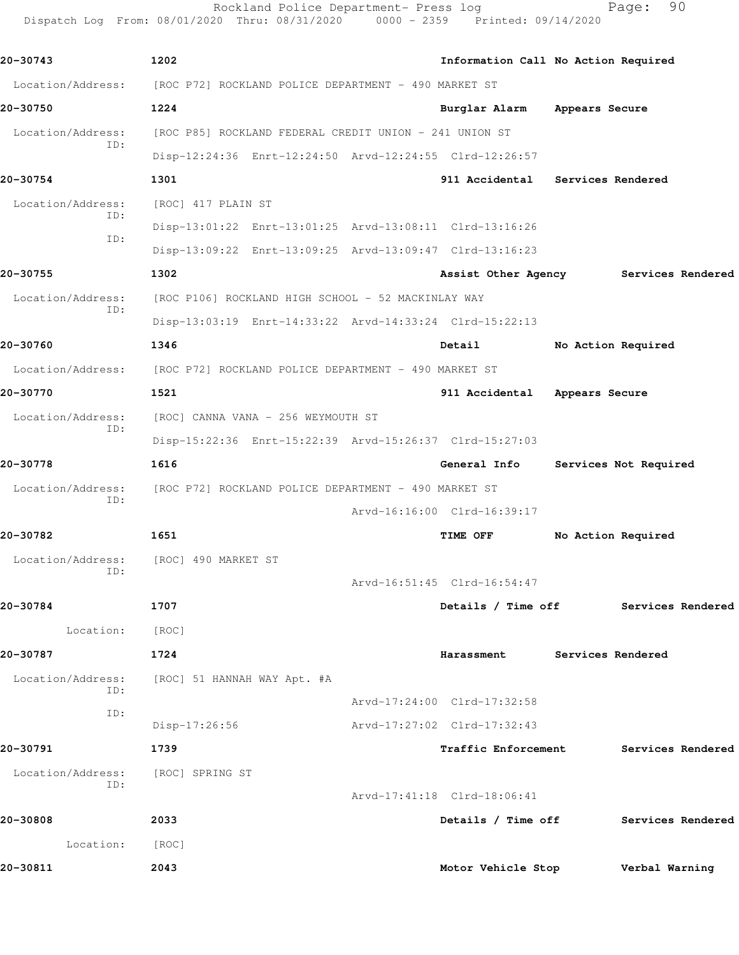Rockland Police Department- Press log Fage: 90 Dispatch Log From: 08/01/2020 Thru: 08/31/2020 0000 - 2359 Printed: 09/14/2020

**20-30743 1202 Information Call No Action Required** Location/Address: [ROC P72] ROCKLAND POLICE DEPARTMENT - 490 MARKET ST **20-30750 1224 Burglar Alarm Appears Secure** Location/Address: [ROC P85] ROCKLAND FEDERAL CREDIT UNION - 241 UNION ST ID: Disp-12:24:36 Enrt-12:24:50 Arvd-12:24:55 Clrd-12:26:57 **20-30754 1301 911 Accidental Services Rendered** Location/Address: [ROC] 417 PLAIN ST ID: Disp-13:01:22 Enrt-13:01:25 Arvd-13:08:11 Clrd-13:16:26 ID: Disp-13:09:22 Enrt-13:09:25 Arvd-13:09:47 Clrd-13:16:23 **20-30755 1302 Assist Other Agency Services Rendered** Location/Address: [ROC P106] ROCKLAND HIGH SCHOOL - 52 MACKINLAY WAY ID: Disp-13:03:19 Enrt-14:33:22 Arvd-14:33:24 Clrd-15:22:13 **20-30760 1346 Detail No Action Required** Location/Address: [ROC P72] ROCKLAND POLICE DEPARTMENT - 490 MARKET ST **20-30770 1521 911 Accidental Appears Secure** Location/Address: [ROC] CANNA VANA - 256 WEYMOUTH ST ID: Disp-15:22:36 Enrt-15:22:39 Arvd-15:26:37 Clrd-15:27:03 **20-30778 1616 General Info Services Not Required** Location/Address: [ROC P72] ROCKLAND POLICE DEPARTMENT - 490 MARKET ST ID: Arvd-16:16:00 Clrd-16:39:17 **20-30782 1651 TIME OFF No Action Required** Location/Address: [ROC] 490 MARKET ST ID: Arvd-16:51:45 Clrd-16:54:47 **20-30784 1707 Details / Time off Services Rendered** Location: [ROC] **20-30787 1724 Harassment Services Rendered** Location/Address: [ROC] 51 HANNAH WAY Apt. #A ID: Arvd-17:24:00 Clrd-17:32:58 ID: Disp-17:26:56 Arvd-17:27:02 Clrd-17:32:43 **20-30791 1739 Traffic Enforcement Services Rendered** Location/Address: [ROC] SPRING ST ID: Arvd-17:41:18 Clrd-18:06:41 **20-30808 2033 Details / Time off Services Rendered** Location: [ROC] **20-30811 2043 Motor Vehicle Stop Verbal Warning**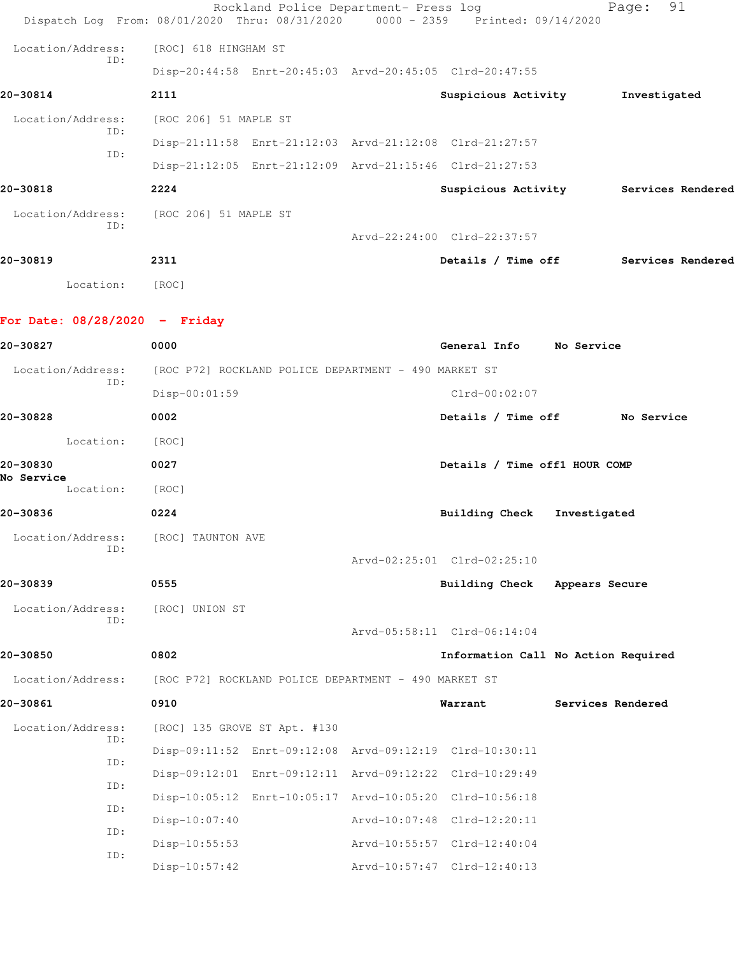|                                 | Rockland Police Department- Press log<br>Dispatch Log From: 08/01/2020 Thru: 08/31/2020 0000 - 2359 | Printed: 09/14/2020                   |                   | 91<br>Page:       |  |
|---------------------------------|-----------------------------------------------------------------------------------------------------|---------------------------------------|-------------------|-------------------|--|
| Location/Address:               | [ROC] 618 HINGHAM ST                                                                                |                                       |                   |                   |  |
| ID:                             | Disp-20:44:58 Enrt-20:45:03 Arvd-20:45:05 Clrd-20:47:55                                             |                                       |                   |                   |  |
| 20-30814                        | 2111                                                                                                | Suspicious Activity                   |                   | Investigated      |  |
| Location/Address:               | [ROC 206] 51 MAPLE ST                                                                               |                                       |                   |                   |  |
| ID:                             | Disp-21:11:58 Enrt-21:12:03 Arvd-21:12:08 Clrd-21:27:57                                             |                                       |                   |                   |  |
| ID:                             | Disp-21:12:05 Enrt-21:12:09 Arvd-21:15:46 Clrd-21:27:53                                             |                                       |                   |                   |  |
| 20-30818                        | 2224                                                                                                | Suspicious Activity Services Rendered |                   |                   |  |
| Location/Address:               | [ROC 206] 51 MAPLE ST                                                                               |                                       |                   |                   |  |
| ID:                             |                                                                                                     | Arvd-22:24:00 Clrd-22:37:57           |                   |                   |  |
| 20-30819                        | 2311                                                                                                | Details / Time off                    |                   | Services Rendered |  |
| Location:                       | [ROC]                                                                                               |                                       |                   |                   |  |
| For Date: $08/28/2020 -$ Friday |                                                                                                     |                                       |                   |                   |  |
| 20-30827                        | 0000                                                                                                | General Info No Service               |                   |                   |  |
| Location/Address:               | [ROC P72] ROCKLAND POLICE DEPARTMENT - 490 MARKET ST                                                |                                       |                   |                   |  |
| ID:                             | Disp-00:01:59                                                                                       | $Clrd-00:02:07$                       |                   |                   |  |
| 20-30828                        | 0002                                                                                                | Details / Time off                    |                   | No Service        |  |
| Location:                       | [ROC]                                                                                               |                                       |                   |                   |  |
| 20-30830                        | 0027                                                                                                | Details / Time off1 HOUR COMP         |                   |                   |  |
| No Service<br>Location:         | [ROC]                                                                                               |                                       |                   |                   |  |
| 20-30836                        | 0224                                                                                                | <b>Building Check</b>                 | Investigated      |                   |  |
| Location/Address:               | [ROC] TAUNTON AVE                                                                                   |                                       |                   |                   |  |
| TD:                             |                                                                                                     | Arvd-02:25:01 Clrd-02:25:10           |                   |                   |  |
| 20-30839                        | 0555                                                                                                | <b>Building Check</b>                 | Appears Secure    |                   |  |
| Location/Address:               | [ROC] UNION ST                                                                                      |                                       |                   |                   |  |
| ID:                             |                                                                                                     | Arvd-05:58:11 Clrd-06:14:04           |                   |                   |  |
| 20-30850                        | 0802                                                                                                | Information Call No Action Required   |                   |                   |  |
| Location/Address:               | [ROC P72] ROCKLAND POLICE DEPARTMENT - 490 MARKET ST                                                |                                       |                   |                   |  |
| 20-30861                        | 0910                                                                                                | Warrant                               | Services Rendered |                   |  |
| Location/Address:               | [ROC] 135 GROVE ST Apt. #130                                                                        |                                       |                   |                   |  |
| ID:<br>ID:                      | Disp-09:11:52 Enrt-09:12:08 Arvd-09:12:19 Clrd-10:30:11                                             |                                       |                   |                   |  |
|                                 | Disp-09:12:01 Enrt-09:12:11 Arvd-09:12:22 Clrd-10:29:49                                             |                                       |                   |                   |  |
| ID:<br>ID:                      | Disp-10:05:12 Enrt-10:05:17 Arvd-10:05:20 Clrd-10:56:18                                             |                                       |                   |                   |  |
| ID:                             | $Disp-10:07:40$                                                                                     | Arvd-10:07:48 Clrd-12:20:11           |                   |                   |  |
| ID:                             | $Disp-10:55:53$                                                                                     | Arvd-10:55:57 Clrd-12:40:04           |                   |                   |  |
|                                 | $Disp-10:57:42$                                                                                     | Arvd-10:57:47 Clrd-12:40:13           |                   |                   |  |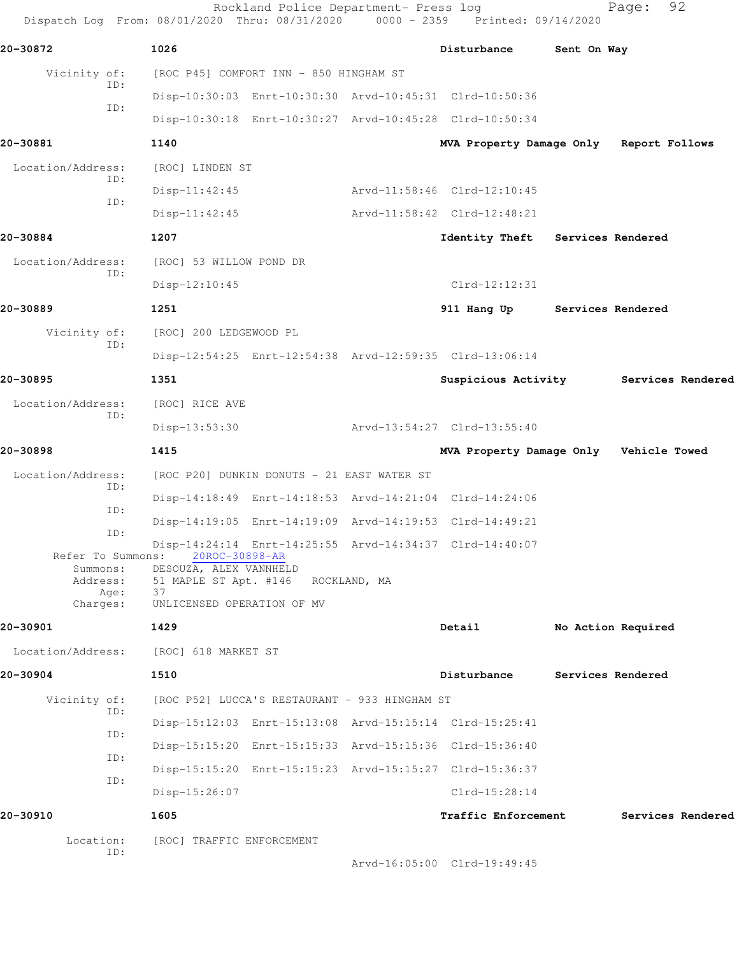| 20-30872                      | 1026                                                    |              | Disturbance                             | Sent On Way       |                    |
|-------------------------------|---------------------------------------------------------|--------------|-----------------------------------------|-------------------|--------------------|
| Vicinity of:<br>ID:           | [ROC P45] COMFORT INN - 850 HINGHAM ST                  |              |                                         |                   |                    |
| ID:                           | Disp-10:30:03 Enrt-10:30:30 Arvd-10:45:31 Clrd-10:50:36 |              |                                         |                   |                    |
|                               | Disp-10:30:18 Enrt-10:30:27 Arvd-10:45:28 Clrd-10:50:34 |              |                                         |                   |                    |
| 20-30881                      | 1140                                                    |              | MVA Property Damage Only Report Follows |                   |                    |
| Location/Address:<br>ID:      | [ROC] LINDEN ST                                         |              |                                         |                   |                    |
| ID:                           | $Disp-11:42:45$                                         |              | Arvd-11:58:46 Clrd-12:10:45             |                   |                    |
|                               | $Disp-11:42:45$                                         |              | Arvd-11:58:42 Clrd-12:48:21             |                   |                    |
| 20-30884                      | 1207                                                    |              | Identity Theft Services Rendered        |                   |                    |
| Location/Address:<br>ID:      | [ROC] 53 WILLOW POND DR                                 |              |                                         |                   |                    |
|                               | $Disp-12:10:45$                                         |              | $Clrd-12:12:31$                         |                   |                    |
| 20-30889                      | 1251                                                    |              | 911 Hang Up                             | Services Rendered |                    |
| Vicinity of:                  | [ROC] 200 LEDGEWOOD PL                                  |              |                                         |                   |                    |
| ID:                           | Disp-12:54:25 Enrt-12:54:38 Arvd-12:59:35 Clrd-13:06:14 |              |                                         |                   |                    |
| 20-30895                      | 1351                                                    |              | Suspicious Activity                     |                   | Services Rendered  |
| Location/Address:             | [ROC] RICE AVE                                          |              |                                         |                   |                    |
| ID:                           | $Disp-13:53:30$                                         |              | Arvd-13:54:27 Clrd-13:55:40             |                   |                    |
| 20-30898                      | 1415                                                    |              | MVA Property Damage Only Vehicle Towed  |                   |                    |
| Location/Address:             | [ROC P20] DUNKIN DONUTS - 21 EAST WATER ST              |              |                                         |                   |                    |
| ID:                           | Disp-14:18:49 Enrt-14:18:53 Arvd-14:21:04 Clrd-14:24:06 |              |                                         |                   |                    |
| ID:                           | Disp-14:19:05 Enrt-14:19:09 Arvd-14:19:53 Clrd-14:49:21 |              |                                         |                   |                    |
| ID:                           | Disp-14:24:14 Enrt-14:25:55 Arvd-14:34:37 Clrd-14:40:07 |              |                                         |                   |                    |
| Refer To Summons:<br>Summons: | 20ROC-30898-AR<br>DESOUZA, ALEX VANNHELD                |              |                                         |                   |                    |
| Address:<br>Age:              | 51 MAPLE ST Apt. #146<br>37                             | ROCKLAND, MA |                                         |                   |                    |
| Charges:                      | UNLICENSED OPERATION OF MV                              |              |                                         |                   |                    |
| 20-30901                      | 1429                                                    |              | Detail                                  |                   | No Action Required |
| Location/Address:             | [ROC] 618 MARKET ST                                     |              |                                         |                   |                    |
| 20-30904                      | 1510                                                    |              | Disturbance                             |                   | Services Rendered  |
| Vicinity of:                  | [ROC P52] LUCCA'S RESTAURANT - 933 HINGHAM ST           |              |                                         |                   |                    |
| ID:                           | Disp-15:12:03 Enrt-15:13:08 Arvd-15:15:14 Clrd-15:25:41 |              |                                         |                   |                    |
| ID:                           | Disp-15:15:20 Enrt-15:15:33 Arvd-15:15:36 Clrd-15:36:40 |              |                                         |                   |                    |
| ID:                           | Disp-15:15:20 Enrt-15:15:23 Arvd-15:15:27 Clrd-15:36:37 |              |                                         |                   |                    |
| ID:                           | Disp-15:26:07                                           |              | $Clrd-15:28:14$                         |                   |                    |
| 20-30910                      | 1605                                                    |              | Traffic Enforcement                     |                   | Services Rendered  |
| Location:                     | [ROC] TRAFFIC ENFORCEMENT                               |              |                                         |                   |                    |
|                               |                                                         |              |                                         |                   |                    |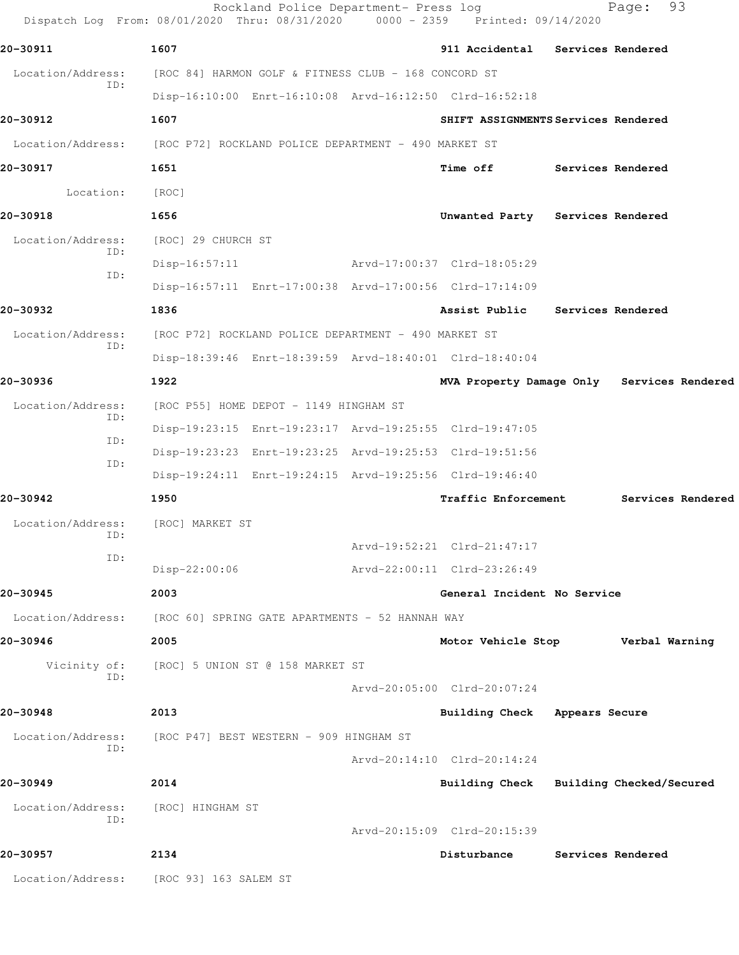|                          | Rockland Police Department- Press log<br>Dispatch Log From: 08/01/2020 Thru: 08/31/2020 0000 - 2359 Printed: 09/14/2020 |                                         |                   | 93<br>Page:                                |
|--------------------------|-------------------------------------------------------------------------------------------------------------------------|-----------------------------------------|-------------------|--------------------------------------------|
| 20-30911                 | 1607                                                                                                                    | 911 Accidental Services Rendered        |                   |                                            |
| Location/Address:        | [ROC 84] HARMON GOLF & FITNESS CLUB - 168 CONCORD ST                                                                    |                                         |                   |                                            |
| ID:                      | Disp-16:10:00 Enrt-16:10:08 Arvd-16:12:50 Clrd-16:52:18                                                                 |                                         |                   |                                            |
| 20-30912                 | 1607                                                                                                                    | SHIFT ASSIGNMENTS Services Rendered     |                   |                                            |
|                          | Location/Address: [ROC P72] ROCKLAND POLICE DEPARTMENT - 490 MARKET ST                                                  |                                         |                   |                                            |
| 20-30917                 | 1651                                                                                                                    | <b>Time off</b>                         | Services Rendered |                                            |
| Location:                | [ROC]                                                                                                                   |                                         |                   |                                            |
| 20-30918                 | 1656                                                                                                                    | Unwanted Party Services Rendered        |                   |                                            |
| Location/Address:        | [ROC] 29 CHURCH ST                                                                                                      |                                         |                   |                                            |
| ID:                      | Disp-16:57:11                                                                                                           | Arvd-17:00:37 Clrd-18:05:29             |                   |                                            |
| ID:                      | Disp-16:57:11 Enrt-17:00:38 Arvd-17:00:56 Clrd-17:14:09                                                                 |                                         |                   |                                            |
| 20-30932                 | 1836                                                                                                                    | Assist Public Services Rendered         |                   |                                            |
| Location/Address:<br>ID: | [ROC P72] ROCKLAND POLICE DEPARTMENT - 490 MARKET ST                                                                    |                                         |                   |                                            |
|                          | Disp-18:39:46 Enrt-18:39:59 Arvd-18:40:01 Clrd-18:40:04                                                                 |                                         |                   |                                            |
| 20-30936                 | 1922                                                                                                                    |                                         |                   | MVA Property Damage Only Services Rendered |
| Location/Address:<br>ID: | [ROC P55] HOME DEPOT - 1149 HINGHAM ST                                                                                  |                                         |                   |                                            |
| ID:                      | Disp-19:23:15 Enrt-19:23:17 Arvd-19:25:55 Clrd-19:47:05                                                                 |                                         |                   |                                            |
| ID:                      | Disp-19:23:23 Enrt-19:23:25 Arvd-19:25:53 Clrd-19:51:56                                                                 |                                         |                   |                                            |
|                          | Disp-19:24:11 Enrt-19:24:15 Arvd-19:25:56 Clrd-19:46:40                                                                 |                                         |                   |                                            |
| 20-30942                 | 1950                                                                                                                    | Traffic Enforcement                     |                   | Services Rendered                          |
| Location/Address:<br>ID: | [ROC] MARKET ST                                                                                                         |                                         |                   |                                            |
| ID:                      |                                                                                                                         | Arvd-19:52:21 Clrd-21:47:17             |                   |                                            |
|                          | Disp-22:00:06                                                                                                           | Arvd-22:00:11 Clrd-23:26:49             |                   |                                            |
| 20-30945                 | 2003                                                                                                                    | General Incident No Service             |                   |                                            |
| Location/Address:        | [ROC 60] SPRING GATE APARTMENTS - 52 HANNAH WAY                                                                         |                                         |                   |                                            |
| 20-30946                 | 2005                                                                                                                    | Motor Vehicle Stop                      |                   | Verbal Warning                             |
| ID:                      | Vicinity of: [ROC] 5 UNION ST @ 158 MARKET ST                                                                           |                                         |                   |                                            |
|                          |                                                                                                                         | Arvd-20:05:00 Clrd-20:07:24             |                   |                                            |
| 20-30948                 | 2013                                                                                                                    | Building Check Appears Secure           |                   |                                            |
| Location/Address:<br>ID: | [ROC P47] BEST WESTERN - 909 HINGHAM ST                                                                                 |                                         |                   |                                            |
|                          |                                                                                                                         | Arvd-20:14:10 Clrd-20:14:24             |                   |                                            |
| 20-30949                 | 2014                                                                                                                    | Building Check Building Checked/Secured |                   |                                            |
| Location/Address:<br>ID: | [ROC] HINGHAM ST                                                                                                        |                                         |                   |                                            |
|                          |                                                                                                                         | Arvd-20:15:09 Clrd-20:15:39             |                   |                                            |
| 20-30957                 | 2134                                                                                                                    | Disturbance                             |                   | Services Rendered                          |
| Location/Address:        | [ROC 93] 163 SALEM ST                                                                                                   |                                         |                   |                                            |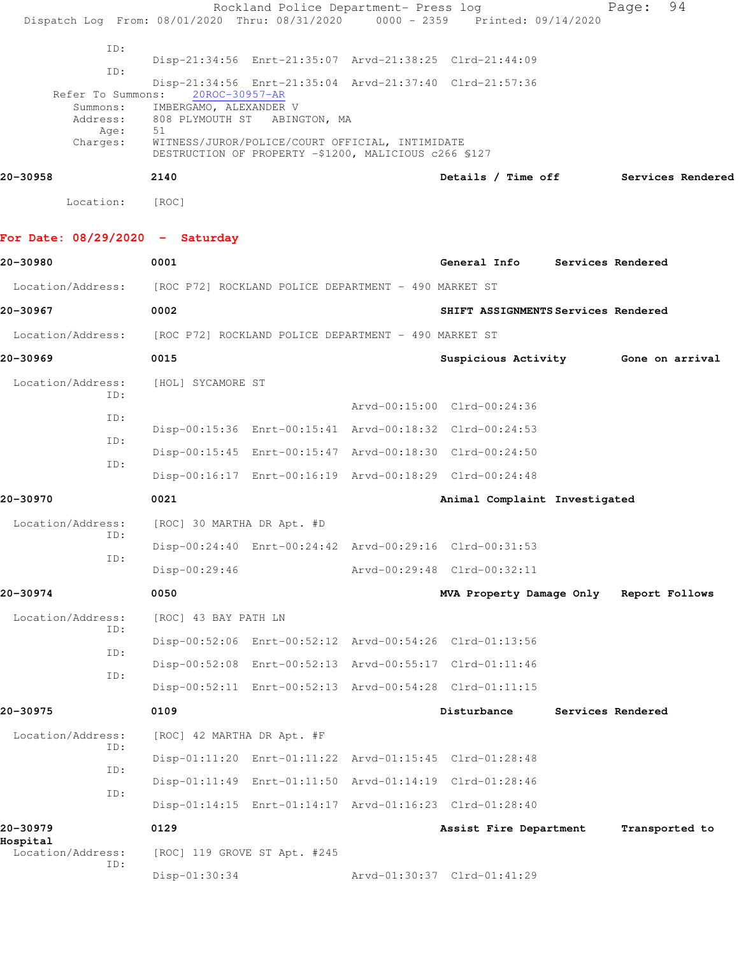| Dispatch Log From: 08/01/2020 Thru: 08/31/2020 |                            | Rockland Police Department- Press log                                                                    | $0000 - 2359$ Printed: $09/14/2020$                     | 94<br>Page:                         |
|------------------------------------------------|----------------------------|----------------------------------------------------------------------------------------------------------|---------------------------------------------------------|-------------------------------------|
| ID:                                            |                            |                                                                                                          |                                                         |                                     |
| ID:                                            |                            |                                                                                                          | Disp-21:34:56 Enrt-21:35:07 Arvd-21:38:25 Clrd-21:44:09 |                                     |
| Refer To Summons:                              | 20ROC-30957-AR             |                                                                                                          | Disp-21:34:56 Enrt-21:35:04 Arvd-21:37:40 Clrd-21:57:36 |                                     |
| Summons:<br>Address:                           | IMBERGAMO, ALEXANDER V     | 808 PLYMOUTH ST ABINGTON, MA                                                                             |                                                         |                                     |
| Age:                                           | 51                         |                                                                                                          |                                                         |                                     |
| Charges:                                       |                            | WITNESS/JUROR/POLICE/COURT OFFICIAL, INTIMIDATE<br>DESTRUCTION OF PROPERTY -\$1200, MALICIOUS c266 \$127 |                                                         |                                     |
| 20-30958                                       | 2140                       |                                                                                                          | Details / Time off                                      | Services Rendered                   |
| Location:                                      | [ROC]                      |                                                                                                          |                                                         |                                     |
| For Date: $08/29/2020 -$ Saturday              |                            |                                                                                                          |                                                         |                                     |
| 20-30980                                       | 0001                       |                                                                                                          | General Info Services Rendered                          |                                     |
| Location/Address:                              |                            | [ROC P72] ROCKLAND POLICE DEPARTMENT - 490 MARKET ST                                                     |                                                         |                                     |
| 20-30967                                       | 0002                       |                                                                                                          | SHIFT ASSIGNMENTS Services Rendered                     |                                     |
| Location/Address:                              |                            | [ROC P72] ROCKLAND POLICE DEPARTMENT - 490 MARKET ST                                                     |                                                         |                                     |
| 20-30969                                       | 0015                       |                                                                                                          |                                                         | Suspicious Activity 6one on arrival |
| Location/Address:                              | [HOL] SYCAMORE ST          |                                                                                                          |                                                         |                                     |
| ID:                                            |                            |                                                                                                          | Arvd-00:15:00 Clrd-00:24:36                             |                                     |
| ID:                                            |                            |                                                                                                          | Disp-00:15:36 Enrt-00:15:41 Arvd-00:18:32 Clrd-00:24:53 |                                     |
| ID:                                            |                            |                                                                                                          | Disp-00:15:45 Enrt-00:15:47 Arvd-00:18:30 Clrd-00:24:50 |                                     |
| ID:                                            |                            |                                                                                                          | Disp-00:16:17 Enrt-00:16:19 Arvd-00:18:29 Clrd-00:24:48 |                                     |
| 20-30970                                       | 0021                       |                                                                                                          | Animal Complaint Investigated                           |                                     |
| Location/Address:                              | [ROC] 30 MARTHA DR Apt. #D |                                                                                                          |                                                         |                                     |
| ID:                                            |                            |                                                                                                          | Disp-00:24:40 Enrt-00:24:42 Arvd-00:29:16 Clrd-00:31:53 |                                     |
| ID:                                            | Disp-00:29:46              |                                                                                                          | Arvd-00:29:48 Clrd-00:32:11                             |                                     |
| 20-30974                                       | 0050                       |                                                                                                          | MVA Property Damage Only                                | Report Follows                      |
| Location/Address:                              | [ROC] 43 BAY PATH LN       |                                                                                                          |                                                         |                                     |
| ID:                                            |                            |                                                                                                          | Disp-00:52:06 Enrt-00:52:12 Arvd-00:54:26 Clrd-01:13:56 |                                     |
| ID:                                            |                            |                                                                                                          | Disp-00:52:08 Enrt-00:52:13 Arvd-00:55:17 Clrd-01:11:46 |                                     |
| ID:                                            |                            |                                                                                                          | Disp-00:52:11 Enrt-00:52:13 Arvd-00:54:28 Clrd-01:11:15 |                                     |
| 20-30975                                       | 0109                       |                                                                                                          | Disturbance                                             | Services Rendered                   |
| Location/Address:<br>ID:                       | [ROC] 42 MARTHA DR Apt. #F |                                                                                                          |                                                         |                                     |
| ID:                                            |                            |                                                                                                          | Disp-01:11:20 Enrt-01:11:22 Arvd-01:15:45 Clrd-01:28:48 |                                     |
| ID:                                            |                            |                                                                                                          | Disp-01:11:49 Enrt-01:11:50 Arvd-01:14:19 Clrd-01:28:46 |                                     |
|                                                |                            |                                                                                                          | Disp-01:14:15 Enrt-01:14:17 Arvd-01:16:23 Clrd-01:28:40 |                                     |
| 20-30979<br>Hospital                           | 0129                       |                                                                                                          | Assist Fire Department                                  | Transported to                      |
| Location/Address:<br>ID:                       |                            | [ROC] 119 GROVE ST Apt. #245                                                                             |                                                         |                                     |
|                                                | Disp-01:30:34              |                                                                                                          | Arvd-01:30:37 Clrd-01:41:29                             |                                     |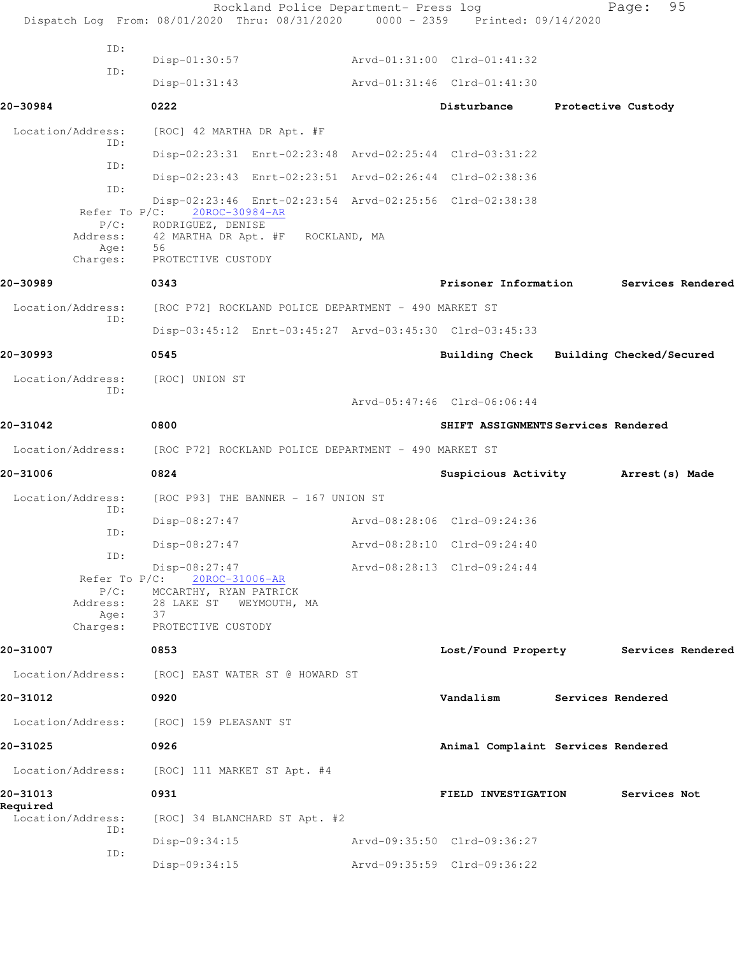|                                         | Rockland Police Department- Press log<br>Dispatch Log From: 08/01/2020 Thru: 08/31/2020 0000 - 2359 Printed: 09/14/2020        |                                         | 95<br>Page:        |  |
|-----------------------------------------|--------------------------------------------------------------------------------------------------------------------------------|-----------------------------------------|--------------------|--|
| ID:                                     |                                                                                                                                |                                         |                    |  |
| ID:                                     | $Disp-01:30:57$                                                                                                                | Arvd-01:31:00 Clrd-01:41:32             |                    |  |
|                                         | $Disp-01:31:43$                                                                                                                | Arvd-01:31:46 Clrd-01:41:30             |                    |  |
| 20-30984                                | 0222                                                                                                                           | Disturbance                             | Protective Custody |  |
| Location/Address:<br>ID:                | [ROC] 42 MARTHA DR Apt. #F                                                                                                     |                                         |                    |  |
| ID:                                     | Disp-02:23:31 Enrt-02:23:48 Arvd-02:25:44 Clrd-03:31:22                                                                        |                                         |                    |  |
| ID:                                     | Disp-02:23:43 Enrt-02:23:51 Arvd-02:26:44 Clrd-02:38:36                                                                        |                                         |                    |  |
| Refer To $P/C$ :<br>$P/C$ :             | Disp-02:23:46 Enrt-02:23:54 Arvd-02:25:56 Clrd-02:38:38<br>20ROC-30984-AR<br>RODRIGUEZ, DENISE                                 |                                         |                    |  |
| Address:<br>Age:<br>Charges:            | 42 MARTHA DR Apt. #F ROCKLAND, MA<br>56<br>PROTECTIVE CUSTODY                                                                  |                                         |                    |  |
| 20-30989                                | 0343                                                                                                                           | Prisoner Information                    | Services Rendered  |  |
| Location/Address:<br>ID:                | [ROC P72] ROCKLAND POLICE DEPARTMENT - 490 MARKET ST                                                                           |                                         |                    |  |
|                                         | Disp-03:45:12 Enrt-03:45:27 Arvd-03:45:30 Clrd-03:45:33                                                                        |                                         |                    |  |
| 20-30993                                | 0545                                                                                                                           | Building Check Building Checked/Secured |                    |  |
| Location/Address:<br>ID:                | [ROC] UNION ST                                                                                                                 |                                         |                    |  |
|                                         |                                                                                                                                | Arvd-05:47:46 Clrd-06:06:44             |                    |  |
| 20-31042                                | 0800                                                                                                                           | SHIFT ASSIGNMENTS Services Rendered     |                    |  |
|                                         | Location/Address: [ROC P72] ROCKLAND POLICE DEPARTMENT - 490 MARKET ST                                                         |                                         |                    |  |
| 20-31006                                | 0824                                                                                                                           | Suspicious Activity Marrest (s) Made    |                    |  |
| Location/Address:<br>ID:                | [ROC P93] THE BANNER - 167 UNION ST                                                                                            |                                         |                    |  |
| ID:                                     | $Disp-08:27:47$                                                                                                                | Arvd-08:28:06 Clrd-09:24:36             |                    |  |
| ID:                                     | Disp-08:27:47 Arvd-08:28:10 Clrd-09:24:40                                                                                      |                                         |                    |  |
| $P/C$ :<br>Address:<br>Age:<br>Charges: | Disp-08:27:47<br>Refer To P/C: 20ROC-31006-AR<br>MCCARTHY, RYAN PATRICK<br>28 LAKE ST WEYMOUTH, MA<br>37<br>PROTECTIVE CUSTODY | Arvd-08:28:13 Clrd-09:24:44             |                    |  |
| 20-31007                                | 0853                                                                                                                           | Lost/Found Property Services Rendered   |                    |  |
| Location/Address:                       | [ROC] EAST WATER ST @ HOWARD ST                                                                                                |                                         |                    |  |
| 20-31012                                | 0920                                                                                                                           | Vandalism                               | Services Rendered  |  |
|                                         | Location/Address: [ROC] 159 PLEASANT ST                                                                                        |                                         |                    |  |
| 20-31025                                | 0926                                                                                                                           | Animal Complaint Services Rendered      |                    |  |
| Location/Address:                       | [ROC] 111 MARKET ST Apt. #4                                                                                                    |                                         |                    |  |
| 20-31013                                | 0931                                                                                                                           | FIELD INVESTIGATION                     | Services Not       |  |
| Required<br>Location/Address:           | [ROC] 34 BLANCHARD ST Apt. #2                                                                                                  |                                         |                    |  |
| ID:                                     | Disp-09:34:15                                                                                                                  | Arvd-09:35:50 Clrd-09:36:27             |                    |  |
| ID:                                     | Disp-09:34:15                                                                                                                  | Arvd-09:35:59 Clrd-09:36:22             |                    |  |
|                                         |                                                                                                                                |                                         |                    |  |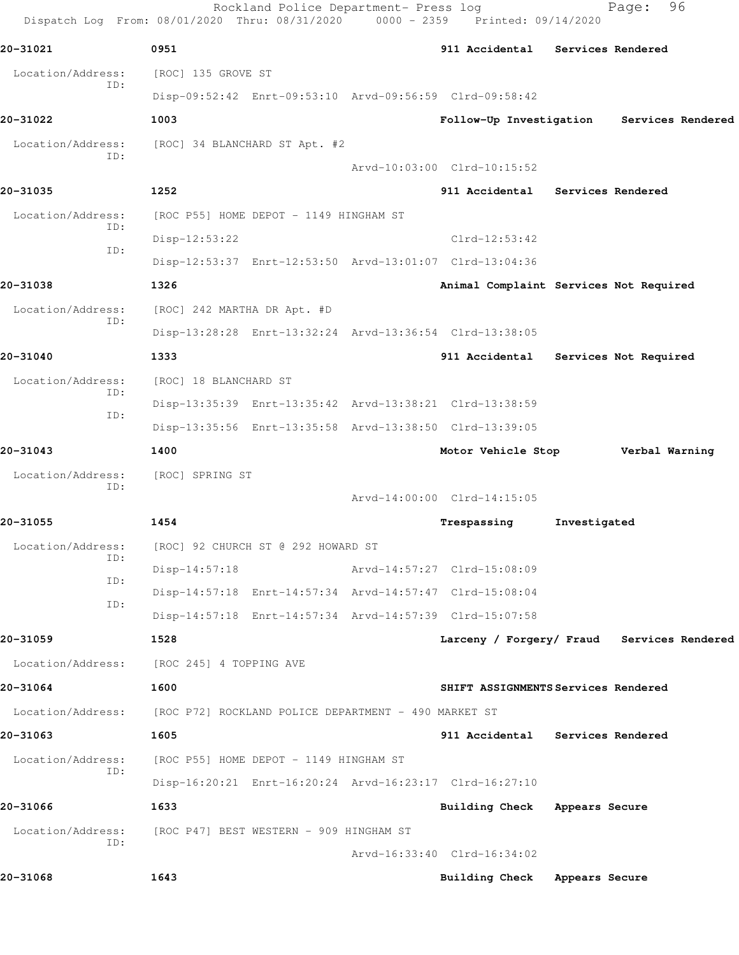|                   | Dispatch Log From: 08/01/2020 Thru: 08/31/2020          | Rockland Police Department- Press log | 0000 - 2359 Printed: 09/14/2020 | 96<br>Page:                                |
|-------------------|---------------------------------------------------------|---------------------------------------|---------------------------------|--------------------------------------------|
| 20-31021          | 0951                                                    |                                       | 911 Accidental                  | <b>Services Rendered</b>                   |
| Location/Address: | [ROC] 135 GROVE ST                                      |                                       |                                 |                                            |
| ID:               | Disp-09:52:42 Enrt-09:53:10 Arvd-09:56:59 Clrd-09:58:42 |                                       |                                 |                                            |
| 20-31022          | 1003                                                    |                                       |                                 | Follow-Up Investigation Services Rendered  |
| Location/Address: | [ROC] 34 BLANCHARD ST Apt. #2                           |                                       |                                 |                                            |
| ID:               |                                                         |                                       | Arvd-10:03:00 Clrd-10:15:52     |                                            |
| 20-31035          | 1252                                                    |                                       |                                 | 911 Accidental Services Rendered           |
| Location/Address: | [ROC P55] HOME DEPOT - 1149 HINGHAM ST                  |                                       |                                 |                                            |
| ID:               | $Disp-12:53:22$                                         |                                       | $Clrd-12:53:42$                 |                                            |
| ID:               | Disp-12:53:37 Enrt-12:53:50 Arvd-13:01:07 Clrd-13:04:36 |                                       |                                 |                                            |
| 20-31038          | 1326                                                    |                                       |                                 | Animal Complaint Services Not Required     |
| Location/Address: | [ROC] 242 MARTHA DR Apt. #D                             |                                       |                                 |                                            |
| TD:               | Disp-13:28:28 Enrt-13:32:24 Arvd-13:36:54 Clrd-13:38:05 |                                       |                                 |                                            |
| 20-31040          | 1333                                                    |                                       | 911 Accidental                  | Services Not Required                      |
| Location/Address: | [ROC] 18 BLANCHARD ST                                   |                                       |                                 |                                            |
| ID:               | Disp-13:35:39 Enrt-13:35:42 Arvd-13:38:21 Clrd-13:38:59 |                                       |                                 |                                            |
| ID:               | Disp-13:35:56 Enrt-13:35:58 Arvd-13:38:50 Clrd-13:39:05 |                                       |                                 |                                            |
| 20-31043          | 1400                                                    |                                       | Motor Vehicle Stop              | Verbal Warning                             |
| Location/Address: | [ROC] SPRING ST                                         |                                       |                                 |                                            |
| ID:               |                                                         |                                       | Arvd-14:00:00 Clrd-14:15:05     |                                            |
| 20-31055          | 1454                                                    |                                       | Trespassing                     | Investigated                               |
| Location/Address: | [ROC] 92 CHURCH ST @ 292 HOWARD ST                      |                                       |                                 |                                            |
| ID:               | $Disp-14:57:18$                                         |                                       | Arvd-14:57:27 Clrd-15:08:09     |                                            |
| ID:               | Disp-14:57:18 Enrt-14:57:34 Arvd-14:57:47 Clrd-15:08:04 |                                       |                                 |                                            |
| ID:               | Disp-14:57:18 Enrt-14:57:34 Arvd-14:57:39 Clrd-15:07:58 |                                       |                                 |                                            |
| 20-31059          | 1528                                                    |                                       |                                 | Larceny / Forgery/ Fraud Services Rendered |
| Location/Address: | [ROC 245] 4 TOPPING AVE                                 |                                       |                                 |                                            |
| 20-31064          | 1600                                                    |                                       |                                 | SHIFT ASSIGNMENTS Services Rendered        |
| Location/Address: | [ROC P72] ROCKLAND POLICE DEPARTMENT - 490 MARKET ST    |                                       |                                 |                                            |
| 20-31063          | 1605                                                    |                                       |                                 | 911 Accidental Services Rendered           |
| Location/Address: | [ROC P55] HOME DEPOT - 1149 HINGHAM ST                  |                                       |                                 |                                            |
| ID:               | Disp-16:20:21 Enrt-16:20:24 Arvd-16:23:17 Clrd-16:27:10 |                                       |                                 |                                            |
| 20-31066          | 1633                                                    |                                       | Building Check Appears Secure   |                                            |
| Location/Address: | [ROC P47] BEST WESTERN - 909 HINGHAM ST                 |                                       |                                 |                                            |
| ID:               |                                                         |                                       | Arvd-16:33:40 Clrd-16:34:02     |                                            |
| 20-31068          | 1643                                                    |                                       | <b>Building Check</b>           | Appears Secure                             |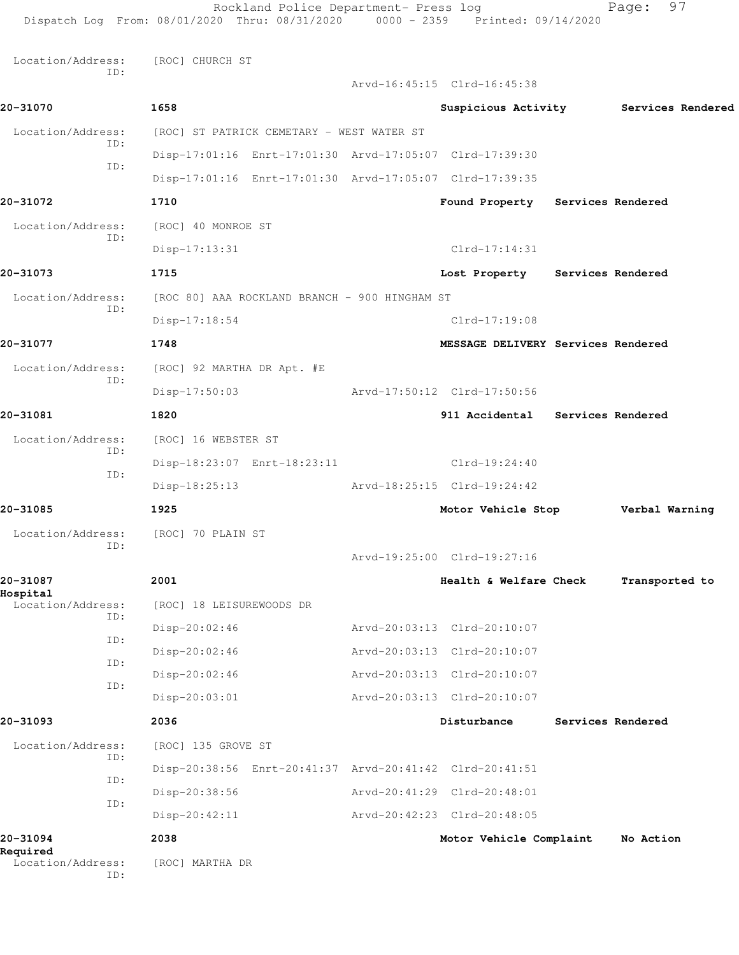| Required<br>Location/Address:<br>ID: | [ROC] MARTHA DR                                                                                                         |                                                       |                                       |
|--------------------------------------|-------------------------------------------------------------------------------------------------------------------------|-------------------------------------------------------|---------------------------------------|
| 20-31094                             | 2038                                                                                                                    | Motor Vehicle Complaint                               | No Action                             |
| ID:                                  | Disp-20:38:56<br>$Disp-20:42:11$                                                                                        | Arvd-20:42:23 Clrd-20:48:05                           |                                       |
| ID:                                  | Disp-20:38:56 Enrt-20:41:37 Arvd-20:41:42 Clrd-20:41:51                                                                 | Arvd-20:41:29 Clrd-20:48:01                           |                                       |
| ID:                                  | [ROC] 135 GROVE ST                                                                                                      |                                                       |                                       |
| Location/Address:                    |                                                                                                                         |                                                       |                                       |
| 20-31093                             | $Disp-20:03:01$<br>2036                                                                                                 | Disturbance                                           | Services Rendered                     |
| ID:                                  |                                                                                                                         | Arvd-20:03:13 Clrd-20:10:07                           |                                       |
| ID:                                  | Disp-20:02:46<br>Disp-20:02:46                                                                                          | Arvd-20:03:13 Clrd-20:10:07                           |                                       |
| ID:                                  | Disp-20:02:46                                                                                                           | Arvd-20:03:13 Clrd-20:10:07                           |                                       |
| ID:                                  | [ROC] 18 LEISUREWOODS DR                                                                                                | Arvd-20:03:13 Clrd-20:10:07                           |                                       |
| Hospital<br>Location/Address:        |                                                                                                                         |                                                       |                                       |
| 20-31087                             | 2001                                                                                                                    | Arvd-19:25:00 Clrd-19:27:16<br>Health & Welfare Check | Transported to                        |
| ID:                                  | Location/Address: [ROC] 70 PLAIN ST                                                                                     |                                                       |                                       |
| 20-31085                             | 1925                                                                                                                    | Motor Vehicle Stop                                    | Verbal Warning                        |
|                                      | Disp-18:25:13                                                                                                           | Arvd-18:25:15 Clrd-19:24:42                           |                                       |
| ID:                                  | Disp-18:23:07 Enrt-18:23:11                                                                                             | $Clrd-19:24:40$                                       |                                       |
| Location/Address:<br>ID:             | [ROC] 16 WEBSTER ST                                                                                                     |                                                       |                                       |
| 20-31081                             | 1820                                                                                                                    | 911 Accidental Services Rendered                      |                                       |
|                                      | $Disp-17:50:03$                                                                                                         | Arvd-17:50:12 Clrd-17:50:56                           |                                       |
| Location/Address:<br>ID:             | [ROC] 92 MARTHA DR Apt. #E                                                                                              |                                                       |                                       |
| 20-31077                             | 1748                                                                                                                    | MESSAGE DELIVERY Services Rendered                    |                                       |
| ID:                                  | Disp-17:18:54                                                                                                           | $Clrd-17:19:08$                                       |                                       |
| Location/Address:                    | [ROC 80] AAA ROCKLAND BRANCH - 900 HINGHAM ST                                                                           |                                                       |                                       |
| 20-31073                             | 1715                                                                                                                    | Lost Property Services Rendered                       |                                       |
| ID:                                  | $Disp-17:13:31$                                                                                                         | $Clrd-17:14:31$                                       |                                       |
| Location/Address:                    | [ROC] 40 MONROE ST                                                                                                      |                                                       |                                       |
| 20-31072                             | 1710                                                                                                                    | Found Property Services Rendered                      |                                       |
| ID:                                  | Disp-17:01:16 Enrt-17:01:30 Arvd-17:05:07 Clrd-17:39:35                                                                 |                                                       |                                       |
| ID:                                  | Disp-17:01:16 Enrt-17:01:30 Arvd-17:05:07 Clrd-17:39:30                                                                 |                                                       |                                       |
| Location/Address:                    | [ROC] ST PATRICK CEMETARY - WEST WATER ST                                                                               |                                                       |                                       |
| 20-31070                             | 1658                                                                                                                    |                                                       | Suspicious Activity Services Rendered |
| Location/Address:<br>ID:             | [ROC] CHURCH ST                                                                                                         | Arvd-16:45:15 Clrd-16:45:38                           |                                       |
|                                      |                                                                                                                         |                                                       |                                       |
|                                      | Rockland Police Department- Press log<br>Dispatch Log From: 08/01/2020 Thru: 08/31/2020 0000 - 2359 Printed: 09/14/2020 |                                                       | 97<br>Page:                           |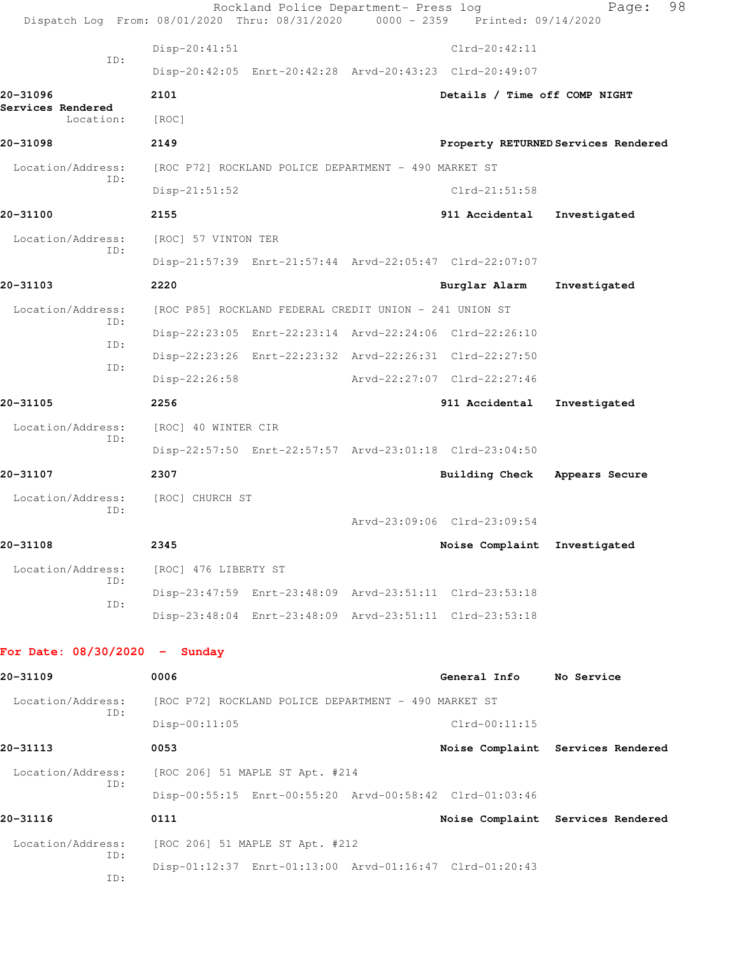|                                 | Rockland Police Department- Press log<br>Dispatch Log From: 08/01/2020 Thru: 08/31/2020 0000 - 2359 Printed: 09/14/2020 |                               | 98<br>Page:                         |
|---------------------------------|-------------------------------------------------------------------------------------------------------------------------|-------------------------------|-------------------------------------|
|                                 | Disp-20:41:51                                                                                                           | $Clrd-20:42:11$               |                                     |
| ID:                             | Disp-20:42:05 Enrt-20:42:28 Arvd-20:43:23 Clrd-20:49:07                                                                 |                               |                                     |
| 20-31096                        | 2101                                                                                                                    | Details / Time off COMP NIGHT |                                     |
| Services Rendered<br>Location:  | [ROC]                                                                                                                   |                               |                                     |
| 20-31098                        | 2149                                                                                                                    |                               | Property RETURNED Services Rendered |
| Location/Address:               | [ROC P72] ROCKLAND POLICE DEPARTMENT - 490 MARKET ST                                                                    |                               |                                     |
| TD:                             | $Disp-21:51:52$                                                                                                         | Clrd-21:51:58                 |                                     |
| 20-31100                        | 2155                                                                                                                    | 911 Accidental                | Investigated                        |
| Location/Address:               | [ROC] 57 VINTON TER                                                                                                     |                               |                                     |
| ID:                             | Disp-21:57:39 Enrt-21:57:44 Arvd-22:05:47 Clrd-22:07:07                                                                 |                               |                                     |
| 20-31103                        | 2220                                                                                                                    | Burglar Alarm                 | Investigated                        |
| Location/Address:               | [ROC P85] ROCKLAND FEDERAL CREDIT UNION - 241 UNION ST                                                                  |                               |                                     |
| ID:<br>ID:                      | Disp-22:23:05 Enrt-22:23:14 Arvd-22:24:06 Clrd-22:26:10                                                                 |                               |                                     |
| ID:                             | Disp-22:23:26 Enrt-22:23:32 Arvd-22:26:31 Clrd-22:27:50                                                                 |                               |                                     |
|                                 | $Disp-22:26:58$                                                                                                         | Arvd-22:27:07 Clrd-22:27:46   |                                     |
| 20-31105                        | 2256                                                                                                                    | 911 Accidental                | Investigated                        |
| Location/Address:<br>ID:        | [ROC] 40 WINTER CIR                                                                                                     |                               |                                     |
|                                 | Disp-22:57:50 Enrt-22:57:57 Arvd-23:01:18 Clrd-23:04:50                                                                 |                               |                                     |
| 20-31107                        | 2307                                                                                                                    | Building Check                | Appears Secure                      |
| Location/Address:<br>TD:        | [ROC] CHURCH ST                                                                                                         |                               |                                     |
|                                 |                                                                                                                         | Arvd-23:09:06 Clrd-23:09:54   |                                     |
| 20-31108                        | 2345                                                                                                                    | Noise Complaint Investigated  |                                     |
| Location/Address:<br>ID:        | [ROC] 476 LIBERTY ST                                                                                                    |                               |                                     |
| ID:                             | Disp-23:47:59 Enrt-23:48:09 Arvd-23:51:11 Clrd-23:53:18                                                                 |                               |                                     |
|                                 | Disp-23:48:04 Enrt-23:48:09 Arvd-23:51:11 Clrd-23:53:18                                                                 |                               |                                     |
| For Date: $08/30/2020 -$ Sunday |                                                                                                                         |                               |                                     |
| 20-31109                        | 0006                                                                                                                    | General Info No Service       |                                     |
| Location/Address:               | [ROC P72] ROCKLAND POLICE DEPARTMENT - 490 MARKET ST                                                                    |                               |                                     |
| ID:                             | Disp-00:11:05                                                                                                           | $Clrd-00:11:15$               |                                     |
| 20-31113                        | 0053                                                                                                                    |                               | Noise Complaint Services Rendered   |
| Location/Address:               | [ROC 206] 51 MAPLE ST Apt. #214                                                                                         |                               |                                     |
| ID:                             | Disp-00:55:15 Enrt-00:55:20 Arvd-00:58:42 Clrd-01:03:46                                                                 |                               |                                     |
| 20-31116                        | 0111                                                                                                                    |                               | Noise Complaint Services Rendered   |
| Location/Address:               | [ROC 206] 51 MAPLE ST Apt. #212                                                                                         |                               |                                     |
| ID:<br>ID:                      | Disp-01:12:37 Enrt-01:13:00 Arvd-01:16:47 Clrd-01:20:43                                                                 |                               |                                     |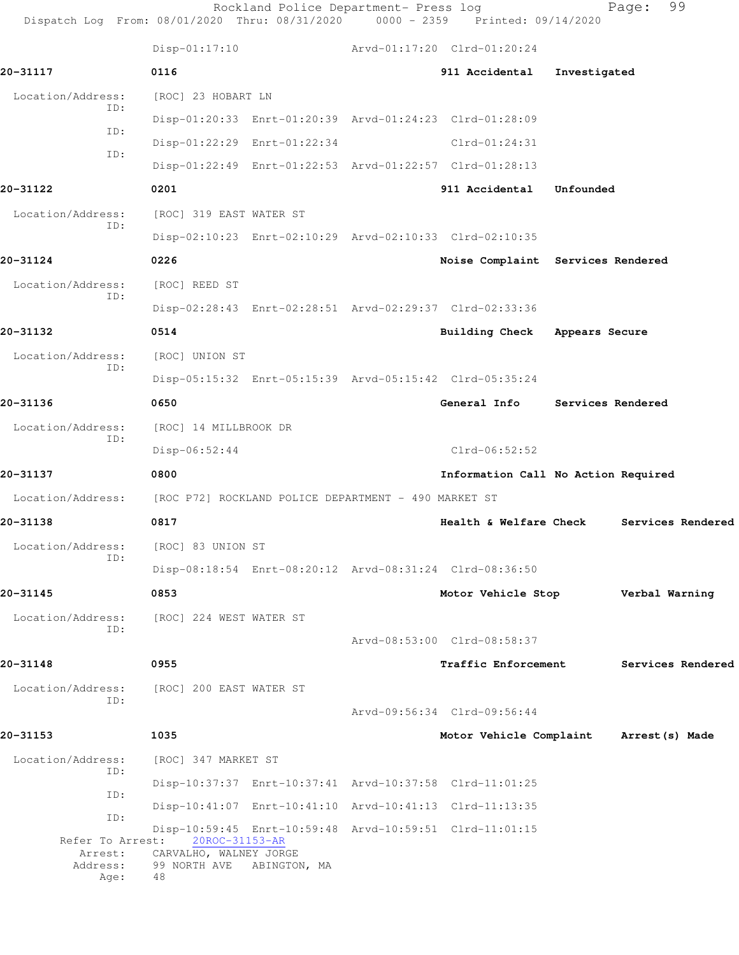| Dispatch Log From: 08/01/2020 Thru: 08/31/2020 0000 - 2359 Printed: 09/14/2020 |                                                           | Rockland Police Department- Press log |                                                         |              | 99<br>Page:       |
|--------------------------------------------------------------------------------|-----------------------------------------------------------|---------------------------------------|---------------------------------------------------------|--------------|-------------------|
|                                                                                |                                                           |                                       | Disp-01:17:10 Arvd-01:17:20 Clrd-01:20:24               |              |                   |
| 20-31117                                                                       | 0116                                                      |                                       | 911 Accidental                                          | Investigated |                   |
| Location/Address:                                                              | [ROC] 23 HOBART LN                                        |                                       |                                                         |              |                   |
| ID:                                                                            |                                                           |                                       | Disp-01:20:33 Enrt-01:20:39 Arvd-01:24:23 Clrd-01:28:09 |              |                   |
| ID:<br>ID:                                                                     |                                                           | Disp-01:22:29 Enrt-01:22:34           | $Clrd-01:24:31$                                         |              |                   |
|                                                                                |                                                           |                                       | Disp-01:22:49 Enrt-01:22:53 Arvd-01:22:57 Clrd-01:28:13 |              |                   |
| 20-31122                                                                       | 0201                                                      |                                       | 911 Accidental                                          | Unfounded    |                   |
| Location/Address:<br>ID:                                                       | [ROC] 319 EAST WATER ST                                   |                                       |                                                         |              |                   |
|                                                                                |                                                           |                                       | Disp-02:10:23 Enrt-02:10:29 Arvd-02:10:33 Clrd-02:10:35 |              |                   |
| 20-31124                                                                       | 0226                                                      |                                       | Noise Complaint Services Rendered                       |              |                   |
| Location/Address:<br>ID:                                                       | [ROC] REED ST                                             |                                       |                                                         |              |                   |
|                                                                                |                                                           |                                       | Disp-02:28:43 Enrt-02:28:51 Arvd-02:29:37 Clrd-02:33:36 |              |                   |
| 20-31132                                                                       | 0514                                                      |                                       | Building Check Appears Secure                           |              |                   |
| Location/Address:                                                              | [ROC] UNION ST                                            |                                       |                                                         |              |                   |
| ID:                                                                            |                                                           |                                       | Disp-05:15:32 Enrt-05:15:39 Arvd-05:15:42 Clrd-05:35:24 |              |                   |
| 20-31136                                                                       | 0650                                                      |                                       | General Info Services Rendered                          |              |                   |
| Location/Address:                                                              | [ROC] 14 MILLBROOK DR                                     |                                       |                                                         |              |                   |
| ID:                                                                            | $Disp-06:52:44$                                           |                                       | $Clrd-06:52:52$                                         |              |                   |
| 20-31137                                                                       | 0800                                                      |                                       | Information Call No Action Required                     |              |                   |
| Location/Address:                                                              | [ROC P72] ROCKLAND POLICE DEPARTMENT - 490 MARKET ST      |                                       |                                                         |              |                   |
| 20-31138                                                                       | 0817                                                      |                                       | <b>Health &amp; Welfare Check</b>                       |              | Services Rendered |
| Location/Address:                                                              | [ROC] 83 UNION ST                                         |                                       |                                                         |              |                   |
| ID:                                                                            |                                                           |                                       | Disp-08:18:54 Enrt-08:20:12 Arvd-08:31:24 Clrd-08:36:50 |              |                   |
| 20-31145                                                                       | 0853                                                      |                                       | Motor Vehicle Stop                                      |              | Verbal Warning    |
| Location/Address:                                                              | [ROC] 224 WEST WATER ST                                   |                                       |                                                         |              |                   |
| ID:                                                                            |                                                           |                                       | Arvd-08:53:00 Clrd-08:58:37                             |              |                   |
| 20-31148                                                                       | 0955                                                      |                                       | Traffic Enforcement                                     |              | Services Rendered |
| Location/Address:                                                              | [ROC] 200 EAST WATER ST                                   |                                       |                                                         |              |                   |
| ID:                                                                            |                                                           |                                       | Arvd-09:56:34 Clrd-09:56:44                             |              |                   |
| 20-31153                                                                       | 1035                                                      |                                       | Motor Vehicle Complaint                                 |              | Arrest (s) Made   |
| Location/Address:                                                              | [ROC] 347 MARKET ST                                       |                                       |                                                         |              |                   |
| ID:                                                                            |                                                           |                                       | Disp-10:37:37 Enrt-10:37:41 Arvd-10:37:58 Clrd-11:01:25 |              |                   |
| ID:<br>ID:                                                                     |                                                           |                                       | Disp-10:41:07 Enrt-10:41:10 Arvd-10:41:13 Clrd-11:13:35 |              |                   |
| Refer To Arrest:                                                               | 20ROC-31153-AR                                            |                                       | Disp-10:59:45 Enrt-10:59:48 Arvd-10:59:51 Clrd-11:01:15 |              |                   |
| Arrest:<br>Address:<br>Age:                                                    | CARVALHO, WALNEY JORGE<br>99 NORTH AVE ABINGTON, MA<br>48 |                                       |                                                         |              |                   |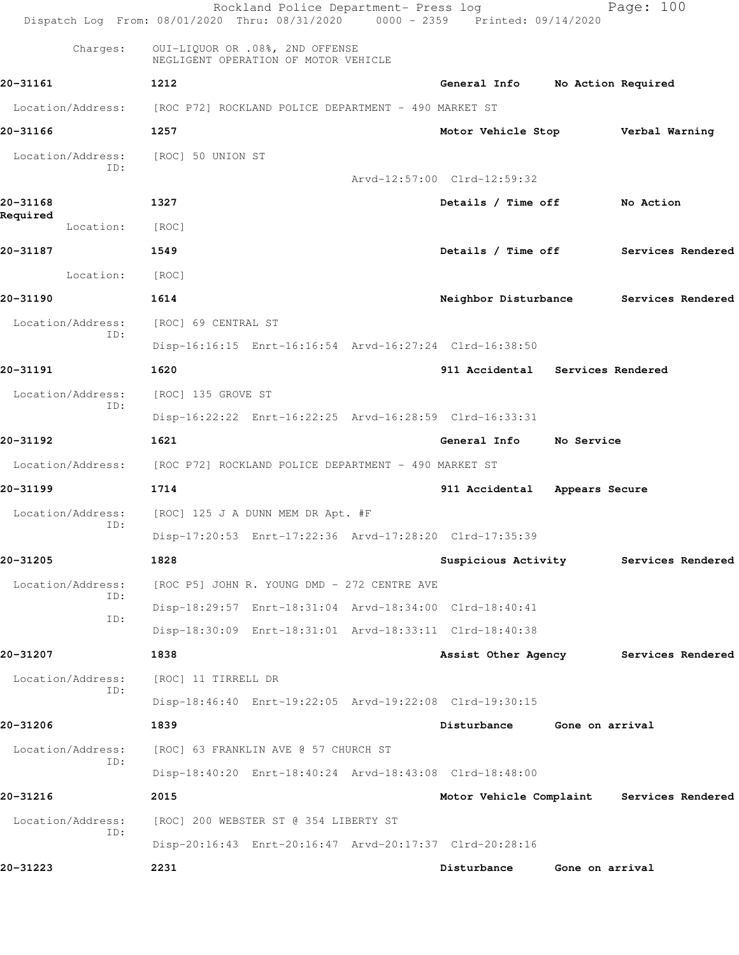|                       | Rockland Police Department- Press log<br>Dispatch Log From: 08/01/2020 Thru: 08/31/2020 0000 - 2359 Printed: 09/14/2020 |                                  | Page: 100                                 |
|-----------------------|-------------------------------------------------------------------------------------------------------------------------|----------------------------------|-------------------------------------------|
| Charges:              | OUI-LIQUOR OR .08%, 2ND OFFENSE<br>NEGLIGENT OPERATION OF MOTOR VEHICLE                                                 |                                  |                                           |
| 20-31161              | 1212                                                                                                                    | General Info No Action Required  |                                           |
| Location/Address:     | [ROC P72] ROCKLAND POLICE DEPARTMENT - 490 MARKET ST                                                                    |                                  |                                           |
| 20-31166              | 1257                                                                                                                    |                                  | Motor Vehicle Stop Verbal Warning         |
| Location/Address:     | [ROC] 50 UNION ST                                                                                                       |                                  |                                           |
| ID:                   |                                                                                                                         | Arvd-12:57:00 Clrd-12:59:32      |                                           |
| 20-31168              | 1327                                                                                                                    | Details / Time off               | No Action                                 |
| Required<br>Location: | [ROC]                                                                                                                   |                                  |                                           |
| 20-31187              | 1549                                                                                                                    | Details / Time off               | Services Rendered                         |
| Location:             | [ROC]                                                                                                                   |                                  |                                           |
| 20-31190              | 1614                                                                                                                    | Neighbor Disturbance             | Services Rendered                         |
| Location/Address:     | [ROC] 69 CENTRAL ST                                                                                                     |                                  |                                           |
| ID:                   | Disp-16:16:15 Enrt-16:16:54 Arvd-16:27:24 Clrd-16:38:50                                                                 |                                  |                                           |
| 20-31191              | 1620                                                                                                                    | 911 Accidental Services Rendered |                                           |
| Location/Address:     | [ROC] 135 GROVE ST                                                                                                      |                                  |                                           |
| ID:                   | Disp-16:22:22 Enrt-16:22:25 Arvd-16:28:59 Clrd-16:33:31                                                                 |                                  |                                           |
| 20-31192              | 1621                                                                                                                    | General Info                     | No Service                                |
|                       | Location/Address: [ROC P72] ROCKLAND POLICE DEPARTMENT - 490 MARKET ST                                                  |                                  |                                           |
| 20-31199              | 1714                                                                                                                    | 911 Accidental Appears Secure    |                                           |
| Location/Address:     | [ROC] 125 J A DUNN MEM DR Apt. #F                                                                                       |                                  |                                           |
| ID:                   | Disp-17:20:53 Enrt-17:22:36 Arvd-17:28:20 Clrd-17:35:39                                                                 |                                  |                                           |
| 20-31205              | 1828                                                                                                                    |                                  | Suspicious Activity Services Rendered     |
| Location/Address:     | [ROC P5] JOHN R. YOUNG DMD - 272 CENTRE AVE                                                                             |                                  |                                           |
| ID:                   | Disp-18:29:57 Enrt-18:31:04 Arvd-18:34:00 Clrd-18:40:41                                                                 |                                  |                                           |
| ID:                   | Disp-18:30:09 Enrt-18:31:01 Arvd-18:33:11 Clrd-18:40:38                                                                 |                                  |                                           |
| 20-31207              | 1838                                                                                                                    |                                  | Assist Other Agency Services Rendered     |
| Location/Address:     | [ROC] 11 TIRRELL DR                                                                                                     |                                  |                                           |
| ID:                   | Disp-18:46:40 Enrt-19:22:05 Arvd-19:22:08 Clrd-19:30:15                                                                 |                                  |                                           |
| 20-31206              | 1839                                                                                                                    | Disturbance Gone on arrival      |                                           |
| Location/Address:     | [ROC] 63 FRANKLIN AVE @ 57 CHURCH ST                                                                                    |                                  |                                           |
| ID:                   | Disp-18:40:20 Enrt-18:40:24 Arvd-18:43:08 Clrd-18:48:00                                                                 |                                  |                                           |
| 20-31216              | 2015                                                                                                                    |                                  | Motor Vehicle Complaint Services Rendered |
| Location/Address:     | [ROC] 200 WEBSTER ST @ 354 LIBERTY ST                                                                                   |                                  |                                           |
| ID:                   | Disp-20:16:43 Enrt-20:16:47 Arvd-20:17:37 Clrd-20:28:16                                                                 |                                  |                                           |
| 20-31223              | 2231                                                                                                                    | Disturbance                      | Gone on arrival                           |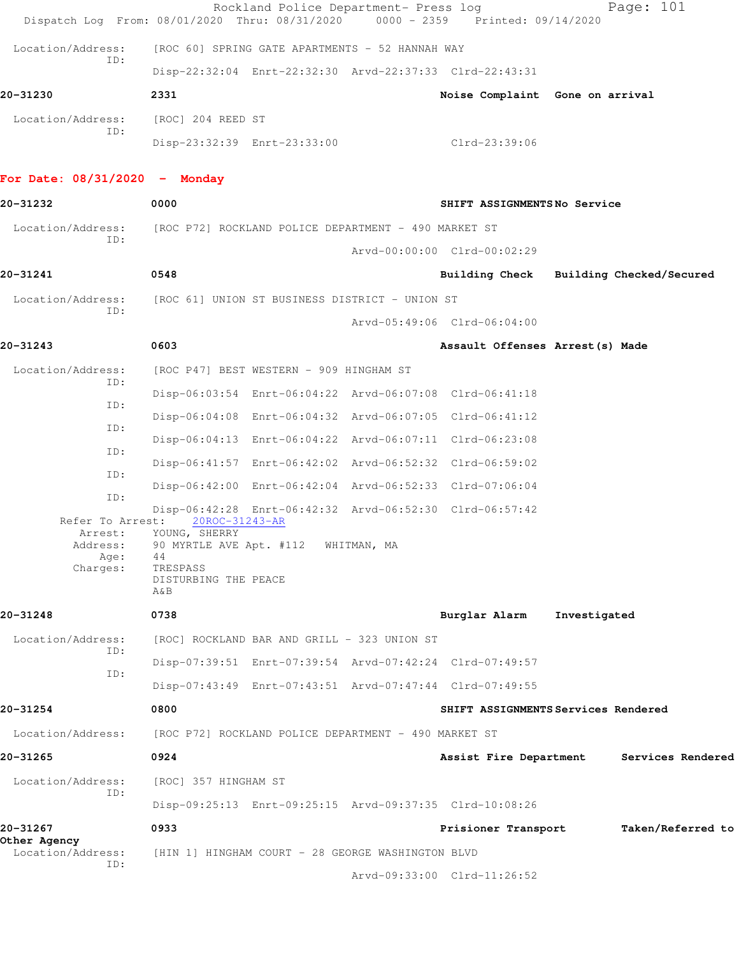|                                         | Rockland Police Department- Press log<br>Dispatch Log From: 08/01/2020 Thru: 08/31/2020               | 0000 - 2359 Printed: 09/14/2020  | Page: 101                               |  |
|-----------------------------------------|-------------------------------------------------------------------------------------------------------|----------------------------------|-----------------------------------------|--|
| Location/Address:                       | [ROC 60] SPRING GATE APARTMENTS - 52 HANNAH WAY                                                       |                                  |                                         |  |
| ID:                                     | Disp-22:32:04 Enrt-22:32:30 Arvd-22:37:33 Clrd-22:43:31                                               |                                  |                                         |  |
| 20-31230                                | 2331                                                                                                  | Noise Complaint Gone on arrival  |                                         |  |
| Location/Address: [ROC] 204 REED ST     |                                                                                                       |                                  |                                         |  |
| ID:                                     | Disp-23:32:39 Enrt-23:33:00                                                                           | Clrd-23:39:06                    |                                         |  |
| For Date: $08/31/2020 -$ Monday         |                                                                                                       |                                  |                                         |  |
| 20-31232                                | 0000                                                                                                  | SHIFT ASSIGNMENTSNo Service      |                                         |  |
| Location/Address:                       | [ROC P72] ROCKLAND POLICE DEPARTMENT - 490 MARKET ST                                                  |                                  |                                         |  |
| ID:                                     |                                                                                                       | Arvd-00:00:00 Clrd-00:02:29      |                                         |  |
| 20-31241                                | 0548                                                                                                  |                                  | Building Check Building Checked/Secured |  |
| Location/Address:<br>ID:                | [ROC 61] UNION ST BUSINESS DISTRICT - UNION ST                                                        |                                  |                                         |  |
|                                         |                                                                                                       | Arvd-05:49:06 Clrd-06:04:00      |                                         |  |
| 20-31243                                | 0603                                                                                                  | Assault Offenses Arrest (s) Made |                                         |  |
| Location/Address:<br>ID:                | [ROC P47] BEST WESTERN - 909 HINGHAM ST                                                               |                                  |                                         |  |
| ID:                                     | Disp-06:03:54 Enrt-06:04:22 Arvd-06:07:08 Clrd-06:41:18                                               |                                  |                                         |  |
| ID:                                     | Disp-06:04:08 Enrt-06:04:32 Arvd-06:07:05 Clrd-06:41:12                                               |                                  |                                         |  |
| ID:                                     | Disp-06:04:13 Enrt-06:04:22 Arvd-06:07:11 Clrd-06:23:08                                               |                                  |                                         |  |
| ID:                                     | Disp-06:41:57 Enrt-06:42:02 Arvd-06:52:32 Clrd-06:59:02                                               |                                  |                                         |  |
| ID:                                     | Disp-06:42:00 Enrt-06:42:04 Arvd-06:52:33 Clrd-07:06:04                                               |                                  |                                         |  |
| Refer To Arrest:                        | Disp-06:42:28 Enrt-06:42:32 Arvd-06:52:30 Clrd-06:57:42<br>20ROC-31243-AR                             |                                  |                                         |  |
| Arrest:<br>Address:<br>Age:<br>Charges: | YOUNG, SHERRY<br>90 MYRTLE AVE Apt. #112 WHITMAN, MA<br>44<br>TRESPASS<br>DISTURBING THE PEACE<br>A&B |                                  |                                         |  |
| 20-31248                                | 0738                                                                                                  | Burglar Alarm                    | Investigated                            |  |
| Location/Address:                       | [ROC] ROCKLAND BAR AND GRILL - 323 UNION ST                                                           |                                  |                                         |  |
| ID:                                     | Disp-07:39:51 Enrt-07:39:54 Arvd-07:42:24 Clrd-07:49:57                                               |                                  |                                         |  |
| ID:                                     | Disp-07:43:49 Enrt-07:43:51 Arvd-07:47:44 Clrd-07:49:55                                               |                                  |                                         |  |
| 20-31254                                | 0800                                                                                                  |                                  | SHIFT ASSIGNMENTS Services Rendered     |  |
| Location/Address:                       | [ROC P72] ROCKLAND POLICE DEPARTMENT - 490 MARKET ST                                                  |                                  |                                         |  |
| 20-31265                                | 0924                                                                                                  | Assist Fire Department           | Services Rendered                       |  |
| Location/Address:<br>TD:                | [ROC] 357 HINGHAM ST                                                                                  |                                  |                                         |  |
|                                         | Disp-09:25:13 Enrt-09:25:15 Arvd-09:37:35 Clrd-10:08:26                                               |                                  |                                         |  |
| 20-31267                                | 0933                                                                                                  | Prisioner Transport              | Taken/Referred to                       |  |
| Other Agency<br>Location/Address:       | [HIN 1] HINGHAM COURT - 28 GEORGE WASHINGTON BLVD                                                     |                                  |                                         |  |
| ID:                                     |                                                                                                       | Arvd-09:33:00 Clrd-11:26:52      |                                         |  |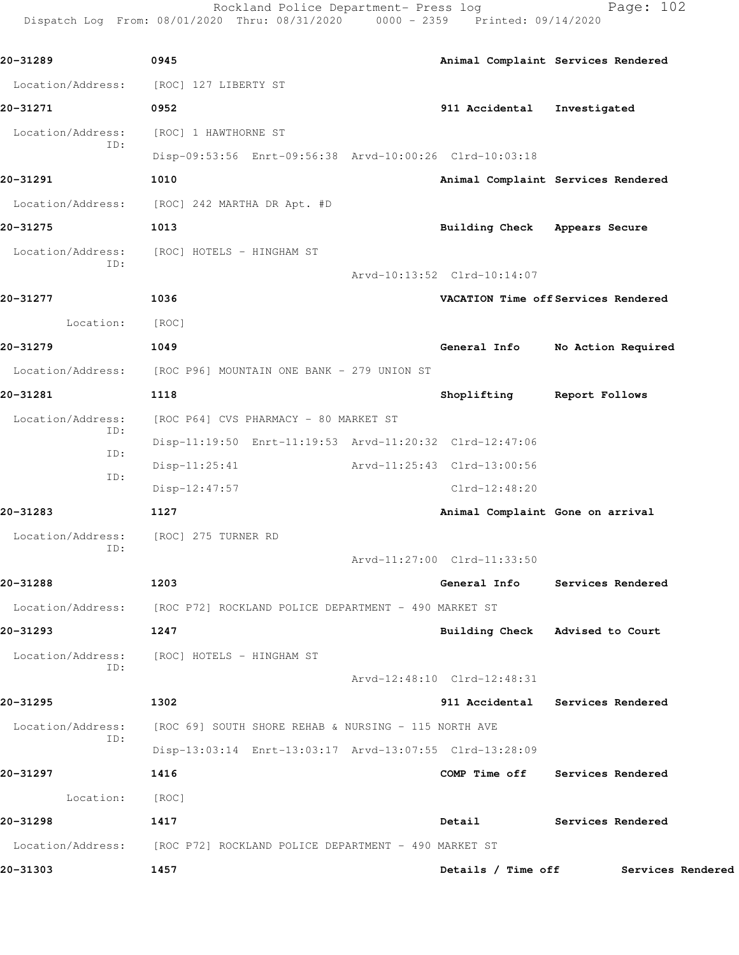Rockland Police Department- Press log entitled Page: 102 Dispatch Log From: 08/01/2020 Thru: 08/31/2020 0000 - 2359 Printed: 09/14/2020

| 20-31289                                     | 0945                                                                   |                                  | Animal Complaint Services Rendered  |  |
|----------------------------------------------|------------------------------------------------------------------------|----------------------------------|-------------------------------------|--|
|                                              | Location/Address: [ROC] 127 LIBERTY ST                                 |                                  |                                     |  |
| 20-31271                                     | 0952                                                                   | 911 Accidental                   | Investigated                        |  |
| Location/Address:                            | [ROC] 1 HAWTHORNE ST                                                   |                                  |                                     |  |
| ID:                                          | Disp-09:53:56 Enrt-09:56:38 Arvd-10:00:26 Clrd-10:03:18                |                                  |                                     |  |
| 20-31291                                     | 1010                                                                   |                                  | Animal Complaint Services Rendered  |  |
|                                              | Location/Address: [ROC] 242 MARTHA DR Apt. #D                          |                                  |                                     |  |
| 20-31275                                     | 1013                                                                   | Building Check Appears Secure    |                                     |  |
| Location/Address:                            | [ROC] HOTELS – HINGHAM ST                                              |                                  |                                     |  |
| ID:                                          |                                                                        | Arvd-10:13:52 Clrd-10:14:07      |                                     |  |
| 20-31277                                     | 1036                                                                   |                                  | VACATION Time off Services Rendered |  |
| Location:                                    | [ROC]                                                                  |                                  |                                     |  |
| 20-31279                                     | 1049                                                                   | General Info                     | No Action Required                  |  |
|                                              | Location/Address: [ROC P96] MOUNTAIN ONE BANK - 279 UNION ST           |                                  |                                     |  |
| 20-31281                                     | 1118                                                                   | Shoplifting Report Follows       |                                     |  |
| Location/Address:                            | [ROC P64] CVS PHARMACY - 80 MARKET ST                                  |                                  |                                     |  |
| ID:<br>ID:                                   | Disp-11:19:50 Enrt-11:19:53 Arvd-11:20:32 Clrd-12:47:06                |                                  |                                     |  |
| ID:                                          | $Disp-11:25:41$                                                        | Arvd-11:25:43 Clrd-13:00:56      |                                     |  |
|                                              | Disp-12:47:57                                                          | $Clrd-12:48:20$                  |                                     |  |
| 20-31283                                     | 1127                                                                   | Animal Complaint Gone on arrival |                                     |  |
| Location/Address: [ROC] 275 TURNER RD<br>ID: |                                                                        |                                  |                                     |  |
|                                              |                                                                        | Arvd-11:27:00 Clrd-11:33:50      |                                     |  |
| 20-31288                                     | 1203                                                                   | General Info                     | Services Rendered                   |  |
|                                              | Location/Address: [ROC P72] ROCKLAND POLICE DEPARTMENT - 490 MARKET ST |                                  |                                     |  |
| 20-31293                                     | 1247                                                                   | Building Check Advised to Court  |                                     |  |
| Location/Address:<br>ID:                     | [ROC] HOTELS – HINGHAM ST                                              |                                  |                                     |  |
|                                              |                                                                        | Arvd-12:48:10 Clrd-12:48:31      |                                     |  |
| 20-31295                                     | 1302                                                                   |                                  | 911 Accidental Services Rendered    |  |
| Location/Address:<br>ID:                     | [ROC 69] SOUTH SHORE REHAB & NURSING - 115 NORTH AVE                   |                                  |                                     |  |
|                                              | Disp-13:03:14 Enrt-13:03:17 Arvd-13:07:55 Clrd-13:28:09                |                                  |                                     |  |
| 20-31297                                     | 1416                                                                   | COMP Time off                    | Services Rendered                   |  |
| Location:                                    | [ROC]                                                                  |                                  |                                     |  |
| 20-31298                                     | 1417                                                                   | Detail                           | Services Rendered                   |  |
|                                              | Location/Address: [ROC P72] ROCKLAND POLICE DEPARTMENT - 490 MARKET ST |                                  |                                     |  |
| 20-31303                                     | 1457                                                                   | Details / Time off               | Services Rendered                   |  |
|                                              |                                                                        |                                  |                                     |  |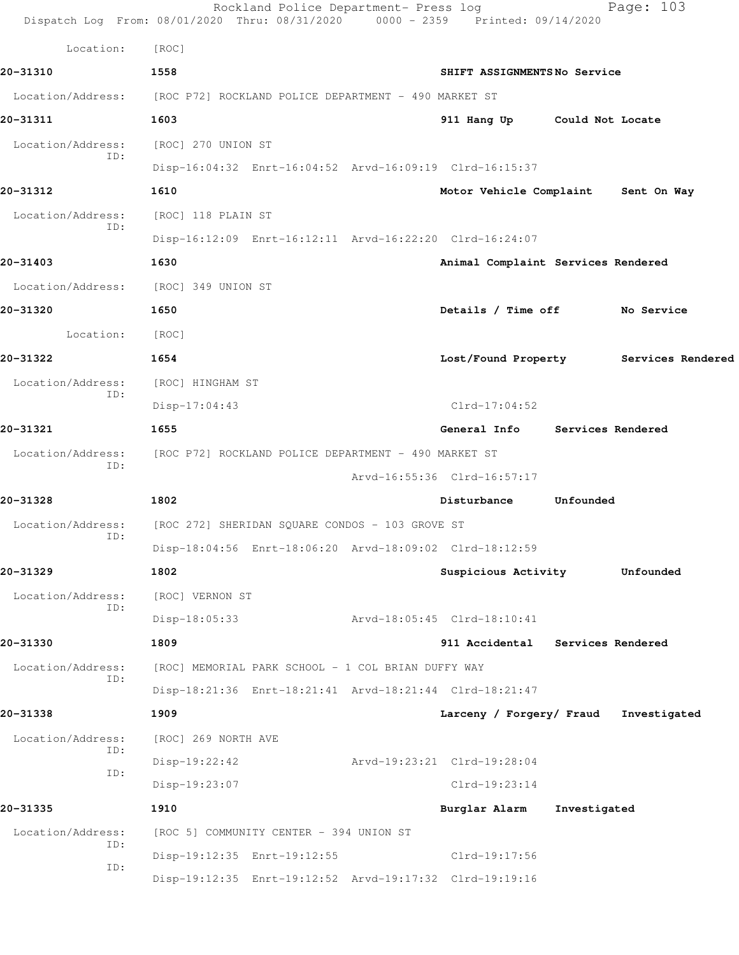|                          | Rockland Police Department- Press log<br>Dispatch Log From: 08/01/2020 Thru: 08/31/2020 0000 - 2359 Printed: 09/14/2020 |                 |                                     |                             | Page: 103                             |  |
|--------------------------|-------------------------------------------------------------------------------------------------------------------------|-----------------|-------------------------------------|-----------------------------|---------------------------------------|--|
| Location:                | [ROC]                                                                                                                   |                 |                                     |                             |                                       |  |
| 20-31310                 | 1558                                                                                                                    |                 |                                     | SHIFT ASSIGNMENTSNo Service |                                       |  |
| Location/Address:        | [ROC P72] ROCKLAND POLICE DEPARTMENT - 490 MARKET ST                                                                    |                 |                                     |                             |                                       |  |
| 20-31311                 | 1603                                                                                                                    |                 | 911 Hang Up Could Not Locate        |                             |                                       |  |
| Location/Address:        | [ROC] 270 UNION ST                                                                                                      |                 |                                     |                             |                                       |  |
| ID:                      | Disp-16:04:32 Enrt-16:04:52 Arvd-16:09:19 Clrd-16:15:37                                                                 |                 |                                     |                             |                                       |  |
| 20-31312                 | 1610                                                                                                                    |                 | Motor Vehicle Complaint Sent On Way |                             |                                       |  |
| Location/Address:        | [ROC] 118 PLAIN ST                                                                                                      |                 |                                     |                             |                                       |  |
| ID:                      | Disp-16:12:09 Enrt-16:12:11 Arvd-16:22:20 Clrd-16:24:07                                                                 |                 |                                     |                             |                                       |  |
| 20-31403                 | 1630                                                                                                                    |                 | Animal Complaint Services Rendered  |                             |                                       |  |
| Location/Address:        | [ROC] 349 UNION ST                                                                                                      |                 |                                     |                             |                                       |  |
| 20-31320                 | 1650                                                                                                                    |                 | Details / Time off No Service       |                             |                                       |  |
| Location:                | [ROC]                                                                                                                   |                 |                                     |                             |                                       |  |
| 20-31322                 | 1654                                                                                                                    |                 |                                     |                             | Lost/Found Property Services Rendered |  |
| Location/Address:        | [ROC] HINGHAM ST                                                                                                        |                 |                                     |                             |                                       |  |
| ID:                      | $Disp-17:04:43$                                                                                                         | $Clrd-17:04:52$ |                                     |                             |                                       |  |
| 20-31321                 | 1655                                                                                                                    |                 | General Info Services Rendered      |                             |                                       |  |
| Location/Address:<br>ID: | [ROC P72] ROCKLAND POLICE DEPARTMENT - 490 MARKET ST                                                                    |                 |                                     |                             |                                       |  |
|                          |                                                                                                                         |                 | Arvd-16:55:36 Clrd-16:57:17         |                             |                                       |  |
| 20-31328                 | 1802                                                                                                                    |                 | Disturbance                         | Unfounded                   |                                       |  |
| Location/Address:<br>ID: | [ROC 272] SHERIDAN SQUARE CONDOS - 103 GROVE ST                                                                         |                 |                                     |                             |                                       |  |
|                          | Disp-18:04:56 Enrt-18:06:20 Arvd-18:09:02 Clrd-18:12:59                                                                 |                 |                                     |                             |                                       |  |
| 20-31329                 | 1802                                                                                                                    |                 | Suspicious Activity                 |                             | Unfounded                             |  |
| Location/Address:<br>ID: | [ROC] VERNON ST                                                                                                         |                 |                                     |                             |                                       |  |
|                          | Disp-18:05:33                                                                                                           |                 | Arvd-18:05:45 Clrd-18:10:41         |                             |                                       |  |
| 20-31330                 | 1809                                                                                                                    |                 | 911 Accidental                      | Services Rendered           |                                       |  |
| Location/Address:<br>ID: | [ROC] MEMORIAL PARK SCHOOL - 1 COL BRIAN DUFFY WAY                                                                      |                 |                                     |                             |                                       |  |
|                          | Disp-18:21:36 Enrt-18:21:41 Arvd-18:21:44 Clrd-18:21:47                                                                 |                 |                                     |                             |                                       |  |
| 20-31338                 | 1909                                                                                                                    |                 | Larceny / Forgery/ Fraud            |                             | Investigated                          |  |
| Location/Address:<br>ID: | [ROC] 269 NORTH AVE                                                                                                     |                 |                                     |                             |                                       |  |
| ID:                      | $Disp-19:22:42$                                                                                                         |                 | Arvd-19:23:21 Clrd-19:28:04         |                             |                                       |  |
|                          | Disp-19:23:07                                                                                                           |                 | $Clrd-19:23:14$                     |                             |                                       |  |
| 20-31335                 | 1910                                                                                                                    |                 | Burglar Alarm                       | Investigated                |                                       |  |
| Location/Address:<br>ID: | [ROC 5] COMMUNITY CENTER - 394 UNION ST                                                                                 |                 |                                     |                             |                                       |  |
| ID:                      | Disp-19:12:35 Enrt-19:12:55                                                                                             |                 | Clrd-19:17:56                       |                             |                                       |  |
|                          | Disp-19:12:35 Enrt-19:12:52 Arvd-19:17:32 Clrd-19:19:16                                                                 |                 |                                     |                             |                                       |  |